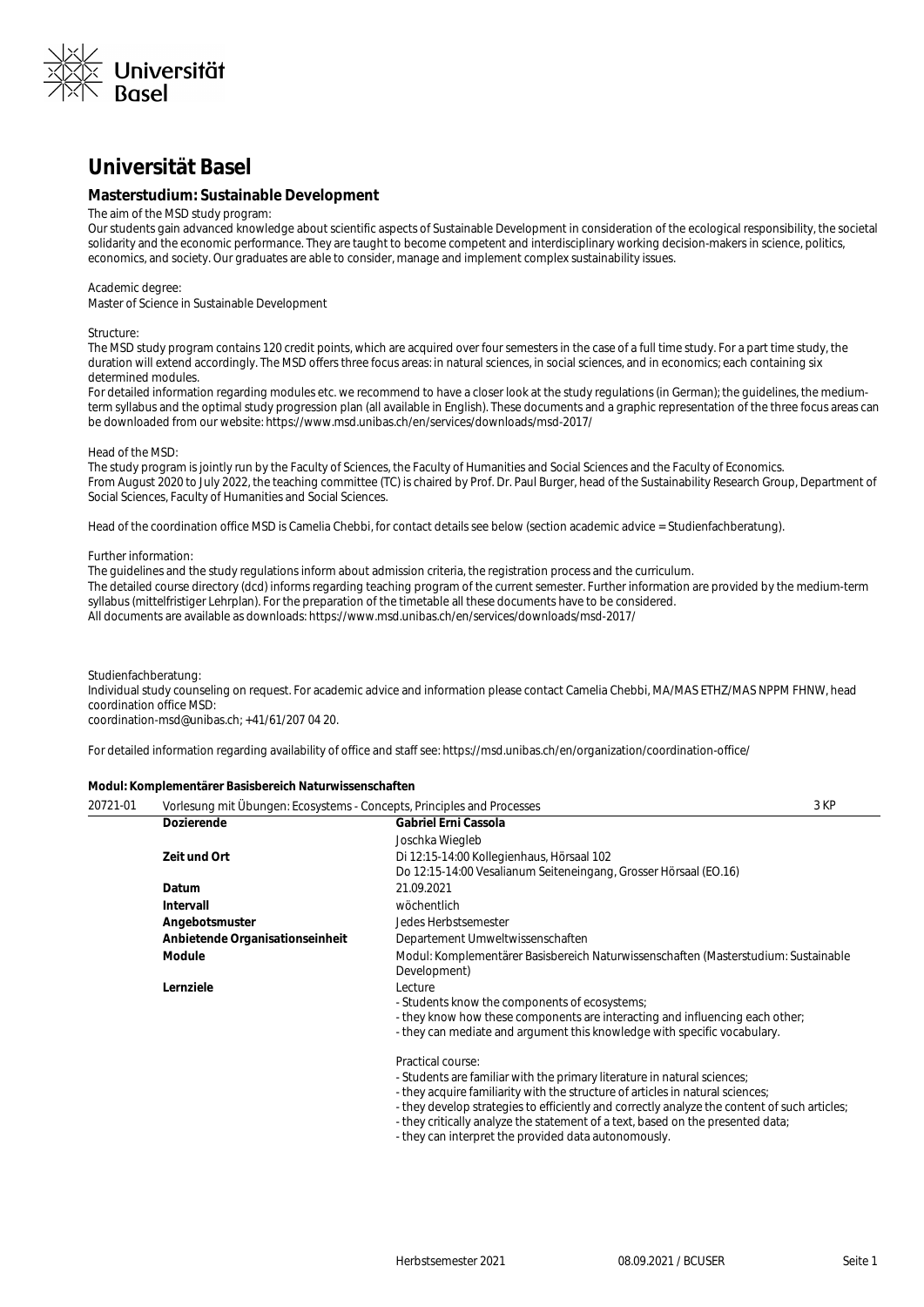

## **Universität Basel**

#### **Masterstudium: Sustainable Development**

#### The aim of the MSD study program:

Our students gain advanced knowledge about scientific aspects of Sustainable Development in consideration of the ecological responsibility, the societal solidarity and the economic performance. They are taught to become competent and interdisciplinary working decision-makers in science, politics, economics, and society. Our graduates are able to consider, manage and implement complex sustainability issues.

#### Academic degree:

Master of Science in Sustainable Development

#### Structure:

The MSD study program contains 120 credit points, which are acquired over four semesters in the case of a full time study. For a part time study, the duration will extend accordingly. The MSD offers three focus areas: in natural sciences, in social sciences, and in economics; each containing six determined modules.

For detailed information regarding modules etc. we recommend to have a closer look at the study regulations (in German); the quidelines, the mediumterm syllabus and the optimal study progression plan (all available in English). These documents and a graphic representation of the three focus areas can be downloaded from our website: https://www.msd.unibas.ch/en/services/downloads/msd-2017/

#### Head of the MSD:

The study program is jointly run by the Faculty of Sciences, the Faculty of Humanities and Social Sciences and the Faculty of Economics. From August 2020 to July 2022, the teaching committee (TC) is chaired by Prof. Dr. Paul Burger, head of the Sustainability Research Group, Department of Social Sciences, Faculty of Humanities and Social Sciences.

Head of the coordination office MSD is Camelia Chebbi, for contact details see below (section academic advice = Studienfachberatung).

#### Further information:

The guidelines and the study regulations inform about admission criteria, the registration process and the curriculum. The detailed course directory (dcd) informs regarding teaching program of the current semester. Further information are provided by the medium-term syllabus (mittelfristiger Lehrplan). For the preparation of the timetable all these documents have to be considered. All documents are available as downloads: https://www.msd.unibas.ch/en/services/downloads/msd-2017/

Studienfachberatung:

Individual study counseling on request. For academic advice and information please contact Camelia Chebbi, MA/MAS ETHZ/MAS NPPM FHNW, head coordination office MSD:

coordination-msd@unibas.ch; +41/61/207 04 20.

For detailed information regarding availability of office and staff see: https://msd.unibas.ch/en/organization/coordination-office/

#### **Modul: Komplementärer Basisbereich Naturwissenschaften**

| 20721-01 | Vorlesung mit Übungen: Ecosystems - Concepts, Principles and Processes |                                                                                                                                                                                 | 3 KP |
|----------|------------------------------------------------------------------------|---------------------------------------------------------------------------------------------------------------------------------------------------------------------------------|------|
|          | <b>Dozierende</b>                                                      | Gabriel Erni Cassola                                                                                                                                                            |      |
|          |                                                                        | Joschka Wiegleb                                                                                                                                                                 |      |
|          | Zeit und Ort                                                           | Di 12:15-14:00 Kollegienhaus, Hörsaal 102                                                                                                                                       |      |
|          |                                                                        | Do 12:15-14:00 Vesalianum Seiteneingang, Grosser Hörsaal (EO.16)                                                                                                                |      |
|          | Datum                                                                  | 21.09.2021                                                                                                                                                                      |      |
|          | <b>Intervall</b>                                                       | wöchentlich                                                                                                                                                                     |      |
|          | Angebotsmuster                                                         | Jedes Herbstsemester                                                                                                                                                            |      |
|          | Anbietende Organisationseinheit                                        | Departement Umweltwissenschaften                                                                                                                                                |      |
|          | <b>Module</b>                                                          | Modul: Komplementärer Basisbereich Naturwissenschaften (Masterstudium: Sustainable<br>Development)                                                                              |      |
|          | Lernziele                                                              | Lecture                                                                                                                                                                         |      |
|          |                                                                        | - Students know the components of ecosystems;                                                                                                                                   |      |
|          |                                                                        | - they know how these components are interacting and influencing each other;<br>- they can mediate and argument this knowledge with specific vocabulary.                        |      |
|          |                                                                        | Practical course:                                                                                                                                                               |      |
|          |                                                                        | - Students are familiar with the primary literature in natural sciences;                                                                                                        |      |
|          |                                                                        | - they acquire familiarity with the structure of articles in natural sciences;                                                                                                  |      |
|          |                                                                        | - they develop strategies to efficiently and correctly analyze the content of such articles;<br>- they critically analyze the statement of a text, based on the presented data; |      |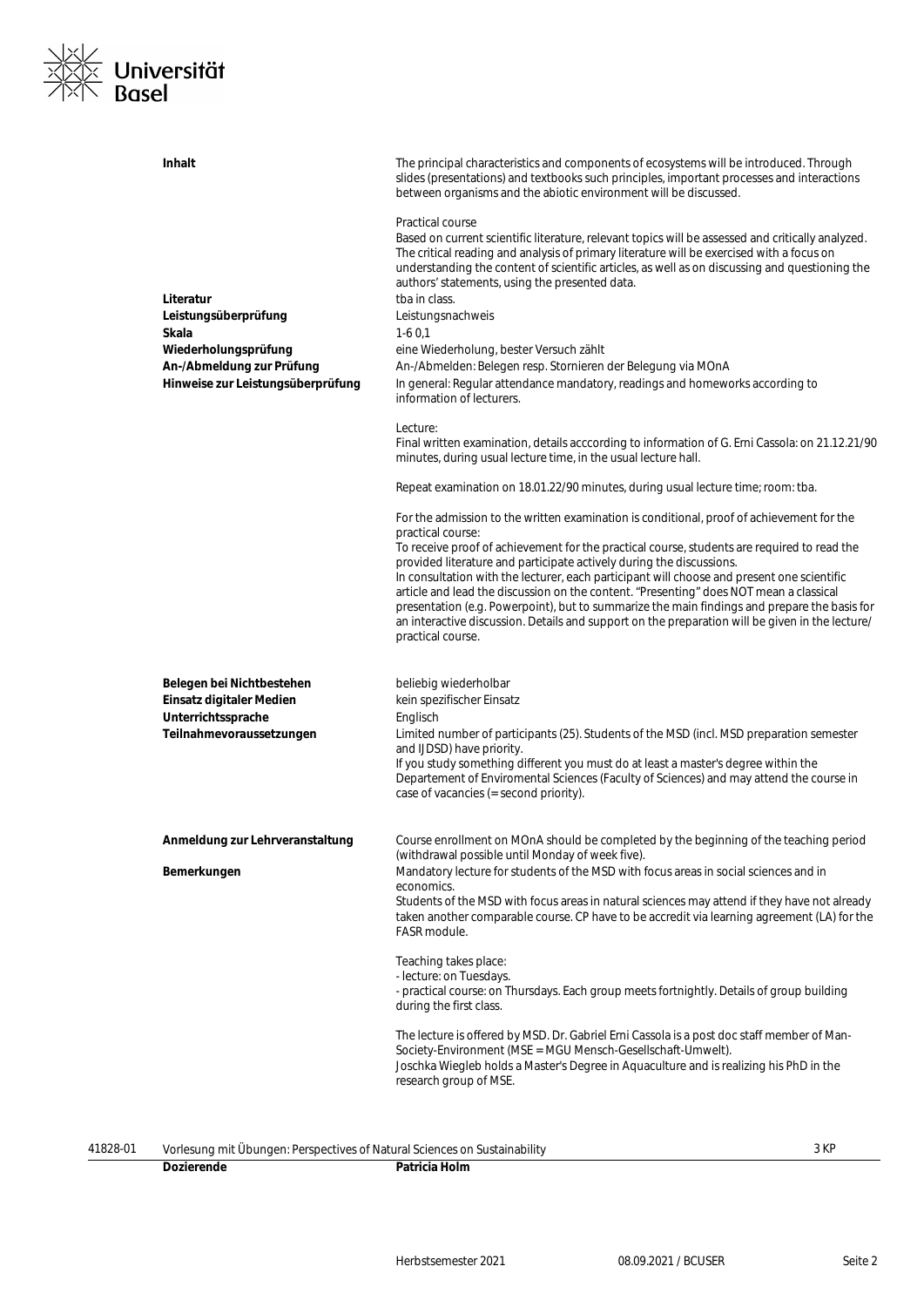

| <b>Inhalt</b>                                         | The principal characteristics and components of ecosystems will be introduced. Through<br>slides (presentations) and textbooks such principles, important processes and interactions<br>between organisms and the abiotic environment will be discussed.                                                                                                                                                                                                                                                                                                                            |
|-------------------------------------------------------|-------------------------------------------------------------------------------------------------------------------------------------------------------------------------------------------------------------------------------------------------------------------------------------------------------------------------------------------------------------------------------------------------------------------------------------------------------------------------------------------------------------------------------------------------------------------------------------|
| Literatur                                             | Practical course<br>Based on current scientific literature, relevant topics will be assessed and critically analyzed.<br>The critical reading and analysis of primary literature will be exercised with a focus on<br>understanding the content of scientific articles, as well as on discussing and questioning the<br>authors' statements, using the presented data.<br>tba in class.                                                                                                                                                                                             |
| Leistungsüberprüfung                                  | Leistungsnachweis                                                                                                                                                                                                                                                                                                                                                                                                                                                                                                                                                                   |
| Skala<br>Wiederholungsprüfung                         | $1-60,1$<br>eine Wiederholung, bester Versuch zählt                                                                                                                                                                                                                                                                                                                                                                                                                                                                                                                                 |
| An-/Abmeldung zur Prüfung                             | An-/Abmelden: Belegen resp. Stornieren der Belegung via MOnA                                                                                                                                                                                                                                                                                                                                                                                                                                                                                                                        |
| Hinweise zur Leistungsüberprüfung                     | In general: Regular attendance mandatory, readings and homeworks according to<br>information of lecturers.                                                                                                                                                                                                                                                                                                                                                                                                                                                                          |
|                                                       | Lecture:<br>Final written examination, details acccording to information of G. Erni Cassola: on 21.12.21/90<br>minutes, during usual lecture time, in the usual lecture hall.                                                                                                                                                                                                                                                                                                                                                                                                       |
|                                                       | Repeat examination on 18.01.22/90 minutes, during usual lecture time; room: tba.                                                                                                                                                                                                                                                                                                                                                                                                                                                                                                    |
|                                                       | For the admission to the written examination is conditional, proof of achievement for the<br>practical course:                                                                                                                                                                                                                                                                                                                                                                                                                                                                      |
|                                                       | To receive proof of achievement for the practical course, students are required to read the<br>provided literature and participate actively during the discussions.<br>In consultation with the lecturer, each participant will choose and present one scientific<br>article and lead the discussion on the content. "Presenting" does NOT mean a classical<br>presentation (e.g. Powerpoint), but to summarize the main findings and prepare the basis for<br>an interactive discussion. Details and support on the preparation will be given in the lecture/<br>practical course. |
| Belegen bei Nichtbestehen<br>Einsatz digitaler Medien | beliebig wiederholbar<br>kein spezifischer Einsatz                                                                                                                                                                                                                                                                                                                                                                                                                                                                                                                                  |
| Unterrichtssprache                                    | Englisch                                                                                                                                                                                                                                                                                                                                                                                                                                                                                                                                                                            |
| Teilnahmevoraussetzungen                              | Limited number of participants (25). Students of the MSD (incl. MSD preparation semester<br>and IJDSD) have priority.                                                                                                                                                                                                                                                                                                                                                                                                                                                               |
|                                                       | If you study something different you must do at least a master's degree within the<br>Departement of Enviromental Sciences (Faculty of Sciences) and may attend the course in<br>case of vacancies (= second priority).                                                                                                                                                                                                                                                                                                                                                             |
| Anmeldung zur Lehrveranstaltung                       | Course enrollment on MOnA should be completed by the beginning of the teaching period<br>(withdrawal possible until Monday of week five).                                                                                                                                                                                                                                                                                                                                                                                                                                           |
| Bemerkungen                                           | Mandatory lecture for students of the MSD with focus areas in social sciences and in<br>economics.                                                                                                                                                                                                                                                                                                                                                                                                                                                                                  |
|                                                       | Students of the MSD with focus areas in natural sciences may attend if they have not already<br>taken another comparable course. CP have to be accredit via learning agreement (LA) for the<br>FASR module.                                                                                                                                                                                                                                                                                                                                                                         |
|                                                       | Teaching takes place:<br>- lecture: on Tuesdays.<br>- practical course: on Thursdays. Each group meets fortnightly. Details of group building<br>during the first class.                                                                                                                                                                                                                                                                                                                                                                                                            |
|                                                       | The lecture is offered by MSD. Dr. Gabriel Erni Cassola is a post doc staff member of Man-<br>Society-Environment (MSE = MGU Mensch-Gesellschaft-Umwelt).<br>Joschka Wiegleb holds a Master's Degree in Aquaculture and is realizing his PhD in the<br>research group of MSE.                                                                                                                                                                                                                                                                                                       |
|                                                       |                                                                                                                                                                                                                                                                                                                                                                                                                                                                                                                                                                                     |

| 41828-01<br>t Ubungen: Perspectives of Natural Sciences on S.<br>Vorlesunc<br>.<br>. |         | Sustainability | $V\Gamma$<br>J NF |
|--------------------------------------------------------------------------------------|---------|----------------|-------------------|
|                                                                                      | DΩ<br>. | lOIN<br>.      |                   |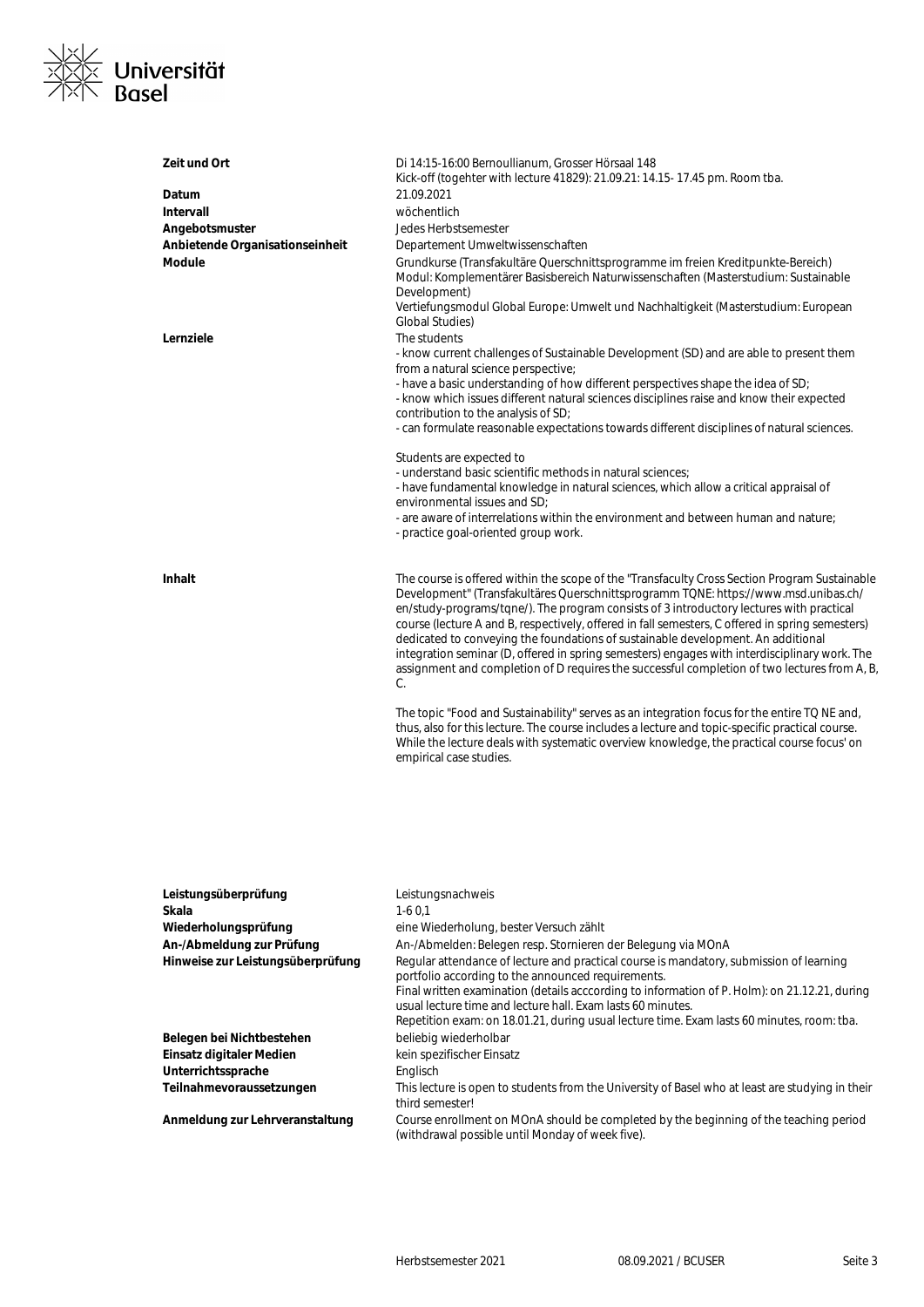

| Zeit und Ort                      | Di 14:15-16:00 Bernoullianum, Grosser Hörsaal 148<br>Kick-off (togehter with lecture 41829): 21.09.21: 14.15-17.45 pm. Room tba.                                                                                                                                                                                                                                                            |
|-----------------------------------|---------------------------------------------------------------------------------------------------------------------------------------------------------------------------------------------------------------------------------------------------------------------------------------------------------------------------------------------------------------------------------------------|
| Datum                             | 21.09.2021                                                                                                                                                                                                                                                                                                                                                                                  |
| Intervall                         | wöchentlich                                                                                                                                                                                                                                                                                                                                                                                 |
|                                   |                                                                                                                                                                                                                                                                                                                                                                                             |
| Angebotsmuster                    | Jedes Herbstsemester                                                                                                                                                                                                                                                                                                                                                                        |
| Anbietende Organisationseinheit   | Departement Umweltwissenschaften                                                                                                                                                                                                                                                                                                                                                            |
| <b>Module</b>                     | Grundkurse (Transfakultäre Querschnittsprogramme im freien Kreditpunkte-Bereich)<br>Modul: Komplementärer Basisbereich Naturwissenschaften (Masterstudium: Sustainable<br>Development)                                                                                                                                                                                                      |
|                                   | Vertiefungsmodul Global Europe: Umwelt und Nachhaltigkeit (Masterstudium: European<br><b>Global Studies</b> )                                                                                                                                                                                                                                                                               |
| Lernziele                         | The students<br>- know current challenges of Sustainable Development (SD) and are able to present them<br>from a natural science perspective;                                                                                                                                                                                                                                               |
|                                   | - have a basic understanding of how different perspectives shape the idea of SD;                                                                                                                                                                                                                                                                                                            |
|                                   | - know which issues different natural sciences disciplines raise and know their expected<br>contribution to the analysis of SD;                                                                                                                                                                                                                                                             |
|                                   | - can formulate reasonable expectations towards different disciplines of natural sciences.                                                                                                                                                                                                                                                                                                  |
|                                   | Students are expected to<br>- understand basic scientific methods in natural sciences;                                                                                                                                                                                                                                                                                                      |
|                                   | - have fundamental knowledge in natural sciences, which allow a critical appraisal of                                                                                                                                                                                                                                                                                                       |
|                                   | environmental issues and SD;                                                                                                                                                                                                                                                                                                                                                                |
|                                   | - are aware of interrelations within the environment and between human and nature;<br>- practice goal-oriented group work.                                                                                                                                                                                                                                                                  |
| <b>Inhalt</b>                     | The course is offered within the scope of the "Transfaculty Cross Section Program Sustainable<br>Development" (Transfakultäres Querschnittsprogramm TQNE: https://www.msd.unibas.ch/<br>en/study-programs/tqne/). The program consists of 3 introductory lectures with practical                                                                                                            |
|                                   | course (lecture A and B, respectively, offered in fall semesters, C offered in spring semesters)<br>dedicated to conveying the foundations of sustainable development. An additional<br>integration seminar (D, offered in spring semesters) engages with interdisciplinary work. The<br>assignment and completion of D requires the successful completion of two lectures from A, B,<br>C. |
|                                   | The topic "Food and Sustainability" serves as an integration focus for the entire TQ NE and,<br>thus, also for this lecture. The course includes a lecture and topic-specific practical course.<br>While the lecture deals with systematic overview knowledge, the practical course focus' on<br>empirical case studies.                                                                    |
|                                   |                                                                                                                                                                                                                                                                                                                                                                                             |
| Leistungsüberprüfung              | Leistungsnachweis                                                                                                                                                                                                                                                                                                                                                                           |
| Skala                             | $1-60,1$                                                                                                                                                                                                                                                                                                                                                                                    |
| Wiederholungsprüfung              | eine Wiederholung, bester Versuch zählt                                                                                                                                                                                                                                                                                                                                                     |
| An-/Abmeldung zur Prüfung         | An-/Abmelden: Belegen resp. Stornieren der Belegung via MOnA                                                                                                                                                                                                                                                                                                                                |
| Hinweise zur Leistungsüberprüfung | Regular attendance of lecture and practical course is mandatory, submission of learning                                                                                                                                                                                                                                                                                                     |
|                                   | portfolio according to the announced requirements.<br>Final written examination (details acccording to information of P. Holm): on 21.12.21, during<br>usual lecture time and lecture hall. Exam lasts 60 minutes.                                                                                                                                                                          |
|                                   | Repetition exam: on 18.01.21, during usual lecture time. Exam lasts 60 minutes, room: tba.                                                                                                                                                                                                                                                                                                  |
| Belegen bei Nichtbestehen         | beliebig wiederholbar                                                                                                                                                                                                                                                                                                                                                                       |
| Einsatz digitaler Medien          | kein spezifischer Einsatz                                                                                                                                                                                                                                                                                                                                                                   |

Unterrichtssprache **Englisch** 

**Teilnahmevoraussetzungen** This lecture is open to students from the University of Basel who at least are studying in their third semester!

**Anmeldung zur Lehrveranstaltung** Course enrollment on MOnA should be completed by the beginning of the teaching period (withdrawal possible until Monday of week five).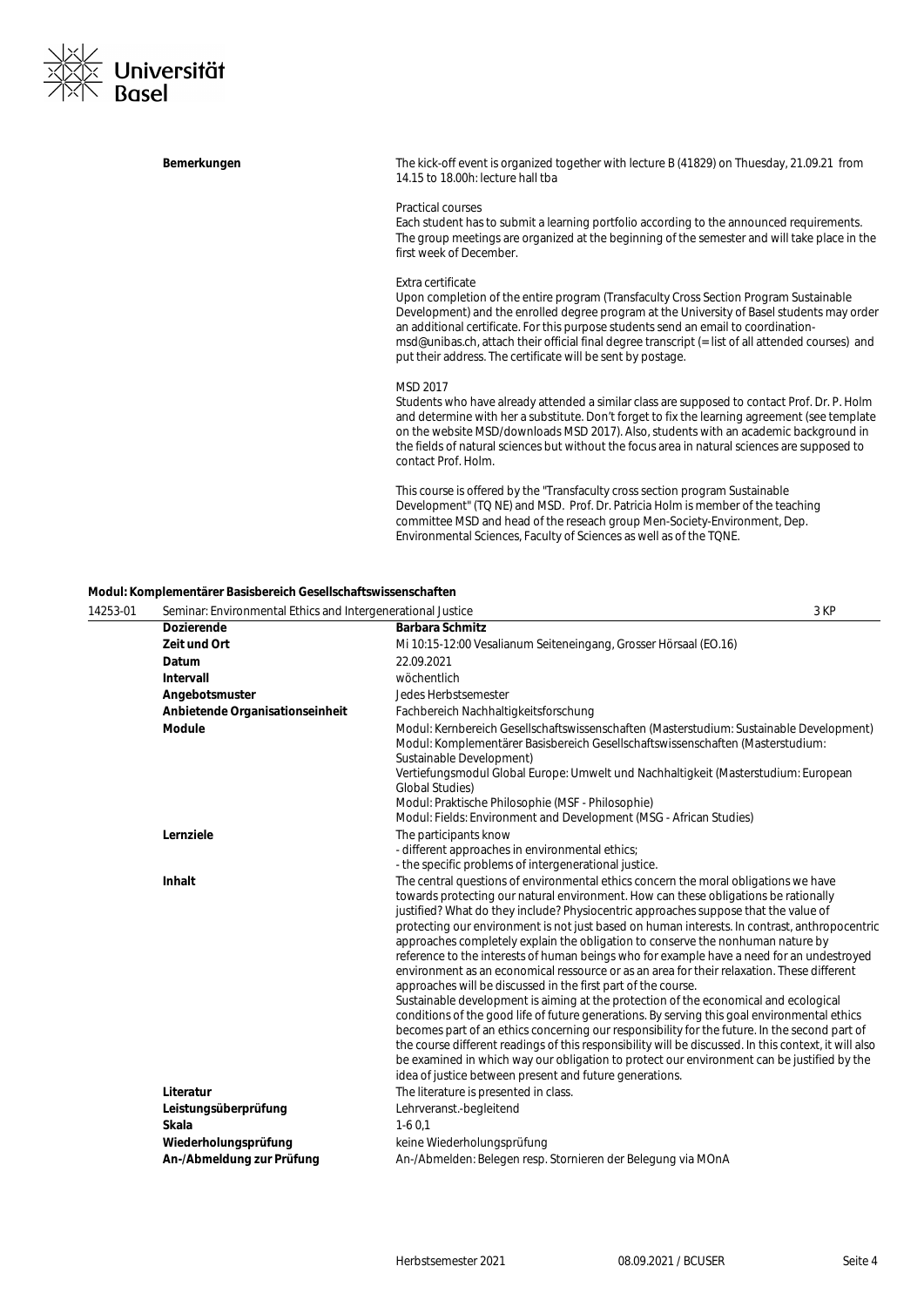

| Bemerkungen | The kick-off event is organized together with lecture B (41829) on Thuesday, 21.09.21 from<br>14.15 to 18.00h: lecture hall tba                                                                                                                                                                                                                                                                                                                                     |
|-------------|---------------------------------------------------------------------------------------------------------------------------------------------------------------------------------------------------------------------------------------------------------------------------------------------------------------------------------------------------------------------------------------------------------------------------------------------------------------------|
|             | <b>Practical courses</b><br>Each student has to submit a learning portfolio according to the announced requirements.<br>The group meetings are organized at the beginning of the semester and will take place in the<br>first week of December.                                                                                                                                                                                                                     |
|             | Extra certificate<br>Upon completion of the entire program (Transfaculty Cross Section Program Sustainable<br>Development) and the enrolled degree program at the University of Basel students may order<br>an additional certificate. For this purpose students send an email to coordination-<br>msd@unibas.ch, attach their official final degree transcript (= list of all attended courses) and<br>put their address. The certificate will be sent by postage. |
|             | MSD 2017<br>Students who have already attended a similar class are supposed to contact Prof. Dr. P. Holm<br>and determine with her a substitute. Don't forget to fix the learning agreement (see template<br>on the website MSD/downloads MSD 2017). Also, students with an academic background in<br>the fields of natural sciences but without the focus area in natural sciences are supposed to<br>contact Prof. Holm.                                          |
|             | This course is offered by the "Transfaculty cross section program Sustainable<br>Development" (TQ NE) and MSD. Prof. Dr. Patricia Holm is member of the teaching<br>committee MSD and head of the reseach group Men-Society-Environment, Dep.<br>Environmental Sciences, Faculty of Sciences as well as of the TQNE.                                                                                                                                                |

### **Modul: Komplementärer Basisbereich Gesellschaftswissenschaften**

| 14253-01 | Seminar: Environmental Ethics and Intergenerational Justice |                                                                                                                                                                                                                                                                                                                                                                                                                                                                                                                                                                                                                                                                                                                                                                                                                                                                                                                                                                                                                                                                                                                                                                                                                                                                              | 3 KP |
|----------|-------------------------------------------------------------|------------------------------------------------------------------------------------------------------------------------------------------------------------------------------------------------------------------------------------------------------------------------------------------------------------------------------------------------------------------------------------------------------------------------------------------------------------------------------------------------------------------------------------------------------------------------------------------------------------------------------------------------------------------------------------------------------------------------------------------------------------------------------------------------------------------------------------------------------------------------------------------------------------------------------------------------------------------------------------------------------------------------------------------------------------------------------------------------------------------------------------------------------------------------------------------------------------------------------------------------------------------------------|------|
|          | <b>Dozierende</b>                                           | <b>Barbara Schmitz</b>                                                                                                                                                                                                                                                                                                                                                                                                                                                                                                                                                                                                                                                                                                                                                                                                                                                                                                                                                                                                                                                                                                                                                                                                                                                       |      |
|          | Zeit und Ort                                                | Mi 10:15-12:00 Vesalianum Seiteneingang, Grosser Hörsaal (EO.16)                                                                                                                                                                                                                                                                                                                                                                                                                                                                                                                                                                                                                                                                                                                                                                                                                                                                                                                                                                                                                                                                                                                                                                                                             |      |
|          | Datum                                                       | 22.09.2021                                                                                                                                                                                                                                                                                                                                                                                                                                                                                                                                                                                                                                                                                                                                                                                                                                                                                                                                                                                                                                                                                                                                                                                                                                                                   |      |
|          | Intervall                                                   | wöchentlich                                                                                                                                                                                                                                                                                                                                                                                                                                                                                                                                                                                                                                                                                                                                                                                                                                                                                                                                                                                                                                                                                                                                                                                                                                                                  |      |
|          | Angebotsmuster                                              | Jedes Herbstsemester                                                                                                                                                                                                                                                                                                                                                                                                                                                                                                                                                                                                                                                                                                                                                                                                                                                                                                                                                                                                                                                                                                                                                                                                                                                         |      |
|          | Anbietende Organisationseinheit                             | Fachbereich Nachhaltigkeitsforschung                                                                                                                                                                                                                                                                                                                                                                                                                                                                                                                                                                                                                                                                                                                                                                                                                                                                                                                                                                                                                                                                                                                                                                                                                                         |      |
|          | <b>Module</b>                                               | Modul: Kernbereich Gesellschaftswissenschaften (Masterstudium: Sustainable Development)<br>Modul: Komplementärer Basisbereich Gesellschaftswissenschaften (Masterstudium:<br>Sustainable Development)<br>Vertiefungsmodul Global Europe: Umwelt und Nachhaltigkeit (Masterstudium: European<br><b>Global Studies)</b><br>Modul: Praktische Philosophie (MSF - Philosophie)<br>Modul: Fields: Environment and Development (MSG - African Studies)                                                                                                                                                                                                                                                                                                                                                                                                                                                                                                                                                                                                                                                                                                                                                                                                                             |      |
|          | Lernziele                                                   | The participants know<br>- different approaches in environmental ethics;<br>- the specific problems of intergenerational justice.                                                                                                                                                                                                                                                                                                                                                                                                                                                                                                                                                                                                                                                                                                                                                                                                                                                                                                                                                                                                                                                                                                                                            |      |
|          | Inhalt                                                      | The central questions of environmental ethics concern the moral obligations we have<br>towards protecting our natural environment. How can these obligations be rationally<br>justified? What do they include? Physiocentric approaches suppose that the value of<br>protecting our environment is not just based on human interests. In contrast, anthropocentric<br>approaches completely explain the obligation to conserve the nonhuman nature by<br>reference to the interests of human beings who for example have a need for an undestroyed<br>environment as an economical ressource or as an area for their relaxation. These different<br>approaches will be discussed in the first part of the course.<br>Sustainable development is aiming at the protection of the economical and ecological<br>conditions of the good life of future generations. By serving this goal environmental ethics<br>becomes part of an ethics concerning our responsibility for the future. In the second part of<br>the course different readings of this responsibility will be discussed. In this context, it will also<br>be examined in which way our obligation to protect our environment can be justified by the<br>idea of justice between present and future generations. |      |
|          | Literatur                                                   | The literature is presented in class.                                                                                                                                                                                                                                                                                                                                                                                                                                                                                                                                                                                                                                                                                                                                                                                                                                                                                                                                                                                                                                                                                                                                                                                                                                        |      |
|          | Leistungsüberprüfung                                        | Lehrveranst.-begleitend                                                                                                                                                                                                                                                                                                                                                                                                                                                                                                                                                                                                                                                                                                                                                                                                                                                                                                                                                                                                                                                                                                                                                                                                                                                      |      |
|          | <b>Skala</b>                                                | $1-60,1$                                                                                                                                                                                                                                                                                                                                                                                                                                                                                                                                                                                                                                                                                                                                                                                                                                                                                                                                                                                                                                                                                                                                                                                                                                                                     |      |
|          | Wiederholungsprüfung                                        | keine Wiederholungsprüfung                                                                                                                                                                                                                                                                                                                                                                                                                                                                                                                                                                                                                                                                                                                                                                                                                                                                                                                                                                                                                                                                                                                                                                                                                                                   |      |
|          | An-/Abmeldung zur Prüfung                                   | An-/Abmelden: Belegen resp. Stornieren der Belegung via MOnA                                                                                                                                                                                                                                                                                                                                                                                                                                                                                                                                                                                                                                                                                                                                                                                                                                                                                                                                                                                                                                                                                                                                                                                                                 |      |
|          |                                                             |                                                                                                                                                                                                                                                                                                                                                                                                                                                                                                                                                                                                                                                                                                                                                                                                                                                                                                                                                                                                                                                                                                                                                                                                                                                                              |      |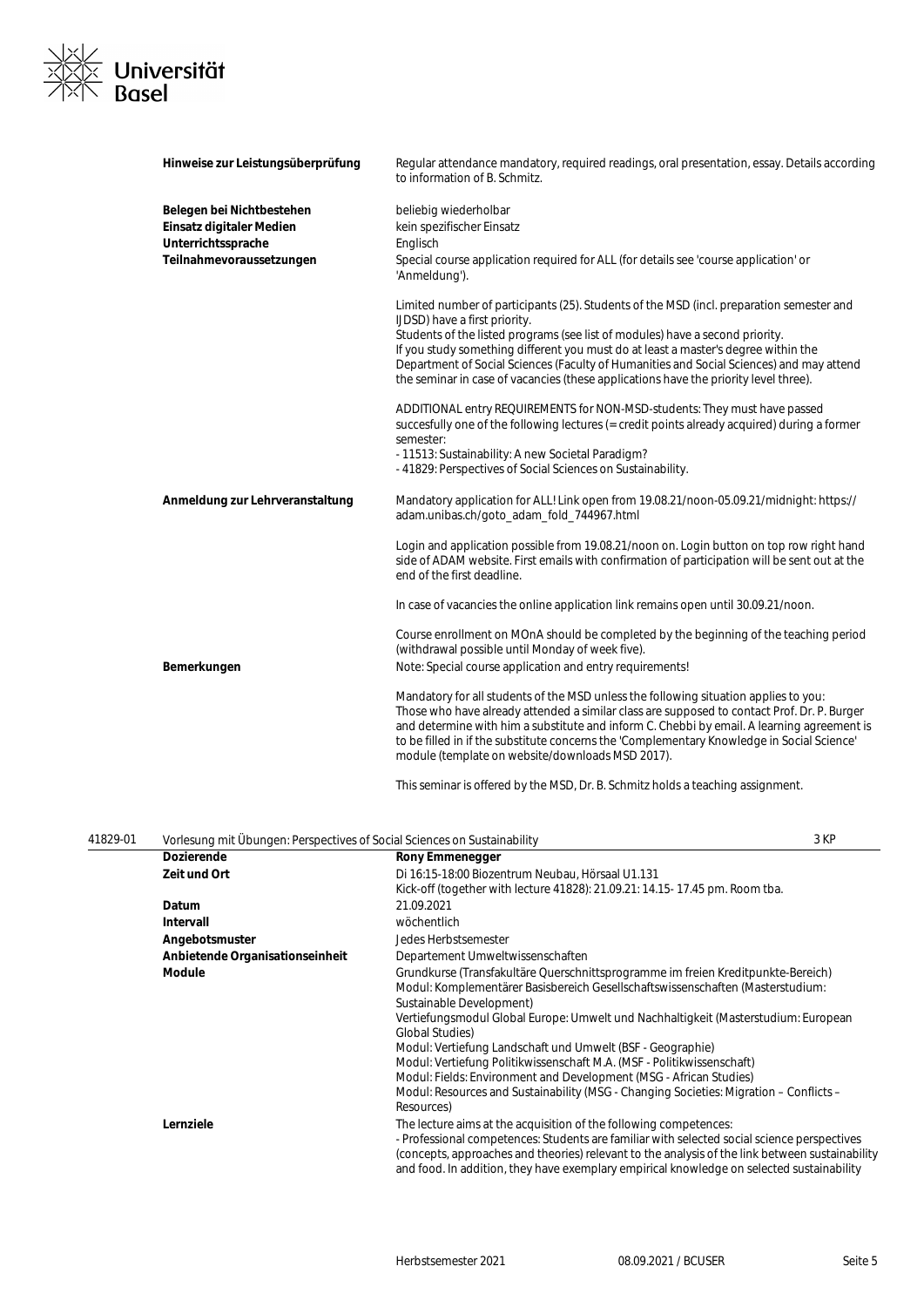

| Hinweise zur Leistungsüberprüfung | Regular attendance mandatory, required readings, oral presentation, essay. Details according<br>to information of B. Schmitz.                                                                                                                                                                                                                                                                                                       |
|-----------------------------------|-------------------------------------------------------------------------------------------------------------------------------------------------------------------------------------------------------------------------------------------------------------------------------------------------------------------------------------------------------------------------------------------------------------------------------------|
| Belegen bei Nichtbestehen         | beliebig wiederholbar                                                                                                                                                                                                                                                                                                                                                                                                               |
| Einsatz digitaler Medien          | kein spezifischer Einsatz                                                                                                                                                                                                                                                                                                                                                                                                           |
| Unterrichtssprache                | Englisch                                                                                                                                                                                                                                                                                                                                                                                                                            |
| Teilnahmevoraussetzungen          | Special course application required for ALL (for details see 'course application' or<br>'Anmeldung').                                                                                                                                                                                                                                                                                                                               |
|                                   | Limited number of participants (25). Students of the MSD (incl. preparation semester and<br>IJDSD) have a first priority.                                                                                                                                                                                                                                                                                                           |
|                                   | Students of the listed programs (see list of modules) have a second priority.                                                                                                                                                                                                                                                                                                                                                       |
|                                   | If you study something different you must do at least a master's degree within the<br>Department of Social Sciences (Faculty of Humanities and Social Sciences) and may attend<br>the seminar in case of vacancies (these applications have the priority level three).                                                                                                                                                              |
|                                   | ADDITIONAL entry REQUIREMENTS for NON-MSD-students: They must have passed<br>succesfully one of the following lectures (= credit points already acquired) during a former<br>semester:                                                                                                                                                                                                                                              |
|                                   | - 11513: Sustainability: A new Societal Paradigm?                                                                                                                                                                                                                                                                                                                                                                                   |
|                                   | - 41829: Perspectives of Social Sciences on Sustainability.                                                                                                                                                                                                                                                                                                                                                                         |
| Anmeldung zur Lehrveranstaltung   | Mandatory application for ALL! Link open from 19.08.21/noon-05.09.21/midnight: https://<br>adam.unibas.ch/goto_adam_fold_744967.html                                                                                                                                                                                                                                                                                                |
|                                   | Login and application possible from 19.08.21/noon on. Login button on top row right hand<br>side of ADAM website. First emails with confirmation of participation will be sent out at the<br>end of the first deadline.                                                                                                                                                                                                             |
|                                   | In case of vacancies the online application link remains open until 30.09.21/noon.                                                                                                                                                                                                                                                                                                                                                  |
|                                   | Course enrollment on MOnA should be completed by the beginning of the teaching period<br>(withdrawal possible until Monday of week five).                                                                                                                                                                                                                                                                                           |
| Bemerkungen                       | Note: Special course application and entry requirements!                                                                                                                                                                                                                                                                                                                                                                            |
|                                   | Mandatory for all students of the MSD unless the following situation applies to you:<br>Those who have already attended a similar class are supposed to contact Prof. Dr. P. Burger<br>and determine with him a substitute and inform C. Chebbi by email. A learning agreement is<br>to be filled in if the substitute concerns the 'Complementary Knowledge in Social Science'<br>module (template on website/downloads MSD 2017). |
|                                   |                                                                                                                                                                                                                                                                                                                                                                                                                                     |

This seminar is offered by the MSD, Dr. B. Schmitz holds a teaching assignment.

| 41829-01 | Vorlesung mit Übungen: Perspectives of Social Sciences on Sustainability |                                                                                                                                                                                                                                                                                                                                                                                                                                                                                                                                                                                                                               | 3 KP |
|----------|--------------------------------------------------------------------------|-------------------------------------------------------------------------------------------------------------------------------------------------------------------------------------------------------------------------------------------------------------------------------------------------------------------------------------------------------------------------------------------------------------------------------------------------------------------------------------------------------------------------------------------------------------------------------------------------------------------------------|------|
|          | <b>Dozierende</b>                                                        | <b>Rony Emmenegger</b>                                                                                                                                                                                                                                                                                                                                                                                                                                                                                                                                                                                                        |      |
|          | Zeit und Ort                                                             | Di 16:15-18:00 Biozentrum Neubau, Hörsaal U1.131                                                                                                                                                                                                                                                                                                                                                                                                                                                                                                                                                                              |      |
|          |                                                                          | Kick-off (together with lecture 41828): 21.09.21: 14.15-17.45 pm. Room tba.                                                                                                                                                                                                                                                                                                                                                                                                                                                                                                                                                   |      |
|          | Datum                                                                    | 21.09.2021                                                                                                                                                                                                                                                                                                                                                                                                                                                                                                                                                                                                                    |      |
|          | <b>Intervall</b>                                                         | wöchentlich                                                                                                                                                                                                                                                                                                                                                                                                                                                                                                                                                                                                                   |      |
|          | Angebotsmuster                                                           | Jedes Herbstsemester                                                                                                                                                                                                                                                                                                                                                                                                                                                                                                                                                                                                          |      |
|          | Anbietende Organisationseinheit                                          | Departement Umweltwissenschaften                                                                                                                                                                                                                                                                                                                                                                                                                                                                                                                                                                                              |      |
|          | <b>Module</b>                                                            | Grundkurse (Transfakultäre Querschnittsprogramme im freien Kreditpunkte-Bereich)<br>Modul: Komplementärer Basisbereich Gesellschaftswissenschaften (Masterstudium:<br>Sustainable Development)<br>Vertiefungsmodul Global Europe: Umwelt und Nachhaltigkeit (Masterstudium: European<br>Global Studies)<br>Modul: Vertiefung Landschaft und Umwelt (BSF - Geographie)<br>Modul: Vertiefung Politikwissenschaft M.A. (MSF - Politikwissenschaft)<br>Modul: Fields: Environment and Development (MSG - African Studies)<br>Modul: Resources and Sustainability (MSG - Changing Societies: Migration – Conflicts –<br>Resources) |      |
|          | Lernziele                                                                | The lecture aims at the acquisition of the following competences:<br>- Professional competences: Students are familiar with selected social science perspectives<br>(concepts, approaches and theories) relevant to the analysis of the link between sustainability<br>and food. In addition, they have exemplary empirical knowledge on selected sustainability                                                                                                                                                                                                                                                              |      |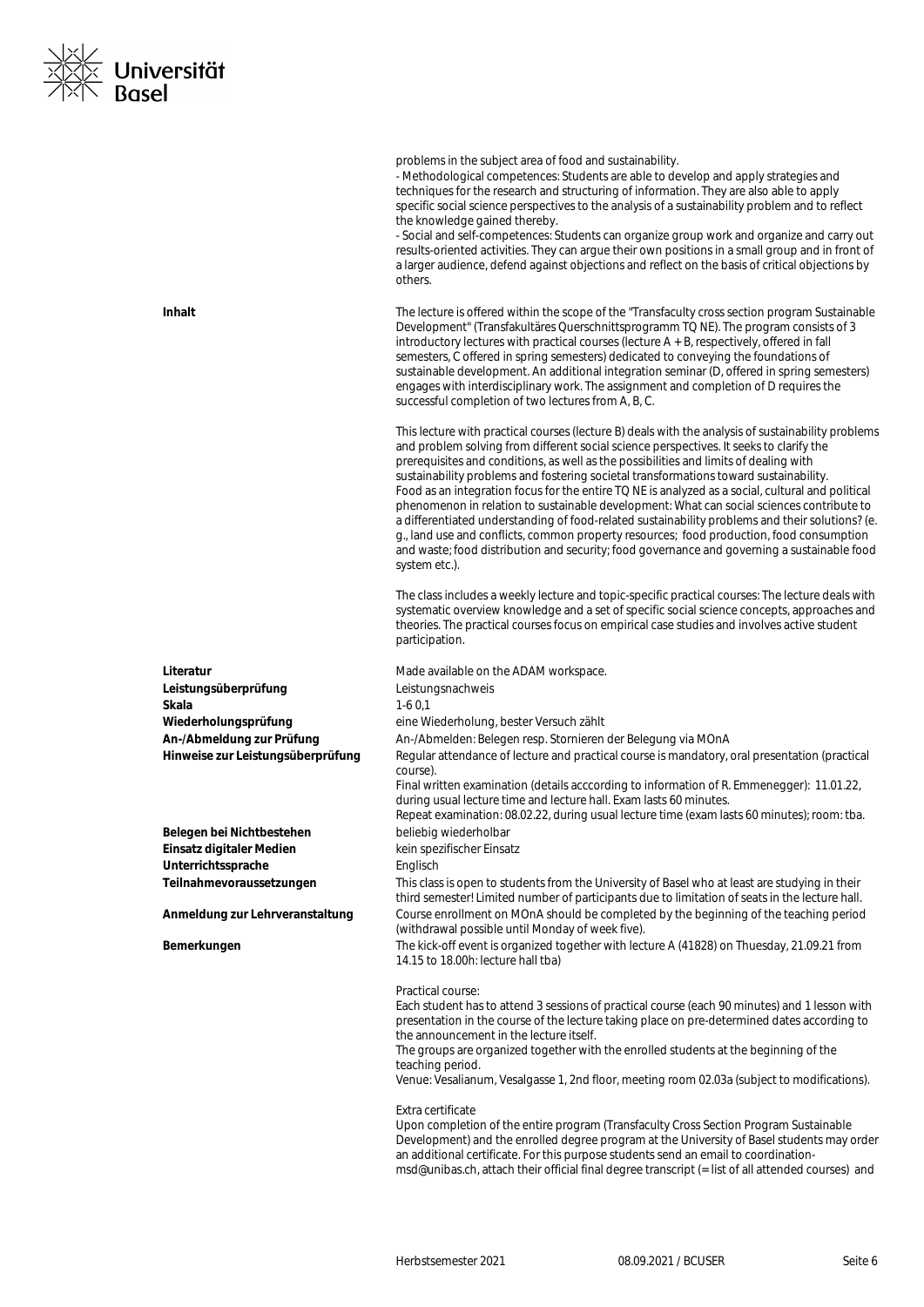

|                                   | problems in the subject area of food and sustainability.<br>- Methodological competences: Students are able to develop and apply strategies and<br>techniques for the research and structuring of information. They are also able to apply<br>specific social science perspectives to the analysis of a sustainability problem and to reflect<br>the knowledge gained thereby.<br>- Social and self-competences: Students can organize group work and organize and carry out<br>results-oriented activities. They can argue their own positions in a small group and in front of<br>a larger audience, defend against objections and reflect on the basis of critical objections by<br>others.                                                                                                                                                                                                   |
|-----------------------------------|--------------------------------------------------------------------------------------------------------------------------------------------------------------------------------------------------------------------------------------------------------------------------------------------------------------------------------------------------------------------------------------------------------------------------------------------------------------------------------------------------------------------------------------------------------------------------------------------------------------------------------------------------------------------------------------------------------------------------------------------------------------------------------------------------------------------------------------------------------------------------------------------------|
| Inhalt                            | The lecture is offered within the scope of the "Transfaculty cross section program Sustainable<br>Development" (Transfakultäres Querschnittsprogramm TQ NE). The program consists of 3<br>introductory lectures with practical courses (lecture $A + B$ , respectively, offered in fall<br>semesters, C offered in spring semesters) dedicated to conveying the foundations of<br>sustainable development. An additional integration seminar (D, offered in spring semesters)<br>engages with interdisciplinary work. The assignment and completion of D requires the<br>successful completion of two lectures from A, B, C.                                                                                                                                                                                                                                                                     |
|                                   | This lecture with practical courses (lecture B) deals with the analysis of sustainability problems<br>and problem solving from different social science perspectives. It seeks to clarify the<br>prerequisites and conditions, as well as the possibilities and limits of dealing with<br>sustainability problems and fostering societal transformations toward sustainability.<br>Food as an integration focus for the entire TQ NE is analyzed as a social, cultural and political<br>phenomenon in relation to sustainable development: What can social sciences contribute to<br>a differentiated understanding of food-related sustainability problems and their solutions? (e.<br>g., land use and conflicts, common property resources; food production, food consumption<br>and waste; food distribution and security; food governance and governing a sustainable food<br>system etc.). |
|                                   | The class includes a weekly lecture and topic-specific practical courses: The lecture deals with<br>systematic overview knowledge and a set of specific social science concepts, approaches and<br>theories. The practical courses focus on empirical case studies and involves active student<br>participation.                                                                                                                                                                                                                                                                                                                                                                                                                                                                                                                                                                                 |
| Literatur                         | Made available on the ADAM workspace.                                                                                                                                                                                                                                                                                                                                                                                                                                                                                                                                                                                                                                                                                                                                                                                                                                                            |
| Leistungsüberprüfung              | Leistungsnachweis                                                                                                                                                                                                                                                                                                                                                                                                                                                                                                                                                                                                                                                                                                                                                                                                                                                                                |
| Skala                             | $1-60,1$                                                                                                                                                                                                                                                                                                                                                                                                                                                                                                                                                                                                                                                                                                                                                                                                                                                                                         |
| Wiederholungsprüfung              | eine Wiederholung, bester Versuch zählt                                                                                                                                                                                                                                                                                                                                                                                                                                                                                                                                                                                                                                                                                                                                                                                                                                                          |
| An-/Abmeldung zur Prüfung         | An-/Abmelden: Belegen resp. Stornieren der Belegung via MOnA                                                                                                                                                                                                                                                                                                                                                                                                                                                                                                                                                                                                                                                                                                                                                                                                                                     |
| Hinweise zur Leistungsüberprüfung | Regular attendance of lecture and practical course is mandatory, oral presentation (practical<br>course).                                                                                                                                                                                                                                                                                                                                                                                                                                                                                                                                                                                                                                                                                                                                                                                        |
|                                   | Final written examination (details acccording to information of R. Emmenegger): 11.01.22,<br>during usual lecture time and lecture hall. Exam lasts 60 minutes.<br>Repeat examination: 08.02.22, during usual lecture time (exam lasts 60 minutes); room: tba.                                                                                                                                                                                                                                                                                                                                                                                                                                                                                                                                                                                                                                   |
| Belegen bei Nichtbestehen         | beliebig wiederholbar                                                                                                                                                                                                                                                                                                                                                                                                                                                                                                                                                                                                                                                                                                                                                                                                                                                                            |
| Einsatz digitaler Medien          | kein spezifischer Einsatz                                                                                                                                                                                                                                                                                                                                                                                                                                                                                                                                                                                                                                                                                                                                                                                                                                                                        |
| Unterrichtssprache                | Englisch                                                                                                                                                                                                                                                                                                                                                                                                                                                                                                                                                                                                                                                                                                                                                                                                                                                                                         |
| Teilnahmevoraussetzungen          | This class is open to students from the University of Basel who at least are studying in their<br>third semester! Limited number of participants due to limitation of seats in the lecture hall.                                                                                                                                                                                                                                                                                                                                                                                                                                                                                                                                                                                                                                                                                                 |
| Anmeldung zur Lehrveranstaltung   | Course enrollment on MOnA should be completed by the beginning of the teaching period<br>(withdrawal possible until Monday of week five).                                                                                                                                                                                                                                                                                                                                                                                                                                                                                                                                                                                                                                                                                                                                                        |
| Bemerkungen                       | The kick-off event is organized together with lecture A (41828) on Thuesday, 21.09.21 from<br>14.15 to 18.00h: lecture hall tba)                                                                                                                                                                                                                                                                                                                                                                                                                                                                                                                                                                                                                                                                                                                                                                 |
|                                   | Practical course:<br>Each student has to attend 3 sessions of practical course (each 90 minutes) and 1 lesson with<br>presentation in the course of the lecture taking place on pre-determined dates according to<br>the announcement in the lecture itself.<br>The groups are organized together with the enrolled students at the beginning of the<br>teaching period.<br>Venue: Vesalianum, Vesalgasse 1, 2nd floor, meeting room 02.03a (subject to modifications).                                                                                                                                                                                                                                                                                                                                                                                                                          |
|                                   | Extra certificate<br>Upon completion of the entire program (Transfaculty Cross Section Program Sustainable<br>Development) and the enrolled degree program at the University of Basel students may order<br>an additional certificate. For this purpose students send an email to coordination-<br>msd@unibas.ch, attach their official final degree transcript (= list of all attended courses) and                                                                                                                                                                                                                                                                                                                                                                                                                                                                                             |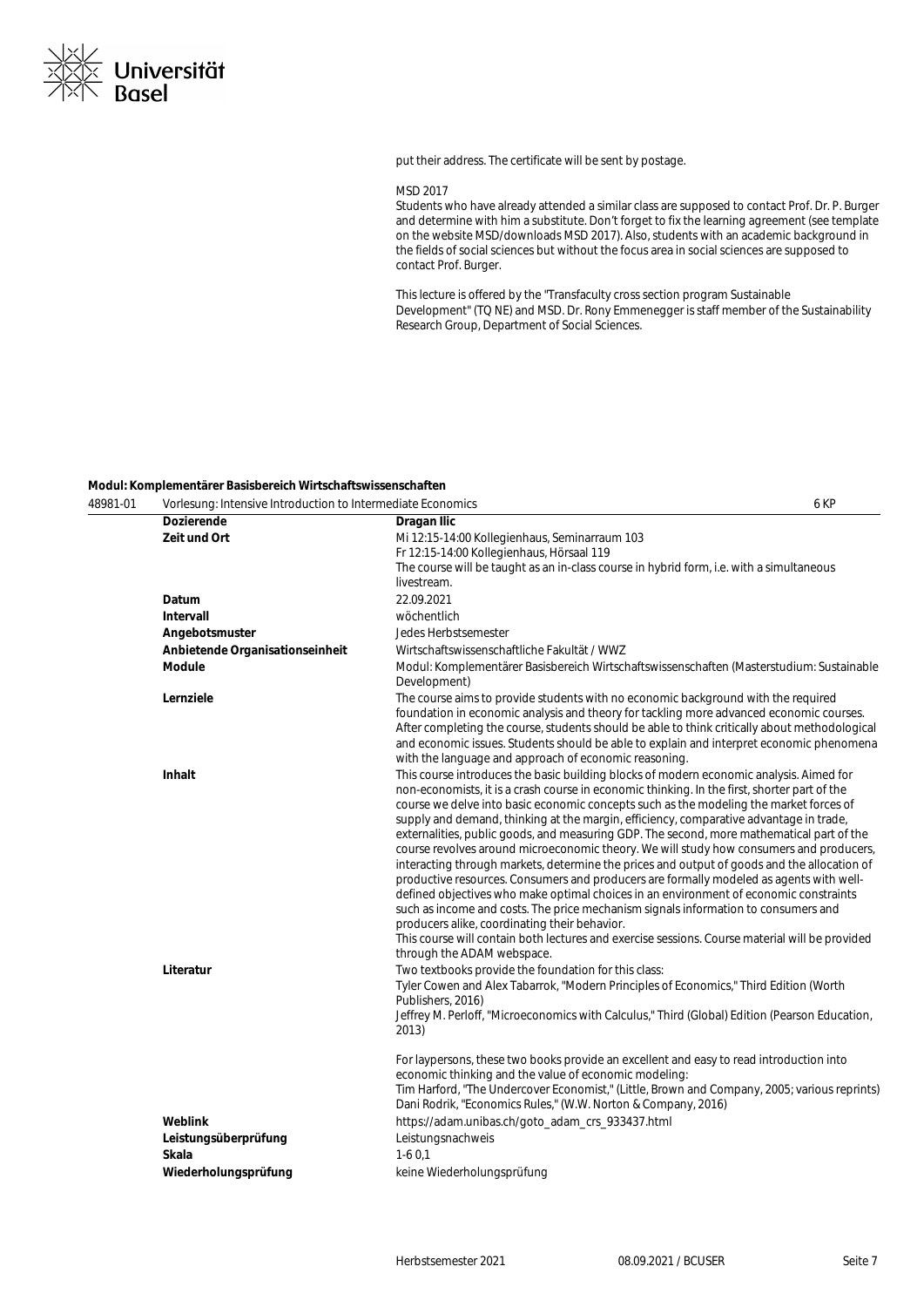

put their address. The certificate will be sent by postage.

#### MSD 2017

Students who have already attended a similar class are supposed to contact Prof. Dr. P. Burger and determine with him a substitute. Don't forget to fix the learning agreement (see template on the website MSD/downloads MSD 2017). Also, students with an academic background in the fields of social sciences but without the focus area in social sciences are supposed to contact Prof. Burger.

This lecture is offered by the "Transfaculty cross section program Sustainable Development" (TQ NE) and MSD. Dr. Rony Emmenegger is staff member of the Sustainability Research Group, Department of Social Sciences.

#### **Modul: Komplementärer Basisbereich Wirtschaftswissenschaften**

| 48981-01 | Vorlesung: Intensive Introduction to Intermediate Economics      |                                                                                                                                                                                                                                                                                                                                                                                                                                                                                                                                                                                                                                                                                                                                                                                                                                                                                                                                                                                                                                                                                                                                                                                                                                                                                                     | 6 KP |
|----------|------------------------------------------------------------------|-----------------------------------------------------------------------------------------------------------------------------------------------------------------------------------------------------------------------------------------------------------------------------------------------------------------------------------------------------------------------------------------------------------------------------------------------------------------------------------------------------------------------------------------------------------------------------------------------------------------------------------------------------------------------------------------------------------------------------------------------------------------------------------------------------------------------------------------------------------------------------------------------------------------------------------------------------------------------------------------------------------------------------------------------------------------------------------------------------------------------------------------------------------------------------------------------------------------------------------------------------------------------------------------------------|------|
|          | <b>Dozierende</b>                                                | Dragan Ilic                                                                                                                                                                                                                                                                                                                                                                                                                                                                                                                                                                                                                                                                                                                                                                                                                                                                                                                                                                                                                                                                                                                                                                                                                                                                                         |      |
|          | Zeit und Ort                                                     | Mi 12:15-14:00 Kollegienhaus, Seminarraum 103                                                                                                                                                                                                                                                                                                                                                                                                                                                                                                                                                                                                                                                                                                                                                                                                                                                                                                                                                                                                                                                                                                                                                                                                                                                       |      |
|          |                                                                  | Fr 12:15-14:00 Kollegienhaus, Hörsaal 119                                                                                                                                                                                                                                                                                                                                                                                                                                                                                                                                                                                                                                                                                                                                                                                                                                                                                                                                                                                                                                                                                                                                                                                                                                                           |      |
|          |                                                                  | The course will be taught as an in-class course in hybrid form, i.e. with a simultaneous                                                                                                                                                                                                                                                                                                                                                                                                                                                                                                                                                                                                                                                                                                                                                                                                                                                                                                                                                                                                                                                                                                                                                                                                            |      |
|          |                                                                  | livestream.                                                                                                                                                                                                                                                                                                                                                                                                                                                                                                                                                                                                                                                                                                                                                                                                                                                                                                                                                                                                                                                                                                                                                                                                                                                                                         |      |
|          | Datum                                                            | 22.09.2021                                                                                                                                                                                                                                                                                                                                                                                                                                                                                                                                                                                                                                                                                                                                                                                                                                                                                                                                                                                                                                                                                                                                                                                                                                                                                          |      |
|          | <b>Intervall</b>                                                 | wöchentlich                                                                                                                                                                                                                                                                                                                                                                                                                                                                                                                                                                                                                                                                                                                                                                                                                                                                                                                                                                                                                                                                                                                                                                                                                                                                                         |      |
|          | Angebotsmuster                                                   | Jedes Herbstsemester                                                                                                                                                                                                                                                                                                                                                                                                                                                                                                                                                                                                                                                                                                                                                                                                                                                                                                                                                                                                                                                                                                                                                                                                                                                                                |      |
|          | Anbietende Organisationseinheit                                  | Wirtschaftswissenschaftliche Fakultät / WWZ                                                                                                                                                                                                                                                                                                                                                                                                                                                                                                                                                                                                                                                                                                                                                                                                                                                                                                                                                                                                                                                                                                                                                                                                                                                         |      |
|          | Module                                                           | Modul: Komplementärer Basisbereich Wirtschaftswissenschaften (Masterstudium: Sustainable<br>Development)                                                                                                                                                                                                                                                                                                                                                                                                                                                                                                                                                                                                                                                                                                                                                                                                                                                                                                                                                                                                                                                                                                                                                                                            |      |
|          | Lernziele                                                        | The course aims to provide students with no economic background with the required                                                                                                                                                                                                                                                                                                                                                                                                                                                                                                                                                                                                                                                                                                                                                                                                                                                                                                                                                                                                                                                                                                                                                                                                                   |      |
|          |                                                                  | foundation in economic analysis and theory for tackling more advanced economic courses.<br>After completing the course, students should be able to think critically about methodological<br>and economic issues. Students should be able to explain and interpret economic phenomena<br>with the language and approach of economic reasoning.                                                                                                                                                                                                                                                                                                                                                                                                                                                                                                                                                                                                                                                                                                                                                                                                                                                                                                                                                       |      |
|          | <b>Inhalt</b><br>Literatur                                       | This course introduces the basic building blocks of modern economic analysis. Aimed for<br>non-economists, it is a crash course in economic thinking. In the first, shorter part of the<br>course we delve into basic economic concepts such as the modeling the market forces of<br>supply and demand, thinking at the margin, efficiency, comparative advantage in trade,<br>externalities, public goods, and measuring GDP. The second, more mathematical part of the<br>course revolves around microeconomic theory. We will study how consumers and producers,<br>interacting through markets, determine the prices and output of goods and the allocation of<br>productive resources. Consumers and producers are formally modeled as agents with well-<br>defined objectives who make optimal choices in an environment of economic constraints<br>such as income and costs. The price mechanism signals information to consumers and<br>producers alike, coordinating their behavior.<br>This course will contain both lectures and exercise sessions. Course material will be provided<br>through the ADAM webspace.<br>Two textbooks provide the foundation for this class:<br>Tyler Cowen and Alex Tabarrok, "Modern Principles of Economics," Third Edition (Worth<br>Publishers, 2016) |      |
|          | Weblink<br>Leistungsüberprüfung<br>Skala<br>Wiederholungsprüfung | Jeffrey M. Perloff, "Microeconomics with Calculus," Third (Global) Edition (Pearson Education,<br>2013)<br>For laypersons, these two books provide an excellent and easy to read introduction into<br>economic thinking and the value of economic modeling:<br>Tim Harford, "The Undercover Economist," (Little, Brown and Company, 2005; various reprints)<br>Dani Rodrik, "Economics Rules," (W.W. Norton & Company, 2016)<br>https://adam.unibas.ch/goto_adam_crs_933437.html<br>Leistungsnachweis<br>$1-60,1$<br>keine Wiederholungsprüfung                                                                                                                                                                                                                                                                                                                                                                                                                                                                                                                                                                                                                                                                                                                                                     |      |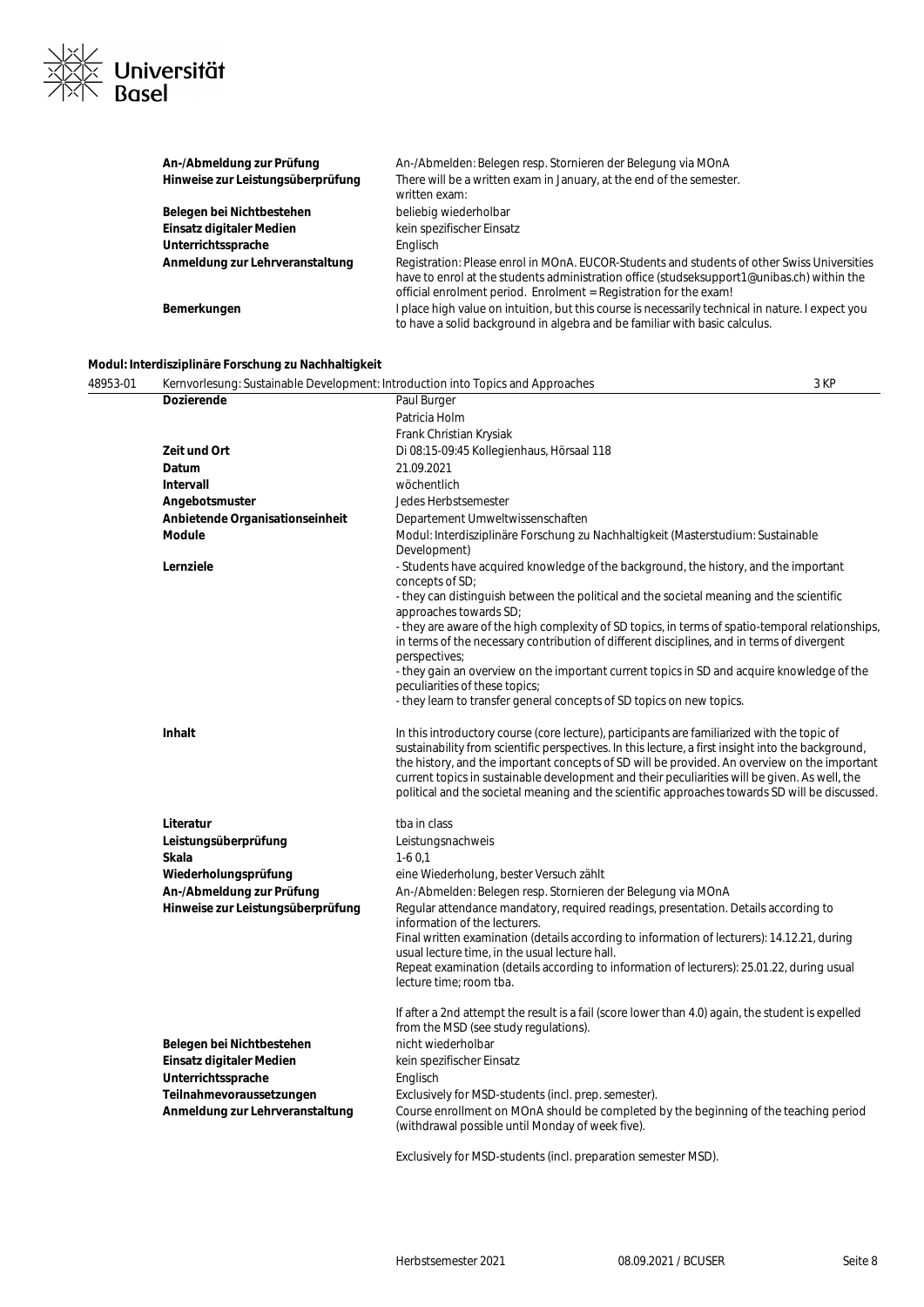

| An-/Abmeldung zur Prüfung         | An-/Abmelden: Belegen resp. Stornieren der Belegung via MOnA                                                                                                                                                                                                   |
|-----------------------------------|----------------------------------------------------------------------------------------------------------------------------------------------------------------------------------------------------------------------------------------------------------------|
| Hinweise zur Leistungsüberprüfung | There will be a written exam in January, at the end of the semester.<br>written exam:                                                                                                                                                                          |
| Belegen bei Nichtbestehen         | beliebig wiederholbar                                                                                                                                                                                                                                          |
| Einsatz digitaler Medien          | kein spezifischer Einsatz                                                                                                                                                                                                                                      |
| Unterrichtssprache                | Englisch                                                                                                                                                                                                                                                       |
| Anmeldung zur Lehrveranstaltung   | Registration: Please enrol in MOnA. EUCOR-Students and students of other Swiss Universities<br>have to enrol at the students administration office (studseksupport1@unibas.ch) within the<br>official enrolment period. Enrolment = Registration for the exam! |
| Bemerkungen                       | I place high value on intuition, but this course is necessarily technical in nature. I expect you<br>to have a solid background in algebra and be familiar with basic calculus.                                                                                |

#### **Modul: Interdisziplinäre Forschung zu Nachhaltigkeit**

| 48953-01 | Kernvorlesung: Sustainable Development: Introduction into Topics and Approaches |                                                                                                                                               | 3 KP |
|----------|---------------------------------------------------------------------------------|-----------------------------------------------------------------------------------------------------------------------------------------------|------|
|          | <b>Dozierende</b>                                                               | Paul Burger                                                                                                                                   |      |
|          |                                                                                 | Patricia Holm                                                                                                                                 |      |
|          |                                                                                 | Frank Christian Krysiak                                                                                                                       |      |
|          | Zeit und Ort                                                                    | Di 08:15-09:45 Kollegienhaus, Hörsaal 118                                                                                                     |      |
|          | Datum                                                                           | 21.09.2021                                                                                                                                    |      |
|          | Intervall                                                                       | wöchentlich                                                                                                                                   |      |
|          | Angebotsmuster                                                                  | Jedes Herbstsemester                                                                                                                          |      |
|          | Anbietende Organisationseinheit                                                 | Departement Umweltwissenschaften                                                                                                              |      |
|          | Module                                                                          | Modul: Interdisziplinäre Forschung zu Nachhaltigkeit (Masterstudium: Sustainable<br>Development)                                              |      |
|          | Lernziele                                                                       | - Students have acquired knowledge of the background, the history, and the important<br>concepts of SD;                                       |      |
|          |                                                                                 | - they can distinguish between the political and the societal meaning and the scientific<br>approaches towards SD;                            |      |
|          |                                                                                 | - they are aware of the high complexity of SD topics, in terms of spatio-temporal relationships,                                              |      |
|          |                                                                                 | in terms of the necessary contribution of different disciplines, and in terms of divergent                                                    |      |
|          |                                                                                 | perspectives;                                                                                                                                 |      |
|          |                                                                                 | - they gain an overview on the important current topics in SD and acquire knowledge of the                                                    |      |
|          |                                                                                 | peculiarities of these topics;                                                                                                                |      |
|          |                                                                                 | - they learn to transfer general concepts of SD topics on new topics.                                                                         |      |
|          | <b>Inhalt</b>                                                                   | In this introductory course (core lecture), participants are familiarized with the topic of                                                   |      |
|          |                                                                                 | sustainability from scientific perspectives. In this lecture, a first insight into the background,                                            |      |
|          |                                                                                 | the history, and the important concepts of SD will be provided. An overview on the important                                                  |      |
|          |                                                                                 | current topics in sustainable development and their peculiarities will be given. As well, the                                                 |      |
|          |                                                                                 | political and the societal meaning and the scientific approaches towards SD will be discussed.                                                |      |
|          | Literatur                                                                       | tba in class                                                                                                                                  |      |
|          | Leistungsüberprüfung                                                            | Leistungsnachweis                                                                                                                             |      |
|          | Skala                                                                           | $1-60,1$                                                                                                                                      |      |
|          | Wiederholungsprüfung                                                            | eine Wiederholung, bester Versuch zählt                                                                                                       |      |
|          | An-/Abmeldung zur Prüfung                                                       | An-/Abmelden: Belegen resp. Stornieren der Belegung via MOnA                                                                                  |      |
|          | Hinweise zur Leistungsüberprüfung                                               | Regular attendance mandatory, required readings, presentation. Details according to<br>information of the lecturers.                          |      |
|          |                                                                                 | Final written examination (details according to information of lecturers): 14.12.21, during<br>usual lecture time, in the usual lecture hall. |      |
|          |                                                                                 | Repeat examination (details according to information of lecturers): 25.01.22, during usual                                                    |      |
|          |                                                                                 | lecture time; room tba.                                                                                                                       |      |
|          |                                                                                 | If after a 2nd attempt the result is a fail (score lower than 4.0) again, the student is expelled                                             |      |
|          |                                                                                 | from the MSD (see study regulations).                                                                                                         |      |
|          | Belegen bei Nichtbestehen                                                       | nicht wiederholbar                                                                                                                            |      |
|          | Einsatz digitaler Medien                                                        | kein spezifischer Einsatz                                                                                                                     |      |
|          | Unterrichtssprache                                                              | Englisch                                                                                                                                      |      |
|          | Teilnahmevoraussetzungen                                                        | Exclusively for MSD-students (incl. prep. semester).                                                                                          |      |
|          | Anmeldung zur Lehrveranstaltung                                                 | Course enrollment on MOnA should be completed by the beginning of the teaching period<br>(withdrawal possible until Monday of week five).     |      |
|          |                                                                                 | Exclusively for MSD-students (incl. preparation semester MSD).                                                                                |      |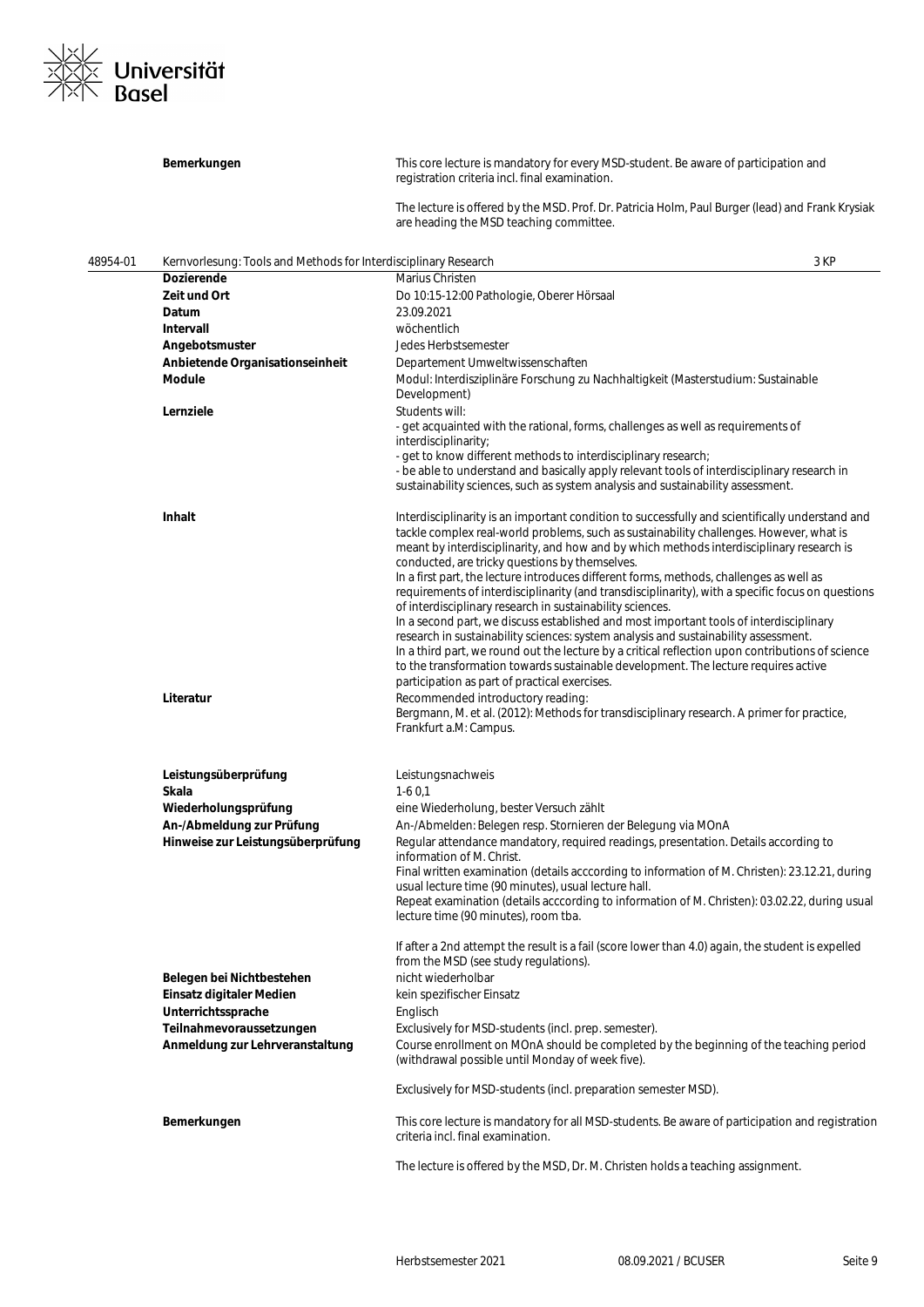

|          | Bemerkungen                                                     | This core lecture is mandatory for every MSD-student. Be aware of participation and<br>registration criteria incl. final examination.                                                                                                                                                                                                    |
|----------|-----------------------------------------------------------------|------------------------------------------------------------------------------------------------------------------------------------------------------------------------------------------------------------------------------------------------------------------------------------------------------------------------------------------|
|          |                                                                 | The lecture is offered by the MSD. Prof. Dr. Patricia Holm, Paul Burger (lead) and Frank Krysiak<br>are heading the MSD teaching committee.                                                                                                                                                                                              |
| 48954-01 | Kernvorlesung: Tools and Methods for Interdisciplinary Research | 3 KP                                                                                                                                                                                                                                                                                                                                     |
|          | <b>Dozierende</b>                                               | Marius Christen                                                                                                                                                                                                                                                                                                                          |
|          | Zeit und Ort                                                    | Do 10:15-12:00 Pathologie, Oberer Hörsaal                                                                                                                                                                                                                                                                                                |
|          | Datum                                                           | 23.09.2021                                                                                                                                                                                                                                                                                                                               |
|          | Intervall                                                       | wöchentlich                                                                                                                                                                                                                                                                                                                              |
|          | Angebotsmuster                                                  | Jedes Herbstsemester                                                                                                                                                                                                                                                                                                                     |
|          | Anbietende Organisationseinheit                                 | Departement Umweltwissenschaften                                                                                                                                                                                                                                                                                                         |
|          | <b>Module</b>                                                   | Modul: Interdisziplinäre Forschung zu Nachhaltigkeit (Masterstudium: Sustainable<br>Development)                                                                                                                                                                                                                                         |
|          | Lernziele                                                       | Students will:<br>- get acquainted with the rational, forms, challenges as well as requirements of<br>interdisciplinarity;                                                                                                                                                                                                               |
|          |                                                                 | - get to know different methods to interdisciplinary research;                                                                                                                                                                                                                                                                           |
|          |                                                                 | - be able to understand and basically apply relevant tools of interdisciplinary research in<br>sustainability sciences, such as system analysis and sustainability assessment.                                                                                                                                                           |
|          | Inhalt                                                          | Interdisciplinarity is an important condition to successfully and scientifically understand and<br>tackle complex real-world problems, such as sustainability challenges. However, what is<br>meant by interdisciplinarity, and how and by which methods interdisciplinary research is<br>conducted, are tricky questions by themselves. |
|          |                                                                 | In a first part, the lecture introduces different forms, methods, challenges as well as<br>requirements of interdisciplinarity (and transdisciplinarity), with a specific focus on questions<br>of interdisciplinary research in sustainability sciences.                                                                                |
|          |                                                                 | In a second part, we discuss established and most important tools of interdisciplinary<br>research in sustainability sciences: system analysis and sustainability assessment.<br>In a third part, we round out the lecture by a critical reflection upon contributions of science                                                        |
|          | Literatur                                                       | to the transformation towards sustainable development. The lecture requires active<br>participation as part of practical exercises.<br>Recommended introductory reading:                                                                                                                                                                 |
|          |                                                                 | Bergmann, M. et al. (2012): Methods for transdisciplinary research. A primer for practice,<br>Frankfurt a.M: Campus.                                                                                                                                                                                                                     |
|          | Leistungsüberprüfung                                            | Leistungsnachweis                                                                                                                                                                                                                                                                                                                        |
|          | Skala                                                           | $1-60,1$                                                                                                                                                                                                                                                                                                                                 |
|          | Wiederholungsprüfung                                            | eine Wiederholung, bester Versuch zählt                                                                                                                                                                                                                                                                                                  |
|          | An-/Abmeldung zur Prüfung                                       | An-/Abmelden: Belegen resp. Stornieren der Belegung via MOnA                                                                                                                                                                                                                                                                             |
|          | Hinweise zur Leistungsüberprüfung                               | Regular attendance mandatory, required readings, presentation. Details according to<br>information of M. Christ.<br>Final written examination (details acccording to information of M. Christen): 23.12.21, during                                                                                                                       |
|          |                                                                 | usual lecture time (90 minutes), usual lecture hall.<br>Repeat examination (details acccording to information of M. Christen): 03.02.22, during usual<br>lecture time (90 minutes), room tba.                                                                                                                                            |
|          |                                                                 | If after a 2nd attempt the result is a fail (score lower than 4.0) again, the student is expelled<br>from the MSD (see study regulations).                                                                                                                                                                                               |
|          | Belegen bei Nichtbestehen                                       | nicht wiederholbar                                                                                                                                                                                                                                                                                                                       |
|          | Einsatz digitaler Medien                                        | kein spezifischer Einsatz                                                                                                                                                                                                                                                                                                                |
|          | Unterrichtssprache                                              | Englisch                                                                                                                                                                                                                                                                                                                                 |
|          | Teilnahmevoraussetzungen                                        | Exclusively for MSD-students (incl. prep. semester).                                                                                                                                                                                                                                                                                     |
|          | Anmeldung zur Lehrveranstaltung                                 | Course enrollment on MOnA should be completed by the beginning of the teaching period<br>(withdrawal possible until Monday of week five).                                                                                                                                                                                                |
|          |                                                                 | Exclusively for MSD-students (incl. preparation semester MSD).                                                                                                                                                                                                                                                                           |
|          | Bemerkungen                                                     | This core lecture is mandatory for all MSD-students. Be aware of participation and registration<br>criteria incl. final examination.                                                                                                                                                                                                     |
|          |                                                                 | The lecture is offered by the MSD, Dr. M. Christen holds a teaching assignment.                                                                                                                                                                                                                                                          |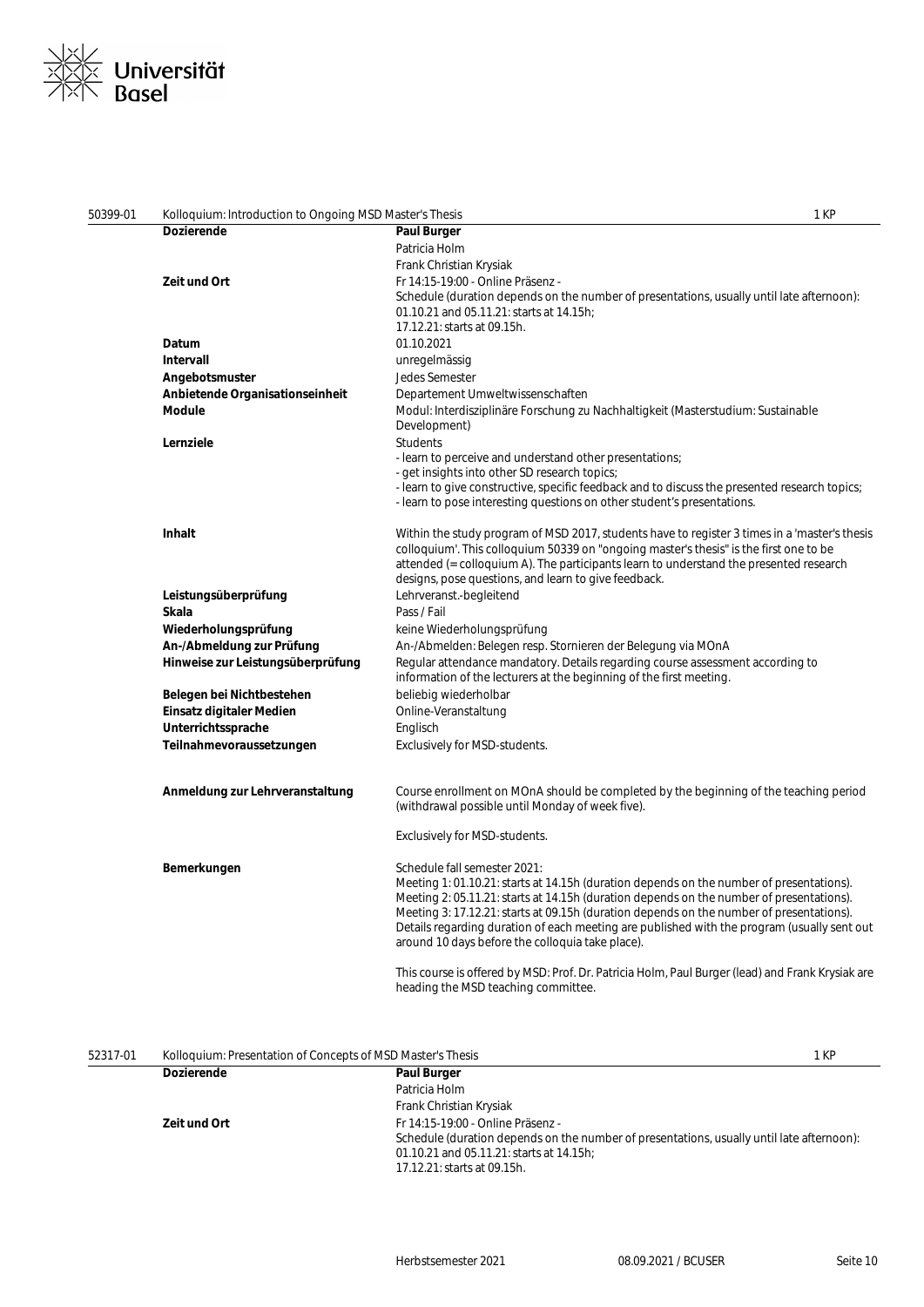

| 50399-01 | Kolloquium: Introduction to Ongoing MSD Master's Thesis |                                                                                                                                                                          | 1 KP |
|----------|---------------------------------------------------------|--------------------------------------------------------------------------------------------------------------------------------------------------------------------------|------|
|          | <b>Dozierende</b>                                       | <b>Paul Burger</b>                                                                                                                                                       |      |
|          |                                                         | Patricia Holm                                                                                                                                                            |      |
|          |                                                         | Frank Christian Krysiak                                                                                                                                                  |      |
|          | Zeit und Ort                                            | Fr 14:15-19:00 - Online Präsenz -                                                                                                                                        |      |
|          |                                                         | Schedule (duration depends on the number of presentations, usually until late afternoon):                                                                                |      |
|          |                                                         | 01.10.21 and 05.11.21: starts at 14.15h;                                                                                                                                 |      |
|          |                                                         | 17.12.21: starts at 09.15h.                                                                                                                                              |      |
|          | Datum                                                   | 01.10.2021                                                                                                                                                               |      |
|          | Intervall                                               | unregelmässig                                                                                                                                                            |      |
|          | Angebotsmuster                                          | Jedes Semester                                                                                                                                                           |      |
|          | Anbietende Organisationseinheit                         | Departement Umweltwissenschaften                                                                                                                                         |      |
|          | <b>Module</b>                                           | Modul: Interdisziplinäre Forschung zu Nachhaltigkeit (Masterstudium: Sustainable<br>Development)                                                                         |      |
|          | Lernziele                                               | <b>Students</b>                                                                                                                                                          |      |
|          |                                                         | - learn to perceive and understand other presentations;                                                                                                                  |      |
|          |                                                         | - get insights into other SD research topics;                                                                                                                            |      |
|          |                                                         | - learn to give constructive, specific feedback and to discuss the presented research topics;<br>- learn to pose interesting questions on other student's presentations. |      |
|          |                                                         |                                                                                                                                                                          |      |
|          | Inhalt                                                  | Within the study program of MSD 2017, students have to register 3 times in a 'master's thesis                                                                            |      |
|          |                                                         | colloquium'. This colloquium 50339 on "ongoing master's thesis" is the first one to be                                                                                   |      |
|          |                                                         | attended (= colloquium A). The participants learn to understand the presented research                                                                                   |      |
|          |                                                         | designs, pose questions, and learn to give feedback.                                                                                                                     |      |
|          | Leistungsüberprüfung                                    | Lehrveranst.-begleitend                                                                                                                                                  |      |
|          | Skala                                                   | Pass / Fail                                                                                                                                                              |      |
|          | Wiederholungsprüfung                                    | keine Wiederholungsprüfung                                                                                                                                               |      |
|          | An-/Abmeldung zur Prüfung                               | An-/Abmelden: Belegen resp. Stornieren der Belegung via MOnA                                                                                                             |      |
|          | Hinweise zur Leistungsüberprüfung                       | Regular attendance mandatory. Details regarding course assessment according to<br>information of the lecturers at the beginning of the first meeting.                    |      |
|          | Belegen bei Nichtbestehen                               | beliebig wiederholbar                                                                                                                                                    |      |
|          | Einsatz digitaler Medien                                | Online-Veranstaltung                                                                                                                                                     |      |
|          | Unterrichtssprache                                      | Englisch                                                                                                                                                                 |      |
|          | Teilnahmevoraussetzungen                                | Exclusively for MSD-students.                                                                                                                                            |      |
|          |                                                         |                                                                                                                                                                          |      |
|          | Anmeldung zur Lehrveranstaltung                         | Course enrollment on MOnA should be completed by the beginning of the teaching period<br>(withdrawal possible until Monday of week five).                                |      |
|          |                                                         |                                                                                                                                                                          |      |
|          |                                                         | <b>Exclusively for MSD-students.</b>                                                                                                                                     |      |
|          | Bemerkungen                                             | Schedule fall semester 2021:                                                                                                                                             |      |
|          |                                                         | Meeting 1: 01.10.21: starts at 14.15h (duration depends on the number of presentations).                                                                                 |      |
|          |                                                         | Meeting 2: 05.11.21: starts at 14.15h (duration depends on the number of presentations).                                                                                 |      |
|          |                                                         | Meeting 3: 17.12.21: starts at 09.15h (duration depends on the number of presentations).                                                                                 |      |
|          |                                                         | Details regarding duration of each meeting are published with the program (usually sent out<br>around 10 days before the colloquia take place).                          |      |
|          |                                                         |                                                                                                                                                                          |      |
|          |                                                         | This course is offered by MSD: Prof. Dr. Patricia Holm, Paul Burger (lead) and Frank Krysiak are<br>heading the MSD teaching committee.                                  |      |
|          |                                                         |                                                                                                                                                                          |      |

| 52317-01 | Kolloquium: Presentation of Concepts of MSD Master's Thesis |                                                                                           |
|----------|-------------------------------------------------------------|-------------------------------------------------------------------------------------------|
|          | <b>Dozierende</b>                                           | <b>Paul Burger</b>                                                                        |
|          |                                                             | Patricia Holm                                                                             |
|          |                                                             | Frank Christian Krysiak                                                                   |
|          | Zeit und Ort                                                | Fr 14:15-19:00 - Online Präsenz -                                                         |
|          |                                                             | Schedule (duration depends on the number of presentations, usually until late afternoon): |
|          |                                                             | 01.10.21 and 05.11.21: starts at 14.15h;                                                  |
|          |                                                             | 17.12.21: starts at 09.15h.                                                               |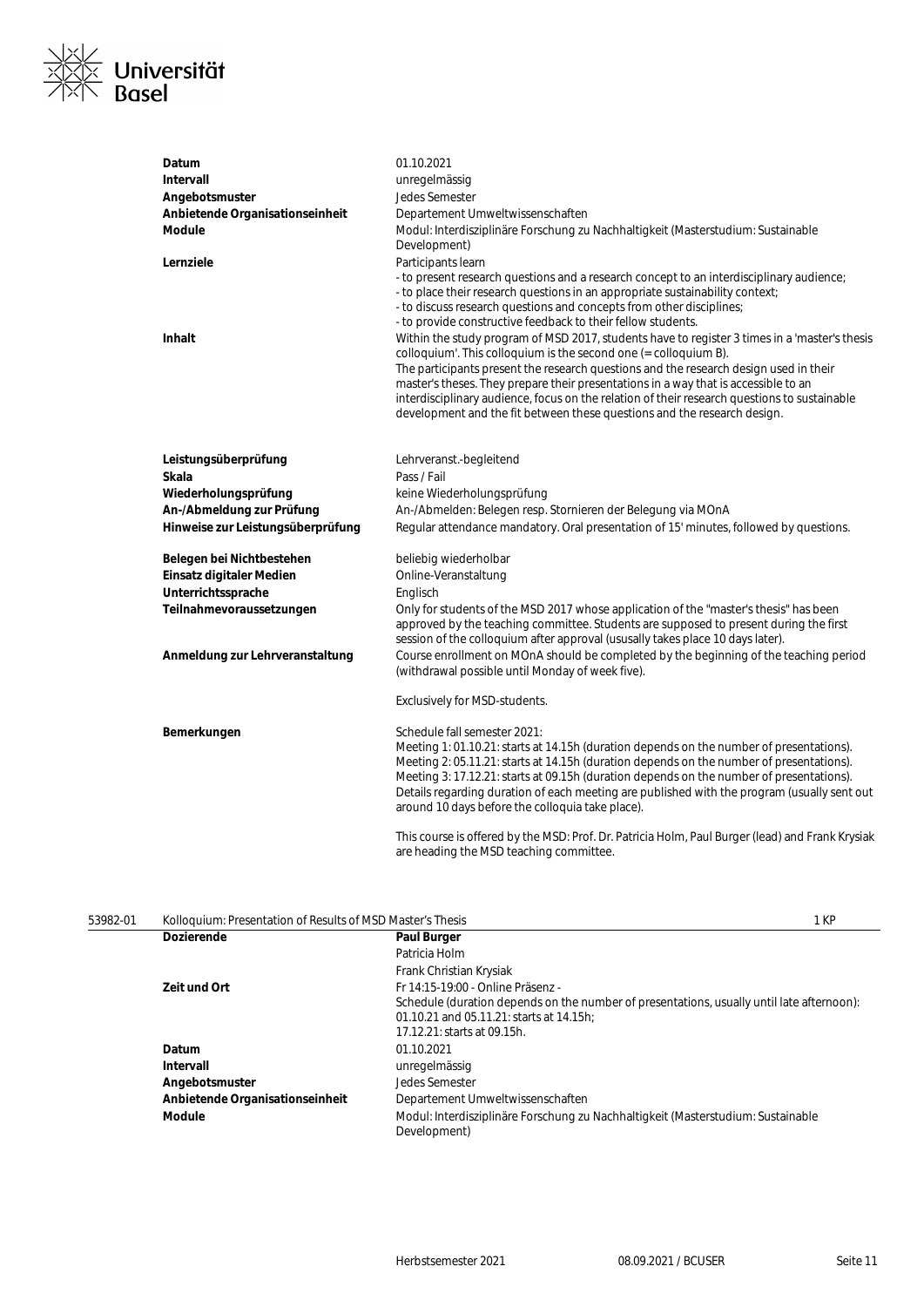

| Datum                             | 01.10.2021                                                                                                                                                                                                                                                                                                                                                                                                                                                                                                                                                                                                                                                                                                                                                                                                                                                                 |
|-----------------------------------|----------------------------------------------------------------------------------------------------------------------------------------------------------------------------------------------------------------------------------------------------------------------------------------------------------------------------------------------------------------------------------------------------------------------------------------------------------------------------------------------------------------------------------------------------------------------------------------------------------------------------------------------------------------------------------------------------------------------------------------------------------------------------------------------------------------------------------------------------------------------------|
| <b>Intervall</b>                  | unregelmässig                                                                                                                                                                                                                                                                                                                                                                                                                                                                                                                                                                                                                                                                                                                                                                                                                                                              |
| Angebotsmuster                    | Jedes Semester                                                                                                                                                                                                                                                                                                                                                                                                                                                                                                                                                                                                                                                                                                                                                                                                                                                             |
| Anbietende Organisationseinheit   | Departement Umweltwissenschaften                                                                                                                                                                                                                                                                                                                                                                                                                                                                                                                                                                                                                                                                                                                                                                                                                                           |
| Module                            | Modul: Interdisziplinäre Forschung zu Nachhaltigkeit (Masterstudium: Sustainable<br>Development)                                                                                                                                                                                                                                                                                                                                                                                                                                                                                                                                                                                                                                                                                                                                                                           |
| Lernziele<br>Inhalt               | Participants learn<br>- to present research questions and a research concept to an interdisciplinary audience;<br>- to place their research questions in an appropriate sustainability context;<br>- to discuss research questions and concepts from other disciplines;<br>- to provide constructive feedback to their fellow students.<br>Within the study program of MSD 2017, students have to register 3 times in a 'master's thesis<br>colloquium'. This colloquium is the second one $(=$ colloquium B).<br>The participants present the research questions and the research design used in their<br>master's theses. They prepare their presentations in a way that is accessible to an<br>interdisciplinary audience, focus on the relation of their research questions to sustainable<br>development and the fit between these questions and the research design. |
| Leistungsüberprüfung<br>Skala     | Lehrveranst.-begleitend<br>Pass / Fail                                                                                                                                                                                                                                                                                                                                                                                                                                                                                                                                                                                                                                                                                                                                                                                                                                     |
| Wiederholungsprüfung              | keine Wiederholungsprüfung                                                                                                                                                                                                                                                                                                                                                                                                                                                                                                                                                                                                                                                                                                                                                                                                                                                 |
| An-/Abmeldung zur Prüfung         | An-/Abmelden: Belegen resp. Stornieren der Belegung via MOnA                                                                                                                                                                                                                                                                                                                                                                                                                                                                                                                                                                                                                                                                                                                                                                                                               |
| Hinweise zur Leistungsüberprüfung | Regular attendance mandatory. Oral presentation of 15' minutes, followed by questions.                                                                                                                                                                                                                                                                                                                                                                                                                                                                                                                                                                                                                                                                                                                                                                                     |
| Belegen bei Nichtbestehen         | beliebig wiederholbar                                                                                                                                                                                                                                                                                                                                                                                                                                                                                                                                                                                                                                                                                                                                                                                                                                                      |
| Einsatz digitaler Medien          | Online-Veranstaltung                                                                                                                                                                                                                                                                                                                                                                                                                                                                                                                                                                                                                                                                                                                                                                                                                                                       |
| Unterrichtssprache                | Englisch                                                                                                                                                                                                                                                                                                                                                                                                                                                                                                                                                                                                                                                                                                                                                                                                                                                                   |
| Teilnahmevoraussetzungen          | Only for students of the MSD 2017 whose application of the "master's thesis" has been<br>approved by the teaching committee. Students are supposed to present during the first<br>session of the colloquium after approval (ususally takes place 10 days later).                                                                                                                                                                                                                                                                                                                                                                                                                                                                                                                                                                                                           |
| Anmeldung zur Lehrveranstaltung   | Course enrollment on MOnA should be completed by the beginning of the teaching period<br>(withdrawal possible until Monday of week five).                                                                                                                                                                                                                                                                                                                                                                                                                                                                                                                                                                                                                                                                                                                                  |
|                                   | Exclusively for MSD-students.                                                                                                                                                                                                                                                                                                                                                                                                                                                                                                                                                                                                                                                                                                                                                                                                                                              |
| Bemerkungen                       | Schedule fall semester 2021:<br>Meeting 1: 01.10.21: starts at 14.15h (duration depends on the number of presentations).<br>Meeting 2: 05.11.21: starts at 14.15h (duration depends on the number of presentations).<br>Meeting 3: 17.12.21: starts at 09.15h (duration depends on the number of presentations).<br>Details regarding duration of each meeting are published with the program (usually sent out<br>around 10 days before the colloquia take place).                                                                                                                                                                                                                                                                                                                                                                                                        |
|                                   | This course is offered by the MSD: Prof. Dr. Patricia Holm, Paul Burger (lead) and Frank Krysiak                                                                                                                                                                                                                                                                                                                                                                                                                                                                                                                                                                                                                                                                                                                                                                           |

| 53982-01 | Kolloquium: Presentation of Results of MSD Master's Thesis |                                                                                                                                                                                                           | 1 KP |
|----------|------------------------------------------------------------|-----------------------------------------------------------------------------------------------------------------------------------------------------------------------------------------------------------|------|
|          | <b>Dozierende</b>                                          | <b>Paul Burger</b>                                                                                                                                                                                        |      |
|          |                                                            | Patricia Holm                                                                                                                                                                                             |      |
|          |                                                            | Frank Christian Krysiak                                                                                                                                                                                   |      |
|          | <b>Zeit und Ort</b>                                        | Fr 14:15-19:00 - Online Präsenz -<br>Schedule (duration depends on the number of presentations, usually until late afternoon):<br>01.10.21 and 05.11.21: starts at 14.15h:<br>17.12.21: starts at 09.15h. |      |
|          | Datum                                                      | 01.10.2021                                                                                                                                                                                                |      |
|          | Intervall                                                  | unregelmässig                                                                                                                                                                                             |      |
|          | Angebotsmuster                                             | Jedes Semester                                                                                                                                                                                            |      |
|          | Anbietende Organisationseinheit                            | Departement Umweltwissenschaften                                                                                                                                                                          |      |
|          | <b>Module</b>                                              | Modul: Interdisziplinäre Forschung zu Nachhaltigkeit (Masterstudium: Sustainable<br>Development)                                                                                                          |      |

are heading the MSD teaching committee.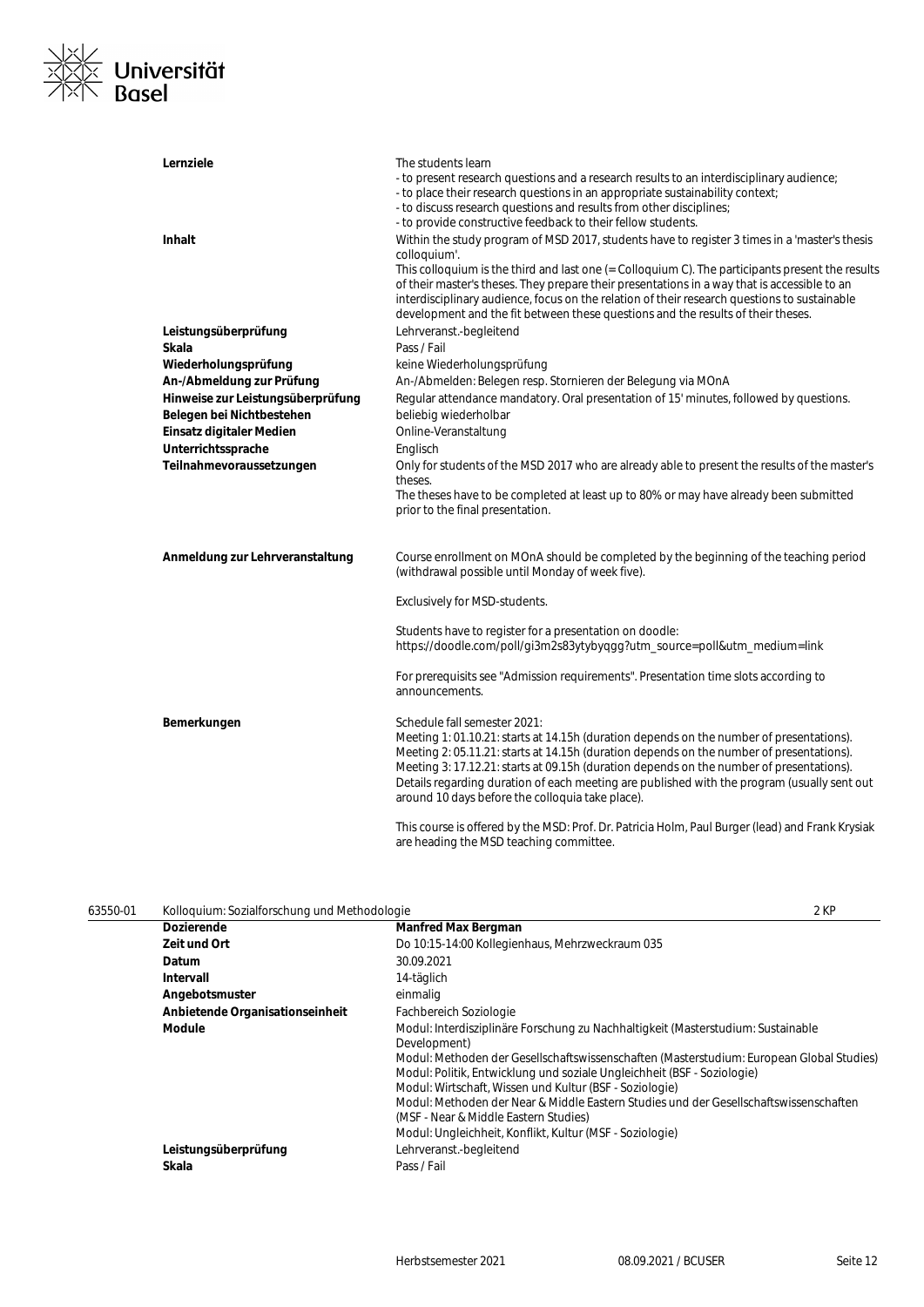

| Lernziele                         | The students learn<br>- to present research questions and a research results to an interdisciplinary audience;<br>- to place their research questions in an appropriate sustainability context;<br>- to discuss research questions and results from other disciplines;<br>- to provide constructive feedback to their fellow students.                                                                                                                                                                |
|-----------------------------------|-------------------------------------------------------------------------------------------------------------------------------------------------------------------------------------------------------------------------------------------------------------------------------------------------------------------------------------------------------------------------------------------------------------------------------------------------------------------------------------------------------|
| <b>Inhalt</b>                     | Within the study program of MSD 2017, students have to register 3 times in a 'master's thesis<br>colloquium'.<br>This colloquium is the third and last one (= Colloquium C). The participants present the results<br>of their master's theses. They prepare their presentations in a way that is accessible to an<br>interdisciplinary audience, focus on the relation of their research questions to sustainable<br>development and the fit between these questions and the results of their theses. |
| Leistungsüberprüfung              | Lehrveranst.-begleitend                                                                                                                                                                                                                                                                                                                                                                                                                                                                               |
| Skala                             | Pass / Fail                                                                                                                                                                                                                                                                                                                                                                                                                                                                                           |
| Wiederholungsprüfung              | keine Wiederholungsprüfung                                                                                                                                                                                                                                                                                                                                                                                                                                                                            |
| An-/Abmeldung zur Prüfung         | An-/Abmelden: Belegen resp. Stornieren der Belegung via MOnA                                                                                                                                                                                                                                                                                                                                                                                                                                          |
| Hinweise zur Leistungsüberprüfung | Regular attendance mandatory. Oral presentation of 15' minutes, followed by questions.                                                                                                                                                                                                                                                                                                                                                                                                                |
| Belegen bei Nichtbestehen         | beliebig wiederholbar                                                                                                                                                                                                                                                                                                                                                                                                                                                                                 |
| Einsatz digitaler Medien          | Online-Veranstaltung                                                                                                                                                                                                                                                                                                                                                                                                                                                                                  |
| Unterrichtssprache                | Englisch                                                                                                                                                                                                                                                                                                                                                                                                                                                                                              |
| Teilnahmevoraussetzungen          | Only for students of the MSD 2017 who are already able to present the results of the master's<br>theses.<br>The theses have to be completed at least up to 80% or may have already been submitted<br>prior to the final presentation.                                                                                                                                                                                                                                                                 |
| Anmeldung zur Lehrveranstaltung   | Course enrollment on MOnA should be completed by the beginning of the teaching period<br>(withdrawal possible until Monday of week five).                                                                                                                                                                                                                                                                                                                                                             |
|                                   | <b>Exclusively for MSD-students.</b>                                                                                                                                                                                                                                                                                                                                                                                                                                                                  |
|                                   | Students have to register for a presentation on doodle:<br>https://doodle.com/poll/gi3m2s83ytybyggg?utm_source=poll&utm_medium=link                                                                                                                                                                                                                                                                                                                                                                   |
|                                   | For prerequisits see "Admission requirements". Presentation time slots according to<br>announcements.                                                                                                                                                                                                                                                                                                                                                                                                 |
| Bemerkungen                       | Schedule fall semester 2021:<br>Meeting 1: 01.10.21: starts at 14.15h (duration depends on the number of presentations).<br>Meeting 2: 05.11.21: starts at 14.15h (duration depends on the number of presentations).<br>Meeting 3: 17.12.21: starts at 09.15h (duration depends on the number of presentations).<br>Details regarding duration of each meeting are published with the program (usually sent out<br>around 10 days before the colloquia take place).                                   |
|                                   | This course is offered by the MSD: Prof. Dr. Patricia Holm, Paul Burger (lead) and Frank Krysiak                                                                                                                                                                                                                                                                                                                                                                                                      |

are heading the MSD teaching committee.

| 63550-01 | Kolloguium: Sozialforschung und Methodologie |                                                                                                                                                                                                                                                                                                                                                                                                                                                                                                                                  | 2 KP |
|----------|----------------------------------------------|----------------------------------------------------------------------------------------------------------------------------------------------------------------------------------------------------------------------------------------------------------------------------------------------------------------------------------------------------------------------------------------------------------------------------------------------------------------------------------------------------------------------------------|------|
|          | <b>Dozierende</b>                            | <b>Manfred Max Bergman</b>                                                                                                                                                                                                                                                                                                                                                                                                                                                                                                       |      |
|          | Zeit und Ort                                 | Do 10:15-14:00 Kollegienhaus, Mehrzweckraum 035                                                                                                                                                                                                                                                                                                                                                                                                                                                                                  |      |
|          | Datum                                        | 30.09.2021                                                                                                                                                                                                                                                                                                                                                                                                                                                                                                                       |      |
|          | Intervall                                    | 14-täglich                                                                                                                                                                                                                                                                                                                                                                                                                                                                                                                       |      |
|          | Angebotsmuster                               | einmalig                                                                                                                                                                                                                                                                                                                                                                                                                                                                                                                         |      |
|          | Anbietende Organisationseinheit              | Fachbereich Soziologie                                                                                                                                                                                                                                                                                                                                                                                                                                                                                                           |      |
|          | Module                                       | Modul: Interdisziplinäre Forschung zu Nachhaltigkeit (Masterstudium: Sustainable<br>Development)<br>Modul: Methoden der Gesellschaftswissenschaften (Masterstudium: European Global Studies)<br>Modul: Politik, Entwicklung und soziale Ungleichheit (BSF - Soziologie)<br>Modul: Wirtschaft, Wissen und Kultur (BSF - Soziologie)<br>Modul: Methoden der Near & Middle Eastern Studies und der Gesellschaftswissenschaften<br>(MSF - Near & Middle Eastern Studies)<br>Modul: Ungleichheit, Konflikt, Kultur (MSF - Soziologie) |      |
|          | Leistungsüberprüfung<br>Skala                | Lehrveranst.-begleitend<br>Pass / Fail                                                                                                                                                                                                                                                                                                                                                                                                                                                                                           |      |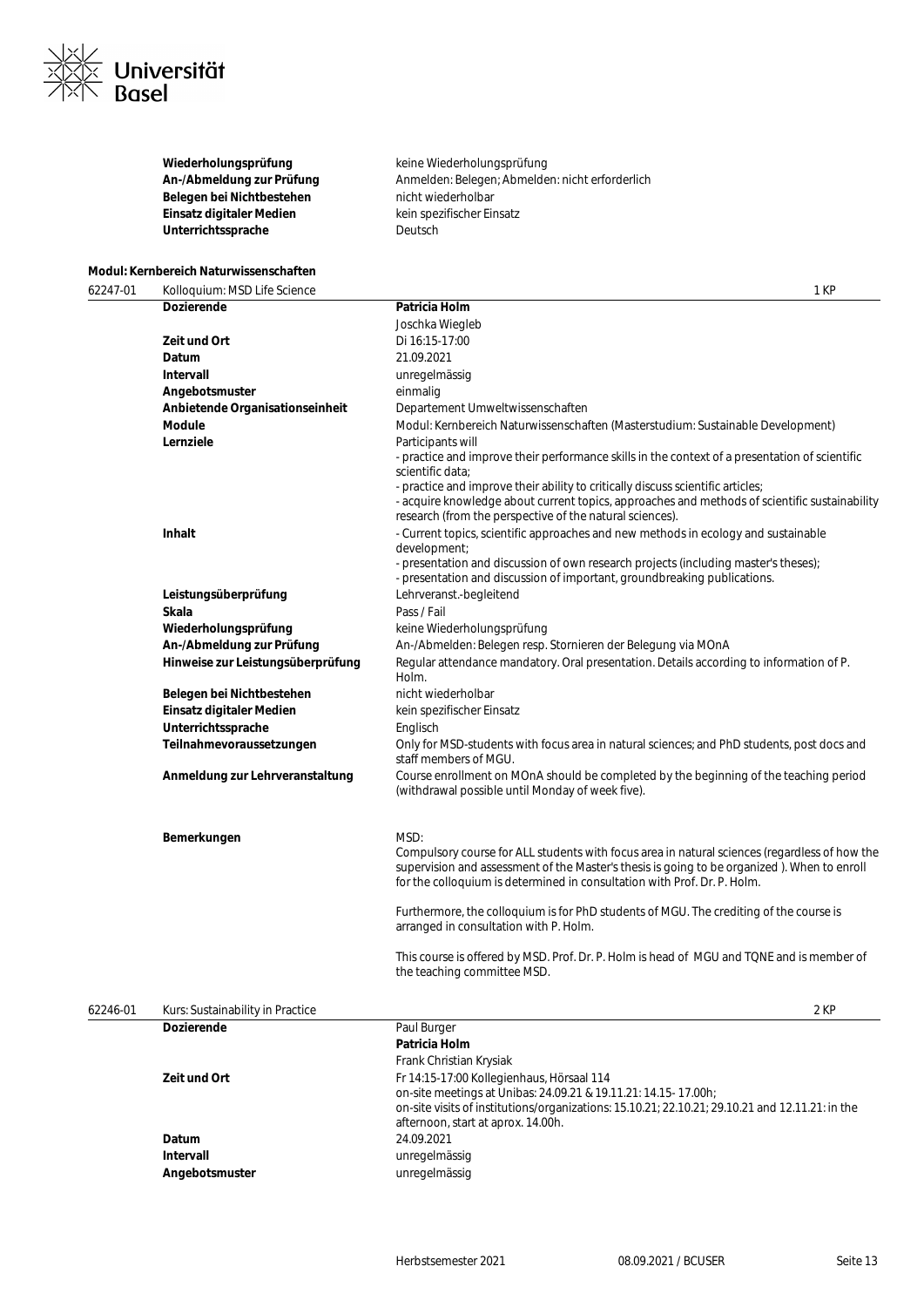

**Belegen bei Nichtbestehen** nicht wiederholbar **Einsatz digitaler Medien** kein spezifischer Einsatz Unterrichtssprache **Deutsch** 

Wiederholungsprüfung **Keine Wiederholungsprüfung** An-/Abmeldung zur Prüfung **Anmelden: Belegen; Abmelden: nicht erforderlich** 

#### **Modul: Kernbereich Naturwissenschaften**

62247-01 Kolloquium: MSD Life Science 1 KP **Dozierende Patricia Holm** Joschka Wiegleb **Zeit und Ort** Di 16:15-17:00 **Datum** 21.09.2021 **Intervall** unregelmässig **Angebotsmuster** einmalig **Anbietende Organisationseinheit** Departement Umweltwissenschaften **Module** Modul: Kernbereich Naturwissenschaften (Masterstudium: Sustainable Development) **Lernziele** Participants will - practice and improve their performance skills in the context of a presentation of scientific scientific data; - practice and improve their ability to critically discuss scientific articles; - acquire knowledge about current topics, approaches and methods of scientific sustainability research (from the perspective of the natural sciences). **Inhalt Inhalt Inhalt 1998** - Current topics, scientific approaches and new methods in ecology and sustainable development; - presentation and discussion of own research projects (including master's theses); - presentation and discussion of important, groundbreaking publications. **Leistungsüberprüfung** Lehrveranst.-begleitend **Skala** Pass / Fail Wiederholungsprüfung **Keine Wiederholungsprüfung An-/Abmeldung zur Prüfung** An-/Abmelden: Belegen resp. Stornieren der Belegung via MOnA **Hinweise zur Leistungsüberprüfung** Regular attendance mandatory. Oral presentation. Details according to information of P. Holm. Belegen bei Nichtbestehen **nicht wiederholbar Einsatz digitaler Medien** kein spezifischer Einsatz Unterrichtssprache **Englisch Teilnahmevoraussetzungen** Only for MSD-students with focus area in natural sciences; and PhD students, post docs and staff members of MGU. **Anmeldung zur Lehrveranstaltung** Course enrollment on MOnA should be completed by the beginning of the teaching period (withdrawal possible until Monday of week five). **Bemerkungen** MSD: Compulsory course for ALL students with focus area in natural sciences (regardless of how the supervision and assessment of the Master's thesis is going to be organized ). When to enroll for the colloquium is determined in consultation with Prof. Dr. P. Holm. Furthermore, the colloquium is for PhD students of MGU. The crediting of the course is arranged in consultation with P. Holm. This course is offered by MSD. Prof. Dr. P. Holm is head of MGU and TQNE and is member of the teaching committee MSD. 62246-01 Kurs: Sustainability in Practice 2 KP **Dozierende** Paul Burger **Patricia Holm** Frank Christian Krysiak **Zeit und Ort** Fr 14:15-17:00 Kollegienhaus, Hörsaal 114 on-site meetings at Unibas: 24.09.21 & 19.11.21: 14.15- 17.00h; on-site visits of institutions/organizations: 15.10.21; 22.10.21; 29.10.21 and 12.11.21: in the

|                | 00-SILE VISITS OF INSTITUTIONS/OLDENIZATIONS: 15.10.21; 22.10.21; 29.10.21 and 12.11.21:10 the<br>afternoon, start at aprox. 14.00h. |
|----------------|--------------------------------------------------------------------------------------------------------------------------------------|
|                |                                                                                                                                      |
| <b>Datum</b>   | 24.09.2021                                                                                                                           |
| Intervall      | unregelmässig                                                                                                                        |
| Angebotsmuster | unregelmässig                                                                                                                        |
|                |                                                                                                                                      |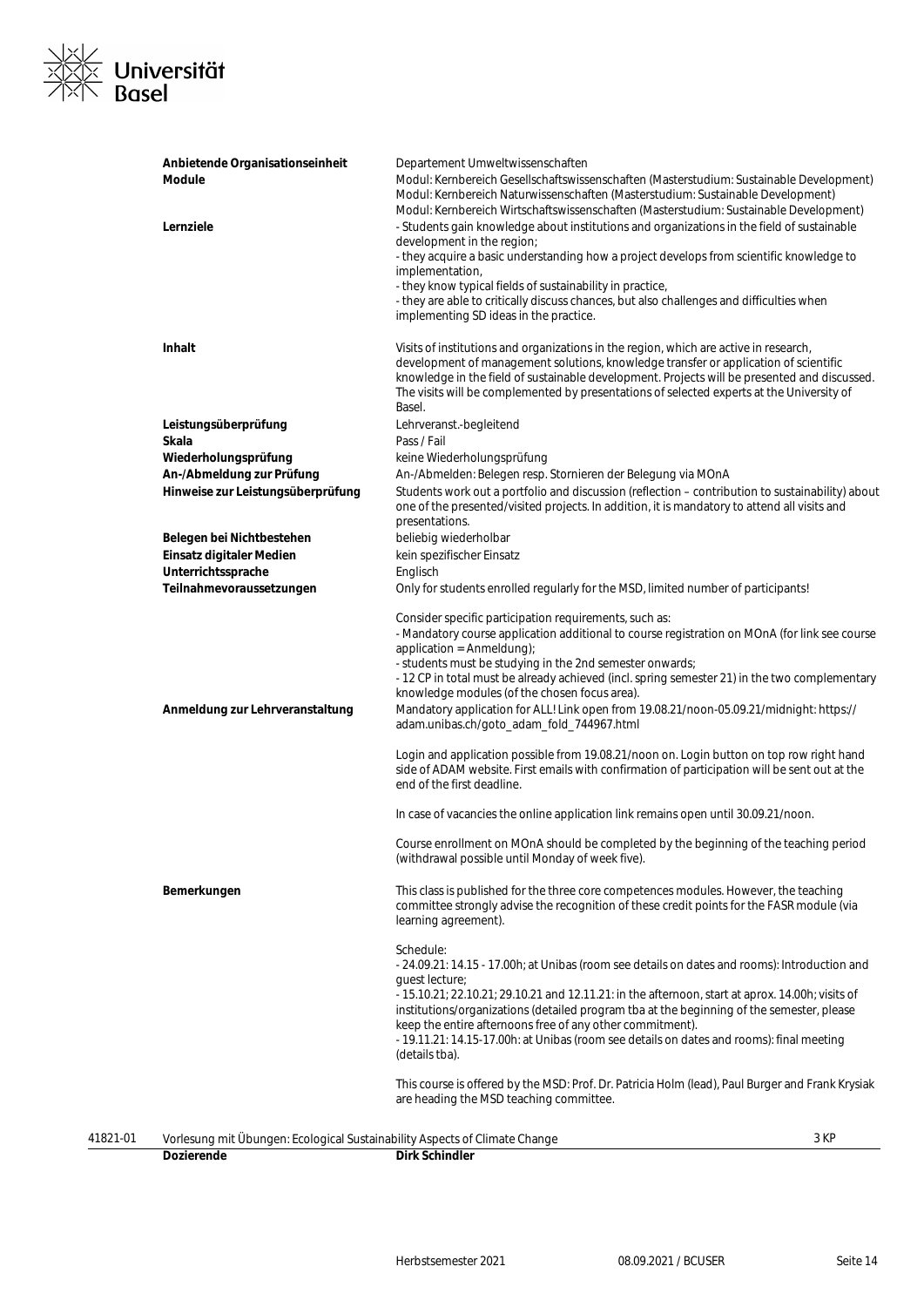

|          | Anbietende Organisationseinheit<br>Module                                  | Departement Umweltwissenschaften<br>Modul: Kernbereich Gesellschaftswissenschaften (Masterstudium: Sustainable Development)<br>Modul: Kernbereich Naturwissenschaften (Masterstudium: Sustainable Development)                                                                                                                                                                                                                                                                                           |
|----------|----------------------------------------------------------------------------|----------------------------------------------------------------------------------------------------------------------------------------------------------------------------------------------------------------------------------------------------------------------------------------------------------------------------------------------------------------------------------------------------------------------------------------------------------------------------------------------------------|
|          | Lernziele                                                                  | Modul: Kernbereich Wirtschaftswissenschaften (Masterstudium: Sustainable Development)<br>- Students gain knowledge about institutions and organizations in the field of sustainable                                                                                                                                                                                                                                                                                                                      |
|          |                                                                            | development in the region;<br>- they acquire a basic understanding how a project develops from scientific knowledge to                                                                                                                                                                                                                                                                                                                                                                                   |
|          |                                                                            | implementation,                                                                                                                                                                                                                                                                                                                                                                                                                                                                                          |
|          |                                                                            | - they know typical fields of sustainability in practice,<br>- they are able to critically discuss chances, but also challenges and difficulties when                                                                                                                                                                                                                                                                                                                                                    |
|          |                                                                            | implementing SD ideas in the practice.                                                                                                                                                                                                                                                                                                                                                                                                                                                                   |
|          | <b>Inhalt</b>                                                              | Visits of institutions and organizations in the region, which are active in research,<br>development of management solutions, knowledge transfer or application of scientific<br>knowledge in the field of sustainable development. Projects will be presented and discussed.<br>The visits will be complemented by presentations of selected experts at the University of                                                                                                                               |
|          |                                                                            | Basel.                                                                                                                                                                                                                                                                                                                                                                                                                                                                                                   |
|          | Leistungsüberprüfung                                                       | Lehrveranst.-begleitend                                                                                                                                                                                                                                                                                                                                                                                                                                                                                  |
|          | Skala                                                                      | Pass / Fail                                                                                                                                                                                                                                                                                                                                                                                                                                                                                              |
|          | Wiederholungsprüfung                                                       | keine Wiederholungsprüfung                                                                                                                                                                                                                                                                                                                                                                                                                                                                               |
|          | An-/Abmeldung zur Prüfung                                                  | An-/Abmelden: Belegen resp. Stornieren der Belegung via MOnA                                                                                                                                                                                                                                                                                                                                                                                                                                             |
|          | Hinweise zur Leistungsüberprüfung                                          | Students work out a portfolio and discussion (reflection - contribution to sustainability) about<br>one of the presented/visited projects. In addition, it is mandatory to attend all visits and<br>presentations.                                                                                                                                                                                                                                                                                       |
|          | Belegen bei Nichtbestehen                                                  | beliebig wiederholbar                                                                                                                                                                                                                                                                                                                                                                                                                                                                                    |
|          | Einsatz digitaler Medien                                                   | kein spezifischer Einsatz                                                                                                                                                                                                                                                                                                                                                                                                                                                                                |
|          | Unterrichtssprache                                                         | Englisch                                                                                                                                                                                                                                                                                                                                                                                                                                                                                                 |
|          | Teilnahmevoraussetzungen                                                   | Only for students enrolled regularly for the MSD, limited number of participants!                                                                                                                                                                                                                                                                                                                                                                                                                        |
|          |                                                                            | Consider specific participation requirements, such as:<br>- Mandatory course application additional to course registration on MOnA (for link see course<br>application = Anmeldung);<br>- students must be studying in the 2nd semester onwards;<br>- 12 CP in total must be already achieved (incl. spring semester 21) in the two complementary                                                                                                                                                        |
|          | Anmeldung zur Lehrveranstaltung                                            | knowledge modules (of the chosen focus area).<br>Mandatory application for ALL! Link open from 19.08.21/noon-05.09.21/midnight: https://<br>adam.unibas.ch/goto_adam_fold_744967.html                                                                                                                                                                                                                                                                                                                    |
|          |                                                                            | Login and application possible from 19.08.21/noon on. Login button on top row right hand<br>side of ADAM website. First emails with confirmation of participation will be sent out at the<br>end of the first deadline.                                                                                                                                                                                                                                                                                  |
|          |                                                                            | In case of vacancies the online application link remains open until 30.09.21/noon.                                                                                                                                                                                                                                                                                                                                                                                                                       |
|          |                                                                            | Course enrollment on MOnA should be completed by the beginning of the teaching period<br>(withdrawal possible until Monday of week five).                                                                                                                                                                                                                                                                                                                                                                |
|          | Bemerkungen                                                                | This class is published for the three core competences modules. However, the teaching<br>committee strongly advise the recognition of these credit points for the FASR module (via<br>learning agreement).                                                                                                                                                                                                                                                                                               |
|          |                                                                            | Schedule:<br>- 24.09.21: 14.15 - 17.00h; at Unibas (room see details on dates and rooms): Introduction and<br>quest lecture;<br>- 15.10.21; 22.10.21; 29.10.21 and 12.11.21: in the afternoon, start at aprox. 14.00h; visits of<br>institutions/organizations (detailed program tba at the beginning of the semester, please<br>keep the entire afternoons free of any other commitment).<br>- 19.11.21: 14.15-17.00h: at Unibas (room see details on dates and rooms): final meeting<br>(details tba). |
|          |                                                                            | This course is offered by the MSD: Prof. Dr. Patricia Holm (lead), Paul Burger and Frank Krysiak<br>are heading the MSD teaching committee.                                                                                                                                                                                                                                                                                                                                                              |
| 41821-01 | Vorlesung mit Übungen: Ecological Sustainability Aspects of Climate Change | 3 KP                                                                                                                                                                                                                                                                                                                                                                                                                                                                                                     |
|          | <b>Dozierende</b>                                                          | <b>Dirk Schindler</b>                                                                                                                                                                                                                                                                                                                                                                                                                                                                                    |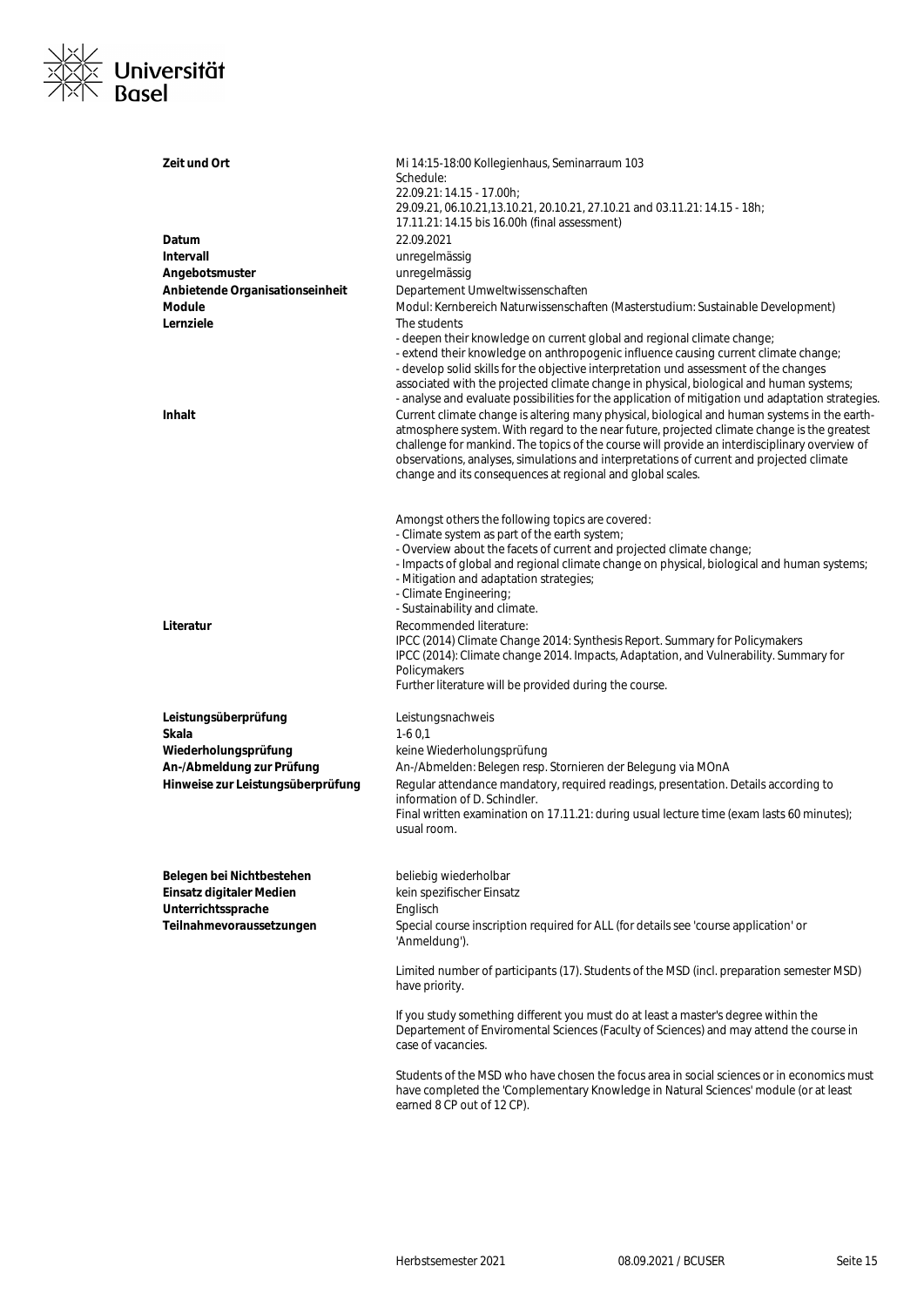

| Zeit und Ort                                                   | Mi 14:15-18:00 Kollegienhaus, Seminarraum 103<br>Schedule:<br>22.09.21: 14.15 - 17.00h;<br>29.09.21, 06.10.21,13.10.21, 20.10.21, 27.10.21 and 03.11.21: 14.15 - 18h;<br>17.11.21: 14.15 bis 16.00h (final assessment)                                                                                                                                                                                                                                                                                                                                                                                                                                                                                                                                                                                                                                                                                                            |
|----------------------------------------------------------------|-----------------------------------------------------------------------------------------------------------------------------------------------------------------------------------------------------------------------------------------------------------------------------------------------------------------------------------------------------------------------------------------------------------------------------------------------------------------------------------------------------------------------------------------------------------------------------------------------------------------------------------------------------------------------------------------------------------------------------------------------------------------------------------------------------------------------------------------------------------------------------------------------------------------------------------|
| Datum                                                          | 22.09.2021                                                                                                                                                                                                                                                                                                                                                                                                                                                                                                                                                                                                                                                                                                                                                                                                                                                                                                                        |
| Intervall                                                      | unregelmässig                                                                                                                                                                                                                                                                                                                                                                                                                                                                                                                                                                                                                                                                                                                                                                                                                                                                                                                     |
| Angebotsmuster                                                 | unregelmässig                                                                                                                                                                                                                                                                                                                                                                                                                                                                                                                                                                                                                                                                                                                                                                                                                                                                                                                     |
| Anbietende Organisationseinheit                                | Departement Umweltwissenschaften                                                                                                                                                                                                                                                                                                                                                                                                                                                                                                                                                                                                                                                                                                                                                                                                                                                                                                  |
| <b>Module</b>                                                  | Modul: Kernbereich Naturwissenschaften (Masterstudium: Sustainable Development)                                                                                                                                                                                                                                                                                                                                                                                                                                                                                                                                                                                                                                                                                                                                                                                                                                                   |
| Lernziele<br><b>Inhalt</b>                                     | The students<br>- deepen their knowledge on current global and regional climate change;<br>- extend their knowledge on anthropogenic influence causing current climate change;<br>- develop solid skills for the objective interpretation und assessment of the changes<br>associated with the projected climate change in physical, biological and human systems;<br>- analyse and evaluate possibilities for the application of mitigation und adaptation strategies.<br>Current climate change is altering many physical, biological and human systems in the earth-<br>atmosphere system. With regard to the near future, projected climate change is the greatest<br>challenge for mankind. The topics of the course will provide an interdisciplinary overview of<br>observations, analyses, simulations and interpretations of current and projected climate<br>change and its consequences at regional and global scales. |
|                                                                | Amongst others the following topics are covered:<br>- Climate system as part of the earth system;<br>- Overview about the facets of current and projected climate change;<br>- Impacts of global and regional climate change on physical, biological and human systems;<br>- Mitigation and adaptation strategies;<br>- Climate Engineering;<br>- Sustainability and climate.                                                                                                                                                                                                                                                                                                                                                                                                                                                                                                                                                     |
| Literatur                                                      | Recommended literature:<br>IPCC (2014) Climate Change 2014: Synthesis Report. Summary for Policymakers<br>IPCC (2014): Climate change 2014. Impacts, Adaptation, and Vulnerability. Summary for<br>Policymakers<br>Further literature will be provided during the course.                                                                                                                                                                                                                                                                                                                                                                                                                                                                                                                                                                                                                                                         |
| Leistungsüberprüfung                                           | Leistungsnachweis                                                                                                                                                                                                                                                                                                                                                                                                                                                                                                                                                                                                                                                                                                                                                                                                                                                                                                                 |
| Skala                                                          | $1-60,1$                                                                                                                                                                                                                                                                                                                                                                                                                                                                                                                                                                                                                                                                                                                                                                                                                                                                                                                          |
| Wiederholungsprüfung                                           | keine Wiederholungsprüfung                                                                                                                                                                                                                                                                                                                                                                                                                                                                                                                                                                                                                                                                                                                                                                                                                                                                                                        |
| An-/Abmeldung zur Prüfung<br>Hinweise zur Leistungsüberprüfung | An-/Abmelden: Belegen resp. Stornieren der Belegung via MOnA<br>Regular attendance mandatory, required readings, presentation. Details according to<br>information of D. Schindler.<br>Final written examination on 17.11.21: during usual lecture time (exam lasts 60 minutes);<br>usual room.                                                                                                                                                                                                                                                                                                                                                                                                                                                                                                                                                                                                                                   |
|                                                                |                                                                                                                                                                                                                                                                                                                                                                                                                                                                                                                                                                                                                                                                                                                                                                                                                                                                                                                                   |
| Belegen bei Nichtbestehen                                      | beliebig wiederholbar                                                                                                                                                                                                                                                                                                                                                                                                                                                                                                                                                                                                                                                                                                                                                                                                                                                                                                             |
| Einsatz digitaler Medien<br>Unterrichtssprache                 | kein spezifischer Einsatz<br>Englisch                                                                                                                                                                                                                                                                                                                                                                                                                                                                                                                                                                                                                                                                                                                                                                                                                                                                                             |
| Teilnahmevoraussetzungen                                       | Special course inscription required for ALL (for details see 'course application' or<br>'Anmeldung').                                                                                                                                                                                                                                                                                                                                                                                                                                                                                                                                                                                                                                                                                                                                                                                                                             |
|                                                                | Limited number of participants (17). Students of the MSD (incl. preparation semester MSD)<br>have priority.                                                                                                                                                                                                                                                                                                                                                                                                                                                                                                                                                                                                                                                                                                                                                                                                                       |
|                                                                | If you study something different you must do at least a master's degree within the<br>Departement of Enviromental Sciences (Faculty of Sciences) and may attend the course in<br>case of vacancies.                                                                                                                                                                                                                                                                                                                                                                                                                                                                                                                                                                                                                                                                                                                               |
|                                                                | Students of the MSD who have chosen the focus area in social sciences or in economics must<br>have completed the 'Complementary Knowledge in Natural Sciences' module (or at least<br>earned 8 CP out of 12 CP).                                                                                                                                                                                                                                                                                                                                                                                                                                                                                                                                                                                                                                                                                                                  |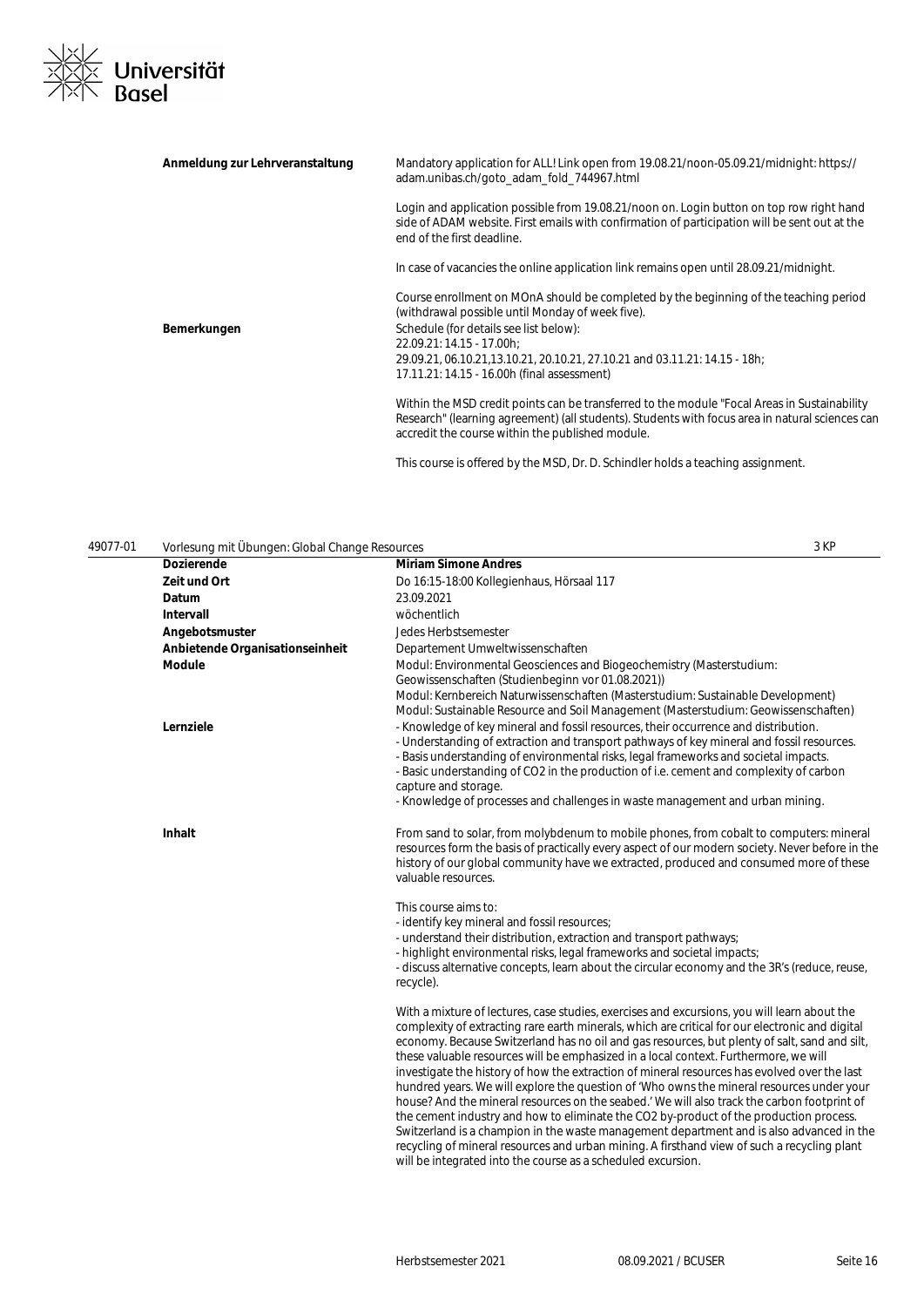

| Anmeldung zur Lehrveranstaltung | Mandatory application for ALL! Link open from 19.08.21/noon-05.09.21/midnight: https://<br>adam.unibas.ch/goto adam fold 744967.html                                                                                                                 |
|---------------------------------|------------------------------------------------------------------------------------------------------------------------------------------------------------------------------------------------------------------------------------------------------|
|                                 | Login and application possible from 19.08.21/noon on. Login button on top row right hand<br>side of ADAM website. First emails with confirmation of participation will be sent out at the<br>end of the first deadline.                              |
|                                 | In case of vacancies the online application link remains open until 28.09.21/midnight.                                                                                                                                                               |
|                                 | Course enrollment on MOnA should be completed by the beginning of the teaching period<br>(withdrawal possible until Monday of week five).                                                                                                            |
| Bemerkungen                     | Schedule (for details see list below):                                                                                                                                                                                                               |
|                                 | 22.09.21: 14.15 - 17.00h:                                                                                                                                                                                                                            |
|                                 | 29.09.21, 06.10.21,13.10.21, 20.10.21, 27.10.21 and 03.11.21: 14.15 - 18h;                                                                                                                                                                           |
|                                 | 17.11.21: 14.15 - 16.00h (final assessment)                                                                                                                                                                                                          |
|                                 | Within the MSD credit points can be transferred to the module "Focal Areas in Sustainability"<br>Research" (learning agreement) (all students). Students with focus area in natural sciences can<br>accredit the course within the published module. |
|                                 |                                                                                                                                                                                                                                                      |

This course is offered by the MSD, Dr. D. Schindler holds a teaching assignment.

49077-01 Vorlesung mit Übungen: Global Change Resources 3 KP

| vonosang mit obangom olobar onango Rosoaroos<br><b>Dozierende</b> | <b>Miriam Simone Andres</b>                                                                                                                                                                                                                                                                                                                                                                                                                                                                                                                                                                                                                                                                                                                                                                                                                                                                                                                                                                                                               |
|-------------------------------------------------------------------|-------------------------------------------------------------------------------------------------------------------------------------------------------------------------------------------------------------------------------------------------------------------------------------------------------------------------------------------------------------------------------------------------------------------------------------------------------------------------------------------------------------------------------------------------------------------------------------------------------------------------------------------------------------------------------------------------------------------------------------------------------------------------------------------------------------------------------------------------------------------------------------------------------------------------------------------------------------------------------------------------------------------------------------------|
| Zeit und Ort                                                      | Do 16:15-18:00 Kollegienhaus, Hörsaal 117                                                                                                                                                                                                                                                                                                                                                                                                                                                                                                                                                                                                                                                                                                                                                                                                                                                                                                                                                                                                 |
| Datum                                                             | 23.09.2021                                                                                                                                                                                                                                                                                                                                                                                                                                                                                                                                                                                                                                                                                                                                                                                                                                                                                                                                                                                                                                |
| Intervall                                                         | wöchentlich                                                                                                                                                                                                                                                                                                                                                                                                                                                                                                                                                                                                                                                                                                                                                                                                                                                                                                                                                                                                                               |
| Angebotsmuster                                                    | Jedes Herbstsemester                                                                                                                                                                                                                                                                                                                                                                                                                                                                                                                                                                                                                                                                                                                                                                                                                                                                                                                                                                                                                      |
| Anbietende Organisationseinheit                                   | Departement Umweltwissenschaften                                                                                                                                                                                                                                                                                                                                                                                                                                                                                                                                                                                                                                                                                                                                                                                                                                                                                                                                                                                                          |
| <b>Module</b>                                                     | Modul: Environmental Geosciences and Biogeochemistry (Masterstudium:<br>Geowissenschaften (Studienbeginn vor 01.08.2021))<br>Modul: Kernbereich Naturwissenschaften (Masterstudium: Sustainable Development)<br>Modul: Sustainable Resource and Soil Management (Masterstudium: Geowissenschaften)                                                                                                                                                                                                                                                                                                                                                                                                                                                                                                                                                                                                                                                                                                                                        |
| Lernziele                                                         | - Knowledge of key mineral and fossil resources, their occurrence and distribution.<br>- Understanding of extraction and transport pathways of key mineral and fossil resources.<br>- Basis understanding of environmental risks, legal frameworks and societal impacts.<br>- Basic understanding of CO2 in the production of i.e. cement and complexity of carbon<br>capture and storage.<br>- Knowledge of processes and challenges in waste management and urban mining.                                                                                                                                                                                                                                                                                                                                                                                                                                                                                                                                                               |
| Inhalt                                                            | From sand to solar, from molybdenum to mobile phones, from cobalt to computers: mineral<br>resources form the basis of practically every aspect of our modern society. Never before in the<br>history of our global community have we extracted, produced and consumed more of these<br>valuable resources.                                                                                                                                                                                                                                                                                                                                                                                                                                                                                                                                                                                                                                                                                                                               |
|                                                                   | This course aims to:<br>- identify key mineral and fossil resources;<br>- understand their distribution, extraction and transport pathways;<br>- highlight environmental risks, legal frameworks and societal impacts;<br>- discuss alternative concepts, learn about the circular economy and the 3R's (reduce, reuse,<br>recycle).                                                                                                                                                                                                                                                                                                                                                                                                                                                                                                                                                                                                                                                                                                      |
|                                                                   | With a mixture of lectures, case studies, exercises and excursions, you will learn about the<br>complexity of extracting rare earth minerals, which are critical for our electronic and digital<br>economy. Because Switzerland has no oil and gas resources, but plenty of salt, sand and silt,<br>these valuable resources will be emphasized in a local context. Furthermore, we will<br>investigate the history of how the extraction of mineral resources has evolved over the last<br>hundred years. We will explore the question of 'Who owns the mineral resources under your<br>house? And the mineral resources on the seabed.' We will also track the carbon footprint of<br>the cement industry and how to eliminate the CO2 by-product of the production process.<br>Switzerland is a champion in the waste management department and is also advanced in the<br>recycling of mineral resources and urban mining. A firsthand view of such a recycling plant<br>will be integrated into the course as a scheduled excursion. |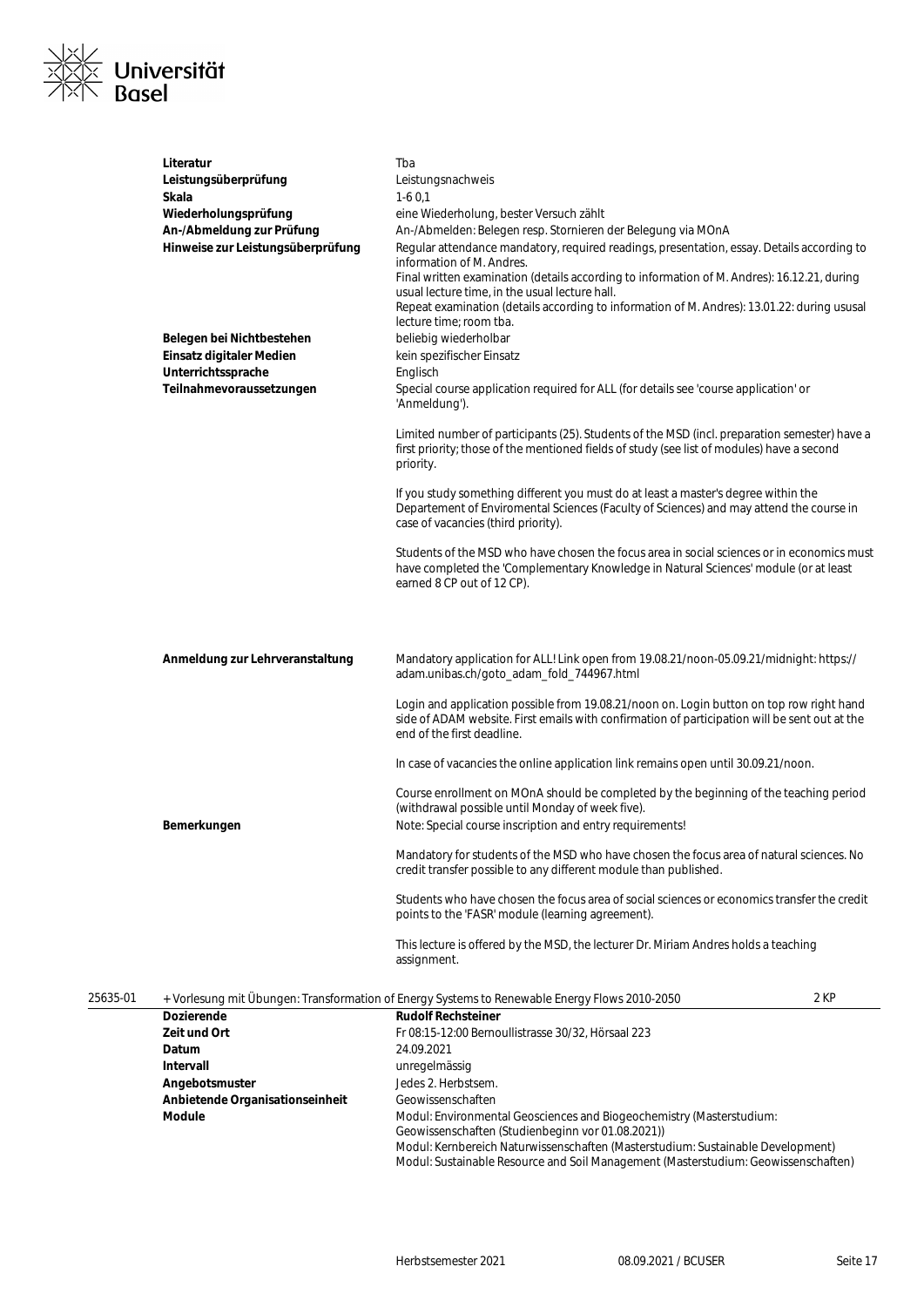

|          | Literatur<br>Leistungsüberprüfung<br>Skala<br>Wiederholungsprüfung<br>An-/Abmeldung zur Prüfung<br>Hinweise zur Leistungsüberprüfung | Tba<br>Leistungsnachweis<br>$1-60,1$<br>eine Wiederholung, bester Versuch zählt<br>An-/Abmelden: Belegen resp. Stornieren der Belegung via MOnA<br>Regular attendance mandatory, required readings, presentation, essay. Details according to<br>information of M. Andres.<br>Final written examination (details according to information of M. Andres): 16.12.21, during<br>usual lecture time, in the usual lecture hall.<br>Repeat examination (details according to information of M. Andres): 13.01.22: during ususal<br>lecture time; room tba. |  |
|----------|--------------------------------------------------------------------------------------------------------------------------------------|-------------------------------------------------------------------------------------------------------------------------------------------------------------------------------------------------------------------------------------------------------------------------------------------------------------------------------------------------------------------------------------------------------------------------------------------------------------------------------------------------------------------------------------------------------|--|
|          | Belegen bei Nichtbestehen<br>Einsatz digitaler Medien                                                                                | beliebig wiederholbar<br>kein spezifischer Einsatz                                                                                                                                                                                                                                                                                                                                                                                                                                                                                                    |  |
|          | Unterrichtssprache                                                                                                                   | Englisch                                                                                                                                                                                                                                                                                                                                                                                                                                                                                                                                              |  |
|          | Teilnahmevoraussetzungen                                                                                                             | Special course application required for ALL (for details see 'course application' or<br>'Anmeldung').                                                                                                                                                                                                                                                                                                                                                                                                                                                 |  |
|          |                                                                                                                                      | Limited number of participants (25). Students of the MSD (incl. preparation semester) have a<br>first priority; those of the mentioned fields of study (see list of modules) have a second<br>priority.                                                                                                                                                                                                                                                                                                                                               |  |
|          |                                                                                                                                      | If you study something different you must do at least a master's degree within the<br>Departement of Enviromental Sciences (Faculty of Sciences) and may attend the course in<br>case of vacancies (third priority).                                                                                                                                                                                                                                                                                                                                  |  |
|          |                                                                                                                                      | Students of the MSD who have chosen the focus area in social sciences or in economics must<br>have completed the 'Complementary Knowledge in Natural Sciences' module (or at least<br>earned 8 CP out of 12 CP).                                                                                                                                                                                                                                                                                                                                      |  |
|          | Anmeldung zur Lehrveranstaltung                                                                                                      | Mandatory application for ALL! Link open from 19.08.21/noon-05.09.21/midnight: https://<br>adam.unibas.ch/goto_adam_fold_744967.html                                                                                                                                                                                                                                                                                                                                                                                                                  |  |
|          |                                                                                                                                      | Login and application possible from 19.08.21/noon on. Login button on top row right hand<br>side of ADAM website. First emails with confirmation of participation will be sent out at the<br>end of the first deadline.                                                                                                                                                                                                                                                                                                                               |  |
|          |                                                                                                                                      | In case of vacancies the online application link remains open until 30.09.21/noon.                                                                                                                                                                                                                                                                                                                                                                                                                                                                    |  |
|          | Bemerkungen                                                                                                                          | Course enrollment on MOnA should be completed by the beginning of the teaching period<br>(withdrawal possible until Monday of week five).<br>Note: Special course inscription and entry requirements!                                                                                                                                                                                                                                                                                                                                                 |  |
|          |                                                                                                                                      | Mandatory for students of the MSD who have chosen the focus area of natural sciences. No<br>credit transfer possible to any different module than published.                                                                                                                                                                                                                                                                                                                                                                                          |  |
|          |                                                                                                                                      | Students who have chosen the focus area of social sciences or economics transfer the credit<br>points to the 'FASR' module (learning agreement).                                                                                                                                                                                                                                                                                                                                                                                                      |  |
|          |                                                                                                                                      | This lecture is offered by the MSD, the lecturer Dr. Miriam Andres holds a teaching<br>assignment.                                                                                                                                                                                                                                                                                                                                                                                                                                                    |  |
| 25635-01 |                                                                                                                                      | 2 KP<br>+ Vorlesung mit Übungen: Transformation of Energy Systems to Renewable Energy Flows 2010-2050                                                                                                                                                                                                                                                                                                                                                                                                                                                 |  |
|          | <b>Doziorondo</b>                                                                                                                    | <b>Dudolf Deepsteiner</b>                                                                                                                                                                                                                                                                                                                                                                                                                                                                                                                             |  |

| ∟ບບປປ⊺ບ∣ |                                 | T VOLICSUNG THIL ODUNGER. HANSION NATION OF LITERY SYSTEMS TO RETEWADIC LITERY FIOWS 2010-2000                                                                                                                                                                                                     | <u>z</u> IN |
|----------|---------------------------------|----------------------------------------------------------------------------------------------------------------------------------------------------------------------------------------------------------------------------------------------------------------------------------------------------|-------------|
|          | <b>Dozierende</b>               | <b>Rudolf Rechsteiner</b>                                                                                                                                                                                                                                                                          |             |
|          | Zeit und Ort                    | Fr 08:15-12:00 Bernoullistrasse 30/32, Hörsaal 223                                                                                                                                                                                                                                                 |             |
|          | <b>Datum</b>                    | 24.09.2021                                                                                                                                                                                                                                                                                         |             |
|          | Intervall                       | unregelmässig                                                                                                                                                                                                                                                                                      |             |
|          | Angebotsmuster                  | Jedes 2. Herbstsem.                                                                                                                                                                                                                                                                                |             |
|          | Anbietende Organisationseinheit | Geowissenschaften                                                                                                                                                                                                                                                                                  |             |
|          | <b>Module</b>                   | Modul: Environmental Geosciences and Biogeochemistry (Masterstudium:<br>Geowissenschaften (Studienbeginn vor 01.08.2021))<br>Modul: Kernbereich Naturwissenschaften (Masterstudium: Sustainable Development)<br>Modul: Sustainable Resource and Soil Management (Masterstudium: Geowissenschaften) |             |
|          |                                 |                                                                                                                                                                                                                                                                                                    |             |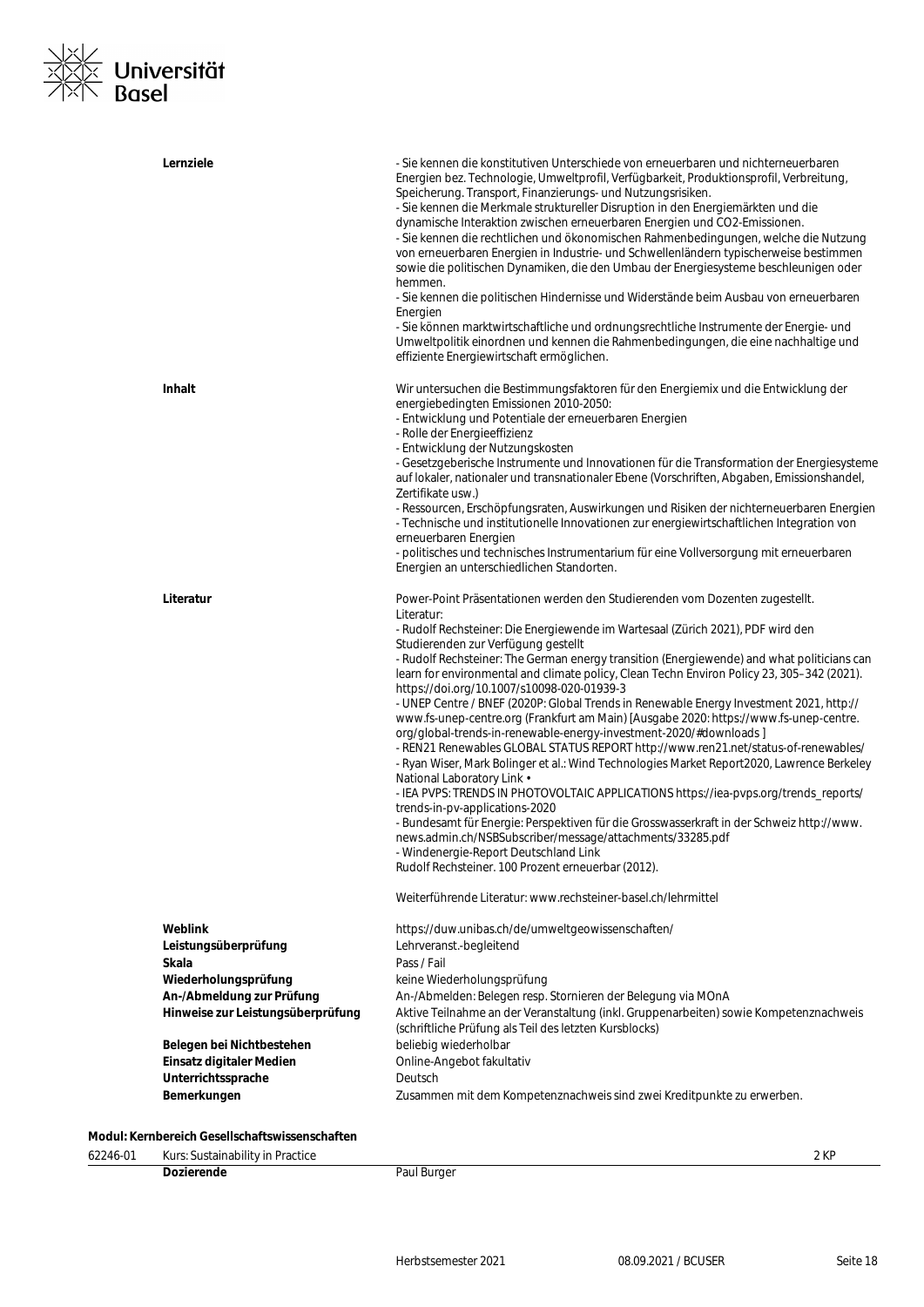# ⊠∠<br>⊠≍ Universität<br>⊠N Basel  $\frac{1}{x}$

| Lernziele                         | - Sie kennen die konstitutiven Unterschiede von erneuerbaren und nichterneuerbaren<br>Energien bez. Technologie, Umweltprofil, Verfügbarkeit, Produktionsprofil, Verbreitung,<br>Speicherung. Transport, Finanzierungs- und Nutzungsrisiken.<br>- Sie kennen die Merkmale struktureller Disruption in den Energiemärkten und die<br>dynamische Interaktion zwischen erneuerbaren Energien und CO2-Emissionen.<br>- Sie kennen die rechtlichen und ökonomischen Rahmenbedingungen, welche die Nutzung<br>von erneuerbaren Energien in Industrie- und Schwellenländern typischerweise bestimmen<br>sowie die politischen Dynamiken, die den Umbau der Energiesysteme beschleunigen oder<br>hemmen.<br>- Sie kennen die politischen Hindernisse und Widerstände beim Ausbau von erneuerbaren<br>Energien<br>- Sie können marktwirtschaftliche und ordnungsrechtliche Instrumente der Energie- und<br>Umweltpolitik einordnen und kennen die Rahmenbedingungen, die eine nachhaltige und<br>effiziente Energiewirtschaft ermöglichen. |
|-----------------------------------|-----------------------------------------------------------------------------------------------------------------------------------------------------------------------------------------------------------------------------------------------------------------------------------------------------------------------------------------------------------------------------------------------------------------------------------------------------------------------------------------------------------------------------------------------------------------------------------------------------------------------------------------------------------------------------------------------------------------------------------------------------------------------------------------------------------------------------------------------------------------------------------------------------------------------------------------------------------------------------------------------------------------------------------|
| <b>Inhalt</b>                     | Wir untersuchen die Bestimmungsfaktoren für den Energiemix und die Entwicklung der<br>energiebedingten Emissionen 2010-2050:<br>- Entwicklung und Potentiale der erneuerbaren Energien<br>- Rolle der Energieeffizienz<br>- Entwicklung der Nutzungskosten                                                                                                                                                                                                                                                                                                                                                                                                                                                                                                                                                                                                                                                                                                                                                                        |
|                                   | - Gesetzgeberische Instrumente und Innovationen für die Transformation der Energiesysteme<br>auf lokaler, nationaler und transnationaler Ebene (Vorschriften, Abgaben, Emissionshandel,<br>Zertifikate usw.)                                                                                                                                                                                                                                                                                                                                                                                                                                                                                                                                                                                                                                                                                                                                                                                                                      |
|                                   | - Ressourcen, Erschöpfungsraten, Auswirkungen und Risiken der nichterneuerbaren Energien<br>- Technische und institutionelle Innovationen zur energiewirtschaftlichen Integration von<br>erneuerbaren Energien<br>- politisches und technisches Instrumentarium für eine Vollversorgung mit erneuerbaren                                                                                                                                                                                                                                                                                                                                                                                                                                                                                                                                                                                                                                                                                                                          |
|                                   | Energien an unterschiedlichen Standorten.                                                                                                                                                                                                                                                                                                                                                                                                                                                                                                                                                                                                                                                                                                                                                                                                                                                                                                                                                                                         |
| Literatur                         | Power-Point Präsentationen werden den Studierenden vom Dozenten zugestellt.<br>Literatur:<br>- Rudolf Rechsteiner: Die Energiewende im Wartesaal (Zürich 2021), PDF wird den<br>Studierenden zur Verfügung gestellt<br>- Rudolf Rechsteiner: The German energy transition (Energiewende) and what politicians can<br>learn for environmental and climate policy, Clean Techn Environ Policy 23, 305-342 (2021).<br>https://doi.org/10.1007/s10098-020-01939-3<br>- UNEP Centre / BNEF (2020P: Global Trends in Renewable Energy Investment 2021, http://<br>www.fs-unep-centre.org (Frankfurt am Main) [Ausgabe 2020: https://www.fs-unep-centre.<br>org/global-trends-in-renewable-energy-investment-2020/#downloads]<br>- REN21 Renewables GLOBAL STATUS REPORT http://www.ren21.net/status-of-renewables/<br>- Ryan Wiser, Mark Bolinger et al.: Wind Technologies Market Report2020, Lawrence Berkeley<br>National Laboratory Link .<br>- IEA PVPS: TRENDS IN PHOTOVOLTAIC APPLICATIONS https://iea-pvps.org/trends_reports/  |
|                                   | trends-in-pv-applications-2020<br>- Bundesamt für Energie: Perspektiven für die Grosswasserkraft in der Schweiz http://www.<br>news.admin.ch/NSBSubscriber/message/attachments/33285.pdf<br>- Windenergie-Report Deutschland Link<br>Rudolf Rechsteiner. 100 Prozent erneuerbar (2012).                                                                                                                                                                                                                                                                                                                                                                                                                                                                                                                                                                                                                                                                                                                                           |
|                                   | Weiterführende Literatur: www.rechsteiner-basel.ch/lehrmittel                                                                                                                                                                                                                                                                                                                                                                                                                                                                                                                                                                                                                                                                                                                                                                                                                                                                                                                                                                     |
| Weblink                           | https://duw.unibas.ch/de/umweltgeowissenschaften/                                                                                                                                                                                                                                                                                                                                                                                                                                                                                                                                                                                                                                                                                                                                                                                                                                                                                                                                                                                 |
| Leistungsüberprüfung              | Lehrveranst.-begleitend                                                                                                                                                                                                                                                                                                                                                                                                                                                                                                                                                                                                                                                                                                                                                                                                                                                                                                                                                                                                           |
| Skala                             | Pass / Fail                                                                                                                                                                                                                                                                                                                                                                                                                                                                                                                                                                                                                                                                                                                                                                                                                                                                                                                                                                                                                       |
| Wiederholungsprüfung              | keine Wiederholungsprüfung                                                                                                                                                                                                                                                                                                                                                                                                                                                                                                                                                                                                                                                                                                                                                                                                                                                                                                                                                                                                        |
| An-/Abmeldung zur Prüfung         | An-/Abmelden: Belegen resp. Stornieren der Belegung via MOnA                                                                                                                                                                                                                                                                                                                                                                                                                                                                                                                                                                                                                                                                                                                                                                                                                                                                                                                                                                      |
| Hinweise zur Leistungsüberprüfung | Aktive Teilnahme an der Veranstaltung (inkl. Gruppenarbeiten) sowie Kompetenznachweis<br>(schriftliche Prüfung als Teil des letzten Kursblocks)                                                                                                                                                                                                                                                                                                                                                                                                                                                                                                                                                                                                                                                                                                                                                                                                                                                                                   |
| Belegen bei Nichtbestehen         | beliebig wiederholbar                                                                                                                                                                                                                                                                                                                                                                                                                                                                                                                                                                                                                                                                                                                                                                                                                                                                                                                                                                                                             |
| Einsatz digitaler Medien          | Online-Angebot fakultativ                                                                                                                                                                                                                                                                                                                                                                                                                                                                                                                                                                                                                                                                                                                                                                                                                                                                                                                                                                                                         |
| Unterrichtssprache                | Deutsch                                                                                                                                                                                                                                                                                                                                                                                                                                                                                                                                                                                                                                                                                                                                                                                                                                                                                                                                                                                                                           |
| Bemerkungen                       | Zusammen mit dem Kompetenznachweis sind zwei Kreditpunkte zu erwerben.                                                                                                                                                                                                                                                                                                                                                                                                                                                                                                                                                                                                                                                                                                                                                                                                                                                                                                                                                            |

#### **Modul: Kernbereich Gesellschaftswissenschaften**

| 62246-01 | :: Sustainability in Practice.<br>Kurs: |                                  | 2 KP |
|----------|-----------------------------------------|----------------------------------|------|
|          | Dozierende<br>.                         | Paul Burger<br>. <i>. .</i><br>ັ |      |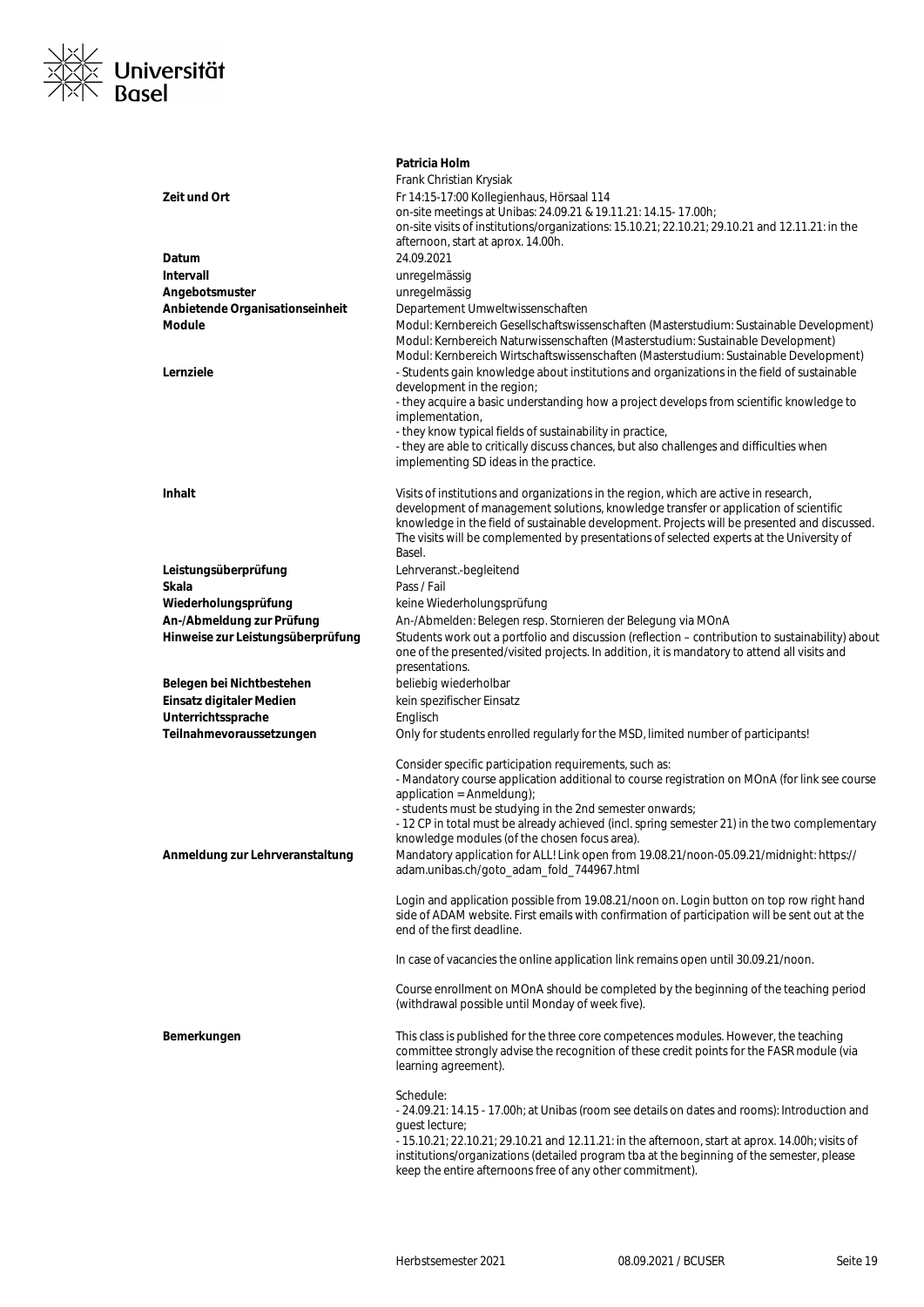

|                                                   | Patricia Holm                                                                                                                                                                                    |
|---------------------------------------------------|--------------------------------------------------------------------------------------------------------------------------------------------------------------------------------------------------|
|                                                   | Frank Christian Krysiak                                                                                                                                                                          |
| Zeit und Ort                                      | Fr 14:15-17:00 Kollegienhaus, Hörsaal 114                                                                                                                                                        |
|                                                   | on-site meetings at Unibas: 24.09.21 & 19.11.21: 14.15- 17.00h;                                                                                                                                  |
|                                                   | on-site visits of institutions/organizations: 15.10.21; 22.10.21; 29.10.21 and 12.11.21: in the                                                                                                  |
|                                                   | afternoon, start at aprox. 14.00h.                                                                                                                                                               |
| Datum<br>Intervall                                | 24.09.2021                                                                                                                                                                                       |
|                                                   | unregelmässig                                                                                                                                                                                    |
| Angebotsmuster<br>Anbietende Organisationseinheit | unregelmässig<br>Departement Umweltwissenschaften                                                                                                                                                |
| Module                                            | Modul: Kernbereich Gesellschaftswissenschaften (Masterstudium: Sustainable Development)                                                                                                          |
|                                                   | Modul: Kernbereich Naturwissenschaften (Masterstudium: Sustainable Development)                                                                                                                  |
|                                                   | Modul: Kernbereich Wirtschaftswissenschaften (Masterstudium: Sustainable Development)                                                                                                            |
| Lernziele                                         | - Students gain knowledge about institutions and organizations in the field of sustainable                                                                                                       |
|                                                   | development in the region;                                                                                                                                                                       |
|                                                   | - they acquire a basic understanding how a project develops from scientific knowledge to                                                                                                         |
|                                                   | implementation,                                                                                                                                                                                  |
|                                                   | - they know typical fields of sustainability in practice,<br>- they are able to critically discuss chances, but also challenges and difficulties when                                            |
|                                                   | implementing SD ideas in the practice.                                                                                                                                                           |
| <b>Inhalt</b>                                     | Visits of institutions and organizations in the region, which are active in research,                                                                                                            |
|                                                   | development of management solutions, knowledge transfer or application of scientific                                                                                                             |
|                                                   | knowledge in the field of sustainable development. Projects will be presented and discussed.                                                                                                     |
|                                                   | The visits will be complemented by presentations of selected experts at the University of                                                                                                        |
|                                                   | Basel.                                                                                                                                                                                           |
| Leistungsüberprüfung                              | Lehrveranst.-begleitend                                                                                                                                                                          |
| Skala                                             | Pass / Fail                                                                                                                                                                                      |
| Wiederholungsprüfung                              | keine Wiederholungsprüfung                                                                                                                                                                       |
| An-/Abmeldung zur Prüfung                         | An-/Abmelden: Belegen resp. Stornieren der Belegung via MOnA                                                                                                                                     |
| Hinweise zur Leistungsüberprüfung                 | Students work out a portfolio and discussion (reflection – contribution to sustainability) about<br>one of the presented/visited projects. In addition, it is mandatory to attend all visits and |
|                                                   | presentations.                                                                                                                                                                                   |
| Belegen bei Nichtbestehen                         | beliebig wiederholbar                                                                                                                                                                            |
| Einsatz digitaler Medien                          | kein spezifischer Einsatz                                                                                                                                                                        |
| Unterrichtssprache                                | Englisch                                                                                                                                                                                         |
| Teilnahmevoraussetzungen                          | Only for students enrolled regularly for the MSD, limited number of participants!                                                                                                                |
|                                                   | Consider specific participation requirements, such as:                                                                                                                                           |
|                                                   | - Mandatory course application additional to course registration on MOnA (for link see course                                                                                                    |
|                                                   | application = $Amieldung)$ ;                                                                                                                                                                     |
|                                                   | - students must be studying in the 2nd semester onwards;<br>- 12 CP in total must be already achieved (incl. spring semester 21) in the two complementary                                        |
|                                                   | knowledge modules (of the chosen focus area).                                                                                                                                                    |
| Anmeldung zur Lehrveranstaltung                   | Mandatory application for ALL! Link open from 19.08.21/noon-05.09.21/midnight: https://                                                                                                          |
|                                                   | adam.unibas.ch/goto_adam_fold_744967.html                                                                                                                                                        |
|                                                   | Login and application possible from 19.08.21/noon on. Login button on top row right hand                                                                                                         |
|                                                   | side of ADAM website. First emails with confirmation of participation will be sent out at the                                                                                                    |
|                                                   | end of the first deadline.                                                                                                                                                                       |
|                                                   | In case of vacancies the online application link remains open until 30.09.21/noon.                                                                                                               |
|                                                   | Course enrollment on MOnA should be completed by the beginning of the teaching period                                                                                                            |
|                                                   | (withdrawal possible until Monday of week five).                                                                                                                                                 |
| Bemerkungen                                       | This class is published for the three core competences modules. However, the teaching                                                                                                            |
|                                                   | committee strongly advise the recognition of these credit points for the FASR module (via<br>learning agreement).                                                                                |
|                                                   |                                                                                                                                                                                                  |
|                                                   | Schedule:<br>- 24.09.21: 14.15 - 17.00h; at Unibas (room see details on dates and rooms): Introduction and                                                                                       |
|                                                   | quest lecture;                                                                                                                                                                                   |
|                                                   | - 15.10.21; 22.10.21; 29.10.21 and 12.11.21: in the afternoon, start at aprox. 14.00h; visits of                                                                                                 |
|                                                   | institutions/organizations (detailed program tba at the beginning of the semester, please                                                                                                        |
|                                                   | keep the entire afternoons free of any other commitment).                                                                                                                                        |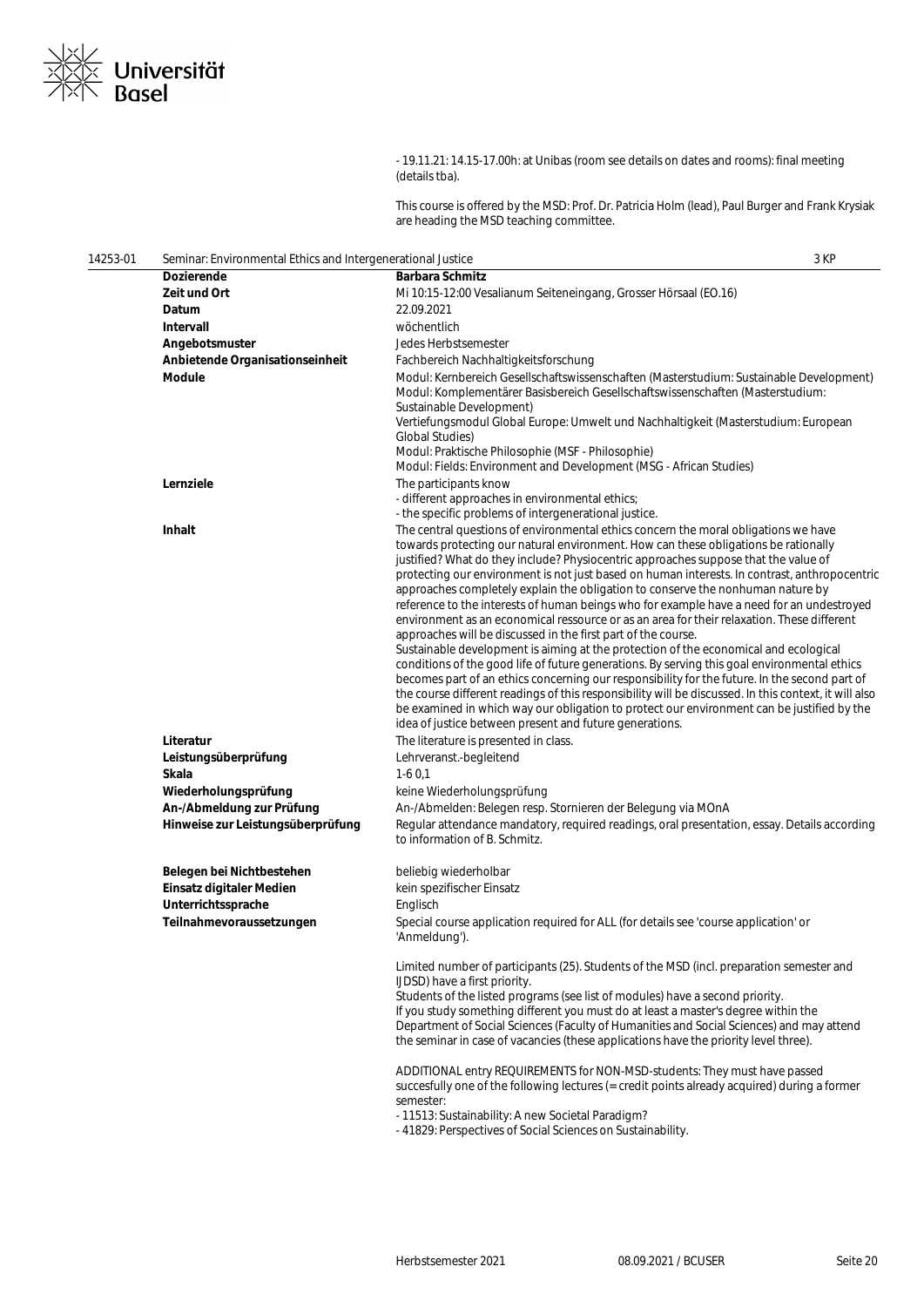

- 19.11.21: 14.15-17.00h: at Unibas (room see details on dates and rooms): final meeting (details tba).

This course is offered by the MSD: Prof. Dr. Patricia Holm (lead), Paul Burger and Frank Krysiak are heading the MSD teaching committee.

| 14253-01 | Seminar: Environmental Ethics and Intergenerational Justice |                                                                                                                                                                                                                                                                                                                                                                                                                                                                                                                                                                                                                                                                                                                                                                                                                                                                                                                                                                                                                                                                                                                                                                                                                                                                              | 3 KP |
|----------|-------------------------------------------------------------|------------------------------------------------------------------------------------------------------------------------------------------------------------------------------------------------------------------------------------------------------------------------------------------------------------------------------------------------------------------------------------------------------------------------------------------------------------------------------------------------------------------------------------------------------------------------------------------------------------------------------------------------------------------------------------------------------------------------------------------------------------------------------------------------------------------------------------------------------------------------------------------------------------------------------------------------------------------------------------------------------------------------------------------------------------------------------------------------------------------------------------------------------------------------------------------------------------------------------------------------------------------------------|------|
|          | <b>Dozierende</b>                                           | <b>Barbara Schmitz</b>                                                                                                                                                                                                                                                                                                                                                                                                                                                                                                                                                                                                                                                                                                                                                                                                                                                                                                                                                                                                                                                                                                                                                                                                                                                       |      |
|          | Zeit und Ort                                                | Mi 10:15-12:00 Vesalianum Seiteneingang, Grosser Hörsaal (EO.16)                                                                                                                                                                                                                                                                                                                                                                                                                                                                                                                                                                                                                                                                                                                                                                                                                                                                                                                                                                                                                                                                                                                                                                                                             |      |
|          | Datum                                                       | 22.09.2021                                                                                                                                                                                                                                                                                                                                                                                                                                                                                                                                                                                                                                                                                                                                                                                                                                                                                                                                                                                                                                                                                                                                                                                                                                                                   |      |
|          | Intervall                                                   | wöchentlich                                                                                                                                                                                                                                                                                                                                                                                                                                                                                                                                                                                                                                                                                                                                                                                                                                                                                                                                                                                                                                                                                                                                                                                                                                                                  |      |
|          | Angebotsmuster                                              | Jedes Herbstsemester                                                                                                                                                                                                                                                                                                                                                                                                                                                                                                                                                                                                                                                                                                                                                                                                                                                                                                                                                                                                                                                                                                                                                                                                                                                         |      |
|          | Anbietende Organisationseinheit                             | Fachbereich Nachhaltigkeitsforschung                                                                                                                                                                                                                                                                                                                                                                                                                                                                                                                                                                                                                                                                                                                                                                                                                                                                                                                                                                                                                                                                                                                                                                                                                                         |      |
|          | <b>Module</b>                                               | Modul: Kernbereich Gesellschaftswissenschaften (Masterstudium: Sustainable Development)<br>Modul: Komplementärer Basisbereich Gesellschaftswissenschaften (Masterstudium:<br>Sustainable Development)<br>Vertiefungsmodul Global Europe: Umwelt und Nachhaltigkeit (Masterstudium: European<br><b>Global Studies)</b><br>Modul: Praktische Philosophie (MSF - Philosophie)<br>Modul: Fields: Environment and Development (MSG - African Studies)                                                                                                                                                                                                                                                                                                                                                                                                                                                                                                                                                                                                                                                                                                                                                                                                                             |      |
|          | Lernziele                                                   | The participants know<br>- different approaches in environmental ethics;<br>- the specific problems of intergenerational justice.                                                                                                                                                                                                                                                                                                                                                                                                                                                                                                                                                                                                                                                                                                                                                                                                                                                                                                                                                                                                                                                                                                                                            |      |
|          | Inhalt                                                      | The central questions of environmental ethics concern the moral obligations we have<br>towards protecting our natural environment. How can these obligations be rationally<br>justified? What do they include? Physiocentric approaches suppose that the value of<br>protecting our environment is not just based on human interests. In contrast, anthropocentric<br>approaches completely explain the obligation to conserve the nonhuman nature by<br>reference to the interests of human beings who for example have a need for an undestroyed<br>environment as an economical ressource or as an area for their relaxation. These different<br>approaches will be discussed in the first part of the course.<br>Sustainable development is aiming at the protection of the economical and ecological<br>conditions of the good life of future generations. By serving this goal environmental ethics<br>becomes part of an ethics concerning our responsibility for the future. In the second part of<br>the course different readings of this responsibility will be discussed. In this context, it will also<br>be examined in which way our obligation to protect our environment can be justified by the<br>idea of justice between present and future generations. |      |
|          | Literatur                                                   | The literature is presented in class.                                                                                                                                                                                                                                                                                                                                                                                                                                                                                                                                                                                                                                                                                                                                                                                                                                                                                                                                                                                                                                                                                                                                                                                                                                        |      |
|          | Leistungsüberprüfung                                        | Lehrveranst.-begleitend                                                                                                                                                                                                                                                                                                                                                                                                                                                                                                                                                                                                                                                                                                                                                                                                                                                                                                                                                                                                                                                                                                                                                                                                                                                      |      |
|          | Skala                                                       | $1-60,1$                                                                                                                                                                                                                                                                                                                                                                                                                                                                                                                                                                                                                                                                                                                                                                                                                                                                                                                                                                                                                                                                                                                                                                                                                                                                     |      |
|          | Wiederholungsprüfung                                        | keine Wiederholungsprüfung                                                                                                                                                                                                                                                                                                                                                                                                                                                                                                                                                                                                                                                                                                                                                                                                                                                                                                                                                                                                                                                                                                                                                                                                                                                   |      |
|          | An-/Abmeldung zur Prüfung                                   | An-/Abmelden: Belegen resp. Stornieren der Belegung via MOnA                                                                                                                                                                                                                                                                                                                                                                                                                                                                                                                                                                                                                                                                                                                                                                                                                                                                                                                                                                                                                                                                                                                                                                                                                 |      |
|          | Hinweise zur Leistungsüberprüfung                           | Regular attendance mandatory, required readings, oral presentation, essay. Details according<br>to information of B. Schmitz.                                                                                                                                                                                                                                                                                                                                                                                                                                                                                                                                                                                                                                                                                                                                                                                                                                                                                                                                                                                                                                                                                                                                                |      |
|          | Belegen bei Nichtbestehen                                   | beliebig wiederholbar                                                                                                                                                                                                                                                                                                                                                                                                                                                                                                                                                                                                                                                                                                                                                                                                                                                                                                                                                                                                                                                                                                                                                                                                                                                        |      |
|          | Einsatz digitaler Medien                                    | kein spezifischer Einsatz                                                                                                                                                                                                                                                                                                                                                                                                                                                                                                                                                                                                                                                                                                                                                                                                                                                                                                                                                                                                                                                                                                                                                                                                                                                    |      |
|          | Unterrichtssprache                                          | Englisch                                                                                                                                                                                                                                                                                                                                                                                                                                                                                                                                                                                                                                                                                                                                                                                                                                                                                                                                                                                                                                                                                                                                                                                                                                                                     |      |
|          | Teilnahmevoraussetzungen                                    | Special course application required for ALL (for details see 'course application' or<br>'Anmeldung').                                                                                                                                                                                                                                                                                                                                                                                                                                                                                                                                                                                                                                                                                                                                                                                                                                                                                                                                                                                                                                                                                                                                                                        |      |
|          |                                                             | Limited number of participants (25). Students of the MSD (incl. preparation semester and<br>IJDSD) have a first priority.<br>Students of the listed programs (see list of modules) have a second priority.<br>If you study something different you must do at least a master's degree within the<br>Department of Social Sciences (Faculty of Humanities and Social Sciences) and may attend<br>the seminar in case of vacancies (these applications have the priority level three).                                                                                                                                                                                                                                                                                                                                                                                                                                                                                                                                                                                                                                                                                                                                                                                         |      |
|          |                                                             | ADDITIONAL entry REQUIREMENTS for NON-MSD-students: They must have passed<br>succesfully one of the following lectures (= credit points already acquired) during a former<br>semester:<br>- 11513: Sustainability: A new Societal Paradigm?<br>- 41829: Perspectives of Social Sciences on Sustainability.                                                                                                                                                                                                                                                                                                                                                                                                                                                                                                                                                                                                                                                                                                                                                                                                                                                                                                                                                                   |      |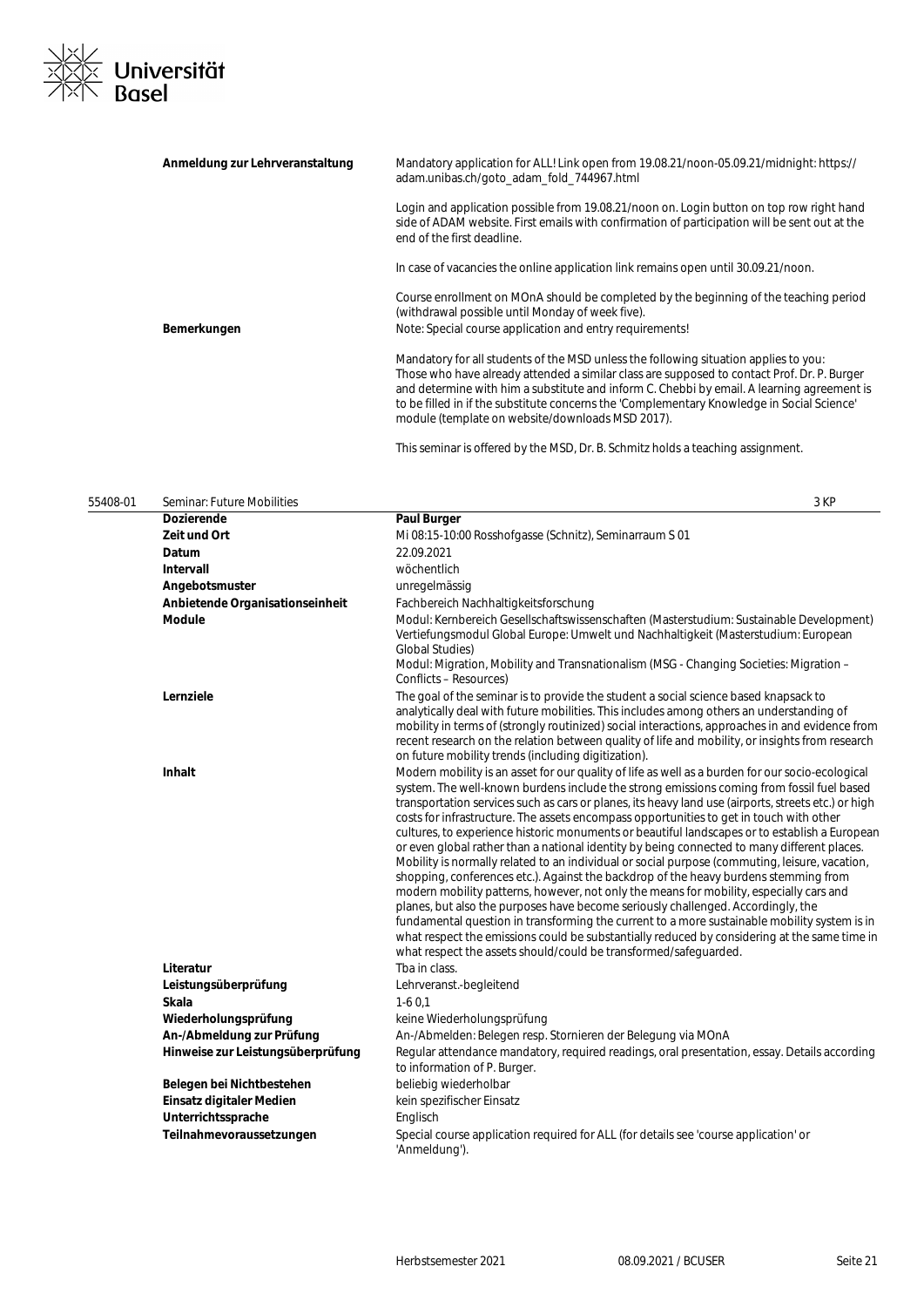## ⊠∠<br>⊠≍ Universität<br>⊠N Basel  $\frac{1}{x}$

| Anmeldung zur Lehrveranstaltung | Mandatory application for ALL! Link open from 19.08.21/noon-05.09.21/midnight: https://<br>adam.unibas.ch/goto adam fold 744967.html                                                                                                                                                                                                                                                                                                |
|---------------------------------|-------------------------------------------------------------------------------------------------------------------------------------------------------------------------------------------------------------------------------------------------------------------------------------------------------------------------------------------------------------------------------------------------------------------------------------|
|                                 | Login and application possible from 19.08.21/noon on. Login button on top row right hand<br>side of ADAM website. First emails with confirmation of participation will be sent out at the<br>end of the first deadline.                                                                                                                                                                                                             |
|                                 | In case of vacancies the online application link remains open until 30.09.21/noon.                                                                                                                                                                                                                                                                                                                                                  |
|                                 | Course enrollment on MOnA should be completed by the beginning of the teaching period<br>(withdrawal possible until Monday of week five).                                                                                                                                                                                                                                                                                           |
| Bemerkungen                     | Note: Special course application and entry requirements!                                                                                                                                                                                                                                                                                                                                                                            |
|                                 | Mandatory for all students of the MSD unless the following situation applies to you:<br>Those who have already attended a similar class are supposed to contact Prof. Dr. P. Burger<br>and determine with him a substitute and inform C. Chebbi by email. A learning agreement is<br>to be filled in if the substitute concerns the 'Complementary Knowledge in Social Science'<br>module (template on website/downloads MSD 2017). |
|                                 |                                                                                                                                                                                                                                                                                                                                                                                                                                     |

This seminar is offered by the MSD, Dr. B. Schmitz holds a teaching assignment.

| 55408-01 | Seminar: Future Mobilities        | 3 KP                                                                                                                                                                                                                                                                                                                                                                                                                                                                                                                                                                                                                                                                                                                                                                                                                                                                                                                                                                                                                                                                                                                                                                                                                                         |
|----------|-----------------------------------|----------------------------------------------------------------------------------------------------------------------------------------------------------------------------------------------------------------------------------------------------------------------------------------------------------------------------------------------------------------------------------------------------------------------------------------------------------------------------------------------------------------------------------------------------------------------------------------------------------------------------------------------------------------------------------------------------------------------------------------------------------------------------------------------------------------------------------------------------------------------------------------------------------------------------------------------------------------------------------------------------------------------------------------------------------------------------------------------------------------------------------------------------------------------------------------------------------------------------------------------|
|          | <b>Dozierende</b>                 | <b>Paul Burger</b>                                                                                                                                                                                                                                                                                                                                                                                                                                                                                                                                                                                                                                                                                                                                                                                                                                                                                                                                                                                                                                                                                                                                                                                                                           |
|          | Zeit und Ort                      | Mi 08:15-10:00 Rosshofgasse (Schnitz), Seminarraum S 01                                                                                                                                                                                                                                                                                                                                                                                                                                                                                                                                                                                                                                                                                                                                                                                                                                                                                                                                                                                                                                                                                                                                                                                      |
|          | Datum                             | 22.09.2021                                                                                                                                                                                                                                                                                                                                                                                                                                                                                                                                                                                                                                                                                                                                                                                                                                                                                                                                                                                                                                                                                                                                                                                                                                   |
|          | Intervall                         | wöchentlich                                                                                                                                                                                                                                                                                                                                                                                                                                                                                                                                                                                                                                                                                                                                                                                                                                                                                                                                                                                                                                                                                                                                                                                                                                  |
|          | Angebotsmuster                    | unregelmässig                                                                                                                                                                                                                                                                                                                                                                                                                                                                                                                                                                                                                                                                                                                                                                                                                                                                                                                                                                                                                                                                                                                                                                                                                                |
|          | Anbietende Organisationseinheit   | Fachbereich Nachhaltigkeitsforschung                                                                                                                                                                                                                                                                                                                                                                                                                                                                                                                                                                                                                                                                                                                                                                                                                                                                                                                                                                                                                                                                                                                                                                                                         |
|          | <b>Module</b>                     | Modul: Kernbereich Gesellschaftswissenschaften (Masterstudium: Sustainable Development)<br>Vertiefungsmodul Global Europe: Umwelt und Nachhaltigkeit (Masterstudium: European<br><b>Global Studies)</b><br>Modul: Migration, Mobility and Transnationalism (MSG - Changing Societies: Migration –<br>Conflicts - Resources)                                                                                                                                                                                                                                                                                                                                                                                                                                                                                                                                                                                                                                                                                                                                                                                                                                                                                                                  |
|          | Lernziele                         | The goal of the seminar is to provide the student a social science based knapsack to<br>analytically deal with future mobilities. This includes among others an understanding of<br>mobility in terms of (strongly routinized) social interactions, approaches in and evidence from<br>recent research on the relation between quality of life and mobility, or insights from research<br>on future mobility trends (including digitization).                                                                                                                                                                                                                                                                                                                                                                                                                                                                                                                                                                                                                                                                                                                                                                                                |
|          | <b>Inhalt</b>                     | Modern mobility is an asset for our quality of life as well as a burden for our socio-ecological<br>system. The well-known burdens include the strong emissions coming from fossil fuel based<br>transportation services such as cars or planes, its heavy land use (airports, streets etc.) or high<br>costs for infrastructure. The assets encompass opportunities to get in touch with other<br>cultures, to experience historic monuments or beautiful landscapes or to establish a European<br>or even global rather than a national identity by being connected to many different places.<br>Mobility is normally related to an individual or social purpose (commuting, leisure, vacation,<br>shopping, conferences etc.). Against the backdrop of the heavy burdens stemming from<br>modern mobility patterns, however, not only the means for mobility, especially cars and<br>planes, but also the purposes have become seriously challenged. Accordingly, the<br>fundamental question in transforming the current to a more sustainable mobility system is in<br>what respect the emissions could be substantially reduced by considering at the same time in<br>what respect the assets should/could be transformed/safeguarded. |
|          | Literatur                         | Tba in class.                                                                                                                                                                                                                                                                                                                                                                                                                                                                                                                                                                                                                                                                                                                                                                                                                                                                                                                                                                                                                                                                                                                                                                                                                                |
|          | Leistungsüberprüfung              | Lehrveranst.-begleitend                                                                                                                                                                                                                                                                                                                                                                                                                                                                                                                                                                                                                                                                                                                                                                                                                                                                                                                                                                                                                                                                                                                                                                                                                      |
|          | Skala                             | $1-60.1$                                                                                                                                                                                                                                                                                                                                                                                                                                                                                                                                                                                                                                                                                                                                                                                                                                                                                                                                                                                                                                                                                                                                                                                                                                     |
|          | Wiederholungsprüfung              | keine Wiederholungsprüfung                                                                                                                                                                                                                                                                                                                                                                                                                                                                                                                                                                                                                                                                                                                                                                                                                                                                                                                                                                                                                                                                                                                                                                                                                   |
|          | An-/Abmeldung zur Prüfung         | An-/Abmelden: Belegen resp. Stornieren der Belegung via MOnA                                                                                                                                                                                                                                                                                                                                                                                                                                                                                                                                                                                                                                                                                                                                                                                                                                                                                                                                                                                                                                                                                                                                                                                 |
|          | Hinweise zur Leistungsüberprüfung | Regular attendance mandatory, required readings, oral presentation, essay. Details according<br>to information of P. Burger.                                                                                                                                                                                                                                                                                                                                                                                                                                                                                                                                                                                                                                                                                                                                                                                                                                                                                                                                                                                                                                                                                                                 |
|          | Belegen bei Nichtbestehen         | beliebig wiederholbar                                                                                                                                                                                                                                                                                                                                                                                                                                                                                                                                                                                                                                                                                                                                                                                                                                                                                                                                                                                                                                                                                                                                                                                                                        |
|          | Einsatz digitaler Medien          | kein spezifischer Einsatz                                                                                                                                                                                                                                                                                                                                                                                                                                                                                                                                                                                                                                                                                                                                                                                                                                                                                                                                                                                                                                                                                                                                                                                                                    |
|          | Unterrichtssprache                | Englisch                                                                                                                                                                                                                                                                                                                                                                                                                                                                                                                                                                                                                                                                                                                                                                                                                                                                                                                                                                                                                                                                                                                                                                                                                                     |
|          | Teilnahmevoraussetzungen          | Special course application required for ALL (for details see 'course application' or<br>'Anmeldung').                                                                                                                                                                                                                                                                                                                                                                                                                                                                                                                                                                                                                                                                                                                                                                                                                                                                                                                                                                                                                                                                                                                                        |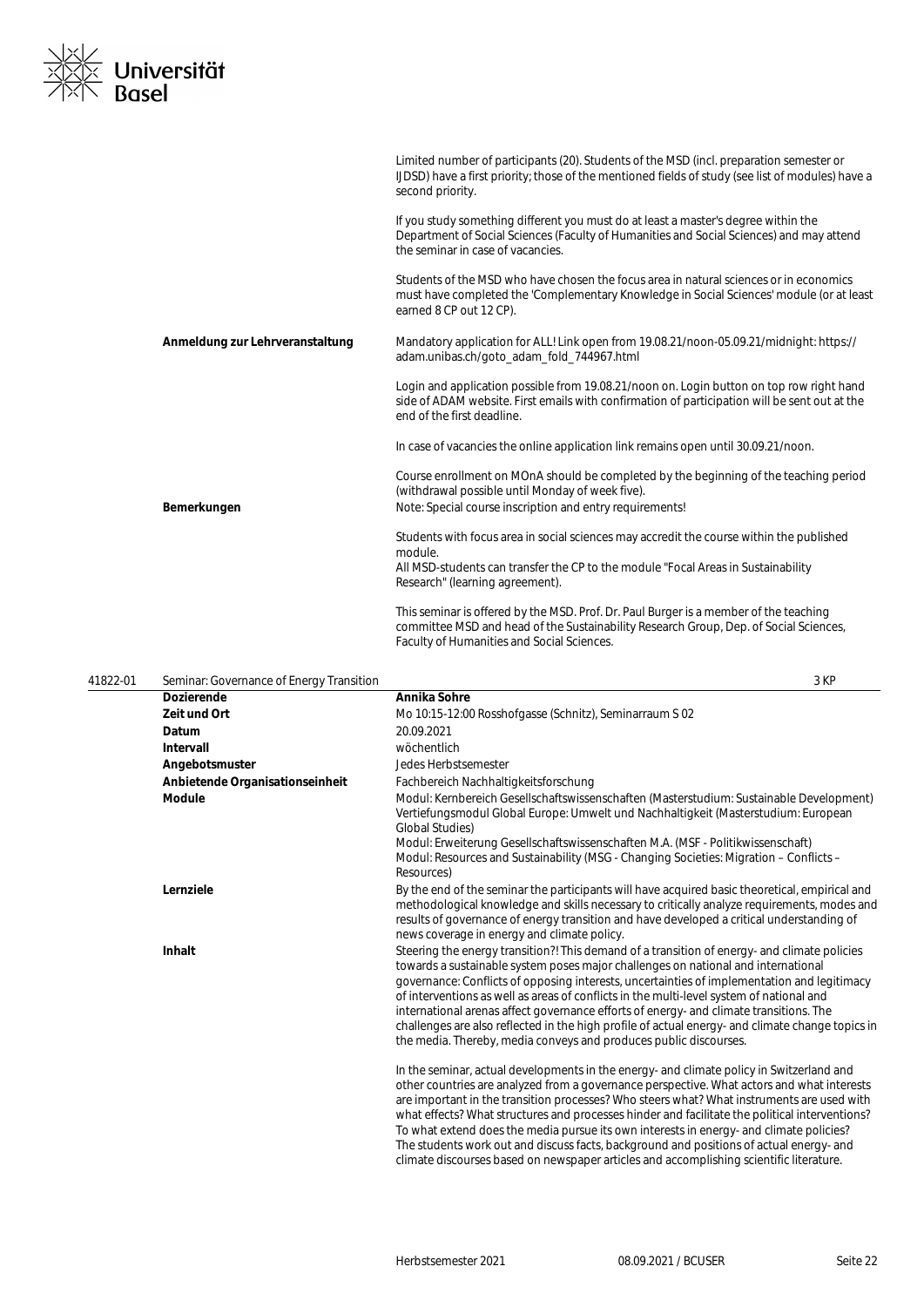

|                                 | Limited number of participants (20). Students of the MSD (incl. preparation semester or<br>IJDSD) have a first priority; those of the mentioned fields of study (see list of modules) have a<br>second priority.             |
|---------------------------------|------------------------------------------------------------------------------------------------------------------------------------------------------------------------------------------------------------------------------|
|                                 | If you study something different you must do at least a master's degree within the<br>Department of Social Sciences (Faculty of Humanities and Social Sciences) and may attend<br>the seminar in case of vacancies.          |
|                                 | Students of the MSD who have chosen the focus area in natural sciences or in economics<br>must have completed the 'Complementary Knowledge in Social Sciences' module (or at least<br>earned 8 CP out 12 CP).                |
| Anmeldung zur Lehrveranstaltung | Mandatory application for ALL! Link open from 19.08.21/noon-05.09.21/midnight: https://<br>adam.unibas.ch/goto_adam_fold_744967.html                                                                                         |
|                                 | Login and application possible from 19.08.21/noon on. Login button on top row right hand<br>side of ADAM website. First emails with confirmation of participation will be sent out at the<br>end of the first deadline.      |
|                                 | In case of vacancies the online application link remains open until 30.09.21/noon.                                                                                                                                           |
|                                 | Course enrollment on MOnA should be completed by the beginning of the teaching period<br>(withdrawal possible until Monday of week five).                                                                                    |
| Bemerkungen                     | Note: Special course inscription and entry requirements!                                                                                                                                                                     |
|                                 | Students with focus area in social sciences may accredit the course within the published<br>module.                                                                                                                          |
|                                 | All MSD-students can transfer the CP to the module "Focal Areas in Sustainability<br>Research" (learning agreement).                                                                                                         |
|                                 | This seminar is offered by the MSD. Prof. Dr. Paul Burger is a member of the teaching<br>committee MSD and head of the Sustainability Research Group, Dep. of Social Sciences,<br>Faculty of Humanities and Social Sciences. |

| 41822-01 | Seminar: Governance of Energy Transition |                                                                                                                                                                                                                                                                                                                                                                                                                                                                                                                                                                                                                                                 | 3 KP |
|----------|------------------------------------------|-------------------------------------------------------------------------------------------------------------------------------------------------------------------------------------------------------------------------------------------------------------------------------------------------------------------------------------------------------------------------------------------------------------------------------------------------------------------------------------------------------------------------------------------------------------------------------------------------------------------------------------------------|------|
|          | <b>Dozierende</b>                        | Annika Sohre                                                                                                                                                                                                                                                                                                                                                                                                                                                                                                                                                                                                                                    |      |
|          | <b>Zeit und Ort</b>                      | Mo 10:15-12:00 Rosshofgasse (Schnitz), Seminarraum S 02                                                                                                                                                                                                                                                                                                                                                                                                                                                                                                                                                                                         |      |
|          | Datum                                    | 20.09.2021                                                                                                                                                                                                                                                                                                                                                                                                                                                                                                                                                                                                                                      |      |
|          | <b>Intervall</b>                         | wöchentlich                                                                                                                                                                                                                                                                                                                                                                                                                                                                                                                                                                                                                                     |      |
|          | Angebotsmuster                           | Jedes Herbstsemester                                                                                                                                                                                                                                                                                                                                                                                                                                                                                                                                                                                                                            |      |
|          | Anbietende Organisationseinheit          | Fachbereich Nachhaltigkeitsforschung                                                                                                                                                                                                                                                                                                                                                                                                                                                                                                                                                                                                            |      |
|          | <b>Module</b>                            | Modul: Kernbereich Gesellschaftswissenschaften (Masterstudium: Sustainable Development)<br>Vertiefungsmodul Global Europe: Umwelt und Nachhaltigkeit (Masterstudium: European<br><b>Global Studies)</b>                                                                                                                                                                                                                                                                                                                                                                                                                                         |      |
|          |                                          | Modul: Erweiterung Gesellschaftswissenschaften M.A. (MSF - Politikwissenschaft)<br>Modul: Resources and Sustainability (MSG - Changing Societies: Migration - Conflicts -<br>Resources)                                                                                                                                                                                                                                                                                                                                                                                                                                                         |      |
|          | Lernziele                                | By the end of the seminar the participants will have acquired basic theoretical, empirical and<br>methodological knowledge and skills necessary to critically analyze requirements, modes and<br>results of governance of energy transition and have developed a critical understanding of<br>news coverage in energy and climate policy.                                                                                                                                                                                                                                                                                                       |      |
|          | Inhalt                                   | Steering the energy transition?! This demand of a transition of energy- and climate policies<br>towards a sustainable system poses major challenges on national and international<br>governance: Conflicts of opposing interests, uncertainties of implementation and legitimacy<br>of interventions as well as areas of conflicts in the multi-level system of national and<br>international arenas affect governance efforts of energy- and climate transitions. The<br>challenges are also reflected in the high profile of actual energy- and climate change topics in<br>the media. Thereby, media conveys and produces public discourses. |      |
|          |                                          | In the seminar, actual developments in the energy- and climate policy in Switzerland and<br>other countries are analyzed from a governance perspective. What actors and what interests<br>are important in the transition processes? Who steers what? What instruments are used with<br>what effects? What structures and processes hinder and facilitate the political interventions?<br>To what extend does the media pursue its own interests in energy- and climate policies?<br>The students work out and discuss facts, background and positions of actual energy- and                                                                    |      |

climate discourses based on newspaper articles and accomplishing scientific literature.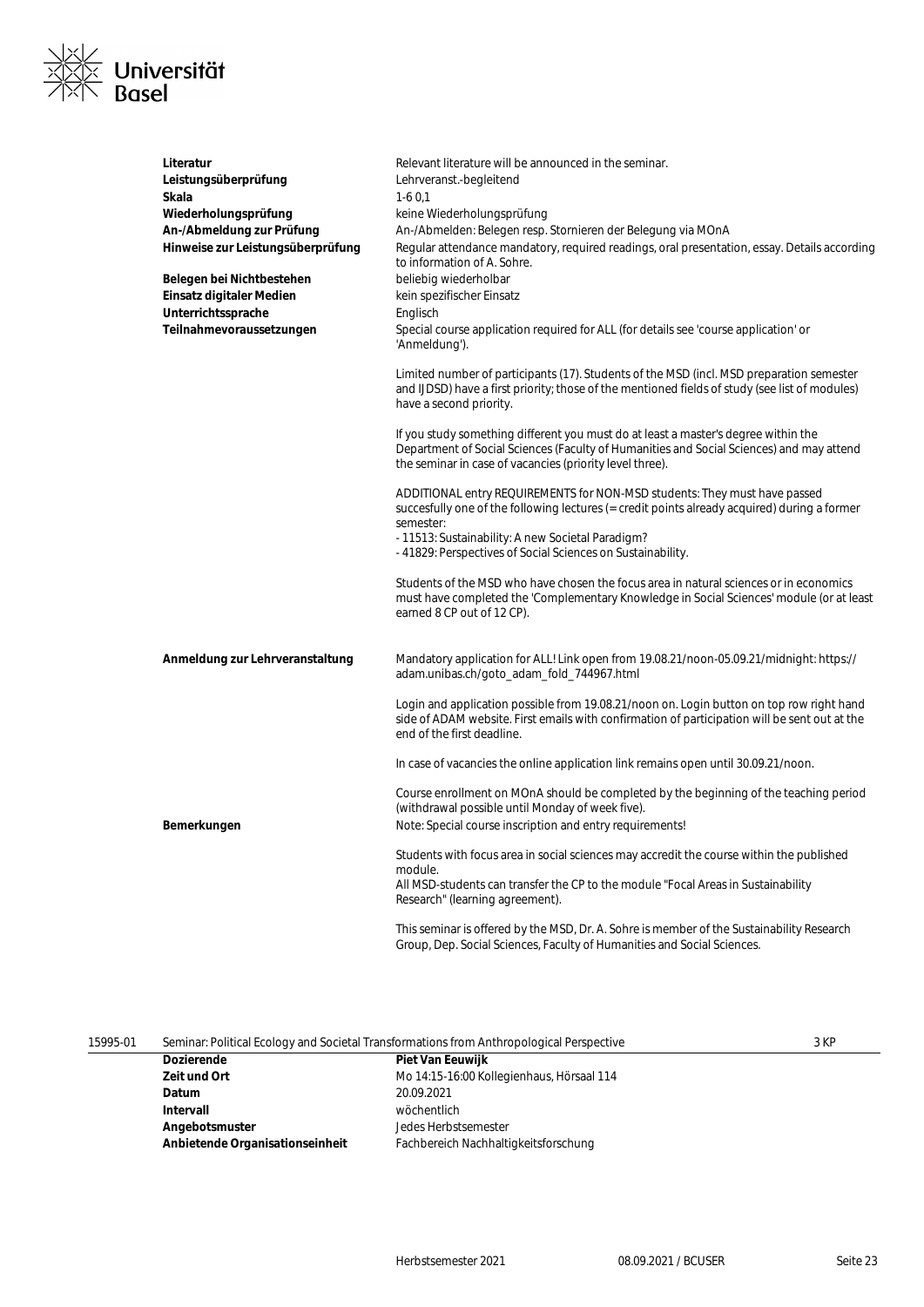

| Literatur<br>Leistungsüberprüfung<br>Skala<br>Wiederholungsprüfung<br>An-/Abmeldung zur Prüfung<br>Hinweise zur Leistungsüberprüfung<br>Belegen bei Nichtbestehen<br>Einsatz digitaler Medien<br>Unterrichtssprache<br>Teilnahmevoraussetzungen | Relevant literature will be announced in the seminar.<br>Lehrveranst.-begleitend<br>$1-60,1$<br>keine Wiederholungsprüfung<br>An-/Abmelden: Belegen resp. Stornieren der Belegung via MOnA<br>Regular attendance mandatory, required readings, oral presentation, essay. Details according<br>to information of A. Sohre.<br>beliebig wiederholbar<br>kein spezifischer Einsatz<br>Englisch<br>Special course application required for ALL (for details see 'course application' or<br>'Anmeldung').<br>Limited number of participants (17). Students of the MSD (incl. MSD preparation semester<br>and IJDSD) have a first priority; those of the mentioned fields of study (see list of modules)<br>have a second priority. |
|-------------------------------------------------------------------------------------------------------------------------------------------------------------------------------------------------------------------------------------------------|-------------------------------------------------------------------------------------------------------------------------------------------------------------------------------------------------------------------------------------------------------------------------------------------------------------------------------------------------------------------------------------------------------------------------------------------------------------------------------------------------------------------------------------------------------------------------------------------------------------------------------------------------------------------------------------------------------------------------------|
|                                                                                                                                                                                                                                                 | If you study something different you must do at least a master's degree within the<br>Department of Social Sciences (Faculty of Humanities and Social Sciences) and may attend<br>the seminar in case of vacancies (priority level three).                                                                                                                                                                                                                                                                                                                                                                                                                                                                                    |
|                                                                                                                                                                                                                                                 | ADDITIONAL entry REQUIREMENTS for NON-MSD students: They must have passed<br>succesfully one of the following lectures (= credit points already acquired) during a former<br>semester:<br>- 11513: Sustainability: A new Societal Paradigm?<br>-41829: Perspectives of Social Sciences on Sustainability.                                                                                                                                                                                                                                                                                                                                                                                                                     |
|                                                                                                                                                                                                                                                 | Students of the MSD who have chosen the focus area in natural sciences or in economics<br>must have completed the 'Complementary Knowledge in Social Sciences' module (or at least<br>earned 8 CP out of 12 CP).                                                                                                                                                                                                                                                                                                                                                                                                                                                                                                              |
| Anmeldung zur Lehrveranstaltung                                                                                                                                                                                                                 | Mandatory application for ALL! Link open from 19.08.21/noon-05.09.21/midnight: https://<br>adam.unibas.ch/goto_adam_fold_744967.html                                                                                                                                                                                                                                                                                                                                                                                                                                                                                                                                                                                          |
|                                                                                                                                                                                                                                                 | Login and application possible from 19.08.21/noon on. Login button on top row right hand<br>side of ADAM website. First emails with confirmation of participation will be sent out at the<br>end of the first deadline.                                                                                                                                                                                                                                                                                                                                                                                                                                                                                                       |
|                                                                                                                                                                                                                                                 | In case of vacancies the online application link remains open until 30.09.21/noon.                                                                                                                                                                                                                                                                                                                                                                                                                                                                                                                                                                                                                                            |
| Bemerkungen                                                                                                                                                                                                                                     | Course enrollment on MOnA should be completed by the beginning of the teaching period<br>(withdrawal possible until Monday of week five).<br>Note: Special course inscription and entry requirements!                                                                                                                                                                                                                                                                                                                                                                                                                                                                                                                         |
|                                                                                                                                                                                                                                                 | Students with focus area in social sciences may accredit the course within the published<br>module.<br>All MSD-students can transfer the CP to the module "Focal Areas in Sustainability<br>Research" (learning agreement).                                                                                                                                                                                                                                                                                                                                                                                                                                                                                                   |
|                                                                                                                                                                                                                                                 | This seminar is offered by the MSD, Dr. A. Sohre is member of the Sustainability Research<br>Group, Dep. Social Sciences, Faculty of Humanities and Social Sciences.                                                                                                                                                                                                                                                                                                                                                                                                                                                                                                                                                          |

| 15995-01 | Seminar: Political Ecology and Societal Transformations from Anthropological Perspective |                                           | 3 KP |
|----------|------------------------------------------------------------------------------------------|-------------------------------------------|------|
|          | <b>Dozierende</b>                                                                        | <b>Piet Van Eeuwijk</b>                   |      |
|          | Zeit und Ort                                                                             | Mo 14:15-16:00 Kollegienhaus, Hörsaal 114 |      |
|          | Datum                                                                                    | 20.09.2021                                |      |
|          | Intervall                                                                                | wöchentlich                               |      |
|          | Angebotsmuster                                                                           | Jedes Herbstsemester                      |      |
|          | Anbietende Organisationseinheit                                                          | Fachbereich Nachhaltigkeitsforschung      |      |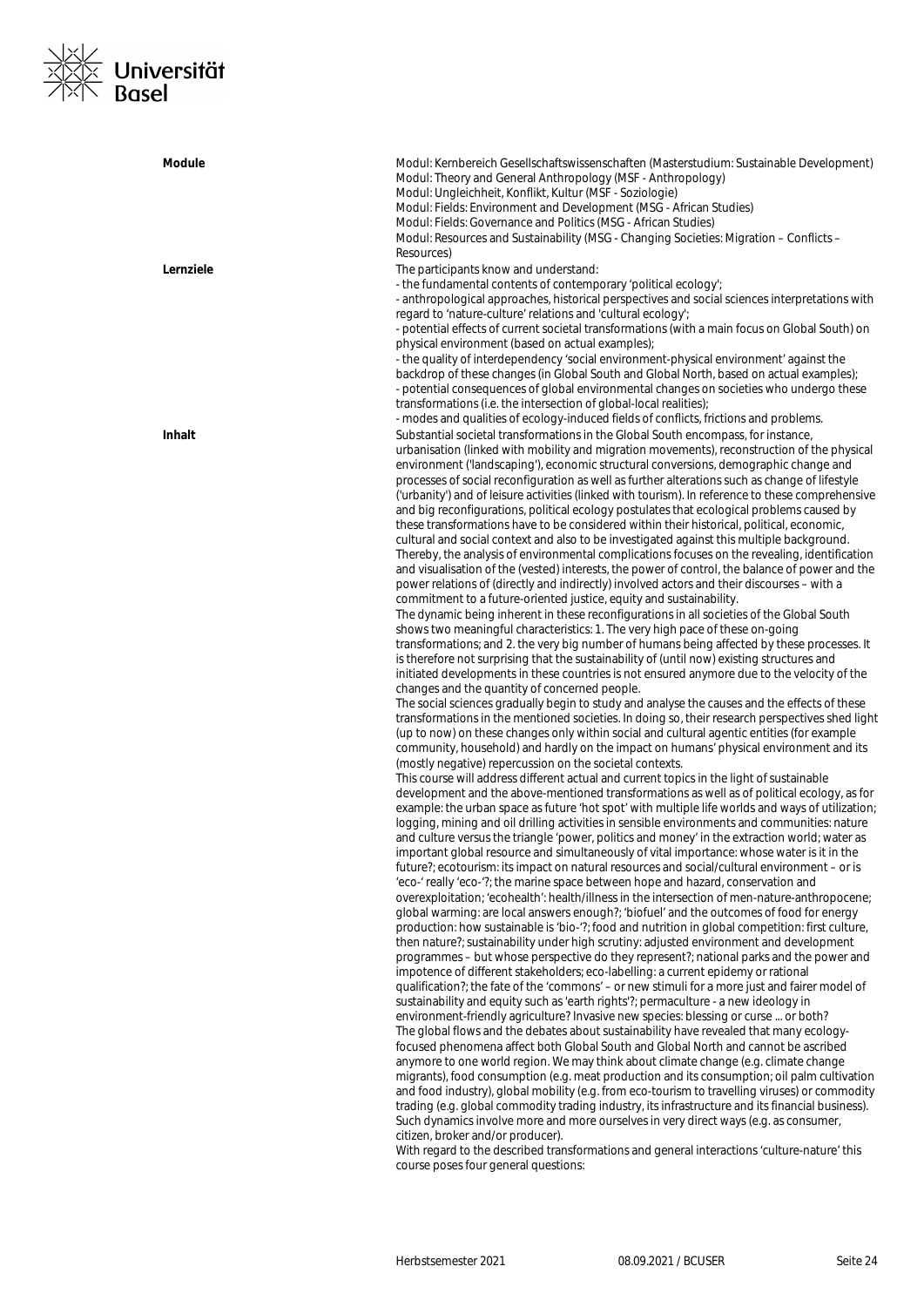

| <b>Module</b> | Modul: Kernbereich Gesellschaftswissenschaften (Masterstudium: Sustainable Development)<br>Modul: Theory and General Anthropology (MSF - Anthropology)<br>Modul: Ungleichheit, Konflikt, Kultur (MSF - Soziologie)<br>Modul: Fields: Environment and Development (MSG - African Studies)<br>Modul: Fields: Governance and Politics (MSG - African Studies)<br>Modul: Resources and Sustainability (MSG - Changing Societies: Migration - Conflicts -<br>Resources)                                                                                                                                                                                                                                                                                                                                                                                                                                                                                                                                                                                                                                                                                                                                                                                                                                                                                                                                                                                                                                                                                                                                                                                                                                                                                                                                                                                                                                                                                                                                                                                                                                                                                                                                                                                                                                                                                                                                                                                                                                                                                                                                                                                                                                                                                                                                                                                                                                                                                                                                                                                                                                                                                                                                                                                                                                                                                                                                                                                                                                                                                                                                                                                                                                                                                                                                                                                                                                                                                                                                                                                                                                                                                                                                                                                                                                                                                                                                                                                                                       |
|---------------|------------------------------------------------------------------------------------------------------------------------------------------------------------------------------------------------------------------------------------------------------------------------------------------------------------------------------------------------------------------------------------------------------------------------------------------------------------------------------------------------------------------------------------------------------------------------------------------------------------------------------------------------------------------------------------------------------------------------------------------------------------------------------------------------------------------------------------------------------------------------------------------------------------------------------------------------------------------------------------------------------------------------------------------------------------------------------------------------------------------------------------------------------------------------------------------------------------------------------------------------------------------------------------------------------------------------------------------------------------------------------------------------------------------------------------------------------------------------------------------------------------------------------------------------------------------------------------------------------------------------------------------------------------------------------------------------------------------------------------------------------------------------------------------------------------------------------------------------------------------------------------------------------------------------------------------------------------------------------------------------------------------------------------------------------------------------------------------------------------------------------------------------------------------------------------------------------------------------------------------------------------------------------------------------------------------------------------------------------------------------------------------------------------------------------------------------------------------------------------------------------------------------------------------------------------------------------------------------------------------------------------------------------------------------------------------------------------------------------------------------------------------------------------------------------------------------------------------------------------------------------------------------------------------------------------------------------------------------------------------------------------------------------------------------------------------------------------------------------------------------------------------------------------------------------------------------------------------------------------------------------------------------------------------------------------------------------------------------------------------------------------------------------------------------------------------------------------------------------------------------------------------------------------------------------------------------------------------------------------------------------------------------------------------------------------------------------------------------------------------------------------------------------------------------------------------------------------------------------------------------------------------------------------------------------------------------------------------------------------------------------------------------------------------------------------------------------------------------------------------------------------------------------------------------------------------------------------------------------------------------------------------------------------------------------------------------------------------------------------------------------------------------------------------------------------------------------------------------------------------|
| Lernziele     | The participants know and understand:<br>- the fundamental contents of contemporary 'political ecology';<br>- anthropological approaches, historical perspectives and social sciences interpretations with<br>regard to 'nature-culture' relations and 'cultural ecology';<br>- potential effects of current societal transformations (with a main focus on Global South) on<br>physical environment (based on actual examples);<br>- the quality of interdependency 'social environment-physical environment' against the<br>backdrop of these changes (in Global South and Global North, based on actual examples);<br>- potential consequences of global environmental changes on societies who undergo these<br>transformations (i.e. the intersection of global-local realities);<br>- modes and qualities of ecology-induced fields of conflicts, frictions and problems.                                                                                                                                                                                                                                                                                                                                                                                                                                                                                                                                                                                                                                                                                                                                                                                                                                                                                                                                                                                                                                                                                                                                                                                                                                                                                                                                                                                                                                                                                                                                                                                                                                                                                                                                                                                                                                                                                                                                                                                                                                                                                                                                                                                                                                                                                                                                                                                                                                                                                                                                                                                                                                                                                                                                                                                                                                                                                                                                                                                                                                                                                                                                                                                                                                                                                                                                                                                                                                                                                                                                                                                                          |
| Inhalt        | Substantial societal transformations in the Global South encompass, for instance,<br>urbanisation (linked with mobility and migration movements), reconstruction of the physical<br>environment ('landscaping'), economic structural conversions, demographic change and<br>processes of social reconfiguration as well as further alterations such as change of lifestyle<br>('urbanity') and of leisure activities (linked with tourism). In reference to these comprehensive<br>and big reconfigurations, political ecology postulates that ecological problems caused by<br>these transformations have to be considered within their historical, political, economic,<br>cultural and social context and also to be investigated against this multiple background.<br>Thereby, the analysis of environmental complications focuses on the revealing, identification<br>and visualisation of the (vested) interests, the power of control, the balance of power and the<br>power relations of (directly and indirectly) involved actors and their discourses - with a<br>commitment to a future-oriented justice, equity and sustainability.<br>The dynamic being inherent in these reconfigurations in all societies of the Global South<br>shows two meaningful characteristics: 1. The very high pace of these on-going<br>transformations; and 2. the very big number of humans being affected by these processes. It<br>is therefore not surprising that the sustainability of (until now) existing structures and<br>initiated developments in these countries is not ensured anymore due to the velocity of the<br>changes and the quantity of concerned people.<br>The social sciences gradually begin to study and analyse the causes and the effects of these<br>transformations in the mentioned societies. In doing so, their research perspectives shed light<br>(up to now) on these changes only within social and cultural agentic entities (for example<br>community, household) and hardly on the impact on humans' physical environment and its<br>(mostly negative) repercussion on the societal contexts.<br>This course will address different actual and current topics in the light of sustainable<br>development and the above-mentioned transformations as well as of political ecology, as for<br>example: the urban space as future 'hot spot' with multiple life worlds and ways of utilization;<br>logging, mining and oil drilling activities in sensible environments and communities: nature<br>and culture versus the triangle 'power, politics and money' in the extraction world; water as<br>important global resource and simultaneously of vital importance: whose water is it in the<br>future?; ecotourism: its impact on natural resources and social/cultural environment – or is<br>'eco-' really 'eco-'?; the marine space between hope and hazard, conservation and<br>overexploitation; 'ecohealth': health/illness in the intersection of men-nature-anthropocene;<br>global warming: are local answers enough?; 'biofuel' and the outcomes of food for energy<br>production: how sustainable is 'bio-'?; food and nutrition in global competition: first culture,<br>then nature?; sustainability under high scrutiny: adjusted environment and development<br>programmes - but whose perspective do they represent?; national parks and the power and<br>impotence of different stakeholders; eco-labelling: a current epidemy or rational<br>qualification?; the fate of the 'commons' – or new stimuli for a more just and fairer model of<br>sustainability and equity such as 'earth rights'?; permaculture - a new ideology in<br>environment-friendly agriculture? Invasive new species: blessing or curse  or both?<br>The global flows and the debates about sustainability have revealed that many ecology-<br>focused phenomena affect both Global South and Global North and cannot be ascribed<br>anymore to one world region. We may think about climate change (e.g. climate change<br>migrants), food consumption (e.g. meat production and its consumption; oil palm cultivation<br>and food industry), global mobility (e.g. from eco-tourism to travelling viruses) or commodity<br>trading (e.g. global commodity trading industry, its infrastructure and its financial business).<br>Such dynamics involve more and more ourselves in very direct ways (e.g. as consumer,<br>citizen, broker and/or producer). |
|               | With regard to the described transformations and general interactions 'culture-nature' this<br>course poses four general questions:                                                                                                                                                                                                                                                                                                                                                                                                                                                                                                                                                                                                                                                                                                                                                                                                                                                                                                                                                                                                                                                                                                                                                                                                                                                                                                                                                                                                                                                                                                                                                                                                                                                                                                                                                                                                                                                                                                                                                                                                                                                                                                                                                                                                                                                                                                                                                                                                                                                                                                                                                                                                                                                                                                                                                                                                                                                                                                                                                                                                                                                                                                                                                                                                                                                                                                                                                                                                                                                                                                                                                                                                                                                                                                                                                                                                                                                                                                                                                                                                                                                                                                                                                                                                                                                                                                                                                      |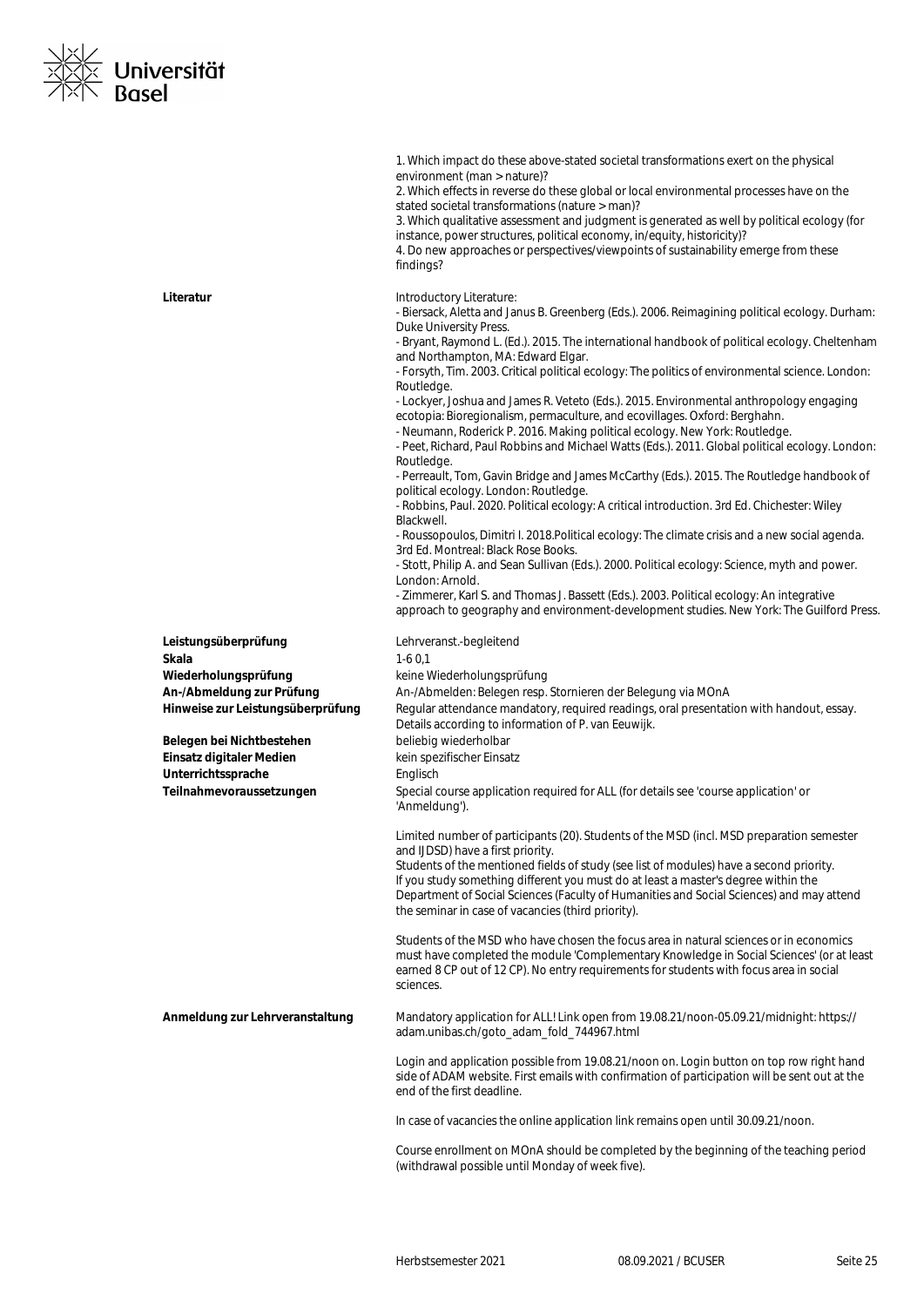

|                                   | 1. Which impact do these above-stated societal transformations exert on the physical<br>environment (man > nature)?<br>2. Which effects in reverse do these global or local environmental processes have on the<br>stated societal transformations (nature > man)?<br>3. Which qualitative assessment and judgment is generated as well by political ecology (for<br>instance, power structures, political economy, in/equity, historicity)?<br>4. Do new approaches or perspectives/viewpoints of sustainability emerge from these<br>findings?                                                                                                                                                                                                                                                                                                                                                                                                                                                                                                                                                                                                                                                                                                                                                                                                                                                                                                                                                   |
|-----------------------------------|----------------------------------------------------------------------------------------------------------------------------------------------------------------------------------------------------------------------------------------------------------------------------------------------------------------------------------------------------------------------------------------------------------------------------------------------------------------------------------------------------------------------------------------------------------------------------------------------------------------------------------------------------------------------------------------------------------------------------------------------------------------------------------------------------------------------------------------------------------------------------------------------------------------------------------------------------------------------------------------------------------------------------------------------------------------------------------------------------------------------------------------------------------------------------------------------------------------------------------------------------------------------------------------------------------------------------------------------------------------------------------------------------------------------------------------------------------------------------------------------------|
| Literatur                         | Introductory Literature:<br>- Biersack, Aletta and Janus B. Greenberg (Eds.). 2006. Reimagining political ecology. Durham:<br>Duke University Press.<br>- Bryant, Raymond L. (Ed.). 2015. The international handbook of political ecology. Cheltenham<br>and Northampton, MA: Edward Elgar.<br>- Forsyth, Tim. 2003. Critical political ecology: The politics of environmental science. London:<br>Routledge.<br>- Lockyer, Joshua and James R. Veteto (Eds.). 2015. Environmental anthropology engaging<br>ecotopia: Bioregionalism, permaculture, and ecovillages. Oxford: Berghahn.<br>- Neumann, Roderick P. 2016. Making political ecology. New York: Routledge.<br>- Peet, Richard, Paul Robbins and Michael Watts (Eds.). 2011. Global political ecology. London:<br>Routledge.<br>- Perreault, Tom, Gavin Bridge and James McCarthy (Eds.). 2015. The Routledge handbook of<br>political ecology. London: Routledge.<br>- Robbins, Paul. 2020. Political ecology: A critical introduction. 3rd Ed. Chichester: Wiley<br>Blackwell.<br>- Roussopoulos, Dimitri I. 2018. Political ecology: The climate crisis and a new social agenda.<br>3rd Ed. Montreal: Black Rose Books.<br>- Stott, Philip A. and Sean Sullivan (Eds.). 2000. Political ecology: Science, myth and power.<br>London: Arnold.<br>- Zimmerer, Karl S. and Thomas J. Bassett (Eds.). 2003. Political ecology: An integrative<br>approach to geography and environment-development studies. New York: The Guilford Press. |
| Leistungsüberprüfung              | Lehrveranst.-begleitend                                                                                                                                                                                                                                                                                                                                                                                                                                                                                                                                                                                                                                                                                                                                                                                                                                                                                                                                                                                                                                                                                                                                                                                                                                                                                                                                                                                                                                                                            |
| Skala                             | $1-60,1$                                                                                                                                                                                                                                                                                                                                                                                                                                                                                                                                                                                                                                                                                                                                                                                                                                                                                                                                                                                                                                                                                                                                                                                                                                                                                                                                                                                                                                                                                           |
| Wiederholungsprüfung              | keine Wiederholungsprüfung                                                                                                                                                                                                                                                                                                                                                                                                                                                                                                                                                                                                                                                                                                                                                                                                                                                                                                                                                                                                                                                                                                                                                                                                                                                                                                                                                                                                                                                                         |
| An-/Abmeldung zur Prüfung         | An-/Abmelden: Belegen resp. Stornieren der Belegung via MOnA                                                                                                                                                                                                                                                                                                                                                                                                                                                                                                                                                                                                                                                                                                                                                                                                                                                                                                                                                                                                                                                                                                                                                                                                                                                                                                                                                                                                                                       |
| Hinweise zur Leistungsüberprüfung | Regular attendance mandatory, required readings, oral presentation with handout, essay.<br>Details according to information of P. van Eeuwijk.                                                                                                                                                                                                                                                                                                                                                                                                                                                                                                                                                                                                                                                                                                                                                                                                                                                                                                                                                                                                                                                                                                                                                                                                                                                                                                                                                     |
| Belegen bei Nichtbestehen         | beliebig wiederholbar                                                                                                                                                                                                                                                                                                                                                                                                                                                                                                                                                                                                                                                                                                                                                                                                                                                                                                                                                                                                                                                                                                                                                                                                                                                                                                                                                                                                                                                                              |
| Einsatz digitaler Medien          | kein spezifischer Einsatz                                                                                                                                                                                                                                                                                                                                                                                                                                                                                                                                                                                                                                                                                                                                                                                                                                                                                                                                                                                                                                                                                                                                                                                                                                                                                                                                                                                                                                                                          |
| Unterrichtssprache                | Englisch                                                                                                                                                                                                                                                                                                                                                                                                                                                                                                                                                                                                                                                                                                                                                                                                                                                                                                                                                                                                                                                                                                                                                                                                                                                                                                                                                                                                                                                                                           |
| Teilnahmevoraussetzungen          | Special course application required for ALL (for details see 'course application' or<br>'Anmeldung').                                                                                                                                                                                                                                                                                                                                                                                                                                                                                                                                                                                                                                                                                                                                                                                                                                                                                                                                                                                                                                                                                                                                                                                                                                                                                                                                                                                              |
|                                   | Limited number of participants (20). Students of the MSD (incl. MSD preparation semester<br>and IJDSD) have a first priority.<br>Students of the mentioned fields of study (see list of modules) have a second priority.<br>If you study something different you must do at least a master's degree within the<br>Department of Social Sciences (Faculty of Humanities and Social Sciences) and may attend<br>the seminar in case of vacancies (third priority).                                                                                                                                                                                                                                                                                                                                                                                                                                                                                                                                                                                                                                                                                                                                                                                                                                                                                                                                                                                                                                   |
|                                   | Students of the MSD who have chosen the focus area in natural sciences or in economics<br>must have completed the module 'Complementary Knowledge in Social Sciences' (or at least<br>earned 8 CP out of 12 CP). No entry requirements for students with focus area in social<br>sciences.                                                                                                                                                                                                                                                                                                                                                                                                                                                                                                                                                                                                                                                                                                                                                                                                                                                                                                                                                                                                                                                                                                                                                                                                         |
| Anmeldung zur Lehrveranstaltung   | Mandatory application for ALL! Link open from 19.08.21/noon-05.09.21/midnight: https://<br>adam.unibas.ch/goto_adam_fold_744967.html                                                                                                                                                                                                                                                                                                                                                                                                                                                                                                                                                                                                                                                                                                                                                                                                                                                                                                                                                                                                                                                                                                                                                                                                                                                                                                                                                               |
|                                   | Login and application possible from 19.08.21/noon on. Login button on top row right hand<br>side of ADAM website. First emails with confirmation of participation will be sent out at the<br>end of the first deadline.                                                                                                                                                                                                                                                                                                                                                                                                                                                                                                                                                                                                                                                                                                                                                                                                                                                                                                                                                                                                                                                                                                                                                                                                                                                                            |
|                                   | In case of vacancies the online application link remains open until 30.09.21/noon.                                                                                                                                                                                                                                                                                                                                                                                                                                                                                                                                                                                                                                                                                                                                                                                                                                                                                                                                                                                                                                                                                                                                                                                                                                                                                                                                                                                                                 |
|                                   | Course enrollment on MOnA should be completed by the beginning of the teaching period<br>(withdrawal possible until Monday of week five).                                                                                                                                                                                                                                                                                                                                                                                                                                                                                                                                                                                                                                                                                                                                                                                                                                                                                                                                                                                                                                                                                                                                                                                                                                                                                                                                                          |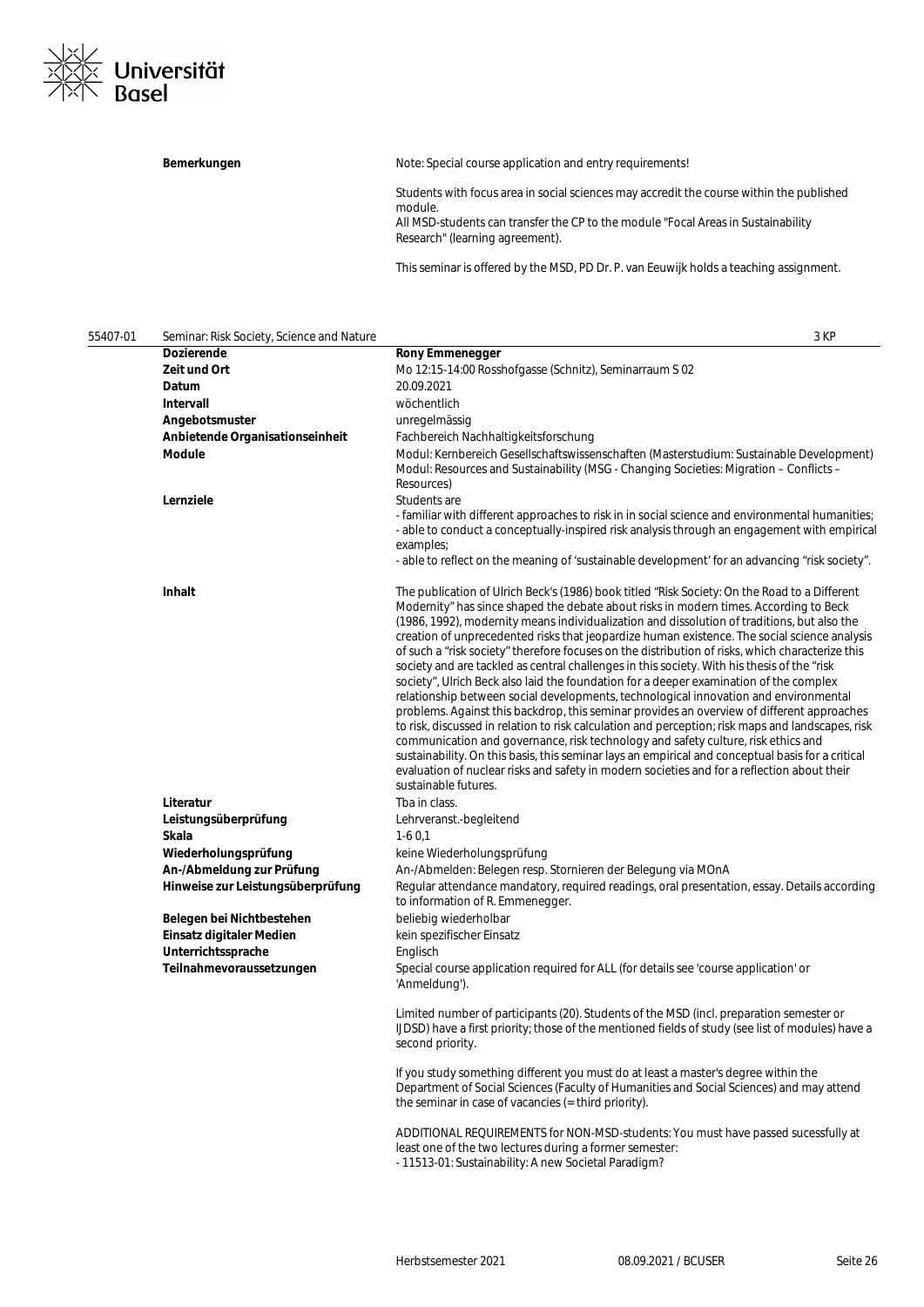

Bemerkungen **Bemerkungen** Note: Special course application and entry requirements!

Research" (learning agreement).

Students with focus area in social sciences may accredit the course within the published module. All MSD-students can transfer the CP to the module "Focal Areas in Sustainability

This seminar is offered by the MSD, PD Dr. P. van Eeuwijk holds a teaching assignment.

| 55407-01 | Seminar: Risk Society, Science and Nature | 3 KP                                                                                                                                                                                                                                                                                                                                                                                                                                                                                                                                                                                                                                                                                                                                                                                                                                                                                                                                                                                                                                                                                                                                                                                                                                                                                           |  |
|----------|-------------------------------------------|------------------------------------------------------------------------------------------------------------------------------------------------------------------------------------------------------------------------------------------------------------------------------------------------------------------------------------------------------------------------------------------------------------------------------------------------------------------------------------------------------------------------------------------------------------------------------------------------------------------------------------------------------------------------------------------------------------------------------------------------------------------------------------------------------------------------------------------------------------------------------------------------------------------------------------------------------------------------------------------------------------------------------------------------------------------------------------------------------------------------------------------------------------------------------------------------------------------------------------------------------------------------------------------------|--|
|          | Dozierende                                | <b>Rony Emmenegger</b>                                                                                                                                                                                                                                                                                                                                                                                                                                                                                                                                                                                                                                                                                                                                                                                                                                                                                                                                                                                                                                                                                                                                                                                                                                                                         |  |
|          | Zeit und Ort                              | Mo 12:15-14:00 Rosshofgasse (Schnitz), Seminarraum S 02                                                                                                                                                                                                                                                                                                                                                                                                                                                                                                                                                                                                                                                                                                                                                                                                                                                                                                                                                                                                                                                                                                                                                                                                                                        |  |
|          | Datum                                     | 20.09.2021                                                                                                                                                                                                                                                                                                                                                                                                                                                                                                                                                                                                                                                                                                                                                                                                                                                                                                                                                                                                                                                                                                                                                                                                                                                                                     |  |
|          | Intervall                                 | wöchentlich                                                                                                                                                                                                                                                                                                                                                                                                                                                                                                                                                                                                                                                                                                                                                                                                                                                                                                                                                                                                                                                                                                                                                                                                                                                                                    |  |
|          | Angebotsmuster                            | unregelmässig                                                                                                                                                                                                                                                                                                                                                                                                                                                                                                                                                                                                                                                                                                                                                                                                                                                                                                                                                                                                                                                                                                                                                                                                                                                                                  |  |
|          | Anbietende Organisationseinheit           | Fachbereich Nachhaltigkeitsforschung                                                                                                                                                                                                                                                                                                                                                                                                                                                                                                                                                                                                                                                                                                                                                                                                                                                                                                                                                                                                                                                                                                                                                                                                                                                           |  |
|          | Module                                    | Modul: Kernbereich Gesellschaftswissenschaften (Masterstudium: Sustainable Development)<br>Modul: Resources and Sustainability (MSG - Changing Societies: Migration - Conflicts -<br>Resources)                                                                                                                                                                                                                                                                                                                                                                                                                                                                                                                                                                                                                                                                                                                                                                                                                                                                                                                                                                                                                                                                                                |  |
|          | Lernziele                                 | Students are<br>- familiar with different approaches to risk in in social science and environmental humanities;<br>- able to conduct a conceptually-inspired risk analysis through an engagement with empirical<br>examples;<br>- able to reflect on the meaning of 'sustainable development' for an advancing "risk society".                                                                                                                                                                                                                                                                                                                                                                                                                                                                                                                                                                                                                                                                                                                                                                                                                                                                                                                                                                 |  |
|          |                                           |                                                                                                                                                                                                                                                                                                                                                                                                                                                                                                                                                                                                                                                                                                                                                                                                                                                                                                                                                                                                                                                                                                                                                                                                                                                                                                |  |
|          | Inhalt                                    | The publication of Ulrich Beck's (1986) book titled "Risk Society: On the Road to a Different<br>Modernity" has since shaped the debate about risks in modern times. According to Beck<br>(1986, 1992), modernity means individualization and dissolution of traditions, but also the<br>creation of unprecedented risks that jeopardize human existence. The social science analysis<br>of such a "risk society" therefore focuses on the distribution of risks, which characterize this<br>society and are tackled as central challenges in this society. With his thesis of the "risk<br>society", Ulrich Beck also laid the foundation for a deeper examination of the complex<br>relationship between social developments, technological innovation and environmental<br>problems. Against this backdrop, this seminar provides an overview of different approaches<br>to risk, discussed in relation to risk calculation and perception; risk maps and landscapes, risk<br>communication and governance, risk technology and safety culture, risk ethics and<br>sustainability. On this basis, this seminar lays an empirical and conceptual basis for a critical<br>evaluation of nuclear risks and safety in modern societies and for a reflection about their<br>sustainable futures. |  |
|          | Literatur                                 | Tba in class.                                                                                                                                                                                                                                                                                                                                                                                                                                                                                                                                                                                                                                                                                                                                                                                                                                                                                                                                                                                                                                                                                                                                                                                                                                                                                  |  |
|          | Leistungsüberprüfung                      | Lehrveranst.-begleitend                                                                                                                                                                                                                                                                                                                                                                                                                                                                                                                                                                                                                                                                                                                                                                                                                                                                                                                                                                                                                                                                                                                                                                                                                                                                        |  |
|          | Skala                                     | $1-60,1$                                                                                                                                                                                                                                                                                                                                                                                                                                                                                                                                                                                                                                                                                                                                                                                                                                                                                                                                                                                                                                                                                                                                                                                                                                                                                       |  |
|          | Wiederholungsprüfung                      | keine Wiederholungsprüfung                                                                                                                                                                                                                                                                                                                                                                                                                                                                                                                                                                                                                                                                                                                                                                                                                                                                                                                                                                                                                                                                                                                                                                                                                                                                     |  |
|          | An-/Abmeldung zur Prüfung                 | An-/Abmelden: Belegen resp. Stornieren der Belegung via MOnA                                                                                                                                                                                                                                                                                                                                                                                                                                                                                                                                                                                                                                                                                                                                                                                                                                                                                                                                                                                                                                                                                                                                                                                                                                   |  |
|          | Hinweise zur Leistungsüberprüfung         | Regular attendance mandatory, required readings, oral presentation, essay. Details according<br>to information of R. Emmenegger.                                                                                                                                                                                                                                                                                                                                                                                                                                                                                                                                                                                                                                                                                                                                                                                                                                                                                                                                                                                                                                                                                                                                                               |  |
|          | Belegen bei Nichtbestehen                 | beliebig wiederholbar                                                                                                                                                                                                                                                                                                                                                                                                                                                                                                                                                                                                                                                                                                                                                                                                                                                                                                                                                                                                                                                                                                                                                                                                                                                                          |  |
|          | Einsatz digitaler Medien                  | kein spezifischer Einsatz                                                                                                                                                                                                                                                                                                                                                                                                                                                                                                                                                                                                                                                                                                                                                                                                                                                                                                                                                                                                                                                                                                                                                                                                                                                                      |  |
|          | Unterrichtssprache                        | Englisch                                                                                                                                                                                                                                                                                                                                                                                                                                                                                                                                                                                                                                                                                                                                                                                                                                                                                                                                                                                                                                                                                                                                                                                                                                                                                       |  |
|          | Teilnahmevoraussetzungen                  | Special course application required for ALL (for details see 'course application' or<br>'Anmeldung').                                                                                                                                                                                                                                                                                                                                                                                                                                                                                                                                                                                                                                                                                                                                                                                                                                                                                                                                                                                                                                                                                                                                                                                          |  |
|          |                                           | Limited number of participants (20). Students of the MSD (incl. preparation semester or<br>IJDSD) have a first priority; those of the mentioned fields of study (see list of modules) have a<br>second priority.                                                                                                                                                                                                                                                                                                                                                                                                                                                                                                                                                                                                                                                                                                                                                                                                                                                                                                                                                                                                                                                                               |  |
|          |                                           | If you study something different you must do at least a master's degree within the<br>Department of Social Sciences (Faculty of Humanities and Social Sciences) and may attend<br>the seminar in case of vacancies (= third priority).                                                                                                                                                                                                                                                                                                                                                                                                                                                                                                                                                                                                                                                                                                                                                                                                                                                                                                                                                                                                                                                         |  |
|          |                                           | ADDITIONAL REQUIREMENTS for NON-MSD-students: You must have passed sucessfully at<br>least one of the two lectures during a former semester:<br>- 11513-01: Sustainability: A new Societal Paradigm?                                                                                                                                                                                                                                                                                                                                                                                                                                                                                                                                                                                                                                                                                                                                                                                                                                                                                                                                                                                                                                                                                           |  |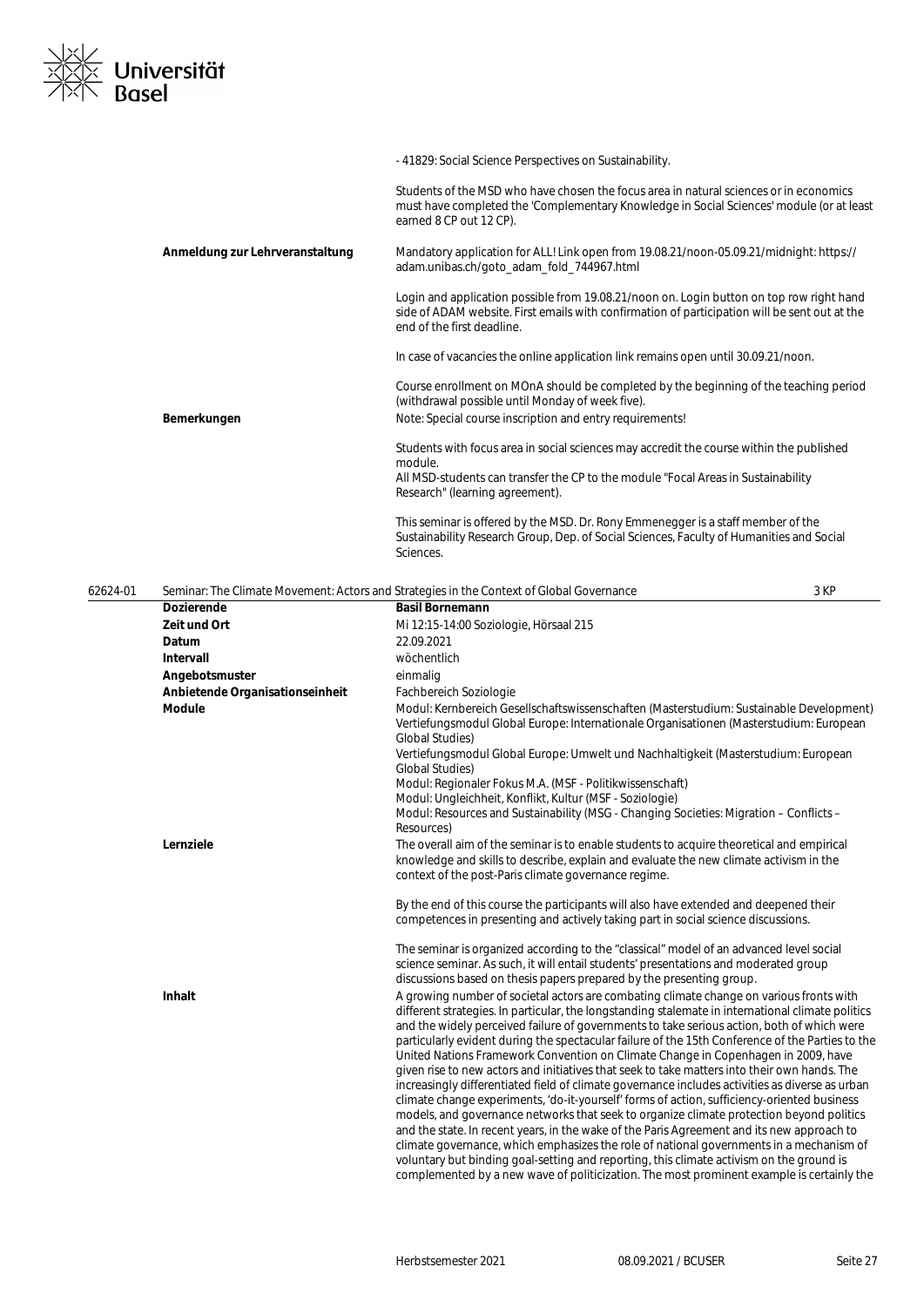

|                                 | - 41829: Social Science Perspectives on Sustainability.                                                                                                                                                                 |
|---------------------------------|-------------------------------------------------------------------------------------------------------------------------------------------------------------------------------------------------------------------------|
|                                 | Students of the MSD who have chosen the focus area in natural sciences or in economics<br>must have completed the 'Complementary Knowledge in Social Sciences' module (or at least<br>earned 8 CP out 12 CP).           |
| Anmeldung zur Lehrveranstaltung | Mandatory application for ALL! Link open from 19.08.21/noon-05.09.21/midnight: https://<br>adam.unibas.ch/goto_adam_fold_744967.html                                                                                    |
|                                 | Login and application possible from 19.08.21/noon on. Login button on top row right hand<br>side of ADAM website. First emails with confirmation of participation will be sent out at the<br>end of the first deadline. |
|                                 | In case of vacancies the online application link remains open until 30.09.21/noon.                                                                                                                                      |
|                                 | Course enrollment on MOnA should be completed by the beginning of the teaching period<br>(withdrawal possible until Monday of week five).                                                                               |
| Bemerkungen                     | Note: Special course inscription and entry requirements!                                                                                                                                                                |
|                                 | Students with focus area in social sciences may accredit the course within the published<br>module.                                                                                                                     |
|                                 | All MSD-students can transfer the CP to the module "Focal Areas in Sustainability<br>Research" (learning agreement).                                                                                                    |
|                                 | This seminar is offered by the MSD. Dr. Rony Emmenegger is a staff member of the<br>Sustainability Research Group, Dep. of Social Sciences, Faculty of Humanities and Social<br>Sciences.                               |
|                                 |                                                                                                                                                                                                                         |

| 62624-01 | Seminar: The Climate Movement: Actors and Strategies in the Context of Global Governance |                                                                                                                                                                                                                                                                                                                                                                                                                                                                                                                                                                                                                                                                                                                                                                                                                                                                                                                                                                                                                                                                                                                                                                                                                                                                     | 3 KP |
|----------|------------------------------------------------------------------------------------------|---------------------------------------------------------------------------------------------------------------------------------------------------------------------------------------------------------------------------------------------------------------------------------------------------------------------------------------------------------------------------------------------------------------------------------------------------------------------------------------------------------------------------------------------------------------------------------------------------------------------------------------------------------------------------------------------------------------------------------------------------------------------------------------------------------------------------------------------------------------------------------------------------------------------------------------------------------------------------------------------------------------------------------------------------------------------------------------------------------------------------------------------------------------------------------------------------------------------------------------------------------------------|------|
|          | <b>Dozierende</b>                                                                        | <b>Basil Bornemann</b>                                                                                                                                                                                                                                                                                                                                                                                                                                                                                                                                                                                                                                                                                                                                                                                                                                                                                                                                                                                                                                                                                                                                                                                                                                              |      |
|          | Zeit und Ort                                                                             | Mi 12:15-14:00 Soziologie, Hörsaal 215                                                                                                                                                                                                                                                                                                                                                                                                                                                                                                                                                                                                                                                                                                                                                                                                                                                                                                                                                                                                                                                                                                                                                                                                                              |      |
|          | Datum                                                                                    | 22.09.2021                                                                                                                                                                                                                                                                                                                                                                                                                                                                                                                                                                                                                                                                                                                                                                                                                                                                                                                                                                                                                                                                                                                                                                                                                                                          |      |
|          | <b>Intervall</b>                                                                         | wöchentlich                                                                                                                                                                                                                                                                                                                                                                                                                                                                                                                                                                                                                                                                                                                                                                                                                                                                                                                                                                                                                                                                                                                                                                                                                                                         |      |
|          | Angebotsmuster                                                                           | einmalig                                                                                                                                                                                                                                                                                                                                                                                                                                                                                                                                                                                                                                                                                                                                                                                                                                                                                                                                                                                                                                                                                                                                                                                                                                                            |      |
|          | Anbietende Organisationseinheit                                                          | Fachbereich Soziologie                                                                                                                                                                                                                                                                                                                                                                                                                                                                                                                                                                                                                                                                                                                                                                                                                                                                                                                                                                                                                                                                                                                                                                                                                                              |      |
|          | <b>Module</b>                                                                            | Modul: Kernbereich Gesellschaftswissenschaften (Masterstudium: Sustainable Development)<br>Vertiefungsmodul Global Europe: Internationale Organisationen (Masterstudium: European<br><b>Global Studies)</b>                                                                                                                                                                                                                                                                                                                                                                                                                                                                                                                                                                                                                                                                                                                                                                                                                                                                                                                                                                                                                                                         |      |
|          |                                                                                          | Vertiefungsmodul Global Europe: Umwelt und Nachhaltigkeit (Masterstudium: European<br><b>Global Studies)</b>                                                                                                                                                                                                                                                                                                                                                                                                                                                                                                                                                                                                                                                                                                                                                                                                                                                                                                                                                                                                                                                                                                                                                        |      |
|          |                                                                                          | Modul: Regionaler Fokus M.A. (MSF - Politikwissenschaft)                                                                                                                                                                                                                                                                                                                                                                                                                                                                                                                                                                                                                                                                                                                                                                                                                                                                                                                                                                                                                                                                                                                                                                                                            |      |
|          |                                                                                          | Modul: Ungleichheit, Konflikt, Kultur (MSF - Soziologie)<br>Modul: Resources and Sustainability (MSG - Changing Societies: Migration - Conflicts -<br>Resources)                                                                                                                                                                                                                                                                                                                                                                                                                                                                                                                                                                                                                                                                                                                                                                                                                                                                                                                                                                                                                                                                                                    |      |
|          | Lernziele                                                                                | The overall aim of the seminar is to enable students to acquire theoretical and empirical<br>knowledge and skills to describe, explain and evaluate the new climate activism in the<br>context of the post-Paris climate governance regime.                                                                                                                                                                                                                                                                                                                                                                                                                                                                                                                                                                                                                                                                                                                                                                                                                                                                                                                                                                                                                         |      |
|          |                                                                                          | By the end of this course the participants will also have extended and deepened their<br>competences in presenting and actively taking part in social science discussions.                                                                                                                                                                                                                                                                                                                                                                                                                                                                                                                                                                                                                                                                                                                                                                                                                                                                                                                                                                                                                                                                                          |      |
|          |                                                                                          | The seminar is organized according to the "classical" model of an advanced level social<br>science seminar. As such, it will entail students' presentations and moderated group<br>discussions based on thesis papers prepared by the presenting group.                                                                                                                                                                                                                                                                                                                                                                                                                                                                                                                                                                                                                                                                                                                                                                                                                                                                                                                                                                                                             |      |
|          | <b>Inhalt</b>                                                                            | A growing number of societal actors are combating climate change on various fronts with<br>different strategies. In particular, the longstanding stalemate in international climate politics<br>and the widely perceived failure of governments to take serious action, both of which were<br>particularly evident during the spectacular failure of the 15th Conference of the Parties to the<br>United Nations Framework Convention on Climate Change in Copenhagen in 2009, have<br>given rise to new actors and initiatives that seek to take matters into their own hands. The<br>increasingly differentiated field of climate governance includes activities as diverse as urban<br>climate change experiments, 'do-it-yourself' forms of action, sufficiency-oriented business<br>models, and governance networks that seek to organize climate protection beyond politics<br>and the state. In recent years, in the wake of the Paris Agreement and its new approach to<br>climate governance, which emphasizes the role of national governments in a mechanism of<br>voluntary but binding goal-setting and reporting, this climate activism on the ground is<br>complemented by a new wave of politicization. The most prominent example is certainly the |      |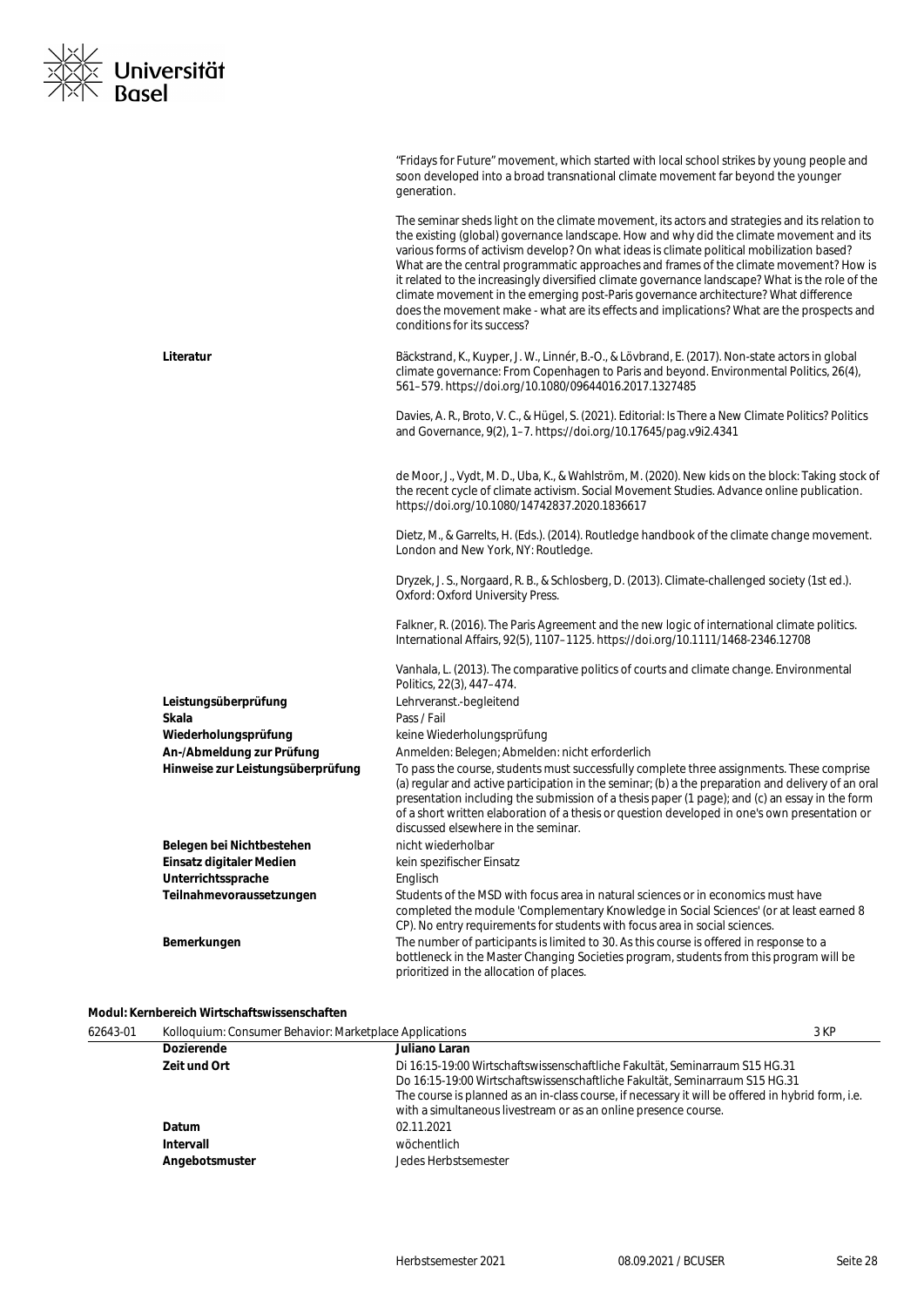

|                                   | "Fridays for Future" movement, which started with local school strikes by young people and<br>soon developed into a broad transnational climate movement far beyond the younger<br>generation.                                                                                                                                                                                                                                                                                                                                                                                                                                                                                                              |
|-----------------------------------|-------------------------------------------------------------------------------------------------------------------------------------------------------------------------------------------------------------------------------------------------------------------------------------------------------------------------------------------------------------------------------------------------------------------------------------------------------------------------------------------------------------------------------------------------------------------------------------------------------------------------------------------------------------------------------------------------------------|
|                                   | The seminar sheds light on the climate movement, its actors and strategies and its relation to<br>the existing (global) governance landscape. How and why did the climate movement and its<br>various forms of activism develop? On what ideas is climate political mobilization based?<br>What are the central programmatic approaches and frames of the climate movement? How is<br>it related to the increasingly diversified climate governance landscape? What is the role of the<br>climate movement in the emerging post-Paris governance architecture? What difference<br>does the movement make - what are its effects and implications? What are the prospects and<br>conditions for its success? |
| Literatur                         | Bäckstrand, K., Kuyper, J. W., Linnér, B.-O., & Lövbrand, E. (2017). Non-state actors in global<br>climate governance: From Copenhagen to Paris and beyond. Environmental Politics, 26(4),<br>561-579. https://doi.org/10.1080/09644016.2017.1327485                                                                                                                                                                                                                                                                                                                                                                                                                                                        |
|                                   | Davies, A. R., Broto, V. C., & Hügel, S. (2021). Editorial: Is There a New Climate Politics? Politics<br>and Governance, 9(2), 1-7. https://doi.org/10.17645/pag.v9i2.4341                                                                                                                                                                                                                                                                                                                                                                                                                                                                                                                                  |
|                                   | de Moor, J., Vydt, M. D., Uba, K., & Wahlström, M. (2020). New kids on the block: Taking stock of<br>the recent cycle of climate activism. Social Movement Studies. Advance online publication.<br>https://doi.org/10.1080/14742837.2020.1836617                                                                                                                                                                                                                                                                                                                                                                                                                                                            |
|                                   | Dietz, M., & Garrelts, H. (Eds.). (2014). Routledge handbook of the climate change movement.<br>London and New York, NY: Routledge.                                                                                                                                                                                                                                                                                                                                                                                                                                                                                                                                                                         |
|                                   | Dryzek, J. S., Norgaard, R. B., & Schlosberg, D. (2013). Climate-challenged society (1st ed.).<br>Oxford: Oxford University Press.                                                                                                                                                                                                                                                                                                                                                                                                                                                                                                                                                                          |
|                                   | Falkner, R. (2016). The Paris Agreement and the new logic of international climate politics.<br>International Affairs, 92(5), 1107-1125. https://doi.org/10.1111/1468-2346.12708                                                                                                                                                                                                                                                                                                                                                                                                                                                                                                                            |
|                                   | Vanhala, L. (2013). The comparative politics of courts and climate change. Environmental<br>Politics, 22(3), 447-474.                                                                                                                                                                                                                                                                                                                                                                                                                                                                                                                                                                                       |
| Leistungsüberprüfung              | Lehrveranst.-begleitend                                                                                                                                                                                                                                                                                                                                                                                                                                                                                                                                                                                                                                                                                     |
| Skala                             | Pass / Fail                                                                                                                                                                                                                                                                                                                                                                                                                                                                                                                                                                                                                                                                                                 |
| Wiederholungsprüfung              | keine Wiederholungsprüfung                                                                                                                                                                                                                                                                                                                                                                                                                                                                                                                                                                                                                                                                                  |
| An-/Abmeldung zur Prüfung         | Anmelden: Belegen; Abmelden: nicht erforderlich                                                                                                                                                                                                                                                                                                                                                                                                                                                                                                                                                                                                                                                             |
| Hinweise zur Leistungsüberprüfung | To pass the course, students must successfully complete three assignments. These comprise<br>(a) regular and active participation in the seminar; (b) a the preparation and delivery of an oral<br>presentation including the submission of a thesis paper (1 page); and (c) an essay in the form<br>of a short written elaboration of a thesis or question developed in one's own presentation or<br>discussed elsewhere in the seminar.                                                                                                                                                                                                                                                                   |
| Belegen bei Nichtbestehen         | nicht wiederholbar                                                                                                                                                                                                                                                                                                                                                                                                                                                                                                                                                                                                                                                                                          |
| Einsatz digitaler Medien          | kein spezifischer Einsatz                                                                                                                                                                                                                                                                                                                                                                                                                                                                                                                                                                                                                                                                                   |
| Unterrichtssprache                | Englisch                                                                                                                                                                                                                                                                                                                                                                                                                                                                                                                                                                                                                                                                                                    |
| Teilnahmevoraussetzungen          | Students of the MSD with focus area in natural sciences or in economics must have<br>completed the module 'Complementary Knowledge in Social Sciences' (or at least earned 8<br>CP). No entry requirements for students with focus area in social sciences.                                                                                                                                                                                                                                                                                                                                                                                                                                                 |
| Bemerkungen                       | The number of participants is limited to 30. As this course is offered in response to a<br>bottleneck in the Master Changing Societies program, students from this program will be<br>prioritized in the allocation of places.                                                                                                                                                                                                                                                                                                                                                                                                                                                                              |

#### **Modul: Kernbereich Wirtschaftswissenschaften**

| 62643-01 | Kolloquium: Consumer Behavior: Marketplace Applications |                                                                                                                                                                                                                                                                                                                                    | 3 KP |
|----------|---------------------------------------------------------|------------------------------------------------------------------------------------------------------------------------------------------------------------------------------------------------------------------------------------------------------------------------------------------------------------------------------------|------|
|          | <b>Dozierende</b>                                       | Juliano Laran                                                                                                                                                                                                                                                                                                                      |      |
|          | Zeit und Ort                                            | Di 16:15-19:00 Wirtschaftswissenschaftliche Fakultät, Seminarraum S15 HG.31<br>Do 16:15-19:00 Wirtschaftswissenschaftliche Fakultät, Seminarraum S15 HG.31<br>The course is planned as an in-class course, if necessary it will be offered in hybrid form, i.e.<br>with a simultaneous livestream or as an online presence course. |      |
|          | Datum<br>Intervall<br>Angebotsmuster                    | 02.11.2021<br>wöchentlich<br>Jedes Herbstsemester                                                                                                                                                                                                                                                                                  |      |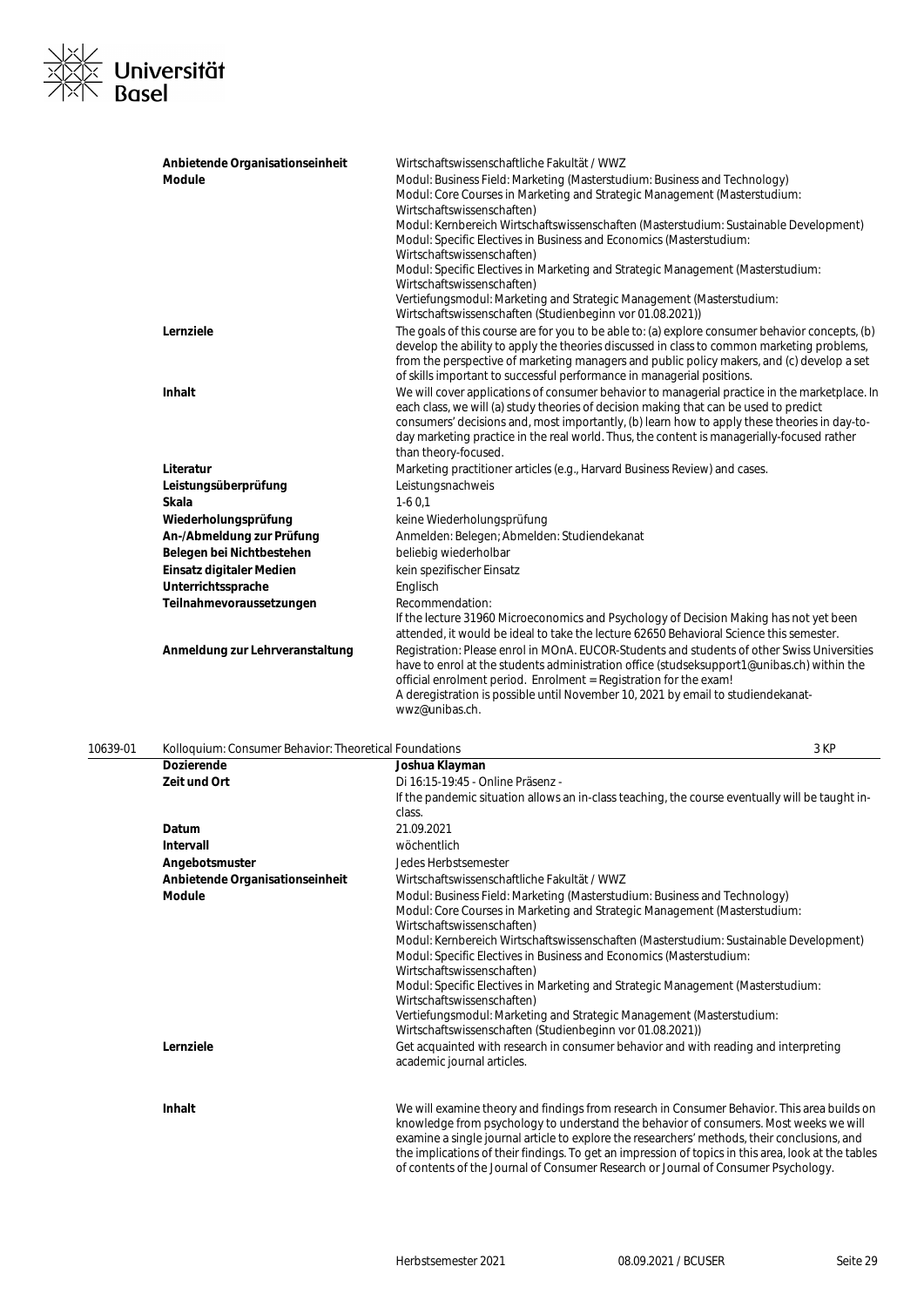

| Anbietende Organisationseinheit | Wirtschaftswissenschaftliche Fakultät / WWZ                                                                                                                                                                                                                                                                                                                                                                  |
|---------------------------------|--------------------------------------------------------------------------------------------------------------------------------------------------------------------------------------------------------------------------------------------------------------------------------------------------------------------------------------------------------------------------------------------------------------|
| <b>Module</b>                   | Modul: Business Field: Marketing (Masterstudium: Business and Technology)<br>Modul: Core Courses in Marketing and Strategic Management (Masterstudium:                                                                                                                                                                                                                                                       |
|                                 | Wirtschaftswissenschaften)<br>Modul: Kernbereich Wirtschaftswissenschaften (Masterstudium: Sustainable Development)<br>Modul: Specific Electives in Business and Economics (Masterstudium:                                                                                                                                                                                                                   |
|                                 | Wirtschaftswissenschaften)<br>Modul: Specific Electives in Marketing and Strategic Management (Masterstudium:<br>Wirtschaftswissenschaften)                                                                                                                                                                                                                                                                  |
|                                 | Vertiefungsmodul: Marketing and Strategic Management (Masterstudium:<br>Wirtschaftswissenschaften (Studienbeginn vor 01.08.2021))                                                                                                                                                                                                                                                                            |
| Lernziele                       | The goals of this course are for you to be able to: (a) explore consumer behavior concepts, (b)<br>develop the ability to apply the theories discussed in class to common marketing problems,<br>from the perspective of marketing managers and public policy makers, and (c) develop a set<br>of skills important to successful performance in managerial positions.                                        |
| Inhalt                          | We will cover applications of consumer behavior to managerial practice in the marketplace. In<br>each class, we will (a) study theories of decision making that can be used to predict<br>consumers' decisions and, most importantly, (b) learn how to apply these theories in day-to-<br>day marketing practice in the real world. Thus, the content is managerially-focused rather<br>than theory-focused. |
| Literatur                       | Marketing practitioner articles (e.g., Harvard Business Review) and cases.                                                                                                                                                                                                                                                                                                                                   |
| Leistungsüberprüfung            | Leistungsnachweis                                                                                                                                                                                                                                                                                                                                                                                            |
| Skala                           | $1-60.1$                                                                                                                                                                                                                                                                                                                                                                                                     |
| Wiederholungsprüfung            | keine Wiederholungsprüfung                                                                                                                                                                                                                                                                                                                                                                                   |
| An-/Abmeldung zur Prüfung       | Anmelden: Belegen; Abmelden: Studiendekanat                                                                                                                                                                                                                                                                                                                                                                  |
| Belegen bei Nichtbestehen       | beliebig wiederholbar                                                                                                                                                                                                                                                                                                                                                                                        |
| Einsatz digitaler Medien        | kein spezifischer Einsatz                                                                                                                                                                                                                                                                                                                                                                                    |
| Unterrichtssprache              | Englisch                                                                                                                                                                                                                                                                                                                                                                                                     |
| Teilnahmevoraussetzungen        | Recommendation:<br>If the lecture 31960 Microeconomics and Psychology of Decision Making has not yet been<br>attended, it would be ideal to take the lecture 62650 Behavioral Science this semester.                                                                                                                                                                                                         |
| Anmeldung zur Lehrveranstaltung | Registration: Please enrol in MOnA. EUCOR-Students and students of other Swiss Universities<br>have to enrol at the students administration office (studseksupport1@unibas.ch) within the<br>official enrolment period. Enrolment = Registration for the exam!<br>A deregistration is possible until November 10, 2021 by email to studiendekanat-<br>wwz@unibas.ch.                                         |

| 10639-01 | Kolloquium: Consumer Behavior: Theoretical Foundations |                                                                                                                                                                                            | 3 KP |
|----------|--------------------------------------------------------|--------------------------------------------------------------------------------------------------------------------------------------------------------------------------------------------|------|
|          | <b>Dozierende</b>                                      | Joshua Klayman                                                                                                                                                                             |      |
|          | Zeit und Ort                                           | Di 16:15-19:45 - Online Präsenz -                                                                                                                                                          |      |
|          |                                                        | If the pandemic situation allows an in-class teaching, the course eventually will be taught in-<br>class.                                                                                  |      |
|          | Datum                                                  | 21.09.2021                                                                                                                                                                                 |      |
|          | <b>Intervall</b>                                       | wöchentlich                                                                                                                                                                                |      |
|          | Angebotsmuster                                         | Jedes Herbstsemester                                                                                                                                                                       |      |
|          | Anbietende Organisationseinheit                        | Wirtschaftswissenschaftliche Fakultät / WWZ                                                                                                                                                |      |
|          | Module                                                 | Modul: Business Field: Marketing (Masterstudium: Business and Technology)<br>Modul: Core Courses in Marketing and Strategic Management (Masterstudium:<br>Wirtschaftswissenschaften)       |      |
|          |                                                        | Modul: Kernbereich Wirtschaftswissenschaften (Masterstudium: Sustainable Development)<br>Modul: Specific Electives in Business and Economics (Masterstudium:<br>Wirtschaftswissenschaften) |      |
|          |                                                        | Modul: Specific Electives in Marketing and Strategic Management (Masterstudium:<br>Wirtschaftswissenschaften)                                                                              |      |
|          |                                                        | Vertiefungsmodul: Marketing and Strategic Management (Masterstudium:<br>Wirtschaftswissenschaften (Studienbeginn vor 01.08.2021))                                                          |      |

Inhalt **Inhalt** We will examine theory and findings from research in Consumer Behavior. This area builds on knowledge from psychology to understand the behavior of consumers. Most weeks we will examine a single journal article to explore the researchers' methods, their conclusions, and the implications of their findings. To get an impression of topics in this area, look at the tables of contents of the Journal of Consumer Research or Journal of Consumer Psychology.

Lernziele **Lernziele** Get acquainted with research in consumer behavior and with reading and interpreting

academic journal articles.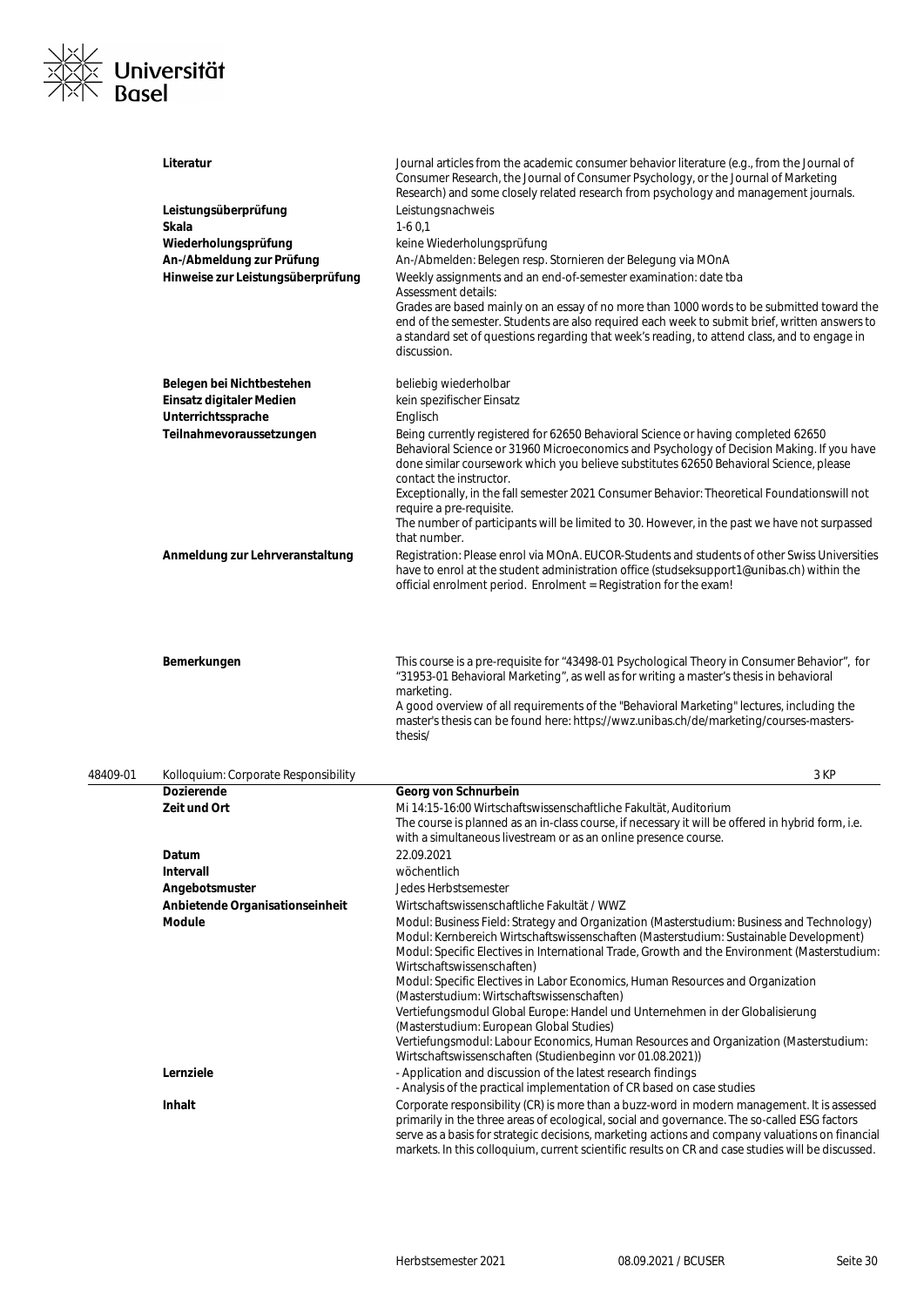

|          | Literatur                            | Journal articles from the academic consumer behavior literature (e.g., from the Journal of<br>Consumer Research, the Journal of Consumer Psychology, or the Journal of Marketing<br>Research) and some closely related research from psychology and management journals.                                                                                                                                                                                                                                                                                                     |
|----------|--------------------------------------|------------------------------------------------------------------------------------------------------------------------------------------------------------------------------------------------------------------------------------------------------------------------------------------------------------------------------------------------------------------------------------------------------------------------------------------------------------------------------------------------------------------------------------------------------------------------------|
|          | Leistungsüberprüfung                 | Leistungsnachweis                                                                                                                                                                                                                                                                                                                                                                                                                                                                                                                                                            |
|          | Skala                                | $1-60,1$                                                                                                                                                                                                                                                                                                                                                                                                                                                                                                                                                                     |
|          | Wiederholungsprüfung                 | keine Wiederholungsprüfung                                                                                                                                                                                                                                                                                                                                                                                                                                                                                                                                                   |
|          | An-/Abmeldung zur Prüfung            | An-/Abmelden: Belegen resp. Stornieren der Belegung via MOnA                                                                                                                                                                                                                                                                                                                                                                                                                                                                                                                 |
|          | Hinweise zur Leistungsüberprüfung    | Weekly assignments and an end-of-semester examination: date tba                                                                                                                                                                                                                                                                                                                                                                                                                                                                                                              |
|          |                                      | Assessment details:                                                                                                                                                                                                                                                                                                                                                                                                                                                                                                                                                          |
|          |                                      | Grades are based mainly on an essay of no more than 1000 words to be submitted toward the<br>end of the semester. Students are also required each week to submit brief, written answers to<br>a standard set of questions regarding that week's reading, to attend class, and to engage in<br>discussion.                                                                                                                                                                                                                                                                    |
|          | Belegen bei Nichtbestehen            | beliebig wiederholbar                                                                                                                                                                                                                                                                                                                                                                                                                                                                                                                                                        |
|          | Einsatz digitaler Medien             | kein spezifischer Einsatz                                                                                                                                                                                                                                                                                                                                                                                                                                                                                                                                                    |
|          | Unterrichtssprache                   | Englisch                                                                                                                                                                                                                                                                                                                                                                                                                                                                                                                                                                     |
|          | Teilnahmevoraussetzungen             | Being currently registered for 62650 Behavioral Science or having completed 62650<br>Behavioral Science or 31960 Microeconomics and Psychology of Decision Making. If you have<br>done similar coursework which you believe substitutes 62650 Behavioral Science, please<br>contact the instructor.<br>Exceptionally, in the fall semester 2021 Consumer Behavior: Theoretical Foundationswill not<br>require a pre-requisite.<br>The number of participants will be limited to 30. However, in the past we have not surpassed<br>that number.                               |
|          | Anmeldung zur Lehrveranstaltung      | Registration: Please enrol via MOnA. EUCOR-Students and students of other Swiss Universities<br>have to enrol at the student administration office (studseksupport1@unibas.ch) within the<br>official enrolment period. Enrolment = Registration for the exam!                                                                                                                                                                                                                                                                                                               |
|          | Bemerkungen                          | This course is a pre-requisite for "43498-01 Psychological Theory in Consumer Behavior", for<br>"31953-01 Behavioral Marketing", as well as for writing a master's thesis in behavioral<br>marketing.<br>A good overview of all requirements of the "Behavioral Marketing" lectures, including the<br>master's thesis can be found here: https://wwz.unibas.ch/de/marketing/courses-masters-<br>thesis/                                                                                                                                                                      |
| 48409-01 | Kolloquium: Corporate Responsibility | 3 KP                                                                                                                                                                                                                                                                                                                                                                                                                                                                                                                                                                         |
|          | <b>Dozierende</b>                    | Georg von Schnurbein                                                                                                                                                                                                                                                                                                                                                                                                                                                                                                                                                         |
|          | Zeit und Ort                         | Mi 14:15-16:00 Wirtschaftswissenschaftliche Fakultät. Auditorium<br>The course is planned as an in-class course, if necessary it will be offered in hybrid form, i.e.<br>with a simultaneous livestream or as an online presence course.                                                                                                                                                                                                                                                                                                                                     |
|          | Datum                                | 22.09.2021                                                                                                                                                                                                                                                                                                                                                                                                                                                                                                                                                                   |
|          | Intervall                            | wöchentlich                                                                                                                                                                                                                                                                                                                                                                                                                                                                                                                                                                  |
|          | Angebotsmuster                       | Jedes Herbstsemester                                                                                                                                                                                                                                                                                                                                                                                                                                                                                                                                                         |
|          | Anbietende Organisationseinheit      | Wirtschaftswissenschaftliche Fakultät / WWZ                                                                                                                                                                                                                                                                                                                                                                                                                                                                                                                                  |
|          | Module                               | Modul: Business Field: Strategy and Organization (Masterstudium: Business and Technology)<br>Modul: Kernbereich Wirtschaftswissenschaften (Masterstudium: Sustainable Development)<br>Modul: Specific Electives in International Trade, Growth and the Environment (Masterstudium:<br>Wirtschaftswissenschaften)<br>Modul: Specific Electives in Labor Economics, Human Resources and Organization<br>(Masterstudium: Wirtschaftswissenschaften)<br>Vertiefungsmodul Global Europe: Handel und Unternehmen in der Globalisierung<br>(Masterstudium: European Global Studies) |
|          |                                      | Vertiefungsmodul: Labour Economics, Human Resources and Organization (Masterstudium:<br>Wirtschaftswissenschaften (Studienbeginn vor 01.08.2021))                                                                                                                                                                                                                                                                                                                                                                                                                            |
|          | Lernziele                            | - Application and discussion of the latest research findings<br>- Analysis of the practical implementation of CR based on case studies                                                                                                                                                                                                                                                                                                                                                                                                                                       |
|          | Inhalt                               | Corporate responsibility (CR) is more than a buzz-word in modern management. It is assessed<br>primarily in the three areas of ecological, social and governance. The so-called ESG factors<br>serve as a basis for strategic decisions, marketing actions and company valuations on financial<br>markets. In this colloquium, current scientific results on CR and case studies will be discussed.                                                                                                                                                                          |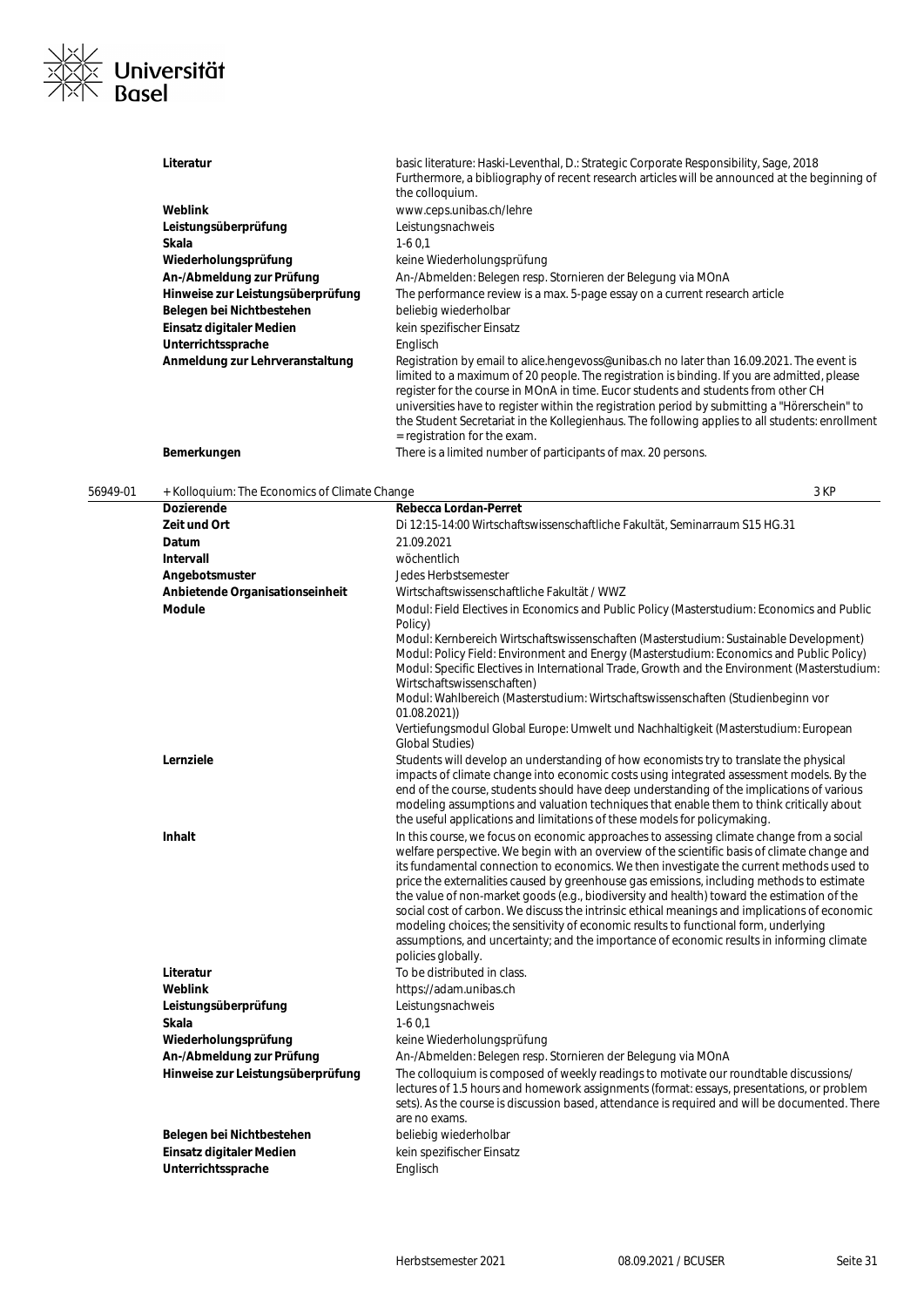

| Literatur                         | basic literature: Haski-Leventhal, D.: Strategic Corporate Responsibility, Sage, 2018<br>Furthermore, a bibliography of recent research articles will be announced at the beginning of<br>the colloquium.                                                                                                                                                                                                                                                                                                            |
|-----------------------------------|----------------------------------------------------------------------------------------------------------------------------------------------------------------------------------------------------------------------------------------------------------------------------------------------------------------------------------------------------------------------------------------------------------------------------------------------------------------------------------------------------------------------|
| Weblink                           | www.ceps.unibas.ch/lehre                                                                                                                                                                                                                                                                                                                                                                                                                                                                                             |
| Leistungsüberprüfung              | Leistungsnachweis                                                                                                                                                                                                                                                                                                                                                                                                                                                                                                    |
| Skala                             | $1-60.1$                                                                                                                                                                                                                                                                                                                                                                                                                                                                                                             |
| Wiederholungsprüfung              | keine Wiederholungsprüfung                                                                                                                                                                                                                                                                                                                                                                                                                                                                                           |
| An-/Abmeldung zur Prüfung         | An-/Abmelden: Belegen resp. Stornieren der Belegung via MOnA                                                                                                                                                                                                                                                                                                                                                                                                                                                         |
| Hinweise zur Leistungsüberprüfung | The performance review is a max. 5-page essay on a current research article                                                                                                                                                                                                                                                                                                                                                                                                                                          |
| Belegen bei Nichtbestehen         | beliebig wiederholbar                                                                                                                                                                                                                                                                                                                                                                                                                                                                                                |
| Einsatz digitaler Medien          | kein spezifischer Einsatz                                                                                                                                                                                                                                                                                                                                                                                                                                                                                            |
| Unterrichtssprache                | Englisch                                                                                                                                                                                                                                                                                                                                                                                                                                                                                                             |
| Anmeldung zur Lehrveranstaltung   | Registration by email to alice hengevoss@unibas.ch no later than 16.09.2021. The event is<br>limited to a maximum of 20 people. The registration is binding. If you are admitted, please<br>register for the course in MOnA in time. Eucor students and students from other CH<br>universities have to register within the registration period by submitting a "Hörerschein" to<br>the Student Secretariat in the Kollegienhaus. The following applies to all students: enrollment<br>$=$ registration for the exam. |
| Bemerkungen                       | There is a limited number of participants of max. 20 persons.                                                                                                                                                                                                                                                                                                                                                                                                                                                        |

56949-01 + Kolloquium: The Economics of Climate Change 3 KP

| Dozierende                        | Rebecca Lordan-Perret                                                                                                                                                                                                                                                                                                                                                                                                                                                                                                                                                                                                                                                                                                                                                                        |
|-----------------------------------|----------------------------------------------------------------------------------------------------------------------------------------------------------------------------------------------------------------------------------------------------------------------------------------------------------------------------------------------------------------------------------------------------------------------------------------------------------------------------------------------------------------------------------------------------------------------------------------------------------------------------------------------------------------------------------------------------------------------------------------------------------------------------------------------|
| Zeit und Ort                      | Di 12:15-14:00 Wirtschaftswissenschaftliche Fakultät, Seminarraum S15 HG.31                                                                                                                                                                                                                                                                                                                                                                                                                                                                                                                                                                                                                                                                                                                  |
| Datum                             | 21.09.2021                                                                                                                                                                                                                                                                                                                                                                                                                                                                                                                                                                                                                                                                                                                                                                                   |
| Intervall                         | wöchentlich                                                                                                                                                                                                                                                                                                                                                                                                                                                                                                                                                                                                                                                                                                                                                                                  |
| Angebotsmuster                    | Jedes Herbstsemester                                                                                                                                                                                                                                                                                                                                                                                                                                                                                                                                                                                                                                                                                                                                                                         |
| Anbietende Organisationseinheit   | Wirtschaftswissenschaftliche Fakultät / WWZ                                                                                                                                                                                                                                                                                                                                                                                                                                                                                                                                                                                                                                                                                                                                                  |
| Module                            | Modul: Field Electives in Economics and Public Policy (Masterstudium: Economics and Public<br>Policy)                                                                                                                                                                                                                                                                                                                                                                                                                                                                                                                                                                                                                                                                                        |
|                                   | Modul: Kernbereich Wirtschaftswissenschaften (Masterstudium: Sustainable Development)<br>Modul: Policy Field: Environment and Energy (Masterstudium: Economics and Public Policy)<br>Modul: Specific Electives in International Trade, Growth and the Environment (Masterstudium:<br>Wirtschaftswissenschaften)                                                                                                                                                                                                                                                                                                                                                                                                                                                                              |
|                                   | Modul: Wahlbereich (Masterstudium: Wirtschaftswissenschaften (Studienbeginn vor                                                                                                                                                                                                                                                                                                                                                                                                                                                                                                                                                                                                                                                                                                              |
|                                   | 01.08.2021)<br>Vertiefungsmodul Global Europe: Umwelt und Nachhaltigkeit (Masterstudium: European<br><b>Global Studies)</b>                                                                                                                                                                                                                                                                                                                                                                                                                                                                                                                                                                                                                                                                  |
| Lernziele                         | Students will develop an understanding of how economists try to translate the physical<br>impacts of climate change into economic costs using integrated assessment models. By the<br>end of the course, students should have deep understanding of the implications of various<br>modeling assumptions and valuation techniques that enable them to think critically about<br>the useful applications and limitations of these models for policymaking.                                                                                                                                                                                                                                                                                                                                     |
| Inhalt                            | In this course, we focus on economic approaches to assessing climate change from a social<br>welfare perspective. We begin with an overview of the scientific basis of climate change and<br>its fundamental connection to economics. We then investigate the current methods used to<br>price the externalities caused by greenhouse gas emissions, including methods to estimate<br>the value of non-market goods (e.g., biodiversity and health) toward the estimation of the<br>social cost of carbon. We discuss the intrinsic ethical meanings and implications of economic<br>modeling choices; the sensitivity of economic results to functional form, underlying<br>assumptions, and uncertainty; and the importance of economic results in informing climate<br>policies globally. |
| Literatur                         | To be distributed in class.                                                                                                                                                                                                                                                                                                                                                                                                                                                                                                                                                                                                                                                                                                                                                                  |
| Weblink                           | https://adam.unibas.ch                                                                                                                                                                                                                                                                                                                                                                                                                                                                                                                                                                                                                                                                                                                                                                       |
| Leistungsüberprüfung              | Leistungsnachweis                                                                                                                                                                                                                                                                                                                                                                                                                                                                                                                                                                                                                                                                                                                                                                            |
| Skala                             | $1-60,1$                                                                                                                                                                                                                                                                                                                                                                                                                                                                                                                                                                                                                                                                                                                                                                                     |
| Wiederholungsprüfung              | keine Wiederholungsprüfung                                                                                                                                                                                                                                                                                                                                                                                                                                                                                                                                                                                                                                                                                                                                                                   |
| An-/Abmeldung zur Prüfung         | An-/Abmelden: Belegen resp. Stornieren der Belegung via MOnA                                                                                                                                                                                                                                                                                                                                                                                                                                                                                                                                                                                                                                                                                                                                 |
| Hinweise zur Leistungsüberprüfung | The colloquium is composed of weekly readings to motivate our roundtable discussions/<br>lectures of 1.5 hours and homework assignments (format: essays, presentations, or problem<br>sets). As the course is discussion based, attendance is required and will be documented. There<br>are no exams.                                                                                                                                                                                                                                                                                                                                                                                                                                                                                        |
| Belegen bei Nichtbestehen         | beliebig wiederholbar                                                                                                                                                                                                                                                                                                                                                                                                                                                                                                                                                                                                                                                                                                                                                                        |
| <b>Einsatz digitaler Medien</b>   | kein spezifischer Einsatz                                                                                                                                                                                                                                                                                                                                                                                                                                                                                                                                                                                                                                                                                                                                                                    |
| Unterrichtssprache                | Englisch                                                                                                                                                                                                                                                                                                                                                                                                                                                                                                                                                                                                                                                                                                                                                                                     |
|                                   |                                                                                                                                                                                                                                                                                                                                                                                                                                                                                                                                                                                                                                                                                                                                                                                              |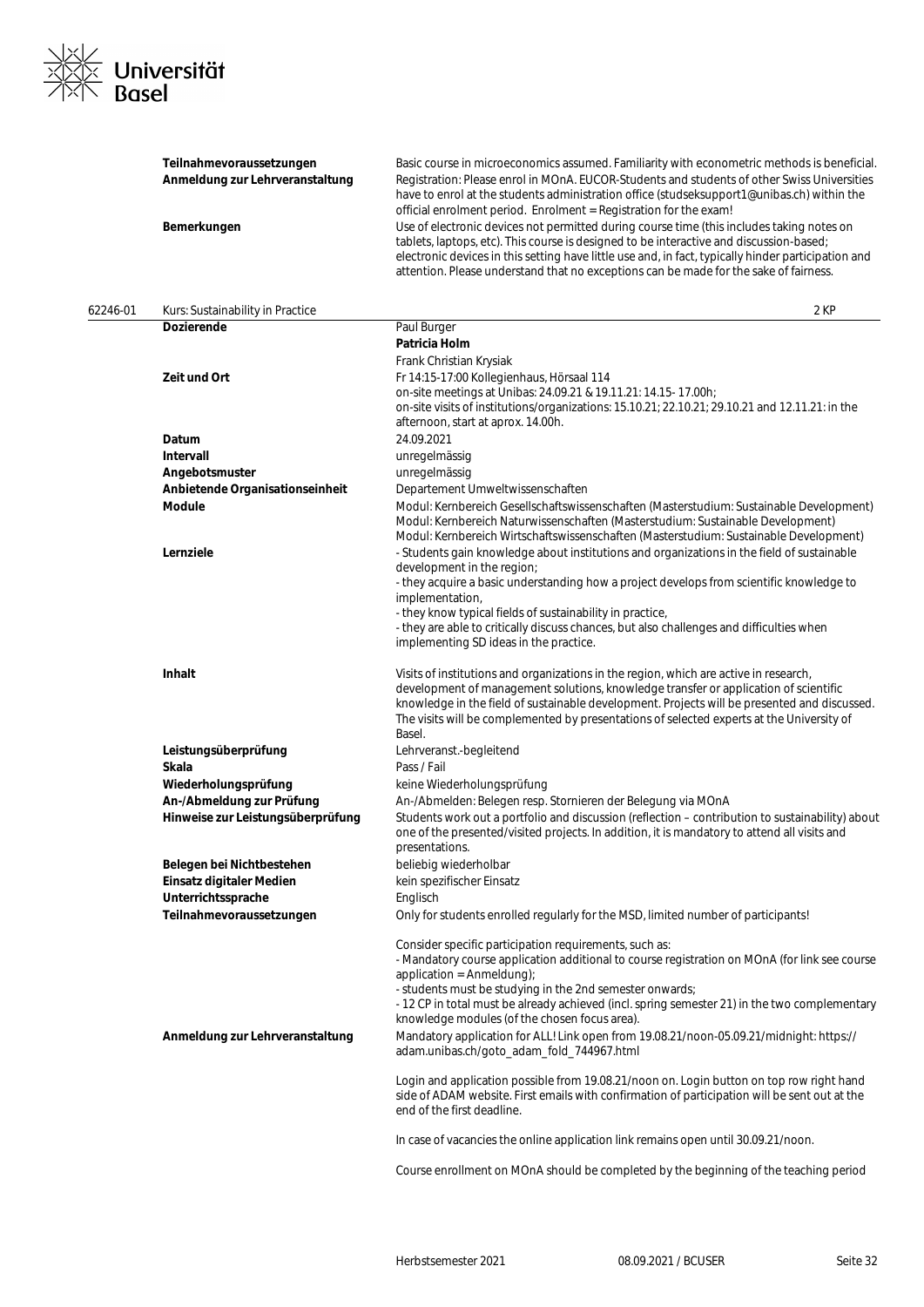

|          | Teilnahmevoraussetzungen<br>Anmeldung zur Lehrveranstaltung<br>Bemerkungen | Basic course in microeconomics assumed. Familiarity with econometric methods is beneficial.<br>Registration: Please enrol in MOnA. EUCOR-Students and students of other Swiss Universities<br>have to enrol at the students administration office (studseksupport1@unibas.ch) within the<br>official enrolment period. Enrolment = Registration for the exam!<br>Use of electronic devices not permitted during course time (this includes taking notes on<br>tablets, laptops, etc). This course is designed to be interactive and discussion-based;<br>electronic devices in this setting have little use and, in fact, typically hinder participation and<br>attention. Please understand that no exceptions can be made for the sake of fairness. |
|----------|----------------------------------------------------------------------------|-------------------------------------------------------------------------------------------------------------------------------------------------------------------------------------------------------------------------------------------------------------------------------------------------------------------------------------------------------------------------------------------------------------------------------------------------------------------------------------------------------------------------------------------------------------------------------------------------------------------------------------------------------------------------------------------------------------------------------------------------------|
| 62246-01 | Kurs: Sustainability in Practice                                           | 2 KP                                                                                                                                                                                                                                                                                                                                                                                                                                                                                                                                                                                                                                                                                                                                                  |
|          | <b>Dozierende</b>                                                          | Paul Burger                                                                                                                                                                                                                                                                                                                                                                                                                                                                                                                                                                                                                                                                                                                                           |
|          |                                                                            | Patricia Holm<br>Frank Christian Krysiak                                                                                                                                                                                                                                                                                                                                                                                                                                                                                                                                                                                                                                                                                                              |
|          | Zeit und Ort                                                               | Fr 14:15-17:00 Kollegienhaus, Hörsaal 114<br>on-site meetings at Unibas: 24.09.21 & 19.11.21: 14.15- 17.00h;<br>on-site visits of institutions/organizations: 15.10.21; 22.10.21; 29.10.21 and 12.11.21: in the<br>afternoon, start at aprox. 14.00h.                                                                                                                                                                                                                                                                                                                                                                                                                                                                                                 |
|          | Datum                                                                      | 24.09.2021                                                                                                                                                                                                                                                                                                                                                                                                                                                                                                                                                                                                                                                                                                                                            |
|          | <b>Intervall</b>                                                           | unregelmässig                                                                                                                                                                                                                                                                                                                                                                                                                                                                                                                                                                                                                                                                                                                                         |
|          | Angebotsmuster                                                             | unregelmässig                                                                                                                                                                                                                                                                                                                                                                                                                                                                                                                                                                                                                                                                                                                                         |
|          | Anbietende Organisationseinheit                                            | Departement Umweltwissenschaften                                                                                                                                                                                                                                                                                                                                                                                                                                                                                                                                                                                                                                                                                                                      |
|          | <b>Module</b>                                                              | Modul: Kernbereich Gesellschaftswissenschaften (Masterstudium: Sustainable Development)<br>Modul: Kernbereich Naturwissenschaften (Masterstudium: Sustainable Development)<br>Modul: Kernbereich Wirtschaftswissenschaften (Masterstudium: Sustainable Development)                                                                                                                                                                                                                                                                                                                                                                                                                                                                                   |
|          | Lernziele                                                                  | - Students gain knowledge about institutions and organizations in the field of sustainable<br>development in the region;<br>- they acquire a basic understanding how a project develops from scientific knowledge to<br>implementation,<br>- they know typical fields of sustainability in practice,                                                                                                                                                                                                                                                                                                                                                                                                                                                  |
|          |                                                                            | - they are able to critically discuss chances, but also challenges and difficulties when<br>implementing SD ideas in the practice.                                                                                                                                                                                                                                                                                                                                                                                                                                                                                                                                                                                                                    |
|          | <b>Inhalt</b>                                                              | Visits of institutions and organizations in the region, which are active in research,<br>development of management solutions, knowledge transfer or application of scientific<br>knowledge in the field of sustainable development. Projects will be presented and discussed.<br>The visits will be complemented by presentations of selected experts at the University of<br>Basel.                                                                                                                                                                                                                                                                                                                                                                  |
|          | Leistungsüberprüfung                                                       | Lehrveranst.-begleitend                                                                                                                                                                                                                                                                                                                                                                                                                                                                                                                                                                                                                                                                                                                               |
|          | Skala                                                                      | Pass / Fail                                                                                                                                                                                                                                                                                                                                                                                                                                                                                                                                                                                                                                                                                                                                           |
|          | Wiederholungsprüfung                                                       | keine Wiederholungsprüfung                                                                                                                                                                                                                                                                                                                                                                                                                                                                                                                                                                                                                                                                                                                            |
|          | An-/Abmeldung zur Prüfung                                                  | An-/Abmelden: Belegen resp. Stornieren der Belegung via MOnA                                                                                                                                                                                                                                                                                                                                                                                                                                                                                                                                                                                                                                                                                          |
|          | Hinweise zur Leistungsüberprüfung                                          | Students work out a portfolio and discussion (reflection – contribution to sustainability) about<br>one of the presented/visited projects. In addition, it is mandatory to attend all visits and<br>presentations.                                                                                                                                                                                                                                                                                                                                                                                                                                                                                                                                    |
|          | Belegen bei Nichtbestehen                                                  | beliebig wiederholbar                                                                                                                                                                                                                                                                                                                                                                                                                                                                                                                                                                                                                                                                                                                                 |
|          | Einsatz digitaler Medien                                                   | kein spezifischer Einsatz                                                                                                                                                                                                                                                                                                                                                                                                                                                                                                                                                                                                                                                                                                                             |
|          | Unterrichtssprache                                                         | Englisch                                                                                                                                                                                                                                                                                                                                                                                                                                                                                                                                                                                                                                                                                                                                              |
|          | Teilnahmevoraussetzungen                                                   | Only for students enrolled regularly for the MSD, limited number of participants!                                                                                                                                                                                                                                                                                                                                                                                                                                                                                                                                                                                                                                                                     |
|          |                                                                            | Consider specific participation requirements, such as:<br>- Mandatory course application additional to course registration on MOnA (for link see course<br>application = $Ammeldung);$<br>- students must be studying in the 2nd semester onwards;<br>- 12 CP in total must be already achieved (incl. spring semester 21) in the two complementary<br>knowledge modules (of the chosen focus area).                                                                                                                                                                                                                                                                                                                                                  |
|          | Anmeldung zur Lehrveranstaltung                                            | Mandatory application for ALL! Link open from 19.08.21/noon-05.09.21/midnight: https://<br>adam.unibas.ch/goto_adam_fold_744967.html                                                                                                                                                                                                                                                                                                                                                                                                                                                                                                                                                                                                                  |
|          |                                                                            | Login and application possible from 19.08.21/noon on. Login button on top row right hand<br>side of ADAM website. First emails with confirmation of participation will be sent out at the<br>end of the first deadline.                                                                                                                                                                                                                                                                                                                                                                                                                                                                                                                               |
|          |                                                                            | In case of vacancies the online application link remains open until 30.09.21/noon.                                                                                                                                                                                                                                                                                                                                                                                                                                                                                                                                                                                                                                                                    |
|          |                                                                            | Course enrollment on MOnA should be completed by the beginning of the teaching period                                                                                                                                                                                                                                                                                                                                                                                                                                                                                                                                                                                                                                                                 |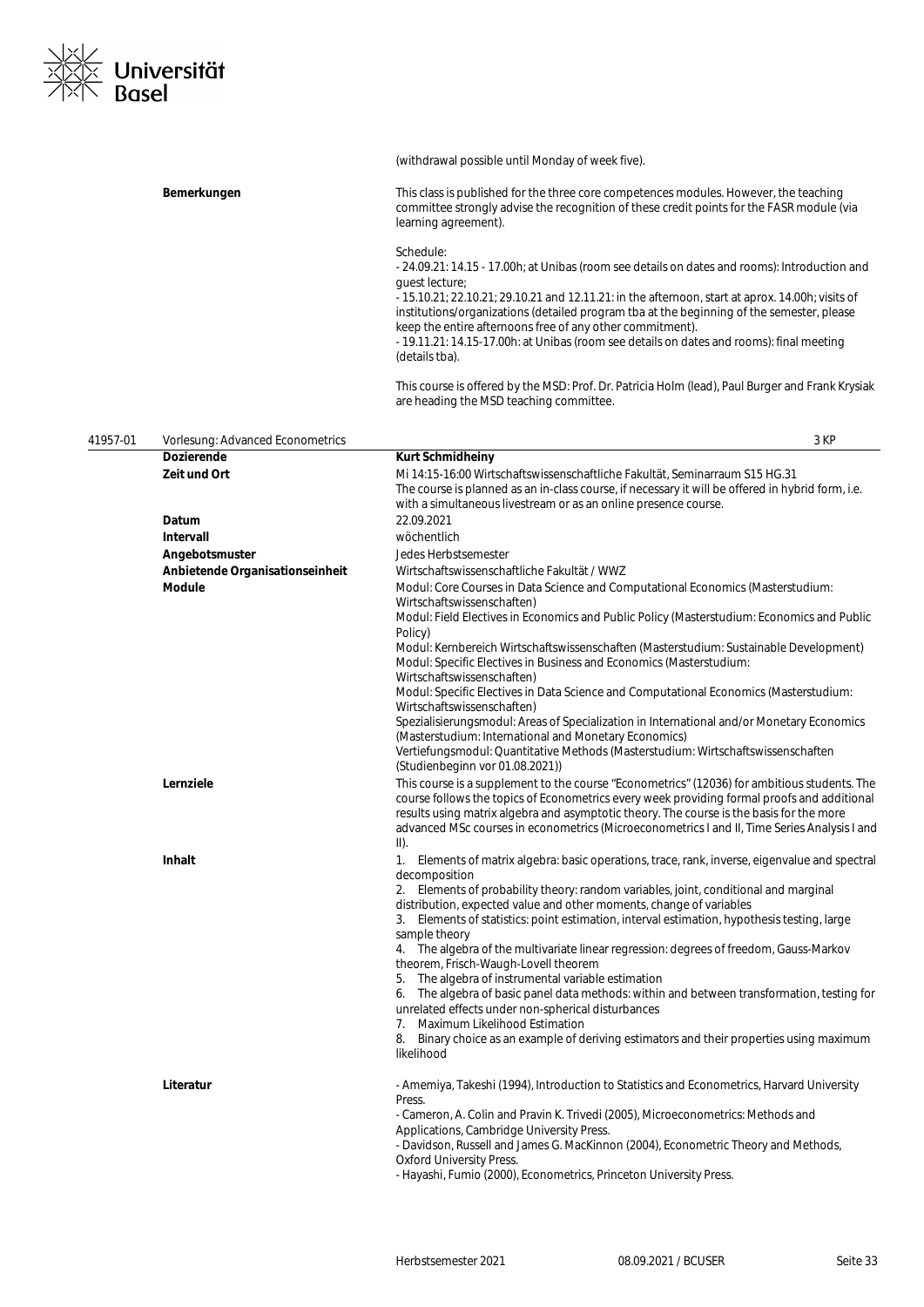

|          |                                                  | (withdrawal possible until Monday of week five).                                                                                                                                                                                                                                                                                                                                                                  |
|----------|--------------------------------------------------|-------------------------------------------------------------------------------------------------------------------------------------------------------------------------------------------------------------------------------------------------------------------------------------------------------------------------------------------------------------------------------------------------------------------|
|          | Bemerkungen                                      | This class is published for the three core competences modules. However, the teaching<br>committee strongly advise the recognition of these credit points for the FASR module (via<br>learning agreement).                                                                                                                                                                                                        |
|          |                                                  | Schedule:<br>- 24.09.21: 14.15 - 17.00h; at Unibas (room see details on dates and rooms): Introduction and<br>quest lecture;                                                                                                                                                                                                                                                                                      |
|          |                                                  | - 15.10.21; 22.10.21; 29.10.21 and 12.11.21: in the afternoon, start at aprox. 14.00h; visits of<br>institutions/organizations (detailed program tba at the beginning of the semester, please<br>keep the entire afternoons free of any other commitment).<br>- 19.11.21: 14.15-17.00h: at Unibas (room see details on dates and rooms): final meeting<br>(details tba).                                          |
|          |                                                  | This course is offered by the MSD: Prof. Dr. Patricia Holm (lead), Paul Burger and Frank Krysiak<br>are heading the MSD teaching committee.                                                                                                                                                                                                                                                                       |
| 41957-01 | Vorlesung: Advanced Econometrics                 | 3 KP                                                                                                                                                                                                                                                                                                                                                                                                              |
|          | <b>Dozierende</b>                                | <b>Kurt Schmidheiny</b>                                                                                                                                                                                                                                                                                                                                                                                           |
|          | Zeit und Ort                                     | Mi 14:15-16:00 Wirtschaftswissenschaftliche Fakultät, Seminarraum S15 HG.31<br>The course is planned as an in-class course, if necessary it will be offered in hybrid form, i.e.<br>with a simultaneous livestream or as an online presence course.                                                                                                                                                               |
|          | Datum                                            | 22.09.2021                                                                                                                                                                                                                                                                                                                                                                                                        |
|          | Intervall                                        | wöchentlich                                                                                                                                                                                                                                                                                                                                                                                                       |
|          | Angebotsmuster                                   | Jedes Herbstsemester                                                                                                                                                                                                                                                                                                                                                                                              |
|          | Anbietende Organisationseinheit<br><b>Module</b> | Wirtschaftswissenschaftliche Fakultät / WWZ<br>Modul: Core Courses in Data Science and Computational Economics (Masterstudium:                                                                                                                                                                                                                                                                                    |
|          |                                                  | Wirtschaftswissenschaften)<br>Modul: Field Electives in Economics and Public Policy (Masterstudium: Economics and Public                                                                                                                                                                                                                                                                                          |
|          |                                                  | Policy)<br>Modul: Kernbereich Wirtschaftswissenschaften (Masterstudium: Sustainable Development)<br>Modul: Specific Electives in Business and Economics (Masterstudium:                                                                                                                                                                                                                                           |
|          |                                                  | Wirtschaftswissenschaften)<br>Modul: Specific Electives in Data Science and Computational Economics (Masterstudium:                                                                                                                                                                                                                                                                                               |
|          |                                                  | Wirtschaftswissenschaften)<br>Spezialisierungsmodul: Areas of Specialization in International and/or Monetary Economics<br>(Masterstudium: International and Monetary Economics)                                                                                                                                                                                                                                  |
|          |                                                  | Vertiefungsmodul: Quantitative Methods (Masterstudium: Wirtschaftswissenschaften<br>(Studienbeginn vor 01.08.2021))                                                                                                                                                                                                                                                                                               |
|          | Lernziele                                        | This course is a supplement to the course "Econometrics" (12036) for ambitious students. The<br>course follows the topics of Econometrics every week providing formal proofs and additional<br>results using matrix algebra and asymptotic theory. The course is the basis for the more<br>advanced MSc courses in econometrics (Microeconometrics I and II, Time Series Analysis I and<br>$\vert \vert \vert$ ). |
|          | Inhalt                                           | 1. Elements of matrix algebra: basic operations, trace, rank, inverse, eigenvalue and spectral<br>decomposition                                                                                                                                                                                                                                                                                                   |
|          |                                                  | 2. Elements of probability theory: random variables, joint, conditional and marginal<br>distribution, expected value and other moments, change of variables<br>3. Elements of statistics: point estimation, interval estimation, hypothesis testing, large                                                                                                                                                        |
|          |                                                  | sample theory<br>4. The algebra of the multivariate linear regression: degrees of freedom, Gauss-Markov                                                                                                                                                                                                                                                                                                           |
|          |                                                  | theorem, Frisch-Waugh-Lovell theorem<br>5. The algebra of instrumental variable estimation                                                                                                                                                                                                                                                                                                                        |
|          |                                                  | 6. The algebra of basic panel data methods: within and between transformation, testing for<br>unrelated effects under non-spherical disturbances                                                                                                                                                                                                                                                                  |
|          |                                                  | 7. Maximum Likelihood Estimation<br>8. Binary choice as an example of deriving estimators and their properties using maximum<br>likelihood                                                                                                                                                                                                                                                                        |
|          | Literatur                                        | - Amemiya, Takeshi (1994), Introduction to Statistics and Econometrics, Harvard University<br>Press.                                                                                                                                                                                                                                                                                                              |
|          |                                                  | - Cameron, A. Colin and Pravin K. Trivedi (2005), Microeconometrics: Methods and<br>Applications, Cambridge University Press.                                                                                                                                                                                                                                                                                     |
|          |                                                  | - Davidson, Russell and James G. MacKinnon (2004), Econometric Theory and Methods,<br><b>Oxford University Press.</b><br>- Hayashi, Fumio (2000), Econometrics, Princeton University Press.                                                                                                                                                                                                                       |
|          |                                                  |                                                                                                                                                                                                                                                                                                                                                                                                                   |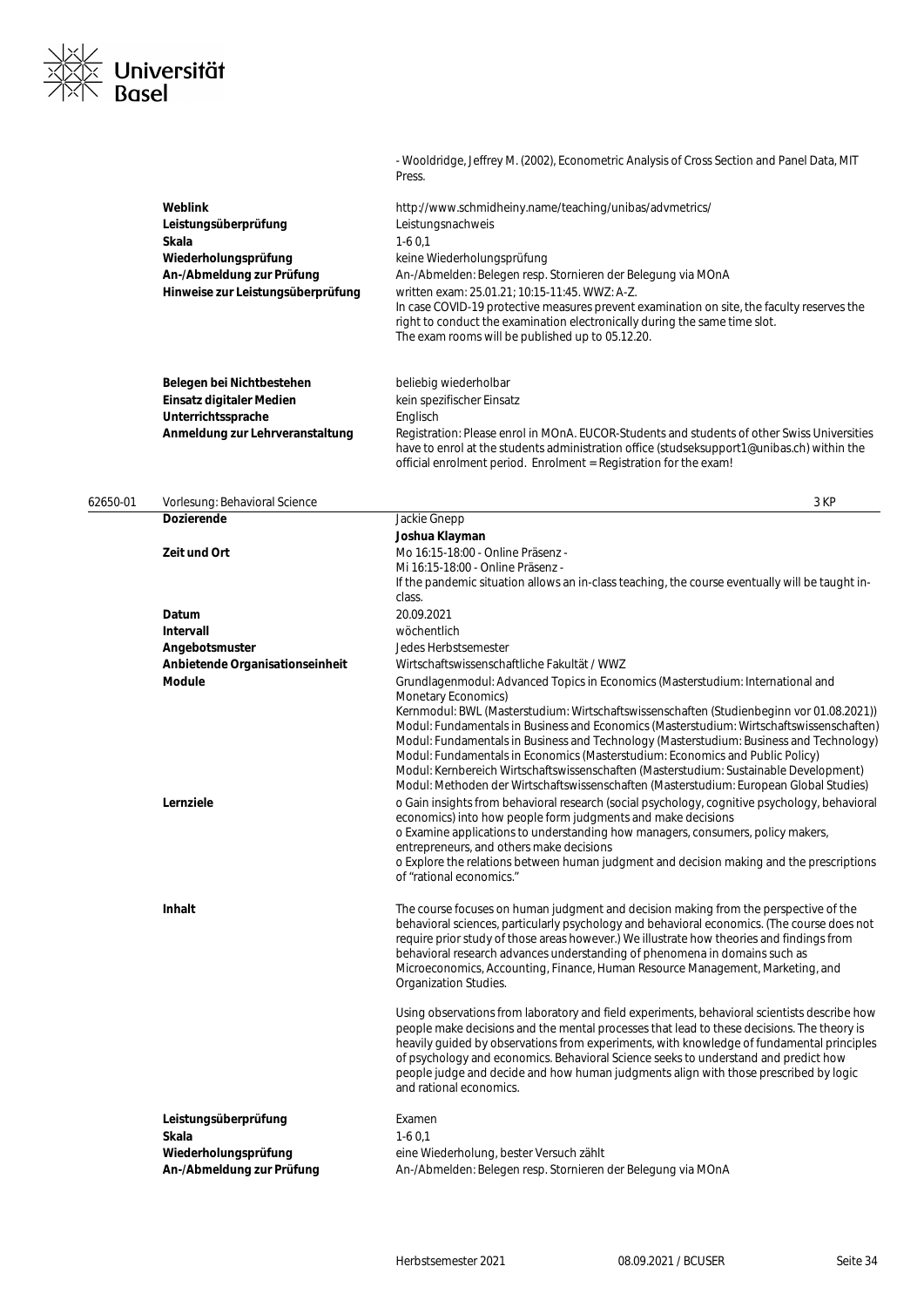

| Belegen bei Nichtbestehen<br>Einsatz digitaler Medien<br>Unterrichtssprache<br>Anmeldung zur Lehrveranstaltung | beliebig wiederholbar<br>kein spezifischer Einsatz<br>Englisch<br>Registration: Please enrol in MOnA. EUCOR-Students and students of other Swiss Universities<br>have to enrol at the students administration office (studseksupport1@unibas.ch) within the                                                                                                                                                                                                                                                                                                                                                                                                                                                                                                                                                                                                                                                                                                                                                                                                                           |
|----------------------------------------------------------------------------------------------------------------|---------------------------------------------------------------------------------------------------------------------------------------------------------------------------------------------------------------------------------------------------------------------------------------------------------------------------------------------------------------------------------------------------------------------------------------------------------------------------------------------------------------------------------------------------------------------------------------------------------------------------------------------------------------------------------------------------------------------------------------------------------------------------------------------------------------------------------------------------------------------------------------------------------------------------------------------------------------------------------------------------------------------------------------------------------------------------------------|
|                                                                                                                | official enrolment period. Enrolment = Registration for the exam!                                                                                                                                                                                                                                                                                                                                                                                                                                                                                                                                                                                                                                                                                                                                                                                                                                                                                                                                                                                                                     |
| Vorlesung: Behavioral Science                                                                                  | 3 KP                                                                                                                                                                                                                                                                                                                                                                                                                                                                                                                                                                                                                                                                                                                                                                                                                                                                                                                                                                                                                                                                                  |
| <b>Dozierende</b>                                                                                              | Jackie Gnepp                                                                                                                                                                                                                                                                                                                                                                                                                                                                                                                                                                                                                                                                                                                                                                                                                                                                                                                                                                                                                                                                          |
| Zeit und Ort                                                                                                   | Joshua Klayman<br>Mo 16:15-18:00 - Online Präsenz -<br>Mi 16:15-18:00 - Online Präsenz -<br>If the pandemic situation allows an in-class teaching, the course eventually will be taught in-                                                                                                                                                                                                                                                                                                                                                                                                                                                                                                                                                                                                                                                                                                                                                                                                                                                                                           |
|                                                                                                                | class.<br>20.09.2021                                                                                                                                                                                                                                                                                                                                                                                                                                                                                                                                                                                                                                                                                                                                                                                                                                                                                                                                                                                                                                                                  |
| Intervall                                                                                                      | wöchentlich                                                                                                                                                                                                                                                                                                                                                                                                                                                                                                                                                                                                                                                                                                                                                                                                                                                                                                                                                                                                                                                                           |
| Angebotsmuster                                                                                                 | Jedes Herbstsemester                                                                                                                                                                                                                                                                                                                                                                                                                                                                                                                                                                                                                                                                                                                                                                                                                                                                                                                                                                                                                                                                  |
| Anbietende Organisationseinheit                                                                                | Wirtschaftswissenschaftliche Fakultät / WWZ                                                                                                                                                                                                                                                                                                                                                                                                                                                                                                                                                                                                                                                                                                                                                                                                                                                                                                                                                                                                                                           |
| <b>Module</b><br>Lernziele                                                                                     | Grundlagenmodul: Advanced Topics in Economics (Masterstudium: International and<br>Monetary Economics)<br>Kernmodul: BWL (Masterstudium: Wirtschaftswissenschaften (Studienbeginn vor 01.08.2021))<br>Modul: Fundamentals in Business and Economics (Masterstudium: Wirtschaftswissenschaften)<br>Modul: Fundamentals in Business and Technology (Masterstudium: Business and Technology)<br>Modul: Fundamentals in Economics (Masterstudium: Economics and Public Policy)<br>Modul: Kernbereich Wirtschaftswissenschaften (Masterstudium: Sustainable Development)<br>Modul: Methoden der Wirtschaftswissenschaften (Masterstudium: European Global Studies)<br>o Gain insights from behavioral research (social psychology, cognitive psychology, behavioral<br>economics) into how people form judgments and make decisions<br>o Examine applications to understanding how managers, consumers, policy makers,<br>entrepreneurs, and others make decisions<br>o Explore the relations between human judgment and decision making and the prescriptions<br>of "rational economics." |
| Inhalt                                                                                                         | The course focuses on human judgment and decision making from the perspective of the<br>behavioral sciences, particularly psychology and behavioral economics. (The course does not<br>require prior study of those areas however.) We illustrate how theories and findings from<br>behavioral research advances understanding of phenomena in domains such as<br>Microeconomics, Accounting, Finance, Human Resource Management, Marketing, and<br>Organization Studies.<br>Using observations from laboratory and field experiments, behavioral scientists describe how<br>people make decisions and the mental processes that lead to these decisions. The theory is<br>heavily guided by observations from experiments, with knowledge of fundamental principles<br>of psychology and economics. Behavioral Science seeks to understand and predict how<br>people judge and decide and how human judgments align with those prescribed by logic                                                                                                                                   |
|                                                                                                                | Datum                                                                                                                                                                                                                                                                                                                                                                                                                                                                                                                                                                                                                                                                                                                                                                                                                                                                                                                                                                                                                                                                                 |

Press.

- Wooldridge, Jeffrey M. (2002), Econometric Analysis of Cross Section and Panel Data, MIT

| Leistungsüberprüfung      | Examen                                                       |
|---------------------------|--------------------------------------------------------------|
| Skala                     | $1-60.1$                                                     |
| Wiederholungsprüfung      | eine Wiederholung, bester Versuch zählt                      |
| An-/Abmeldung zur Prüfung | An-/Abmelden: Belegen resp. Stornieren der Belegung via MOnA |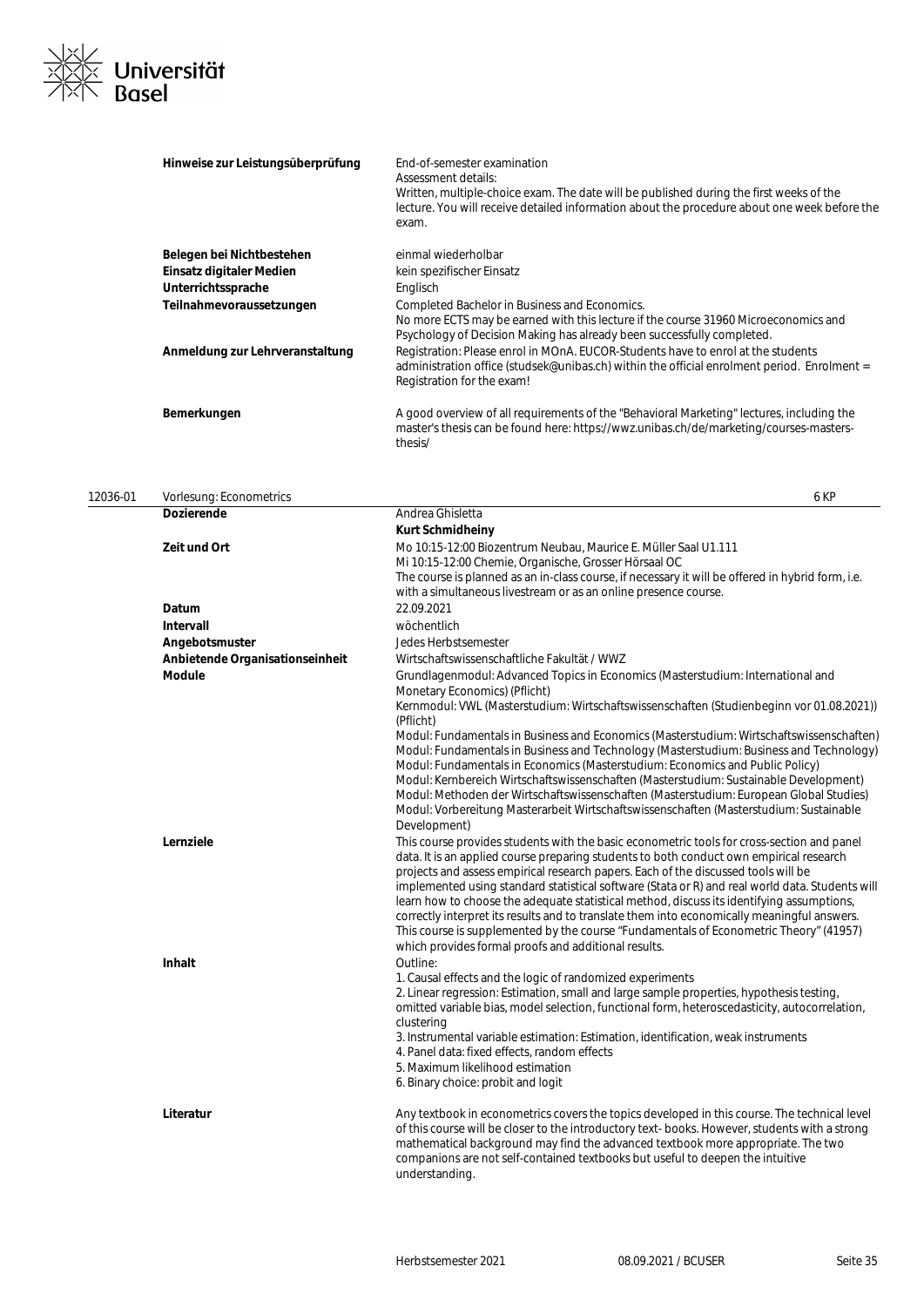

| Hinweise zur Leistungsüberprüfung | End-of-semester examination<br>Assessment details:<br>Written, multiple-choice exam. The date will be published during the first weeks of the<br>lecture. You will receive detailed information about the procedure about one week before the<br>exam. |
|-----------------------------------|--------------------------------------------------------------------------------------------------------------------------------------------------------------------------------------------------------------------------------------------------------|
| Belegen bei Nichtbestehen         | einmal wiederholbar                                                                                                                                                                                                                                    |
| Einsatz digitaler Medien          | kein spezifischer Einsatz                                                                                                                                                                                                                              |
| Unterrichtssprache                | Englisch                                                                                                                                                                                                                                               |
| Teilnahmevoraussetzungen          | Completed Bachelor in Business and Economics.<br>No more ECTS may be earned with this lecture if the course 31960 Microeconomics and<br>Psychology of Decision Making has already been successfully completed.                                         |
| Anmeldung zur Lehrveranstaltung   | Registration: Please enrol in MOnA. EUCOR-Students have to enrol at the students<br>administration office (studsek@unibas.ch) within the official enrolment period. Enrolment =<br>Registration for the exam!                                          |
| Bemerkungen                       | A good overview of all requirements of the "Behavioral Marketing" lectures, including the<br>master's thesis can be found here: https://wwz.unibas.ch/de/marketing/courses-masters-<br>thesis/                                                         |

| 12036-01 | Vorlesung: Econometrics         | 6 KP                                                                                                                                                                                                                                                                                                                                                                                                                                                                                                                                                                                                                                                                                                                         |
|----------|---------------------------------|------------------------------------------------------------------------------------------------------------------------------------------------------------------------------------------------------------------------------------------------------------------------------------------------------------------------------------------------------------------------------------------------------------------------------------------------------------------------------------------------------------------------------------------------------------------------------------------------------------------------------------------------------------------------------------------------------------------------------|
|          | <b>Dozierende</b>               | Andrea Ghisletta                                                                                                                                                                                                                                                                                                                                                                                                                                                                                                                                                                                                                                                                                                             |
|          |                                 | <b>Kurt Schmidheiny</b>                                                                                                                                                                                                                                                                                                                                                                                                                                                                                                                                                                                                                                                                                                      |
|          | Zeit und Ort                    | Mo 10:15-12:00 Biozentrum Neubau, Maurice E. Müller Saal U1.111                                                                                                                                                                                                                                                                                                                                                                                                                                                                                                                                                                                                                                                              |
|          |                                 | Mi 10:15-12:00 Chemie, Organische, Grosser Hörsaal OC                                                                                                                                                                                                                                                                                                                                                                                                                                                                                                                                                                                                                                                                        |
|          |                                 | The course is planned as an in-class course, if necessary it will be offered in hybrid form, i.e.                                                                                                                                                                                                                                                                                                                                                                                                                                                                                                                                                                                                                            |
|          |                                 | with a simultaneous livestream or as an online presence course.                                                                                                                                                                                                                                                                                                                                                                                                                                                                                                                                                                                                                                                              |
|          | Datum                           | 22.09.2021                                                                                                                                                                                                                                                                                                                                                                                                                                                                                                                                                                                                                                                                                                                   |
|          | <b>Intervall</b>                | wöchentlich                                                                                                                                                                                                                                                                                                                                                                                                                                                                                                                                                                                                                                                                                                                  |
|          | Angebotsmuster                  | Jedes Herbstsemester                                                                                                                                                                                                                                                                                                                                                                                                                                                                                                                                                                                                                                                                                                         |
|          | Anbietende Organisationseinheit | Wirtschaftswissenschaftliche Fakultät / WWZ                                                                                                                                                                                                                                                                                                                                                                                                                                                                                                                                                                                                                                                                                  |
|          | <b>Module</b>                   | Grundlagenmodul: Advanced Topics in Economics (Masterstudium: International and<br>Monetary Economics) (Pflicht)                                                                                                                                                                                                                                                                                                                                                                                                                                                                                                                                                                                                             |
|          |                                 | Kernmodul: VWL (Masterstudium: Wirtschaftswissenschaften (Studienbeginn vor 01.08.2021))<br>(Pflicht)                                                                                                                                                                                                                                                                                                                                                                                                                                                                                                                                                                                                                        |
|          |                                 | Modul: Fundamentals in Business and Economics (Masterstudium: Wirtschaftswissenschaften)<br>Modul: Fundamentals in Business and Technology (Masterstudium: Business and Technology)<br>Modul: Fundamentals in Economics (Masterstudium: Economics and Public Policy)<br>Modul: Kernbereich Wirtschaftswissenschaften (Masterstudium: Sustainable Development)<br>Modul: Methoden der Wirtschaftswissenschaften (Masterstudium: European Global Studies)<br>Modul: Vorbereitung Masterarbeit Wirtschaftswissenschaften (Masterstudium: Sustainable<br>Development)                                                                                                                                                            |
|          | Lernziele                       | This course provides students with the basic econometric tools for cross-section and panel<br>data. It is an applied course preparing students to both conduct own empirical research<br>projects and assess empirical research papers. Each of the discussed tools will be<br>implemented using standard statistical software (Stata or R) and real world data. Students will<br>learn how to choose the adequate statistical method, discuss its identifying assumptions,<br>correctly interpret its results and to translate them into economically meaningful answers.<br>This course is supplemented by the course "Fundamentals of Econometric Theory" (41957)<br>which provides formal proofs and additional results. |
|          | <b>Inhalt</b>                   | Outline:                                                                                                                                                                                                                                                                                                                                                                                                                                                                                                                                                                                                                                                                                                                     |
|          |                                 | 1. Causal effects and the logic of randomized experiments                                                                                                                                                                                                                                                                                                                                                                                                                                                                                                                                                                                                                                                                    |
|          |                                 | 2. Linear regression: Estimation, small and large sample properties, hypothesis testing,<br>omitted variable bias, model selection, functional form, heteroscedasticity, autocorrelation,<br>clustering                                                                                                                                                                                                                                                                                                                                                                                                                                                                                                                      |
|          |                                 | 3. Instrumental variable estimation: Estimation, identification, weak instruments                                                                                                                                                                                                                                                                                                                                                                                                                                                                                                                                                                                                                                            |
|          |                                 | 4. Panel data: fixed effects, random effects                                                                                                                                                                                                                                                                                                                                                                                                                                                                                                                                                                                                                                                                                 |
|          |                                 | 5. Maximum likelihood estimation                                                                                                                                                                                                                                                                                                                                                                                                                                                                                                                                                                                                                                                                                             |
|          |                                 | 6. Binary choice: probit and logit                                                                                                                                                                                                                                                                                                                                                                                                                                                                                                                                                                                                                                                                                           |
|          | Literatur                       | Any textbook in econometrics covers the topics developed in this course. The technical level<br>of this course will be closer to the introductory text-books. However, students with a strong<br>mathematical background may find the advanced textbook more appropriate. The two<br>companions are not self-contained textbooks but useful to deepen the intuitive<br>understanding.                                                                                                                                                                                                                                                                                                                                        |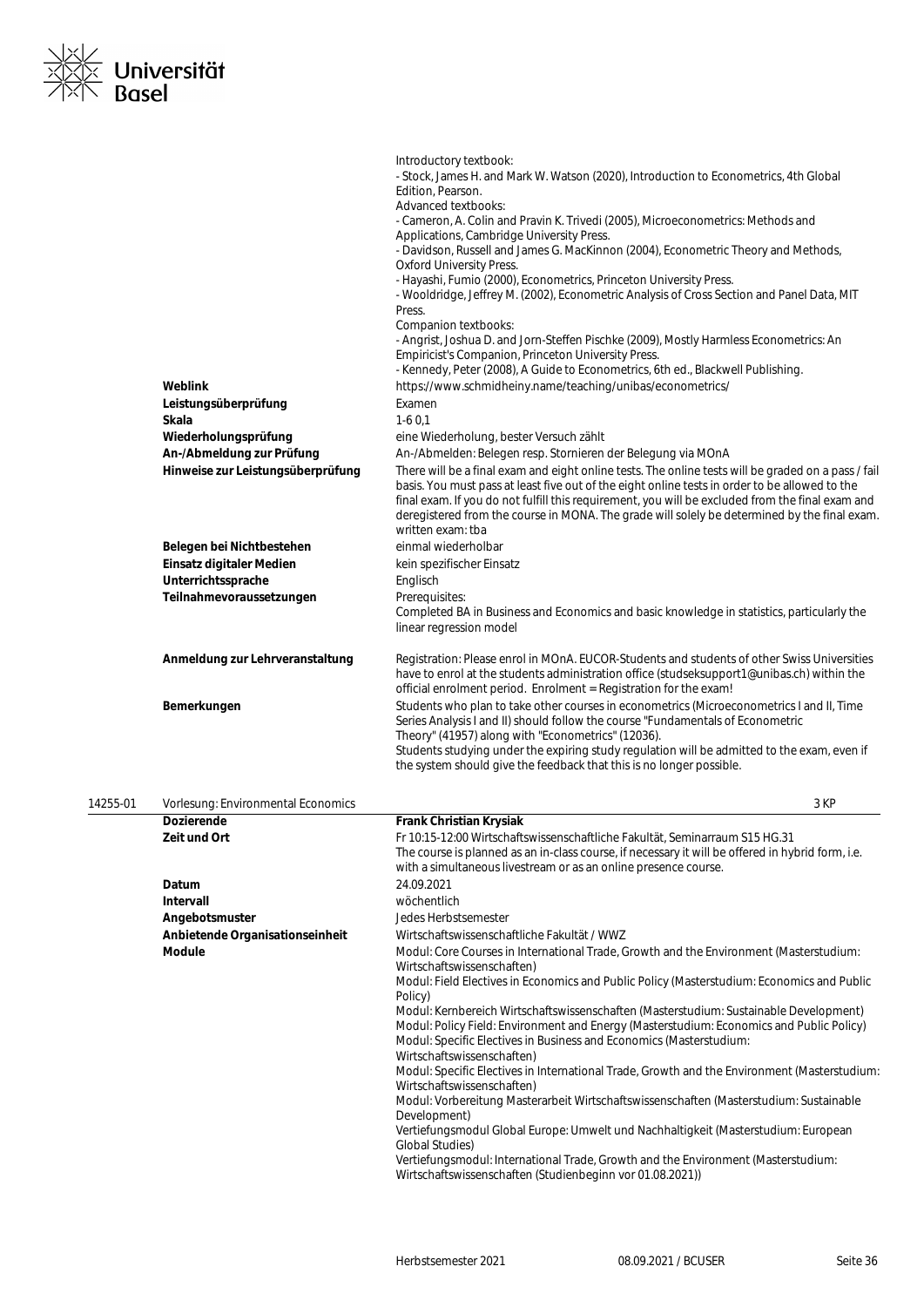

|                                   | Introductory textbook:                                                                                                                                                                                                                                                                                                                                                                                                         |
|-----------------------------------|--------------------------------------------------------------------------------------------------------------------------------------------------------------------------------------------------------------------------------------------------------------------------------------------------------------------------------------------------------------------------------------------------------------------------------|
|                                   | - Stock, James H. and Mark W. Watson (2020), Introduction to Econometrics, 4th Global                                                                                                                                                                                                                                                                                                                                          |
|                                   | Edition, Pearson.                                                                                                                                                                                                                                                                                                                                                                                                              |
|                                   | Advanced textbooks:                                                                                                                                                                                                                                                                                                                                                                                                            |
|                                   | - Cameron, A. Colin and Pravin K. Trivedi (2005), Microeconometrics: Methods and                                                                                                                                                                                                                                                                                                                                               |
|                                   | Applications, Cambridge University Press.                                                                                                                                                                                                                                                                                                                                                                                      |
|                                   | - Davidson, Russell and James G. MacKinnon (2004), Econometric Theory and Methods,                                                                                                                                                                                                                                                                                                                                             |
|                                   | <b>Oxford University Press.</b>                                                                                                                                                                                                                                                                                                                                                                                                |
|                                   | - Hayashi, Fumio (2000), Econometrics, Princeton University Press.                                                                                                                                                                                                                                                                                                                                                             |
|                                   | - Wooldridge, Jeffrey M. (2002), Econometric Analysis of Cross Section and Panel Data, MIT                                                                                                                                                                                                                                                                                                                                     |
|                                   | Press.                                                                                                                                                                                                                                                                                                                                                                                                                         |
|                                   | Companion textbooks:                                                                                                                                                                                                                                                                                                                                                                                                           |
|                                   | - Angrist, Joshua D. and Jorn-Steffen Pischke (2009), Mostly Harmless Econometrics: An<br>Empiricist's Companion, Princeton University Press.                                                                                                                                                                                                                                                                                  |
|                                   | - Kennedy, Peter (2008), A Guide to Econometrics, 6th ed., Blackwell Publishing.                                                                                                                                                                                                                                                                                                                                               |
| Weblink                           | https://www.schmidheiny.name/teaching/unibas/econometrics/                                                                                                                                                                                                                                                                                                                                                                     |
| Leistungsüberprüfung              | Examen                                                                                                                                                                                                                                                                                                                                                                                                                         |
| <b>Skala</b>                      | $1-60.1$                                                                                                                                                                                                                                                                                                                                                                                                                       |
| Wiederholungsprüfung              | eine Wiederholung, bester Versuch zählt                                                                                                                                                                                                                                                                                                                                                                                        |
| An-/Abmeldung zur Prüfung         | An-/Abmelden: Belegen resp. Stornieren der Belegung via MOnA                                                                                                                                                                                                                                                                                                                                                                   |
| Hinweise zur Leistungsüberprüfung | There will be a final exam and eight online tests. The online tests will be graded on a pass / fail<br>basis. You must pass at least five out of the eight online tests in order to be allowed to the<br>final exam. If you do not fulfill this requirement, you will be excluded from the final exam and<br>deregistered from the course in MONA. The grade will solely be determined by the final exam.<br>written exam: tba |
| Belegen bei Nichtbestehen         | einmal wiederholbar                                                                                                                                                                                                                                                                                                                                                                                                            |
| Einsatz digitaler Medien          | kein spezifischer Einsatz                                                                                                                                                                                                                                                                                                                                                                                                      |
| Unterrichtssprache                | Englisch                                                                                                                                                                                                                                                                                                                                                                                                                       |
| Teilnahmevoraussetzungen          | Prerequisites:                                                                                                                                                                                                                                                                                                                                                                                                                 |
|                                   | Completed BA in Business and Economics and basic knowledge in statistics, particularly the                                                                                                                                                                                                                                                                                                                                     |
|                                   | linear regression model                                                                                                                                                                                                                                                                                                                                                                                                        |
| Anmeldung zur Lehrveranstaltung   | Registration: Please enrol in MOnA. EUCOR-Students and students of other Swiss Universities<br>have to enrol at the students administration office (studseksupport1@unibas.ch) within the<br>official enrolment period. Enrolment = Registration for the exam!                                                                                                                                                                 |
| Bemerkungen                       | Students who plan to take other courses in econometrics (Microeconometrics I and II, Time                                                                                                                                                                                                                                                                                                                                      |
|                                   | Series Analysis I and II) should follow the course "Fundamentals of Econometric                                                                                                                                                                                                                                                                                                                                                |
|                                   | Theory" (41957) along with "Econometrics" (12036).                                                                                                                                                                                                                                                                                                                                                                             |
|                                   | Students studying under the expiring study regulation will be admitted to the exam, even if                                                                                                                                                                                                                                                                                                                                    |
|                                   | the system should give the feedback that this is no longer possible.                                                                                                                                                                                                                                                                                                                                                           |

| 14255-01 | Vorlesung: Environmental Economics | 3 KP                                                                                                                                                                                                                                                                                                                                                                                                                                                                                                                                                                                                                                                                                                                                                                                                                                                                            |
|----------|------------------------------------|---------------------------------------------------------------------------------------------------------------------------------------------------------------------------------------------------------------------------------------------------------------------------------------------------------------------------------------------------------------------------------------------------------------------------------------------------------------------------------------------------------------------------------------------------------------------------------------------------------------------------------------------------------------------------------------------------------------------------------------------------------------------------------------------------------------------------------------------------------------------------------|
|          | <b>Dozierende</b>                  | <b>Frank Christian Krysiak</b>                                                                                                                                                                                                                                                                                                                                                                                                                                                                                                                                                                                                                                                                                                                                                                                                                                                  |
|          | Zeit und Ort                       | Fr 10:15-12:00 Wirtschaftswissenschaftliche Fakultät, Seminarraum S15 HG.31<br>The course is planned as an in-class course, if necessary it will be offered in hybrid form, i.e.<br>with a simultaneous livestream or as an online presence course.                                                                                                                                                                                                                                                                                                                                                                                                                                                                                                                                                                                                                             |
|          | Datum                              | 24.09.2021                                                                                                                                                                                                                                                                                                                                                                                                                                                                                                                                                                                                                                                                                                                                                                                                                                                                      |
|          | Intervall                          | wöchentlich                                                                                                                                                                                                                                                                                                                                                                                                                                                                                                                                                                                                                                                                                                                                                                                                                                                                     |
|          | Angebotsmuster                     | Jedes Herbstsemester                                                                                                                                                                                                                                                                                                                                                                                                                                                                                                                                                                                                                                                                                                                                                                                                                                                            |
|          | Anbietende Organisationseinheit    | Wirtschaftswissenschaftliche Fakultät / WWZ                                                                                                                                                                                                                                                                                                                                                                                                                                                                                                                                                                                                                                                                                                                                                                                                                                     |
|          | <b>Module</b>                      | Modul: Core Courses in International Trade, Growth and the Environment (Masterstudium:<br>Wirtschaftswissenschaften)<br>Modul: Field Electives in Economics and Public Policy (Masterstudium: Economics and Public<br>Policy)<br>Modul: Kernbereich Wirtschaftswissenschaften (Masterstudium: Sustainable Development)<br>Modul: Policy Field: Environment and Energy (Masterstudium: Economics and Public Policy)<br>Modul: Specific Electives in Business and Economics (Masterstudium:<br>Wirtschaftswissenschaften)<br>Modul: Specific Electives in International Trade, Growth and the Environment (Masterstudium:<br>Wirtschaftswissenschaften)<br>Modul: Vorbereitung Masterarbeit Wirtschaftswissenschaften (Masterstudium: Sustainable<br>Development)<br>Vertiefungsmodul Global Europe: Umwelt und Nachhaltigkeit (Masterstudium: European<br><b>Global Studies)</b> |
|          |                                    | Vertiefungsmodul: International Trade, Growth and the Environment (Masterstudium:<br>Wirtschaftswissenschaften (Studienbeginn vor 01.08.2021))                                                                                                                                                                                                                                                                                                                                                                                                                                                                                                                                                                                                                                                                                                                                  |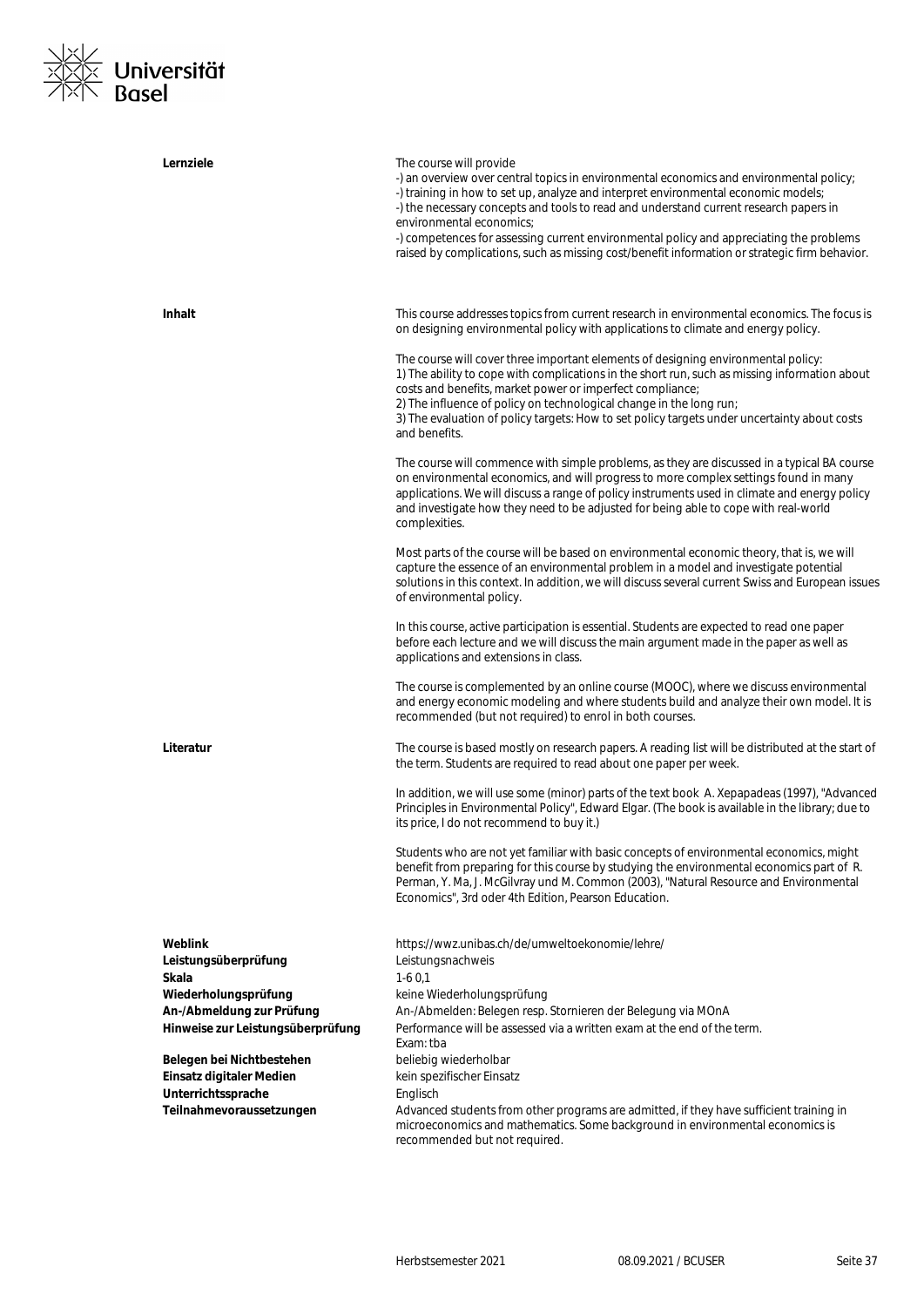

| Lernziele                                                      | The course will provide<br>-) an overview over central topics in environmental economics and environmental policy;<br>-) training in how to set up, analyze and interpret environmental economic models;<br>-) the necessary concepts and tools to read and understand current research papers in<br>environmental economics;<br>-) competences for assessing current environmental policy and appreciating the problems<br>raised by complications, such as missing cost/benefit information or strategic firm behavior. |
|----------------------------------------------------------------|---------------------------------------------------------------------------------------------------------------------------------------------------------------------------------------------------------------------------------------------------------------------------------------------------------------------------------------------------------------------------------------------------------------------------------------------------------------------------------------------------------------------------|
| <b>Inhalt</b>                                                  | This course addresses topics from current research in environmental economics. The focus is<br>on designing environmental policy with applications to climate and energy policy.                                                                                                                                                                                                                                                                                                                                          |
|                                                                | The course will cover three important elements of designing environmental policy:<br>1) The ability to cope with complications in the short run, such as missing information about<br>costs and benefits, market power or imperfect compliance;<br>2) The influence of policy on technological change in the long run;<br>3) The evaluation of policy targets: How to set policy targets under uncertainty about costs<br>and benefits.                                                                                   |
|                                                                | The course will commence with simple problems, as they are discussed in a typical BA course<br>on environmental economics, and will progress to more complex settings found in many<br>applications. We will discuss a range of policy instruments used in climate and energy policy<br>and investigate how they need to be adjusted for being able to cope with real-world<br>complexities.                                                                                                                              |
|                                                                | Most parts of the course will be based on environmental economic theory, that is, we will<br>capture the essence of an environmental problem in a model and investigate potential<br>solutions in this context. In addition, we will discuss several current Swiss and European issues<br>of environmental policy.                                                                                                                                                                                                        |
|                                                                | In this course, active participation is essential. Students are expected to read one paper<br>before each lecture and we will discuss the main argument made in the paper as well as<br>applications and extensions in class.                                                                                                                                                                                                                                                                                             |
|                                                                | The course is complemented by an online course (MOOC), where we discuss environmental<br>and energy economic modeling and where students build and analyze their own model. It is<br>recommended (but not required) to enrol in both courses.                                                                                                                                                                                                                                                                             |
| Literatur                                                      | The course is based mostly on research papers. A reading list will be distributed at the start of<br>the term. Students are required to read about one paper per week.                                                                                                                                                                                                                                                                                                                                                    |
|                                                                | In addition, we will use some (minor) parts of the text book A. Xepapadeas (1997), "Advanced<br>Principles in Environmental Policy", Edward Elgar. (The book is available in the library; due to<br>its price, I do not recommend to buy it.)                                                                                                                                                                                                                                                                             |
|                                                                | Students who are not yet familiar with basic concepts of environmental economics, might<br>benefit from preparing for this course by studying the environmental economics part of R.<br>Perman, Y. Ma, J. McGilvray und M. Common (2003), "Natural Resource and Environmental<br>Economics", 3rd oder 4th Edition, Pearson Education.                                                                                                                                                                                     |
| Weblink<br>Leistungsüberprüfung<br>Skala                       | https://wwz.unibas.ch/de/umweltoekonomie/lehre/<br>Leistungsnachweis<br>$1-60,1$                                                                                                                                                                                                                                                                                                                                                                                                                                          |
|                                                                |                                                                                                                                                                                                                                                                                                                                                                                                                                                                                                                           |
| Wiederholungsprüfung                                           | keine Wiederholungsprüfung                                                                                                                                                                                                                                                                                                                                                                                                                                                                                                |
| An-/Abmeldung zur Prüfung<br>Hinweise zur Leistungsüberprüfung | An-/Abmelden: Belegen resp. Stornieren der Belegung via MOnA<br>Performance will be assessed via a written exam at the end of the term.<br>Exam: tba                                                                                                                                                                                                                                                                                                                                                                      |
| Belegen bei Nichtbestehen                                      | beliebig wiederholbar                                                                                                                                                                                                                                                                                                                                                                                                                                                                                                     |
| Einsatz digitaler Medien                                       | kein spezifischer Einsatz                                                                                                                                                                                                                                                                                                                                                                                                                                                                                                 |
| Unterrichtssprache                                             | Englisch                                                                                                                                                                                                                                                                                                                                                                                                                                                                                                                  |
| Teilnahmevoraussetzungen                                       | Advanced students from other programs are admitted, if they have sufficient training in<br>microeconomics and mathematics. Some background in environmental economics is<br>recommended but not required.                                                                                                                                                                                                                                                                                                                 |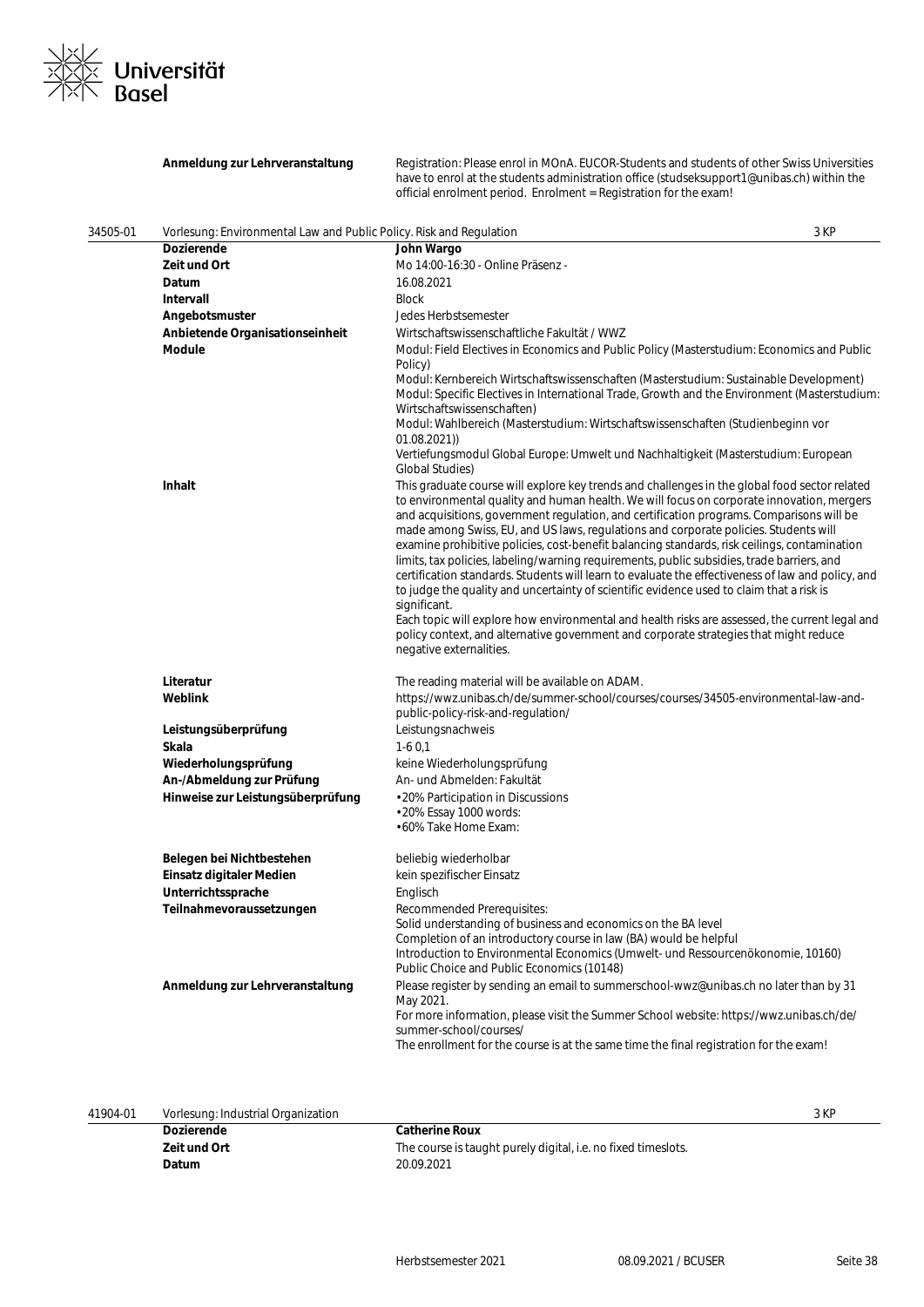

|          | Anmeldung zur Lehrveranstaltung                                             | Registration: Please enrol in MOnA. EUCOR-Students and students of other Swiss Universities<br>have to enrol at the students administration office (studseksupport1@unibas.ch) within the<br>official enrolment period. Enrolment = Registration for the exam!                                                                                                                                                                                                                                                                                                                                                                                                                                                                                                                                                                                                                                                                                                                           |  |
|----------|-----------------------------------------------------------------------------|------------------------------------------------------------------------------------------------------------------------------------------------------------------------------------------------------------------------------------------------------------------------------------------------------------------------------------------------------------------------------------------------------------------------------------------------------------------------------------------------------------------------------------------------------------------------------------------------------------------------------------------------------------------------------------------------------------------------------------------------------------------------------------------------------------------------------------------------------------------------------------------------------------------------------------------------------------------------------------------|--|
| 34505-01 | 3 KP<br>Vorlesung: Environmental Law and Public Policy. Risk and Regulation |                                                                                                                                                                                                                                                                                                                                                                                                                                                                                                                                                                                                                                                                                                                                                                                                                                                                                                                                                                                          |  |
|          | <b>Dozierende</b>                                                           | John Wargo                                                                                                                                                                                                                                                                                                                                                                                                                                                                                                                                                                                                                                                                                                                                                                                                                                                                                                                                                                               |  |
|          | Zeit und Ort                                                                | Mo 14:00-16:30 - Online Präsenz -                                                                                                                                                                                                                                                                                                                                                                                                                                                                                                                                                                                                                                                                                                                                                                                                                                                                                                                                                        |  |
|          | Datum                                                                       | 16.08.2021                                                                                                                                                                                                                                                                                                                                                                                                                                                                                                                                                                                                                                                                                                                                                                                                                                                                                                                                                                               |  |
|          | Intervall                                                                   | <b>Block</b>                                                                                                                                                                                                                                                                                                                                                                                                                                                                                                                                                                                                                                                                                                                                                                                                                                                                                                                                                                             |  |
|          | Angebotsmuster                                                              | Jedes Herbstsemester                                                                                                                                                                                                                                                                                                                                                                                                                                                                                                                                                                                                                                                                                                                                                                                                                                                                                                                                                                     |  |
|          | Anbietende Organisationseinheit                                             | Wirtschaftswissenschaftliche Fakultät / WWZ                                                                                                                                                                                                                                                                                                                                                                                                                                                                                                                                                                                                                                                                                                                                                                                                                                                                                                                                              |  |
|          | <b>Module</b>                                                               | Modul: Field Electives in Economics and Public Policy (Masterstudium: Economics and Public<br>Policy)                                                                                                                                                                                                                                                                                                                                                                                                                                                                                                                                                                                                                                                                                                                                                                                                                                                                                    |  |
|          |                                                                             | Modul: Kernbereich Wirtschaftswissenschaften (Masterstudium: Sustainable Development)<br>Modul: Specific Electives in International Trade, Growth and the Environment (Masterstudium:<br>Wirtschaftswissenschaften)                                                                                                                                                                                                                                                                                                                                                                                                                                                                                                                                                                                                                                                                                                                                                                      |  |
|          |                                                                             | Modul: Wahlbereich (Masterstudium: Wirtschaftswissenschaften (Studienbeginn vor<br>(01.08.2021)                                                                                                                                                                                                                                                                                                                                                                                                                                                                                                                                                                                                                                                                                                                                                                                                                                                                                          |  |
|          |                                                                             | Vertiefungsmodul Global Europe: Umwelt und Nachhaltigkeit (Masterstudium: European<br><b>Global Studies)</b>                                                                                                                                                                                                                                                                                                                                                                                                                                                                                                                                                                                                                                                                                                                                                                                                                                                                             |  |
|          | <b>Inhalt</b>                                                               | This graduate course will explore key trends and challenges in the global food sector related<br>to environmental quality and human health. We will focus on corporate innovation, mergers<br>and acquisitions, government regulation, and certification programs. Comparisons will be<br>made among Swiss, EU, and US laws, regulations and corporate policies. Students will<br>examine prohibitive policies, cost-benefit balancing standards, risk ceilings, contamination<br>limits, tax policies, labeling/warning requirements, public subsidies, trade barriers, and<br>certification standards. Students will learn to evaluate the effectiveness of law and policy, and<br>to judge the quality and uncertainty of scientific evidence used to claim that a risk is<br>significant.<br>Each topic will explore how environmental and health risks are assessed, the current legal and<br>policy context, and alternative government and corporate strategies that might reduce |  |
|          |                                                                             | negative externalities.                                                                                                                                                                                                                                                                                                                                                                                                                                                                                                                                                                                                                                                                                                                                                                                                                                                                                                                                                                  |  |
|          | Literatur<br>Weblink                                                        | The reading material will be available on ADAM.<br>https://wwz.unibas.ch/de/summer-school/courses/courses/34505-environmental-law-and-                                                                                                                                                                                                                                                                                                                                                                                                                                                                                                                                                                                                                                                                                                                                                                                                                                                   |  |
|          |                                                                             | public-policy-risk-and-regulation/                                                                                                                                                                                                                                                                                                                                                                                                                                                                                                                                                                                                                                                                                                                                                                                                                                                                                                                                                       |  |
|          | Leistungsüberprüfung                                                        | Leistungsnachweis                                                                                                                                                                                                                                                                                                                                                                                                                                                                                                                                                                                                                                                                                                                                                                                                                                                                                                                                                                        |  |
|          | Skala                                                                       | $1-60,1$                                                                                                                                                                                                                                                                                                                                                                                                                                                                                                                                                                                                                                                                                                                                                                                                                                                                                                                                                                                 |  |
|          | Wiederholungsprüfung                                                        | keine Wiederholungsprüfung<br>An- und Abmelden: Fakultät                                                                                                                                                                                                                                                                                                                                                                                                                                                                                                                                                                                                                                                                                                                                                                                                                                                                                                                                 |  |
|          | An-/Abmeldung zur Prüfung<br>Hinweise zur Leistungsüberprüfung              |                                                                                                                                                                                                                                                                                                                                                                                                                                                                                                                                                                                                                                                                                                                                                                                                                                                                                                                                                                                          |  |
|          |                                                                             | • 20% Participation in Discussions<br>· 20% Essay 1000 words:<br>• 60% Take Home Exam:                                                                                                                                                                                                                                                                                                                                                                                                                                                                                                                                                                                                                                                                                                                                                                                                                                                                                                   |  |
|          | Belegen bei Nichtbestehen                                                   | beliebig wiederholbar                                                                                                                                                                                                                                                                                                                                                                                                                                                                                                                                                                                                                                                                                                                                                                                                                                                                                                                                                                    |  |
|          | Einsatz digitaler Medien                                                    | kein spezifischer Einsatz                                                                                                                                                                                                                                                                                                                                                                                                                                                                                                                                                                                                                                                                                                                                                                                                                                                                                                                                                                |  |
|          | Unterrichtssprache                                                          | Englisch                                                                                                                                                                                                                                                                                                                                                                                                                                                                                                                                                                                                                                                                                                                                                                                                                                                                                                                                                                                 |  |
|          | Teilnahmevoraussetzungen                                                    | Recommended Prerequisites:<br>Solid understanding of business and economics on the BA level<br>Completion of an introductory course in law (BA) would be helpful<br>Introduction to Environmental Economics (Umwelt- und Ressourcenökonomie, 10160)<br>Public Choice and Public Economics (10148)                                                                                                                                                                                                                                                                                                                                                                                                                                                                                                                                                                                                                                                                                        |  |
|          | Anmeldung zur Lehrveranstaltung                                             | Please register by sending an email to summerschool-wwz@unibas.ch no later than by 31<br>May 2021.<br>For more information, please visit the Summer School website: https://wwz.unibas.ch/de/<br>summer-school/courses/<br>The enrollment for the course is at the same time the final registration for the exam!                                                                                                                                                                                                                                                                                                                                                                                                                                                                                                                                                                                                                                                                        |  |

| 41904-01 | Vorlesung: Industrial Organization |                                                               | 3 KP |
|----------|------------------------------------|---------------------------------------------------------------|------|
|          | <b>Dozierende</b>                  | <b>Catherine Roux</b>                                         |      |
|          | Zeit und Ort                       | The course is taught purely digital, i.e. no fixed timeslots. |      |
|          | Datum                              | 20.09.2021                                                    |      |
|          |                                    |                                                               |      |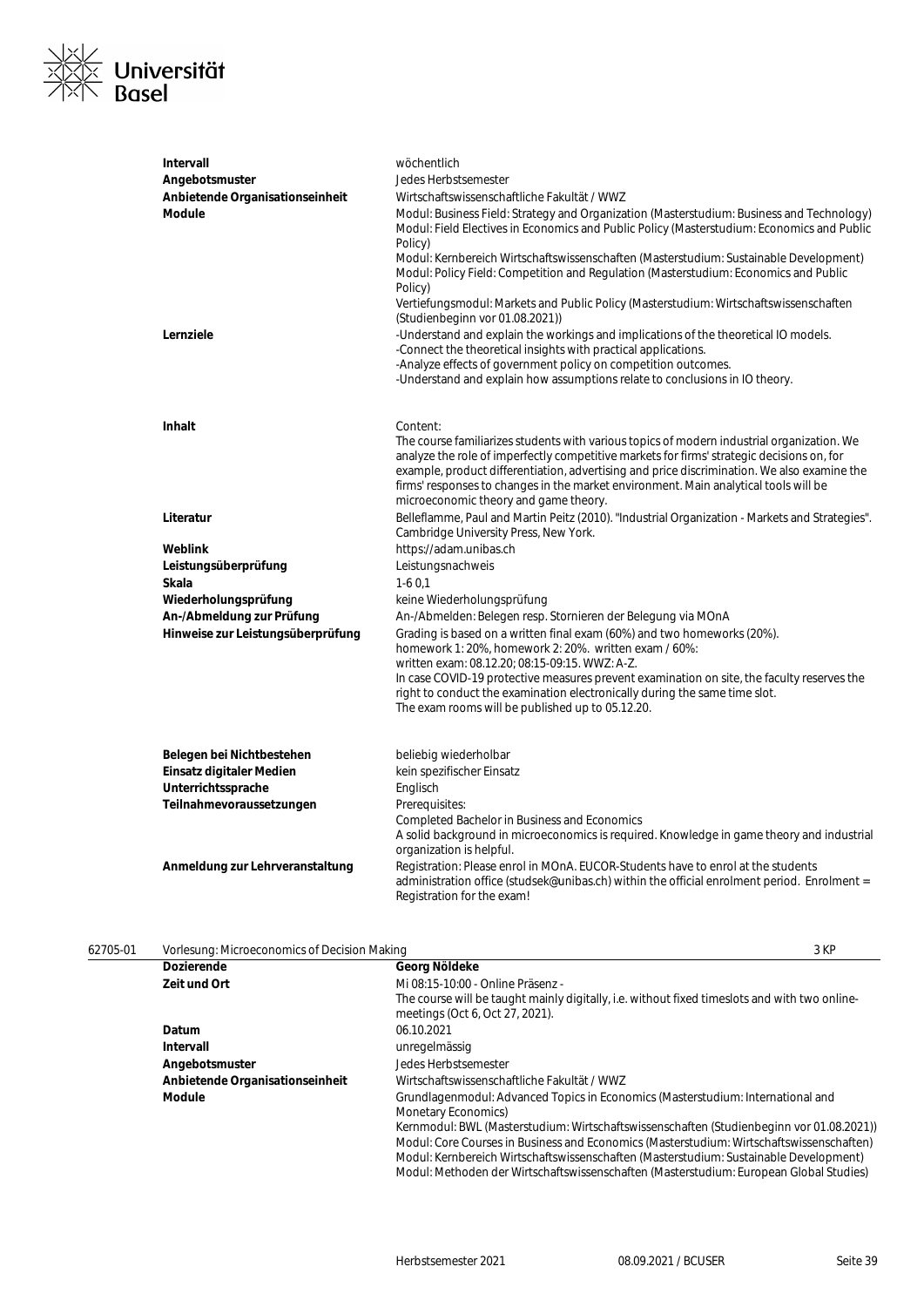

| Intervall                         | wöchentlich                                                                                                                                                                                                                                                                                                                                                                                                              |
|-----------------------------------|--------------------------------------------------------------------------------------------------------------------------------------------------------------------------------------------------------------------------------------------------------------------------------------------------------------------------------------------------------------------------------------------------------------------------|
| Angebotsmuster                    | Jedes Herbstsemester                                                                                                                                                                                                                                                                                                                                                                                                     |
| Anbietende Organisationseinheit   | Wirtschaftswissenschaftliche Fakultät / WWZ                                                                                                                                                                                                                                                                                                                                                                              |
| Module                            | Modul: Business Field: Strategy and Organization (Masterstudium: Business and Technology)<br>Modul: Field Electives in Economics and Public Policy (Masterstudium: Economics and Public<br>Policy)                                                                                                                                                                                                                       |
|                                   | Modul: Kernbereich Wirtschaftswissenschaften (Masterstudium: Sustainable Development)<br>Modul: Policy Field: Competition and Regulation (Masterstudium: Economics and Public<br>Policy)                                                                                                                                                                                                                                 |
|                                   | Vertiefungsmodul: Markets and Public Policy (Masterstudium: Wirtschaftswissenschaften<br>(Studienbeginn vor 01.08.2021))                                                                                                                                                                                                                                                                                                 |
| Lernziele                         | -Understand and explain the workings and implications of the theoretical IO models.<br>-Connect the theoretical insights with practical applications.<br>-Analyze effects of government policy on competition outcomes.<br>-Understand and explain how assumptions relate to conclusions in IO theory.                                                                                                                   |
| Inhalt                            | Content:                                                                                                                                                                                                                                                                                                                                                                                                                 |
|                                   | The course familiarizes students with various topics of modern industrial organization. We<br>analyze the role of imperfectly competitive markets for firms' strategic decisions on, for<br>example, product differentiation, advertising and price discrimination. We also examine the<br>firms' responses to changes in the market environment. Main analytical tools will be<br>microeconomic theory and game theory. |
| Literatur                         | Belleflamme, Paul and Martin Peitz (2010). "Industrial Organization - Markets and Strategies".<br>Cambridge University Press, New York.                                                                                                                                                                                                                                                                                  |
| Weblink                           | https://adam.unibas.ch                                                                                                                                                                                                                                                                                                                                                                                                   |
| Leistungsüberprüfung              | Leistungsnachweis                                                                                                                                                                                                                                                                                                                                                                                                        |
| Skala                             | $1-60,1$                                                                                                                                                                                                                                                                                                                                                                                                                 |
| Wiederholungsprüfung              | keine Wiederholungsprüfung                                                                                                                                                                                                                                                                                                                                                                                               |
| An-/Abmeldung zur Prüfung         | An-/Abmelden: Belegen resp. Stornieren der Belegung via MOnA                                                                                                                                                                                                                                                                                                                                                             |
| Hinweise zur Leistungsüberprüfung | Grading is based on a written final exam (60%) and two homeworks (20%).<br>homework 1: 20%, homework 2: 20%. written exam / 60%:<br>written exam: 08.12.20; 08:15-09:15. WWZ: A-Z.                                                                                                                                                                                                                                       |
|                                   | In case COVID-19 protective measures prevent examination on site, the faculty reserves the                                                                                                                                                                                                                                                                                                                               |
|                                   | right to conduct the examination electronically during the same time slot.<br>The exam rooms will be published up to 05.12.20.                                                                                                                                                                                                                                                                                           |
| Belegen bei Nichtbestehen         | beliebig wiederholbar                                                                                                                                                                                                                                                                                                                                                                                                    |
| Einsatz digitaler Medien          | kein spezifischer Einsatz                                                                                                                                                                                                                                                                                                                                                                                                |
| Unterrichtssprache                | Englisch                                                                                                                                                                                                                                                                                                                                                                                                                 |
| Teilnahmevoraussetzungen          | Prerequisites:                                                                                                                                                                                                                                                                                                                                                                                                           |
|                                   | <b>Completed Bachelor in Business and Economics</b><br>A solid background in microeconomics is required. Knowledge in game theory and industrial<br>organization is helpful.                                                                                                                                                                                                                                             |
| Anmeldung zur Lehrveranstaltung   | Registration: Please enrol in MOnA. EUCOR-Students have to enrol at the students<br>administration office (studsek@unibas.ch) within the official enrolment period. Enrolment =<br>Registration for the exam!                                                                                                                                                                                                            |

| 62705-01 | Vorlesung: Microeconomics of Decision Making |                                                                                                                                                                                                                                                                                                                                                                         | 3 KP |
|----------|----------------------------------------------|-------------------------------------------------------------------------------------------------------------------------------------------------------------------------------------------------------------------------------------------------------------------------------------------------------------------------------------------------------------------------|------|
|          | <b>Dozierende</b>                            | Georg Nöldeke                                                                                                                                                                                                                                                                                                                                                           |      |
|          | Zeit und Ort                                 | Mi 08:15-10:00 - Online Präsenz -                                                                                                                                                                                                                                                                                                                                       |      |
|          |                                              | The course will be taught mainly digitally, i.e. without fixed timeslots and with two online-<br>meetings (Oct 6, Oct 27, 2021).                                                                                                                                                                                                                                        |      |
|          | Datum                                        | 06.10.2021                                                                                                                                                                                                                                                                                                                                                              |      |
|          | Intervall                                    | unregelmässig                                                                                                                                                                                                                                                                                                                                                           |      |
|          | Angebotsmuster                               | Jedes Herbstsemester                                                                                                                                                                                                                                                                                                                                                    |      |
|          | Anbietende Organisationseinheit              | Wirtschaftswissenschaftliche Fakultät / WWZ                                                                                                                                                                                                                                                                                                                             |      |
|          | <b>Module</b>                                | Grundlagenmodul: Advanced Topics in Economics (Masterstudium: International and<br>Monetary Economics)                                                                                                                                                                                                                                                                  |      |
|          |                                              | Kernmodul: BWL (Masterstudium: Wirtschaftswissenschaften (Studienbeginn vor 01.08.2021))<br>Modul: Core Courses in Business and Economics (Masterstudium: Wirtschaftswissenschaften)<br>Modul: Kernbereich Wirtschaftswissenschaften (Masterstudium: Sustainable Development)<br>Modul: Methoden der Wirtschaftswissenschaften (Masterstudium: European Global Studies) |      |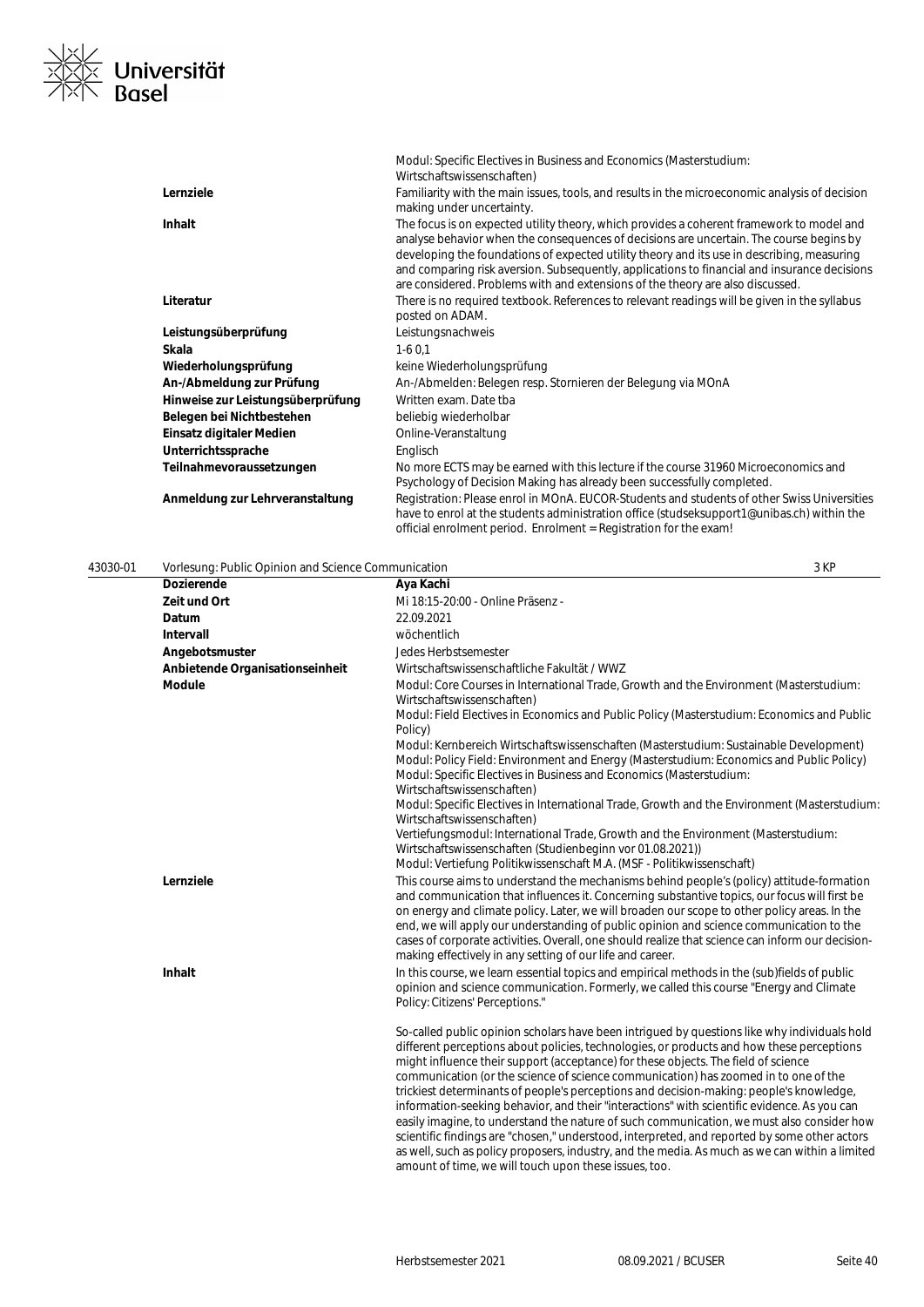

|                                   | Modul: Specific Electives in Business and Economics (Masterstudium:<br>Wirtschaftswissenschaften)                                                                                                                                                                                                                                                                                                                                                                    |
|-----------------------------------|----------------------------------------------------------------------------------------------------------------------------------------------------------------------------------------------------------------------------------------------------------------------------------------------------------------------------------------------------------------------------------------------------------------------------------------------------------------------|
| Lernziele                         | Familiarity with the main issues, tools, and results in the microeconomic analysis of decision<br>making under uncertainty.                                                                                                                                                                                                                                                                                                                                          |
| Inhalt                            | The focus is on expected utility theory, which provides a coherent framework to model and<br>analyse behavior when the consequences of decisions are uncertain. The course begins by<br>developing the foundations of expected utility theory and its use in describing, measuring<br>and comparing risk aversion. Subsequently, applications to financial and insurance decisions<br>are considered. Problems with and extensions of the theory are also discussed. |
| Literatur                         | There is no required textbook. References to relevant readings will be given in the syllabus<br>posted on ADAM.                                                                                                                                                                                                                                                                                                                                                      |
| Leistungsüberprüfung              | Leistungsnachweis                                                                                                                                                                                                                                                                                                                                                                                                                                                    |
| Skala                             | $1-60.1$                                                                                                                                                                                                                                                                                                                                                                                                                                                             |
| Wiederholungsprüfung              | keine Wiederholungsprüfung                                                                                                                                                                                                                                                                                                                                                                                                                                           |
| An-/Abmeldung zur Prüfung         | An-/Abmelden: Belegen resp. Stornieren der Belegung via MOnA                                                                                                                                                                                                                                                                                                                                                                                                         |
| Hinweise zur Leistungsüberprüfung | Written exam. Date tha                                                                                                                                                                                                                                                                                                                                                                                                                                               |
| Belegen bei Nichtbestehen         | beliebig wiederholbar                                                                                                                                                                                                                                                                                                                                                                                                                                                |
| Einsatz digitaler Medien          | Online-Veranstaltung                                                                                                                                                                                                                                                                                                                                                                                                                                                 |
| Unterrichtssprache                | Englisch                                                                                                                                                                                                                                                                                                                                                                                                                                                             |
| Teilnahmevoraussetzungen          | No more ECTS may be earned with this lecture if the course 31960 Microeconomics and<br>Psychology of Decision Making has already been successfully completed.                                                                                                                                                                                                                                                                                                        |
| Anmeldung zur Lehrveranstaltung   | Registration: Please enrol in MOnA. EUCOR-Students and students of other Swiss Universities<br>have to enrol at the students administration office (studseksupport1@unibas.ch) within the<br>official enrolment period. Enrolment = Registration for the exam!                                                                                                                                                                                                       |

| 43030-01 | Vorlesung: Public Opinion and Science Communication |                                                                                                                                                                                                                                                                                                                                                                                                                                                                                                                                                                                                                                                                                                                                                                                                                                                                 | 3 KP |
|----------|-----------------------------------------------------|-----------------------------------------------------------------------------------------------------------------------------------------------------------------------------------------------------------------------------------------------------------------------------------------------------------------------------------------------------------------------------------------------------------------------------------------------------------------------------------------------------------------------------------------------------------------------------------------------------------------------------------------------------------------------------------------------------------------------------------------------------------------------------------------------------------------------------------------------------------------|------|
|          | <b>Dozierende</b>                                   | Aya Kachi                                                                                                                                                                                                                                                                                                                                                                                                                                                                                                                                                                                                                                                                                                                                                                                                                                                       |      |
|          | Zeit und Ort                                        | Mi 18:15-20:00 - Online Präsenz -                                                                                                                                                                                                                                                                                                                                                                                                                                                                                                                                                                                                                                                                                                                                                                                                                               |      |
|          | Datum                                               | 22.09.2021                                                                                                                                                                                                                                                                                                                                                                                                                                                                                                                                                                                                                                                                                                                                                                                                                                                      |      |
|          | <b>Intervall</b>                                    | wöchentlich                                                                                                                                                                                                                                                                                                                                                                                                                                                                                                                                                                                                                                                                                                                                                                                                                                                     |      |
|          | Angebotsmuster                                      | Jedes Herbstsemester                                                                                                                                                                                                                                                                                                                                                                                                                                                                                                                                                                                                                                                                                                                                                                                                                                            |      |
|          | Anbietende Organisationseinheit                     | Wirtschaftswissenschaftliche Fakultät / WWZ                                                                                                                                                                                                                                                                                                                                                                                                                                                                                                                                                                                                                                                                                                                                                                                                                     |      |
|          | <b>Module</b>                                       | Modul: Core Courses in International Trade, Growth and the Environment (Masterstudium:                                                                                                                                                                                                                                                                                                                                                                                                                                                                                                                                                                                                                                                                                                                                                                          |      |
|          |                                                     | Wirtschaftswissenschaften)                                                                                                                                                                                                                                                                                                                                                                                                                                                                                                                                                                                                                                                                                                                                                                                                                                      |      |
|          |                                                     | Modul: Field Electives in Economics and Public Policy (Masterstudium: Economics and Public<br>Policy)                                                                                                                                                                                                                                                                                                                                                                                                                                                                                                                                                                                                                                                                                                                                                           |      |
|          |                                                     | Modul: Kernbereich Wirtschaftswissenschaften (Masterstudium: Sustainable Development)<br>Modul: Policy Field: Environment and Energy (Masterstudium: Economics and Public Policy)<br>Modul: Specific Electives in Business and Economics (Masterstudium:<br>Wirtschaftswissenschaften)                                                                                                                                                                                                                                                                                                                                                                                                                                                                                                                                                                          |      |
|          |                                                     | Modul: Specific Electives in International Trade, Growth and the Environment (Masterstudium:<br>Wirtschaftswissenschaften)                                                                                                                                                                                                                                                                                                                                                                                                                                                                                                                                                                                                                                                                                                                                      |      |
|          |                                                     | Vertiefungsmodul: International Trade, Growth and the Environment (Masterstudium:<br>Wirtschaftswissenschaften (Studienbeginn vor 01.08.2021))                                                                                                                                                                                                                                                                                                                                                                                                                                                                                                                                                                                                                                                                                                                  |      |
|          |                                                     | Modul: Vertiefung Politikwissenschaft M.A. (MSF - Politikwissenschaft)                                                                                                                                                                                                                                                                                                                                                                                                                                                                                                                                                                                                                                                                                                                                                                                          |      |
|          | Lernziele                                           | This course aims to understand the mechanisms behind people's (policy) attitude-formation<br>and communication that influences it. Concerning substantive topics, our focus will first be<br>on energy and climate policy. Later, we will broaden our scope to other policy areas. In the<br>end, we will apply our understanding of public opinion and science communication to the<br>cases of corporate activities. Overall, one should realize that science can inform our decision-<br>making effectively in any setting of our life and career.                                                                                                                                                                                                                                                                                                           |      |
|          | <b>Inhalt</b>                                       | In this course, we learn essential topics and empirical methods in the (sub)fields of public<br>opinion and science communication. Formerly, we called this course "Energy and Climate"<br>Policy: Citizens' Perceptions."                                                                                                                                                                                                                                                                                                                                                                                                                                                                                                                                                                                                                                      |      |
|          |                                                     | So-called public opinion scholars have been intrigued by questions like why individuals hold<br>different perceptions about policies, technologies, or products and how these perceptions<br>might influence their support (acceptance) for these objects. The field of science<br>communication (or the science of science communication) has zoomed in to one of the<br>trickiest determinants of people's perceptions and decision-making: people's knowledge,<br>information-seeking behavior, and their "interactions" with scientific evidence. As you can<br>easily imagine, to understand the nature of such communication, we must also consider how<br>scientific findings are "chosen," understood, interpreted, and reported by some other actors<br>as well, such as policy proposers, industry, and the media. As much as we can within a limited |      |

amount of time, we will touch upon these issues, too.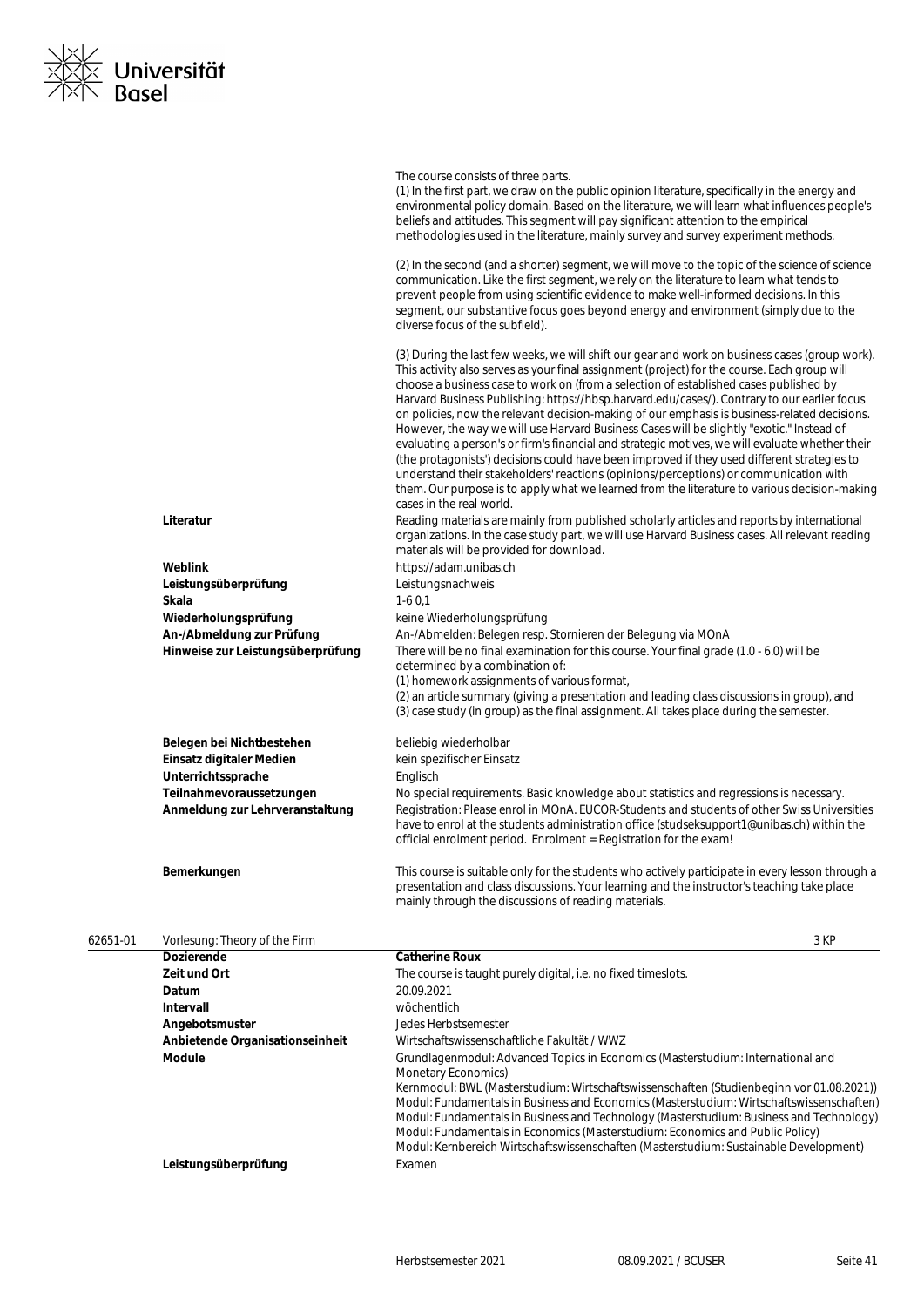

|          |                                   | The course consists of three parts.<br>(1) In the first part, we draw on the public opinion literature, specifically in the energy and<br>environmental policy domain. Based on the literature, we will learn what influences people's<br>beliefs and attitudes. This segment will pay significant attention to the empirical<br>methodologies used in the literature, mainly survey and survey experiment methods.<br>(2) In the second (and a shorter) segment, we will move to the topic of the science of science<br>communication. Like the first segment, we rely on the literature to learn what tends to<br>prevent people from using scientific evidence to make well-informed decisions. In this<br>segment, our substantive focus goes beyond energy and environment (simply due to the                                                                                                                                                                                                                                                                                                                                                                                                                                                        |
|----------|-----------------------------------|-----------------------------------------------------------------------------------------------------------------------------------------------------------------------------------------------------------------------------------------------------------------------------------------------------------------------------------------------------------------------------------------------------------------------------------------------------------------------------------------------------------------------------------------------------------------------------------------------------------------------------------------------------------------------------------------------------------------------------------------------------------------------------------------------------------------------------------------------------------------------------------------------------------------------------------------------------------------------------------------------------------------------------------------------------------------------------------------------------------------------------------------------------------------------------------------------------------------------------------------------------------|
|          |                                   | diverse focus of the subfield).                                                                                                                                                                                                                                                                                                                                                                                                                                                                                                                                                                                                                                                                                                                                                                                                                                                                                                                                                                                                                                                                                                                                                                                                                           |
|          | Literatur                         | (3) During the last few weeks, we will shift our gear and work on business cases (group work).<br>This activity also serves as your final assignment (project) for the course. Each group will<br>choose a business case to work on (from a selection of established cases published by<br>Harvard Business Publishing: https://hbsp.harvard.edu/cases/). Contrary to our earlier focus<br>on policies, now the relevant decision-making of our emphasis is business-related decisions.<br>However, the way we will use Harvard Business Cases will be slightly "exotic." Instead of<br>evaluating a person's or firm's financial and strategic motives, we will evaluate whether their<br>(the protagonists') decisions could have been improved if they used different strategies to<br>understand their stakeholders' reactions (opinions/perceptions) or communication with<br>them. Our purpose is to apply what we learned from the literature to various decision-making<br>cases in the real world.<br>Reading materials are mainly from published scholarly articles and reports by international<br>organizations. In the case study part, we will use Harvard Business cases. All relevant reading<br>materials will be provided for download. |
|          | Weblink                           | https://adam.unibas.ch                                                                                                                                                                                                                                                                                                                                                                                                                                                                                                                                                                                                                                                                                                                                                                                                                                                                                                                                                                                                                                                                                                                                                                                                                                    |
|          | Leistungsüberprüfung              | Leistungsnachweis                                                                                                                                                                                                                                                                                                                                                                                                                                                                                                                                                                                                                                                                                                                                                                                                                                                                                                                                                                                                                                                                                                                                                                                                                                         |
|          | Skala                             | $1-60,1$                                                                                                                                                                                                                                                                                                                                                                                                                                                                                                                                                                                                                                                                                                                                                                                                                                                                                                                                                                                                                                                                                                                                                                                                                                                  |
|          | Wiederholungsprüfung              | keine Wiederholungsprüfung                                                                                                                                                                                                                                                                                                                                                                                                                                                                                                                                                                                                                                                                                                                                                                                                                                                                                                                                                                                                                                                                                                                                                                                                                                |
|          | An-/Abmeldung zur Prüfung         | An-/Abmelden: Belegen resp. Stornieren der Belegung via MOnA                                                                                                                                                                                                                                                                                                                                                                                                                                                                                                                                                                                                                                                                                                                                                                                                                                                                                                                                                                                                                                                                                                                                                                                              |
|          | Hinweise zur Leistungsüberprüfung | There will be no final examination for this course. Your final grade (1.0 - 6.0) will be<br>determined by a combination of:<br>(1) homework assignments of various format,<br>(2) an article summary (giving a presentation and leading class discussions in group), and<br>(3) case study (in group) as the final assignment. All takes place during the semester.                                                                                                                                                                                                                                                                                                                                                                                                                                                                                                                                                                                                                                                                                                                                                                                                                                                                                       |
|          | Belegen bei Nichtbestehen         | beliebig wiederholbar                                                                                                                                                                                                                                                                                                                                                                                                                                                                                                                                                                                                                                                                                                                                                                                                                                                                                                                                                                                                                                                                                                                                                                                                                                     |
|          | Einsatz digitaler Medien          | kein spezifischer Einsatz                                                                                                                                                                                                                                                                                                                                                                                                                                                                                                                                                                                                                                                                                                                                                                                                                                                                                                                                                                                                                                                                                                                                                                                                                                 |
|          | Unterrichtssprache                | Englisch                                                                                                                                                                                                                                                                                                                                                                                                                                                                                                                                                                                                                                                                                                                                                                                                                                                                                                                                                                                                                                                                                                                                                                                                                                                  |
|          | Teilnahmevoraussetzungen          | No special requirements. Basic knowledge about statistics and regressions is necessary.                                                                                                                                                                                                                                                                                                                                                                                                                                                                                                                                                                                                                                                                                                                                                                                                                                                                                                                                                                                                                                                                                                                                                                   |
|          | Anmeldung zur Lehrveranstaltung   | Registration: Please enrol in MOnA. EUCOR-Students and students of other Swiss Universities<br>have to enrol at the students administration office (studseksupport1@unibas.ch) within the<br>official enrolment period. Enrolment = Registration for the exam!                                                                                                                                                                                                                                                                                                                                                                                                                                                                                                                                                                                                                                                                                                                                                                                                                                                                                                                                                                                            |
|          | Bemerkungen                       | This course is suitable only for the students who actively participate in every lesson through a<br>presentation and class discussions. Your learning and the instructor's teaching take place<br>mainly through the discussions of reading materials.                                                                                                                                                                                                                                                                                                                                                                                                                                                                                                                                                                                                                                                                                                                                                                                                                                                                                                                                                                                                    |
| 62651-01 | Vorlesung: Theory of the Firm     | 3 KP                                                                                                                                                                                                                                                                                                                                                                                                                                                                                                                                                                                                                                                                                                                                                                                                                                                                                                                                                                                                                                                                                                                                                                                                                                                      |

| <b>Dozierende</b>               | <b>Catherine Roux</b>                                                                                                                                                                                                                                                                                                                                                                                                                                     |
|---------------------------------|-----------------------------------------------------------------------------------------------------------------------------------------------------------------------------------------------------------------------------------------------------------------------------------------------------------------------------------------------------------------------------------------------------------------------------------------------------------|
| Zeit und Ort                    | The course is taught purely digital, i.e. no fixed timeslots.                                                                                                                                                                                                                                                                                                                                                                                             |
| Datum                           | 20.09.2021                                                                                                                                                                                                                                                                                                                                                                                                                                                |
| Intervall                       | wöchentlich                                                                                                                                                                                                                                                                                                                                                                                                                                               |
| Angebotsmuster                  | Jedes Herbstsemester                                                                                                                                                                                                                                                                                                                                                                                                                                      |
| Anbietende Organisationseinheit | Wirtschaftswissenschaftliche Fakultät / WWZ                                                                                                                                                                                                                                                                                                                                                                                                               |
| Module                          | Grundlagenmodul: Advanced Topics in Economics (Masterstudium: International and<br>Monetary Economics)                                                                                                                                                                                                                                                                                                                                                    |
|                                 | Kernmodul: BWL (Masterstudium: Wirtschaftswissenschaften (Studienbeginn vor 01.08.2021))<br>Modul: Fundamentals in Business and Economics (Masterstudium: Wirtschaftswissenschaften)<br>Modul: Fundamentals in Business and Technology (Masterstudium: Business and Technology)<br>Modul: Fundamentals in Economics (Masterstudium: Economics and Public Policy)<br>Modul: Kernbereich Wirtschaftswissenschaften (Masterstudium: Sustainable Development) |
| Leistungsüberprüfung            | Examen                                                                                                                                                                                                                                                                                                                                                                                                                                                    |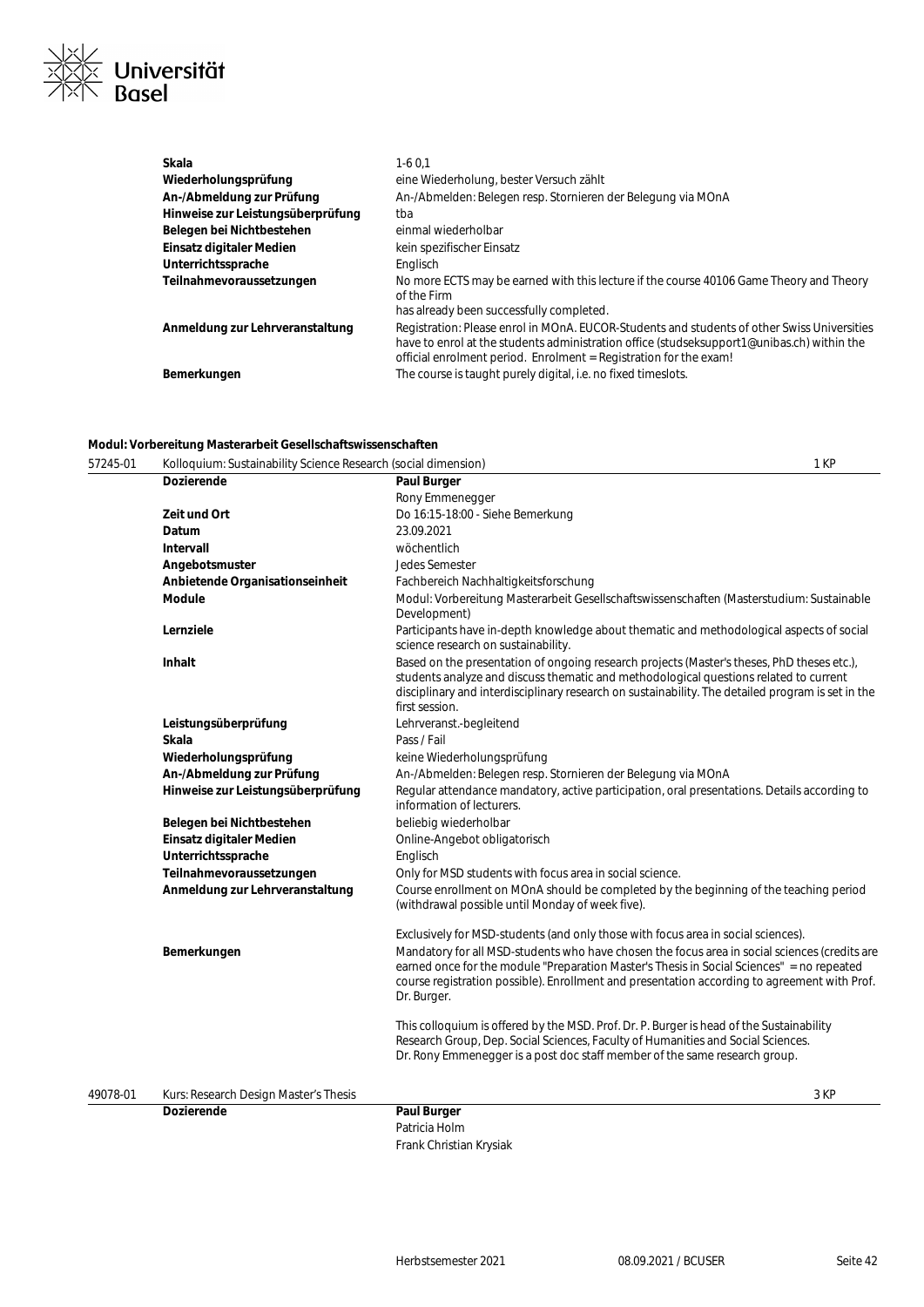

| Wiederholungsprüfung<br>eine Wiederholung, bester Versuch zählt<br>An-/Abmelden: Belegen resp. Stornieren der Belegung via MOnA<br>An-/Abmeldung zur Prüfung<br>Hinweise zur Leistungsüberprüfung<br>tba<br>Belegen bei Nichtbestehen<br>einmal wiederholbar<br>Einsatz digitaler Medien<br>kein spezifischer Einsatz<br>Unterrichtssprache<br>Englisch<br>Teilnahmevoraussetzungen<br>No more ECTS may be earned with this lecture if the course 40106 Game Theory and Theory<br>of the Firm<br>has already been successfully completed.<br>Registration: Please enrol in MOnA. EUCOR-Students and students of other Swiss Universities<br>Anmeldung zur Lehrveranstaltung<br>have to enrol at the students administration office (studseksupport1@unibas.ch) within the<br>official enrolment period. Enrolment = Registration for the exam!<br>The course is taught purely digital, i.e. no fixed timeslots.<br>Bemerkungen | Skala | $1-60.1$ |
|--------------------------------------------------------------------------------------------------------------------------------------------------------------------------------------------------------------------------------------------------------------------------------------------------------------------------------------------------------------------------------------------------------------------------------------------------------------------------------------------------------------------------------------------------------------------------------------------------------------------------------------------------------------------------------------------------------------------------------------------------------------------------------------------------------------------------------------------------------------------------------------------------------------------------------|-------|----------|
|                                                                                                                                                                                                                                                                                                                                                                                                                                                                                                                                                                                                                                                                                                                                                                                                                                                                                                                                |       |          |
|                                                                                                                                                                                                                                                                                                                                                                                                                                                                                                                                                                                                                                                                                                                                                                                                                                                                                                                                |       |          |
|                                                                                                                                                                                                                                                                                                                                                                                                                                                                                                                                                                                                                                                                                                                                                                                                                                                                                                                                |       |          |
|                                                                                                                                                                                                                                                                                                                                                                                                                                                                                                                                                                                                                                                                                                                                                                                                                                                                                                                                |       |          |
|                                                                                                                                                                                                                                                                                                                                                                                                                                                                                                                                                                                                                                                                                                                                                                                                                                                                                                                                |       |          |
|                                                                                                                                                                                                                                                                                                                                                                                                                                                                                                                                                                                                                                                                                                                                                                                                                                                                                                                                |       |          |
|                                                                                                                                                                                                                                                                                                                                                                                                                                                                                                                                                                                                                                                                                                                                                                                                                                                                                                                                |       |          |
|                                                                                                                                                                                                                                                                                                                                                                                                                                                                                                                                                                                                                                                                                                                                                                                                                                                                                                                                |       |          |
|                                                                                                                                                                                                                                                                                                                                                                                                                                                                                                                                                                                                                                                                                                                                                                                                                                                                                                                                |       |          |
|                                                                                                                                                                                                                                                                                                                                                                                                                                                                                                                                                                                                                                                                                                                                                                                                                                                                                                                                |       |          |

### **Modul: Vorbereitung Masterarbeit Gesellschaftswissenschaften**

| 57245-01 | Kolloquium: Sustainability Science Research (social dimension) |                                                                                                                                                                                                                                                                                                            | 1 KP |
|----------|----------------------------------------------------------------|------------------------------------------------------------------------------------------------------------------------------------------------------------------------------------------------------------------------------------------------------------------------------------------------------------|------|
|          | <b>Dozierende</b>                                              | Paul Burger                                                                                                                                                                                                                                                                                                |      |
|          |                                                                | Rony Emmenegger                                                                                                                                                                                                                                                                                            |      |
|          | Zeit und Ort                                                   | Do 16:15-18:00 - Siehe Bemerkung                                                                                                                                                                                                                                                                           |      |
|          | Datum                                                          | 23.09.2021                                                                                                                                                                                                                                                                                                 |      |
|          | <b>Intervall</b>                                               | wöchentlich                                                                                                                                                                                                                                                                                                |      |
|          | Angebotsmuster                                                 | Jedes Semester                                                                                                                                                                                                                                                                                             |      |
|          | Anbietende Organisationseinheit                                | Fachbereich Nachhaltigkeitsforschung                                                                                                                                                                                                                                                                       |      |
|          | <b>Module</b>                                                  | Modul: Vorbereitung Masterarbeit Gesellschaftswissenschaften (Masterstudium: Sustainable<br>Development)                                                                                                                                                                                                   |      |
|          | Lernziele                                                      | Participants have in-depth knowledge about thematic and methodological aspects of social<br>science research on sustainability.                                                                                                                                                                            |      |
|          | <b>Inhalt</b>                                                  | Based on the presentation of ongoing research projects (Master's theses, PhD theses etc.),<br>students analyze and discuss thematic and methodological questions related to current<br>disciplinary and interdisciplinary research on sustainability. The detailed program is set in the<br>first session. |      |
|          | Leistungsüberprüfung                                           | Lehrveranst.-begleitend                                                                                                                                                                                                                                                                                    |      |
|          | Skala                                                          | Pass / Fail                                                                                                                                                                                                                                                                                                |      |
|          | Wiederholungsprüfung                                           | keine Wiederholungsprüfung                                                                                                                                                                                                                                                                                 |      |
|          | An-/Abmeldung zur Prüfung                                      | An-/Abmelden: Belegen resp. Stornieren der Belegung via MOnA                                                                                                                                                                                                                                               |      |
|          | Hinweise zur Leistungsüberprüfung                              | Regular attendance mandatory, active participation, oral presentations. Details according to<br>information of lecturers.                                                                                                                                                                                  |      |
|          | Belegen bei Nichtbestehen                                      | beliebig wiederholbar                                                                                                                                                                                                                                                                                      |      |
|          | <b>Einsatz digitaler Medien</b>                                | Online-Angebot obligatorisch                                                                                                                                                                                                                                                                               |      |
|          | Unterrichtssprache                                             | Englisch                                                                                                                                                                                                                                                                                                   |      |
|          | Teilnahmevoraussetzungen                                       | Only for MSD students with focus area in social science.                                                                                                                                                                                                                                                   |      |
|          | Anmeldung zur Lehrveranstaltung                                | Course enrollment on MOnA should be completed by the beginning of the teaching period<br>(withdrawal possible until Monday of week five).                                                                                                                                                                  |      |
|          |                                                                | Exclusively for MSD-students (and only those with focus area in social sciences).                                                                                                                                                                                                                          |      |
|          | Bemerkungen                                                    | Mandatory for all MSD-students who have chosen the focus area in social sciences (credits are<br>earned once for the module "Preparation Master's Thesis in Social Sciences" = no repeated<br>course registration possible). Enrollment and presentation according to agreement with Prof.<br>Dr. Burger.  |      |
|          |                                                                | This colloquium is offered by the MSD. Prof. Dr. P. Burger is head of the Sustainability<br>Research Group, Dep. Social Sciences, Faculty of Humanities and Social Sciences.<br>Dr. Rony Emmenegger is a post doc staff member of the same research group.                                                 |      |
| 49078-01 | Kurs: Research Design Master's Thesis                          |                                                                                                                                                                                                                                                                                                            | 3 KP |
|          | <b>Dozierende</b>                                              | <b>Paul Burger</b>                                                                                                                                                                                                                                                                                         |      |

Patricia Holm Frank Christian Krysiak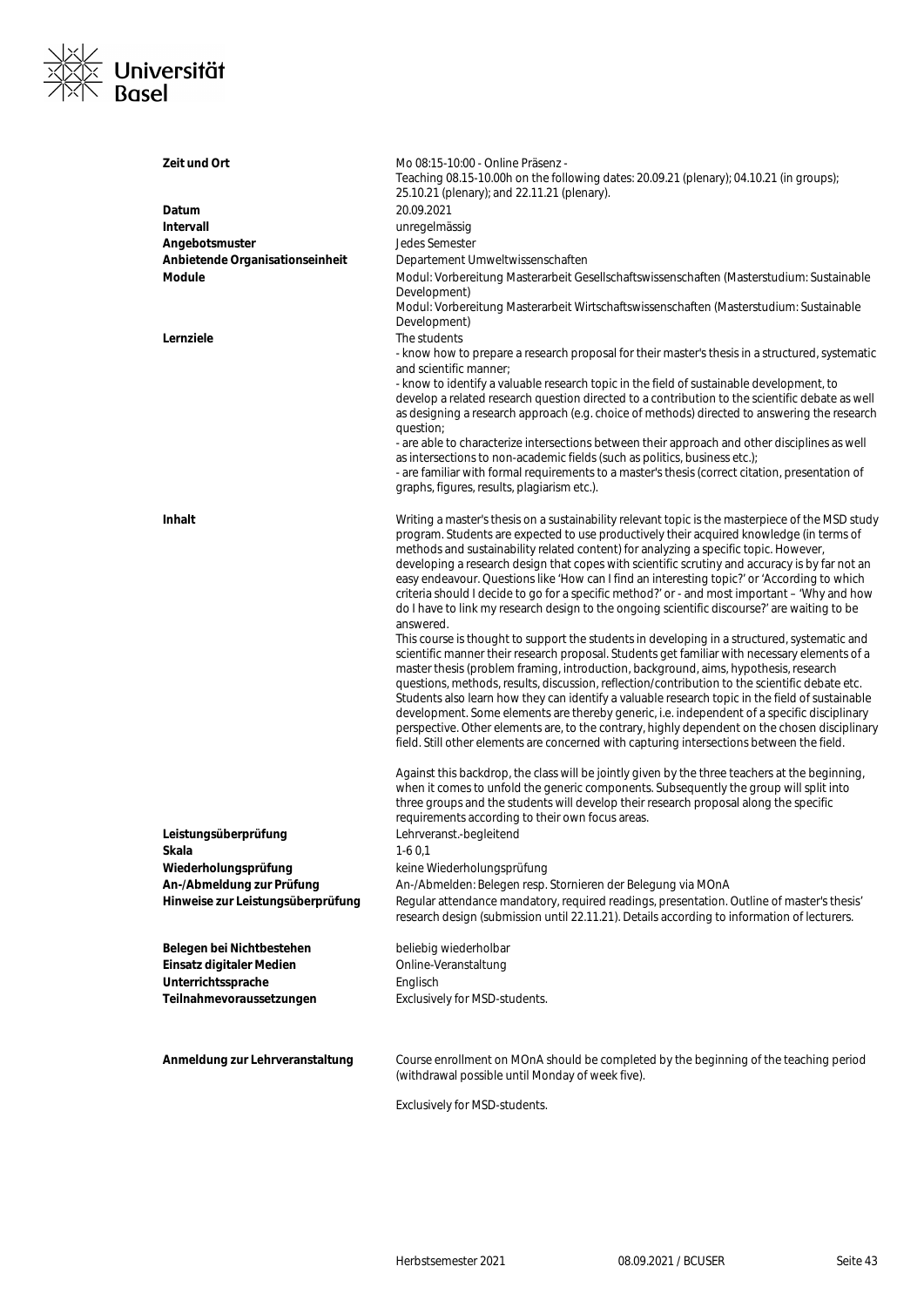

| Zeit und Ort                      | Mo 08:15-10:00 - Online Präsenz -<br>Teaching 08.15-10.00h on the following dates: 20.09.21 (plenary); 04.10.21 (in groups);<br>25.10.21 (plenary); and 22.11.21 (plenary).           |
|-----------------------------------|---------------------------------------------------------------------------------------------------------------------------------------------------------------------------------------|
| Datum                             | 20.09.2021                                                                                                                                                                            |
| <b>Intervall</b>                  | unregelmässig                                                                                                                                                                         |
| Angebotsmuster                    | Jedes Semester                                                                                                                                                                        |
| Anbietende Organisationseinheit   | Departement Umweltwissenschaften                                                                                                                                                      |
| <b>Module</b>                     | Modul: Vorbereitung Masterarbeit Gesellschaftswissenschaften (Masterstudium: Sustainable                                                                                              |
|                                   | Development)                                                                                                                                                                          |
|                                   | Modul: Vorbereitung Masterarbeit Wirtschaftswissenschaften (Masterstudium: Sustainable                                                                                                |
|                                   | Development)                                                                                                                                                                          |
| Lernziele                         | The students                                                                                                                                                                          |
|                                   | - know how to prepare a research proposal for their master's thesis in a structured, systematic                                                                                       |
|                                   | and scientific manner:                                                                                                                                                                |
|                                   | - know to identify a valuable research topic in the field of sustainable development, to                                                                                              |
|                                   | develop a related research question directed to a contribution to the scientific debate as well                                                                                       |
|                                   | as designing a research approach (e.g. choice of methods) directed to answering the research                                                                                          |
|                                   | question;                                                                                                                                                                             |
|                                   | - are able to characterize intersections between their approach and other disciplines as well                                                                                         |
|                                   | as intersections to non-academic fields (such as politics, business etc.);                                                                                                            |
|                                   | - are familiar with formal requirements to a master's thesis (correct citation, presentation of<br>graphs, figures, results, plagiarism etc.).                                        |
|                                   |                                                                                                                                                                                       |
| <b>Inhalt</b>                     | Writing a master's thesis on a sustainability relevant topic is the masterpiece of the MSD study                                                                                      |
|                                   | program. Students are expected to use productively their acquired knowledge (in terms of                                                                                              |
|                                   | methods and sustainability related content) for analyzing a specific topic. However,                                                                                                  |
|                                   | developing a research design that copes with scientific scrutiny and accuracy is by far not an                                                                                        |
|                                   | easy endeavour. Questions like 'How can I find an interesting topic?' or 'According to which                                                                                          |
|                                   | criteria should I decide to go for a specific method?' or - and most important - 'Why and how                                                                                         |
|                                   | do I have to link my research design to the ongoing scientific discourse?' are waiting to be                                                                                          |
|                                   | answered.                                                                                                                                                                             |
|                                   | This course is thought to support the students in developing in a structured, systematic and                                                                                          |
|                                   | scientific manner their research proposal. Students get familiar with necessary elements of a<br>master thesis (problem framing, introduction, background, aims, hypothesis, research |
|                                   | questions, methods, results, discussion, reflection/contribution to the scientific debate etc.                                                                                        |
|                                   | Students also learn how they can identify a valuable research topic in the field of sustainable                                                                                       |
|                                   | development. Some elements are thereby generic, i.e. independent of a specific disciplinary                                                                                           |
|                                   | perspective. Other elements are, to the contrary, highly dependent on the chosen disciplinary                                                                                         |
|                                   | field. Still other elements are concerned with capturing intersections between the field.                                                                                             |
|                                   |                                                                                                                                                                                       |
|                                   | Against this backdrop, the class will be jointly given by the three teachers at the beginning,                                                                                        |
|                                   | when it comes to unfold the generic components. Subsequently the group will split into                                                                                                |
|                                   | three groups and the students will develop their research proposal along the specific                                                                                                 |
|                                   | requirements according to their own focus areas.                                                                                                                                      |
| Leistungsüberprüfung              | Lehrveranst.-begleitend                                                                                                                                                               |
| Skala                             | $1-60,1$                                                                                                                                                                              |
| Wiederholungsprüfung              | keine Wiederholungsprüfung                                                                                                                                                            |
| An-/Abmeldung zur Prüfung         | An-/Abmelden: Belegen resp. Stornieren der Belegung via MOnA                                                                                                                          |
| Hinweise zur Leistungsüberprüfung | Regular attendance mandatory, required readings, presentation. Outline of master's thesis'                                                                                            |
|                                   | research design (submission until 22.11.21). Details according to information of lecturers.                                                                                           |
|                                   |                                                                                                                                                                                       |
| Belegen bei Nichtbestehen         | beliebig wiederholbar                                                                                                                                                                 |
| Einsatz digitaler Medien          | Online-Veranstaltung                                                                                                                                                                  |
| Unterrichtssprache                | Englisch                                                                                                                                                                              |
| Teilnahmevoraussetzungen          | Exclusively for MSD-students.                                                                                                                                                         |
|                                   |                                                                                                                                                                                       |
|                                   |                                                                                                                                                                                       |
|                                   |                                                                                                                                                                                       |
|                                   |                                                                                                                                                                                       |
| Anmeldung zur Lehrveranstaltung   | Course enrollment on MOnA should be completed by the beginning of the teaching period                                                                                                 |
|                                   | (withdrawal possible until Monday of week five).                                                                                                                                      |
|                                   | Exclusively for MSD-students.                                                                                                                                                         |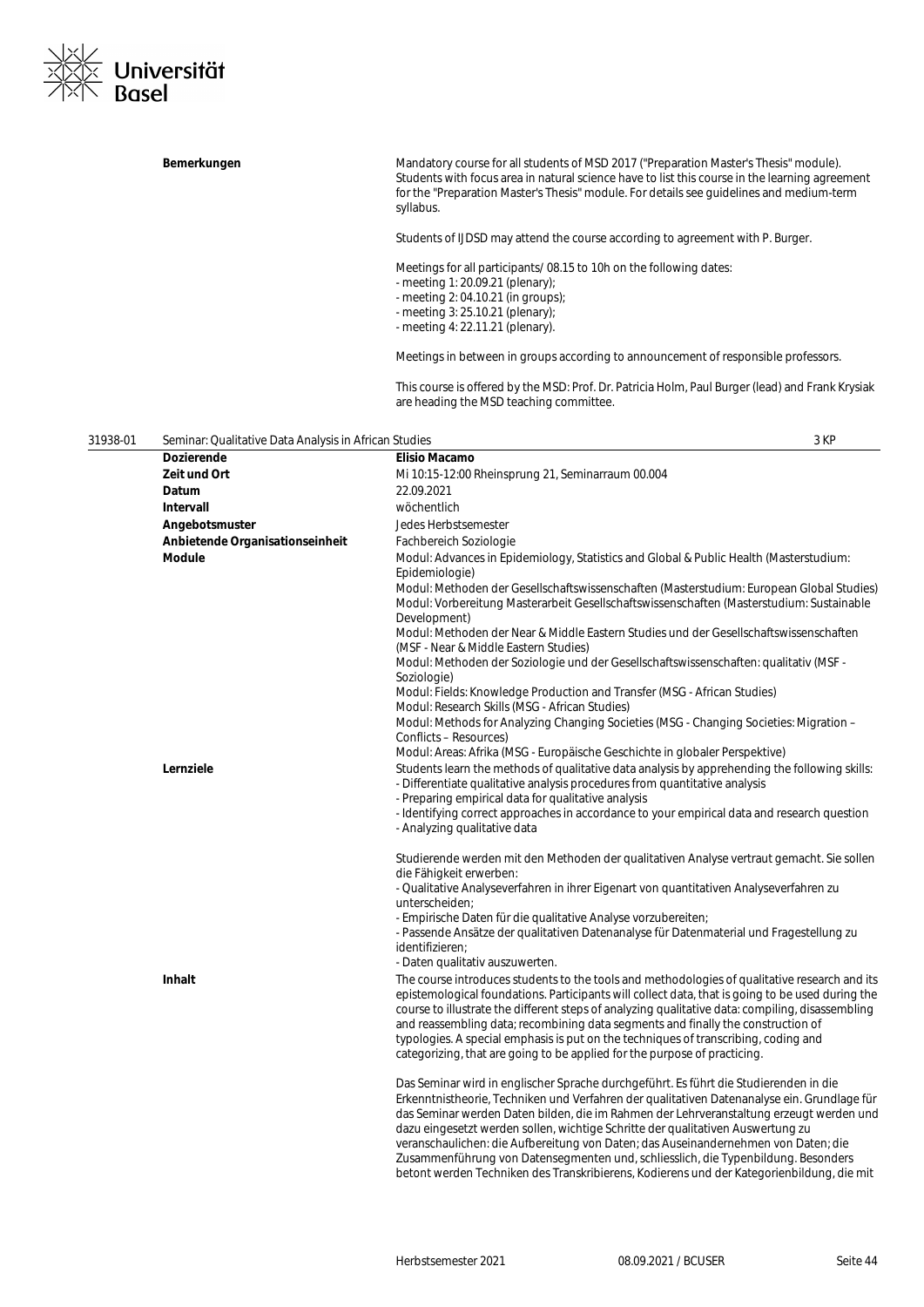

|          | Bemerkungen                                           | Mandatory course for all students of MSD 2017 ("Preparation Master's Thesis" module).<br>Students with focus area in natural science have to list this course in the learning agreement<br>for the "Preparation Master's Thesis" module. For details see guidelines and medium-term<br>syllabus. |      |
|----------|-------------------------------------------------------|--------------------------------------------------------------------------------------------------------------------------------------------------------------------------------------------------------------------------------------------------------------------------------------------------|------|
|          |                                                       | Students of IJDSD may attend the course according to agreement with P. Burger.                                                                                                                                                                                                                   |      |
|          |                                                       | Meetings for all participants/08.15 to 10h on the following dates:<br>- meeting 1: 20.09.21 (plenary);<br>- meeting 2: 04.10.21 (in groups);<br>- meeting $3:25.10.21$ (plenary);<br>- meeting 4: 22.11.21 (plenary).                                                                            |      |
|          |                                                       | Meetings in between in groups according to announcement of responsible professors.                                                                                                                                                                                                               |      |
|          |                                                       | This course is offered by the MSD: Prof. Dr. Patricia Holm, Paul Burger (lead) and Frank Krysiak<br>are heading the MSD teaching committee.                                                                                                                                                      |      |
| 31938-01 | Seminar: Qualitative Data Analysis in African Studies |                                                                                                                                                                                                                                                                                                  | 3 KP |
|          | <b>Dozierende</b>                                     | <b>Elisio Macamo</b>                                                                                                                                                                                                                                                                             |      |
|          | Zeit und Ort<br>Datum                                 | Mi 10:15-12:00 Rheinsprung 21, Seminarraum 00.004<br>22.09.2021                                                                                                                                                                                                                                  |      |
|          | Intervall                                             | wöchentlich                                                                                                                                                                                                                                                                                      |      |
|          | Angebotsmuster                                        | Jedes Herbstsemester                                                                                                                                                                                                                                                                             |      |
|          | Anbietende Organisationseinheit                       | Fachbereich Soziologie                                                                                                                                                                                                                                                                           |      |
|          | <b>Module</b>                                         | Modul: Advances in Epidemiology, Statistics and Global & Public Health (Masterstudium:                                                                                                                                                                                                           |      |
|          |                                                       | Epidemiologie)                                                                                                                                                                                                                                                                                   |      |
|          |                                                       | Modul: Methoden der Gesellschaftswissenschaften (Masterstudium: European Global Studies)                                                                                                                                                                                                         |      |
|          |                                                       | Modul: Vorbereitung Masterarbeit Gesellschaftswissenschaften (Masterstudium: Sustainable                                                                                                                                                                                                         |      |
|          |                                                       | Development)<br>Modul: Methoden der Near & Middle Eastern Studies und der Gesellschaftswissenschaften                                                                                                                                                                                            |      |
|          |                                                       | (MSF - Near & Middle Eastern Studies)                                                                                                                                                                                                                                                            |      |
|          |                                                       | Modul: Methoden der Soziologie und der Gesellschaftswissenschaften: qualitativ (MSF -                                                                                                                                                                                                            |      |
|          |                                                       | Soziologie)                                                                                                                                                                                                                                                                                      |      |
|          |                                                       | Modul: Fields: Knowledge Production and Transfer (MSG - African Studies)                                                                                                                                                                                                                         |      |
|          |                                                       | Modul: Research Skills (MSG - African Studies)                                                                                                                                                                                                                                                   |      |
|          |                                                       | Modul: Methods for Analyzing Changing Societies (MSG - Changing Societies: Migration -                                                                                                                                                                                                           |      |
|          |                                                       | Conflicts - Resources)                                                                                                                                                                                                                                                                           |      |
|          |                                                       | Modul: Areas: Afrika (MSG - Europäische Geschichte in globaler Perspektive)                                                                                                                                                                                                                      |      |
|          | Lernziele                                             | Students learn the methods of qualitative data analysis by apprehending the following skills:<br>- Differentiate qualitative analysis procedures from quantitative analysis                                                                                                                      |      |
|          |                                                       | - Preparing empirical data for qualitative analysis                                                                                                                                                                                                                                              |      |
|          |                                                       | - Identifying correct approaches in accordance to your empirical data and research question<br>- Analyzing qualitative data                                                                                                                                                                      |      |
|          |                                                       |                                                                                                                                                                                                                                                                                                  |      |
|          |                                                       | Studierende werden mit den Methoden der qualitativen Analyse vertraut gemacht. Sie sollen                                                                                                                                                                                                        |      |
|          |                                                       | die Fähigkeit erwerben:                                                                                                                                                                                                                                                                          |      |
|          |                                                       | - Qualitative Analyseverfahren in ihrer Eigenart von quantitativen Analyseverfahren zu                                                                                                                                                                                                           |      |
|          |                                                       | unterscheiden;                                                                                                                                                                                                                                                                                   |      |
|          |                                                       | - Empirische Daten für die qualitative Analyse vorzubereiten;                                                                                                                                                                                                                                    |      |
|          |                                                       | - Passende Ansätze der qualitativen Datenanalyse für Datenmaterial und Fragestellung zu                                                                                                                                                                                                          |      |
|          |                                                       | identifizieren;                                                                                                                                                                                                                                                                                  |      |
|          |                                                       | - Daten qualitativ auszuwerten.                                                                                                                                                                                                                                                                  |      |
|          | Inhalt                                                | The course introduces students to the tools and methodologies of qualitative research and its<br>epistemological foundations. Participants will collect data, that is going to be used during the                                                                                                |      |
|          |                                                       | course to illustrate the different steps of analyzing qualitative data: compiling, disassembling                                                                                                                                                                                                 |      |
|          |                                                       | and reassembling data; recombining data segments and finally the construction of                                                                                                                                                                                                                 |      |
|          |                                                       | typologies. A special emphasis is put on the techniques of transcribing, coding and                                                                                                                                                                                                              |      |
|          |                                                       | categorizing, that are going to be applied for the purpose of practicing.                                                                                                                                                                                                                        |      |
|          |                                                       |                                                                                                                                                                                                                                                                                                  |      |
|          |                                                       | Das Seminar wird in englischer Sprache durchgeführt. Es führt die Studierenden in die                                                                                                                                                                                                            |      |
|          |                                                       | Erkenntnistheorie, Techniken und Verfahren der qualitativen Datenanalyse ein. Grundlage für                                                                                                                                                                                                      |      |
|          |                                                       | das Seminar werden Daten bilden, die im Rahmen der Lehrveranstaltung erzeugt werden und                                                                                                                                                                                                          |      |
|          |                                                       | dazu eingesetzt werden sollen, wichtige Schritte der qualitativen Auswertung zu                                                                                                                                                                                                                  |      |
|          |                                                       | veranschaulichen: die Aufbereitung von Daten; das Auseinandernehmen von Daten; die<br>Zusammenführung von Datensegmenten und, schliesslich, die Typenbildung. Besonders                                                                                                                          |      |
|          |                                                       | betont werden Techniken des Transkribierens, Kodierens und der Kategorienbildung, die mit                                                                                                                                                                                                        |      |
|          |                                                       |                                                                                                                                                                                                                                                                                                  |      |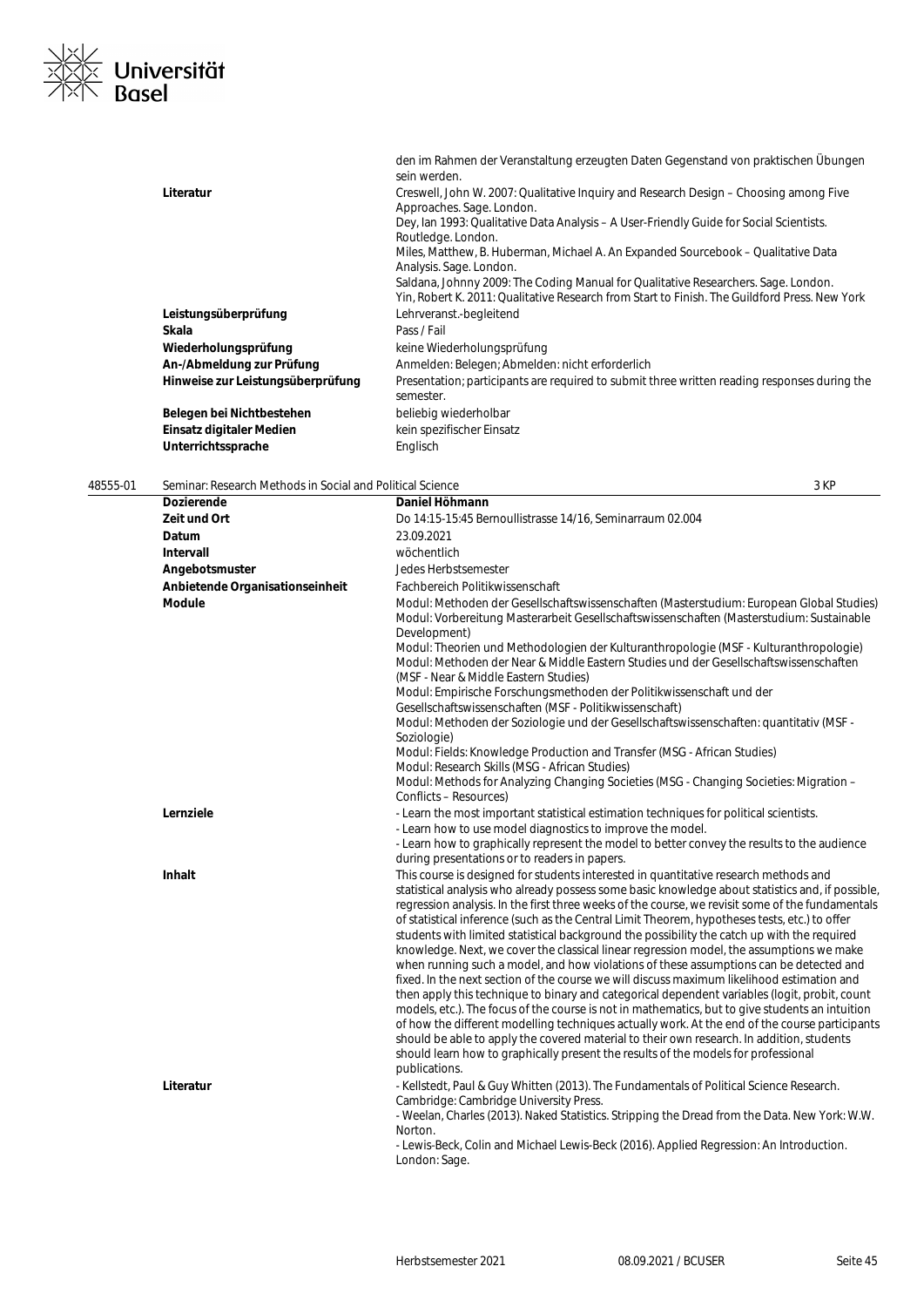

|                                   | den im Rahmen der Veranstaltung erzeugten Daten Gegenstand von praktischen Übungen<br>sein werden.                                                                                  |
|-----------------------------------|-------------------------------------------------------------------------------------------------------------------------------------------------------------------------------------|
| Literatur                         | Creswell, John W. 2007: Qualitative Inquiry and Research Design – Choosing among Five<br>Approaches. Sage. London.                                                                  |
|                                   | Dey, Ian 1993: Qualitative Data Analysis – A User-Friendly Guide for Social Scientists.                                                                                             |
|                                   | Routledge. London.                                                                                                                                                                  |
|                                   | Miles, Matthew, B. Huberman, Michael A. An Expanded Sourcebook – Qualitative Data<br>Analysis. Sage. London.                                                                        |
|                                   | Saldana, Johnny 2009: The Coding Manual for Qualitative Researchers. Sage. London.<br>Yin, Robert K. 2011: Qualitative Research from Start to Finish. The Guildford Press. New York |
| Leistungsüberprüfung              | Lehrveranst.-begleitend                                                                                                                                                             |
| Skala                             | Pass / Fail                                                                                                                                                                         |
| Wiederholungsprüfung              | keine Wiederholungsprüfung                                                                                                                                                          |
| An-/Abmeldung zur Prüfung         | Anmelden: Belegen; Abmelden: nicht erforderlich                                                                                                                                     |
| Hinweise zur Leistungsüberprüfung | Presentation; participants are required to submit three written reading responses during the<br>semester.                                                                           |
| Belegen bei Nichtbestehen         | beliebig wiederholbar                                                                                                                                                               |
| Einsatz digitaler Medien          | kein spezifischer Einsatz                                                                                                                                                           |
| Unterrichtssprache                | Englisch                                                                                                                                                                            |

48555-01 Seminar: Research Methods in Social and Political Science 3 KP **Dozierende Daniel Höhmann Zeit und Ort** Do 14:15-15:45 Bernoullistrasse 14/16, Seminarraum 02.004 **Datum** 23.09.2021 **Intervall** wöchentlich **Angebotsmuster** Jedes Herbstsemester **Anbietende Organisationseinheit** Fachbereich Politikwissenschaft **Module** Modul: Methoden der Gesellschaftswissenschaften (Masterstudium: European Global Studies) Modul: Vorbereitung Masterarbeit Gesellschaftswissenschaften (Masterstudium: Sustainable Development) Modul: Theorien und Methodologien der Kulturanthropologie (MSF - Kulturanthropologie) Modul: Methoden der Near & Middle Eastern Studies und der Gesellschaftswissenschaften (MSF - Near & Middle Eastern Studies) Modul: Empirische Forschungsmethoden der Politikwissenschaft und der Gesellschaftswissenschaften (MSF - Politikwissenschaft) Modul: Methoden der Soziologie und der Gesellschaftswissenschaften: quantitativ (MSF - Soziologie) Modul: Fields: Knowledge Production and Transfer (MSG - African Studies) Modul: Research Skills (MSG - African Studies) Modul: Methods for Analyzing Changing Societies (MSG - Changing Societies: Migration – Conflicts – Resources) Lernziele **Lernziele** - Learn the most important statistical estimation techniques for political scientists. - Learn how to use model diagnostics to improve the model. - Learn how to graphically represent the model to better convey the results to the audience during presentations or to readers in papers. **Inhalt Inhalt** This course is designed for students interested in quantitative research methods and statistical analysis who already possess some basic knowledge about statistics and, if possible, regression analysis. In the first three weeks of the course, we revisit some of the fundamentals of statistical inference (such as the Central Limit Theorem, hypotheses tests, etc.) to offer students with limited statistical background the possibility the catch up with the required knowledge. Next, we cover the classical linear regression model, the assumptions we make when running such a model, and how violations of these assumptions can be detected and fixed. In the next section of the course we will discuss maximum likelihood estimation and then apply this technique to binary and categorical dependent variables (logit, probit, count models, etc.). The focus of the course is not in mathematics, but to give students an intuition of how the different modelling techniques actually work. At the end of the course participants should be able to apply the covered material to their own research. In addition, students should learn how to graphically present the results of the models for professional publications. Literatur **Literatur** - Kellstedt, Paul & Guy Whitten (2013). The Fundamentals of Political Science Research. Cambridge: Cambridge University Press. - Weelan, Charles (2013). Naked Statistics. Stripping the Dread from the Data. New York: W.W. Norton. - Lewis‐Beck, Colin and Michael Lewis-Beck (2016). Applied Regression: An Introduction. London: Sage.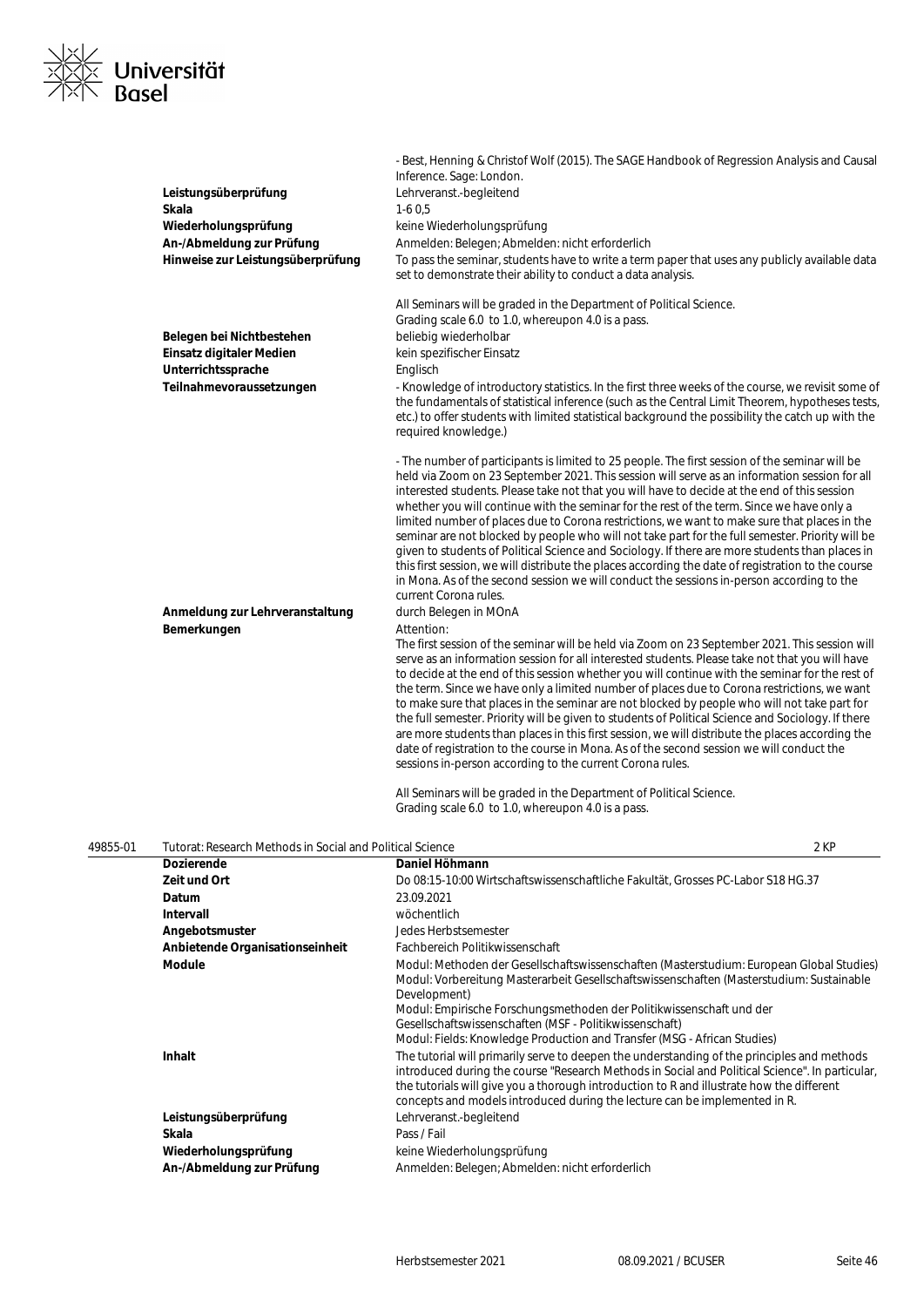

|          | Leistungsüberprüfung<br>Skala<br>Wiederholungsprüfung<br>An-/Abmeldung zur Prüfung<br>Hinweise zur Leistungsüberprüfung | - Best, Henning & Christof Wolf (2015). The SAGE Handbook of Regression Analysis and Causal<br>Inference. Sage: London.<br>Lehrveranst.-begleitend<br>$1-60,5$<br>keine Wiederholungsprüfung<br>Anmelden: Belegen; Abmelden: nicht erforderlich<br>To pass the seminar, students have to write a term paper that uses any publicly available data<br>set to demonstrate their ability to conduct a data analysis.                                                                                                                                                                                                                                                                                                                                                                                                                                                                                                                                           |  |
|----------|-------------------------------------------------------------------------------------------------------------------------|-------------------------------------------------------------------------------------------------------------------------------------------------------------------------------------------------------------------------------------------------------------------------------------------------------------------------------------------------------------------------------------------------------------------------------------------------------------------------------------------------------------------------------------------------------------------------------------------------------------------------------------------------------------------------------------------------------------------------------------------------------------------------------------------------------------------------------------------------------------------------------------------------------------------------------------------------------------|--|
|          | Belegen bei Nichtbestehen<br>Einsatz digitaler Medien<br>Unterrichtssprache<br>Teilnahmevoraussetzungen                 | All Seminars will be graded in the Department of Political Science.<br>Grading scale 6.0 to 1.0, whereupon 4.0 is a pass.<br>beliebig wiederholbar<br>kein spezifischer Einsatz<br>Englisch<br>- Knowledge of introductory statistics. In the first three weeks of the course, we revisit some of<br>the fundamentals of statistical inference (such as the Central Limit Theorem, hypotheses tests,<br>etc.) to offer students with limited statistical background the possibility the catch up with the<br>required knowledge.)                                                                                                                                                                                                                                                                                                                                                                                                                           |  |
|          | Anmeldung zur Lehrveranstaltung                                                                                         | - The number of participants is limited to 25 people. The first session of the seminar will be<br>held via Zoom on 23 September 2021. This session will serve as an information session for all<br>interested students. Please take not that you will have to decide at the end of this session<br>whether you will continue with the seminar for the rest of the term. Since we have only a<br>limited number of places due to Corona restrictions, we want to make sure that places in the<br>seminar are not blocked by people who will not take part for the full semester. Priority will be<br>given to students of Political Science and Sociology. If there are more students than places in<br>this first session, we will distribute the places according the date of registration to the course<br>in Mona. As of the second session we will conduct the sessions in-person according to the<br>current Corona rules.<br>durch Belegen in MOnA    |  |
|          | Bemerkungen                                                                                                             | Attention:<br>The first session of the seminar will be held via Zoom on 23 September 2021. This session will<br>serve as an information session for all interested students. Please take not that you will have<br>to decide at the end of this session whether you will continue with the seminar for the rest of<br>the term. Since we have only a limited number of places due to Corona restrictions, we want<br>to make sure that places in the seminar are not blocked by people who will not take part for<br>the full semester. Priority will be given to students of Political Science and Sociology. If there<br>are more students than places in this first session, we will distribute the places according the<br>date of registration to the course in Mona. As of the second session we will conduct the<br>sessions in-person according to the current Corona rules.<br>All Seminars will be graded in the Department of Political Science. |  |
|          |                                                                                                                         | Grading scale 6.0 to 1.0, whereupon 4.0 is a pass.                                                                                                                                                                                                                                                                                                                                                                                                                                                                                                                                                                                                                                                                                                                                                                                                                                                                                                          |  |
| 49855-01 | Tutorat: Research Methods in Social and Political Science<br>Dozierende                                                 | 2 KP<br>Daniel Höhmann                                                                                                                                                                                                                                                                                                                                                                                                                                                                                                                                                                                                                                                                                                                                                                                                                                                                                                                                      |  |
|          | Zeit und Ort                                                                                                            | Do 08:15-10:00 Wirtschaftswissenschaftliche Fakultät, Grosses PC-Labor S18 HG.37                                                                                                                                                                                                                                                                                                                                                                                                                                                                                                                                                                                                                                                                                                                                                                                                                                                                            |  |
|          | Datum                                                                                                                   | 23.09.2021                                                                                                                                                                                                                                                                                                                                                                                                                                                                                                                                                                                                                                                                                                                                                                                                                                                                                                                                                  |  |
|          | <b>Intervall</b>                                                                                                        | wöchentlich                                                                                                                                                                                                                                                                                                                                                                                                                                                                                                                                                                                                                                                                                                                                                                                                                                                                                                                                                 |  |
|          | Angebotsmuster                                                                                                          | Jedes Herbstsemester                                                                                                                                                                                                                                                                                                                                                                                                                                                                                                                                                                                                                                                                                                                                                                                                                                                                                                                                        |  |
|          | Anbietende Organisationseinheit                                                                                         | Fachbereich Politikwissenschaft                                                                                                                                                                                                                                                                                                                                                                                                                                                                                                                                                                                                                                                                                                                                                                                                                                                                                                                             |  |
|          | <b>Module</b>                                                                                                           | Modul: Methoden der Gesellschaftswissenschaften (Masterstudium: European Global Studies)<br>Modul: Vorbereitung Masterarbeit Gesellschaftswissenschaften (Masterstudium: Sustainable<br>Development)                                                                                                                                                                                                                                                                                                                                                                                                                                                                                                                                                                                                                                                                                                                                                        |  |

**Inhalt Inhalt** The tutorial will primarily serve to deepen the understanding of the principles and methods

|                           | the tutorials will give you a thorough introduction to R and illustrate how the different<br>concepts and models introduced during the lecture can be implemented in R. |
|---------------------------|-------------------------------------------------------------------------------------------------------------------------------------------------------------------------|
| Leistungsüberprüfung      | Lehrveranst.-begleitend                                                                                                                                                 |
| Skala                     | Pass / Fail                                                                                                                                                             |
| Wiederholungsprüfung      | keine Wiederholungsprüfung                                                                                                                                              |
| An-/Abmeldung zur Prüfung | Anmelden: Belegen; Abmelden: nicht erforderlich                                                                                                                         |
|                           |                                                                                                                                                                         |

Gesellschaftswissenschaften (MSF - Politikwissenschaft)

Modul: Empirische Forschungsmethoden der Politikwissenschaft und der

Modul: Fields: Knowledge Production and Transfer (MSG - African Studies)

introduced during the course "Research Methods in Social and Political Science". In particular,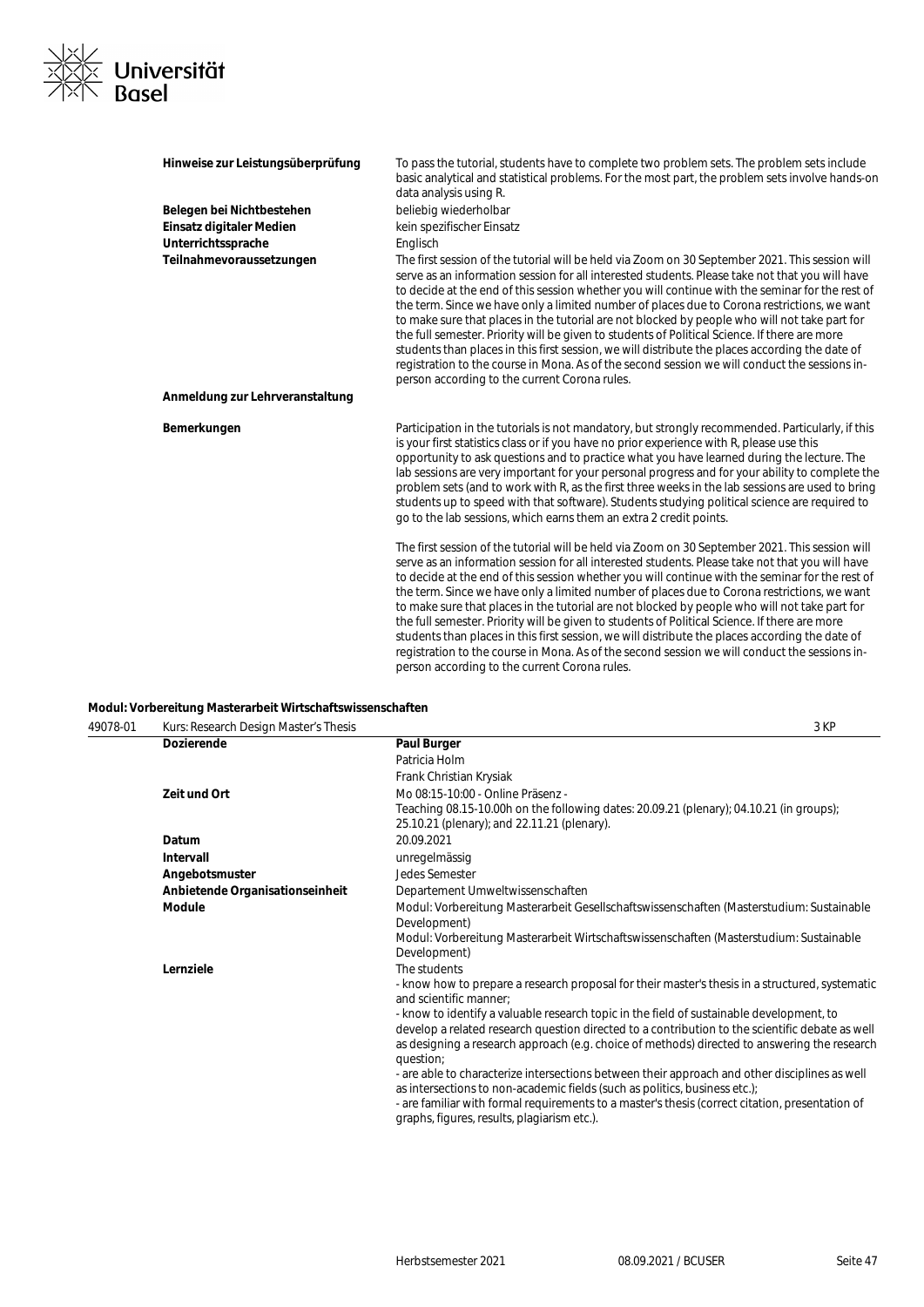# XXX<br>XXXX Universität<br>XXX Basel

| Hinweise zur Leistungsüberprüfung | To pass the tutorial, students have to complete two problem sets. The problem sets include<br>basic analytical and statistical problems. For the most part, the problem sets involve hands-on<br>data analysis using R.                                                                                                                                                                                                                                                                                                                                                                                                                                                                                                                                                                                                                                     |
|-----------------------------------|-------------------------------------------------------------------------------------------------------------------------------------------------------------------------------------------------------------------------------------------------------------------------------------------------------------------------------------------------------------------------------------------------------------------------------------------------------------------------------------------------------------------------------------------------------------------------------------------------------------------------------------------------------------------------------------------------------------------------------------------------------------------------------------------------------------------------------------------------------------|
| Belegen bei Nichtbestehen         | beliebig wiederholbar                                                                                                                                                                                                                                                                                                                                                                                                                                                                                                                                                                                                                                                                                                                                                                                                                                       |
| Einsatz digitaler Medien          | kein spezifischer Einsatz                                                                                                                                                                                                                                                                                                                                                                                                                                                                                                                                                                                                                                                                                                                                                                                                                                   |
| Unterrichtssprache                | Englisch                                                                                                                                                                                                                                                                                                                                                                                                                                                                                                                                                                                                                                                                                                                                                                                                                                                    |
| Teilnahmevoraussetzungen          | The first session of the tutorial will be held via Zoom on 30 September 2021. This session will<br>serve as an information session for all interested students. Please take not that you will have<br>to decide at the end of this session whether you will continue with the seminar for the rest of<br>the term. Since we have only a limited number of places due to Corona restrictions, we want<br>to make sure that places in the tutorial are not blocked by people who will not take part for<br>the full semester. Priority will be given to students of Political Science. If there are more<br>students than places in this first session, we will distribute the places according the date of<br>registration to the course in Mona. As of the second session we will conduct the sessions in-<br>person according to the current Corona rules. |
| Anmeldung zur Lehrveranstaltung   |                                                                                                                                                                                                                                                                                                                                                                                                                                                                                                                                                                                                                                                                                                                                                                                                                                                             |
| Bemerkungen                       | Participation in the tutorials is not mandatory, but strongly recommended. Particularly, if this<br>is your first statistics class or if you have no prior experience with R, please use this<br>opportunity to ask questions and to practice what you have learned during the lecture. The<br>lab sessions are very important for your personal progress and for your ability to complete the<br>problem sets (and to work with R, as the first three weeks in the lab sessions are used to bring<br>students up to speed with that software). Students studying political science are required to<br>go to the lab sessions, which earns them an extra 2 credit points.                                                                                                                                                                                   |
|                                   | The first session of the tutorial will be held via Zoom on 30 September 2021. This session will<br>serve as an information session for all interested students. Please take not that you will have<br>to decide at the end of this session whether you will continue with the seminar for the rest of<br>the term. Since we have only a limited number of places due to Corona restrictions, we want<br>to make sure that places in the tutorial are not blocked by people who will not take part for<br>the full semester. Priority will be given to students of Political Science. If there are more<br>students than places in this first session, we will distribute the places according the date of<br>registration to the course in Mona. As of the second session we will conduct the sessions in-<br>person according to the current Corona rules. |

### **Modul: Vorbereitung Masterarbeit Wirtschaftswissenschaften**

| 49078-01 | Kurs: Research Design Master's Thesis | 3 KP                                                                                                                                                                                                                                                                                                                          |
|----------|---------------------------------------|-------------------------------------------------------------------------------------------------------------------------------------------------------------------------------------------------------------------------------------------------------------------------------------------------------------------------------|
|          | <b>Dozierende</b>                     | <b>Paul Burger</b>                                                                                                                                                                                                                                                                                                            |
|          |                                       | Patricia Holm                                                                                                                                                                                                                                                                                                                 |
|          |                                       | Frank Christian Krysiak                                                                                                                                                                                                                                                                                                       |
|          | Zeit und Ort                          | Mo 08:15-10:00 - Online Präsenz -                                                                                                                                                                                                                                                                                             |
|          |                                       | Teaching 08.15-10.00h on the following dates: 20.09.21 (plenary); 04.10.21 (in groups);<br>25.10.21 (plenary); and 22.11.21 (plenary).                                                                                                                                                                                        |
|          | Datum                                 | 20.09.2021                                                                                                                                                                                                                                                                                                                    |
|          | <b>Intervall</b>                      | unregelmässig                                                                                                                                                                                                                                                                                                                 |
|          | Angebotsmuster                        | <b>Jedes Semester</b>                                                                                                                                                                                                                                                                                                         |
|          | Anbietende Organisationseinheit       | Departement Umweltwissenschaften                                                                                                                                                                                                                                                                                              |
|          | Module                                | Modul: Vorbereitung Masterarbeit Gesellschaftswissenschaften (Masterstudium: Sustainable<br>Development)                                                                                                                                                                                                                      |
|          |                                       | Modul: Vorbereitung Masterarbeit Wirtschaftswissenschaften (Masterstudium: Sustainable<br>Development)                                                                                                                                                                                                                        |
|          | Lernziele                             | The students                                                                                                                                                                                                                                                                                                                  |
|          |                                       | - know how to prepare a research proposal for their master's thesis in a structured, systematic<br>and scientific manner:                                                                                                                                                                                                     |
|          |                                       | - know to identify a valuable research topic in the field of sustainable development, to<br>develop a related research question directed to a contribution to the scientific debate as well<br>as designing a research approach (e.g. choice of methods) directed to answering the research<br>question;                      |
|          |                                       | - are able to characterize intersections between their approach and other disciplines as well<br>as intersections to non-academic fields (such as politics, business etc.);<br>- are familiar with formal requirements to a master's thesis (correct citation, presentation of<br>graphs, figures, results, plagiarism etc.). |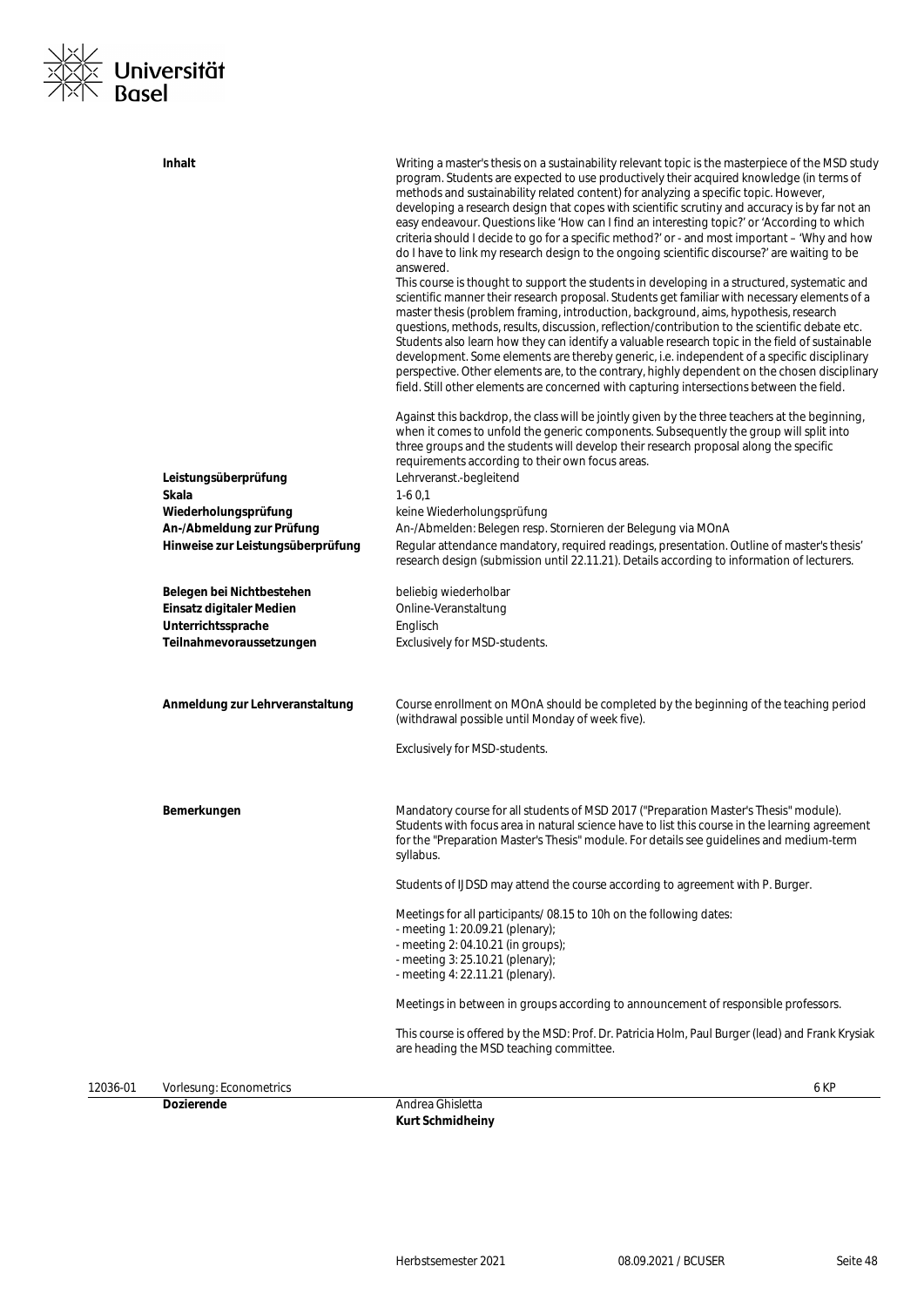

|          | <b>Dozierende</b>                                              | Andrea Ghisletta<br><b>Kurt Schmidheiny</b>                                                                                                                                                                                                                                                                                                                                                                                                                                                                                                                                                      |
|----------|----------------------------------------------------------------|--------------------------------------------------------------------------------------------------------------------------------------------------------------------------------------------------------------------------------------------------------------------------------------------------------------------------------------------------------------------------------------------------------------------------------------------------------------------------------------------------------------------------------------------------------------------------------------------------|
| 12036-01 | Vorlesung: Econometrics                                        | 6 KP                                                                                                                                                                                                                                                                                                                                                                                                                                                                                                                                                                                             |
|          |                                                                | This course is offered by the MSD: Prof. Dr. Patricia Holm, Paul Burger (lead) and Frank Krysiak<br>are heading the MSD teaching committee.                                                                                                                                                                                                                                                                                                                                                                                                                                                      |
|          |                                                                | Meetings in between in groups according to announcement of responsible professors.                                                                                                                                                                                                                                                                                                                                                                                                                                                                                                               |
|          |                                                                | - meeting 2: 04.10.21 (in groups);<br>- meeting 3: 25.10.21 (plenary);<br>- meeting 4: 22.11.21 (plenary).                                                                                                                                                                                                                                                                                                                                                                                                                                                                                       |
|          |                                                                | Meetings for all participants/08.15 to 10h on the following dates:<br>- meeting 1: 20.09.21 (plenary);                                                                                                                                                                                                                                                                                                                                                                                                                                                                                           |
|          |                                                                | Students of IJDSD may attend the course according to agreement with P. Burger.                                                                                                                                                                                                                                                                                                                                                                                                                                                                                                                   |
|          | Bemerkungen                                                    | Mandatory course for all students of MSD 2017 ("Preparation Master's Thesis" module).<br>Students with focus area in natural science have to list this course in the learning agreement<br>for the "Preparation Master's Thesis" module. For details see guidelines and medium-term<br>syllabus.                                                                                                                                                                                                                                                                                                 |
|          |                                                                | Exclusively for MSD-students.                                                                                                                                                                                                                                                                                                                                                                                                                                                                                                                                                                    |
|          | Anmeldung zur Lehrveranstaltung                                | Course enrollment on MOnA should be completed by the beginning of the teaching period<br>(withdrawal possible until Monday of week five).                                                                                                                                                                                                                                                                                                                                                                                                                                                        |
|          | Teilnahmevoraussetzungen                                       | Exclusively for MSD-students.                                                                                                                                                                                                                                                                                                                                                                                                                                                                                                                                                                    |
|          | Einsatz digitaler Medien<br>Unterrichtssprache                 | Online-Veranstaltung<br>Englisch                                                                                                                                                                                                                                                                                                                                                                                                                                                                                                                                                                 |
|          | Belegen bei Nichtbestehen                                      | research design (submission until 22.11.21). Details according to information of lecturers.<br>beliebig wiederholbar                                                                                                                                                                                                                                                                                                                                                                                                                                                                             |
|          | An-/Abmeldung zur Prüfung<br>Hinweise zur Leistungsüberprüfung | An-/Abmelden: Belegen resp. Stornieren der Belegung via MOnA<br>Regular attendance mandatory, required readings, presentation. Outline of master's thesis'                                                                                                                                                                                                                                                                                                                                                                                                                                       |
|          | Skala<br>Wiederholungsprüfung                                  | $1-60,1$<br>keine Wiederholungsprüfung                                                                                                                                                                                                                                                                                                                                                                                                                                                                                                                                                           |
|          | Leistungsüberprüfung                                           | when it comes to unfold the generic components. Subsequently the group will split into<br>three groups and the students will develop their research proposal along the specific<br>requirements according to their own focus areas.<br>Lehrveranst.-begleitend                                                                                                                                                                                                                                                                                                                                   |
|          |                                                                | perspective. Other elements are, to the contrary, highly dependent on the chosen disciplinary<br>field. Still other elements are concerned with capturing intersections between the field.<br>Against this backdrop, the class will be jointly given by the three teachers at the beginning,                                                                                                                                                                                                                                                                                                     |
|          |                                                                | This course is thought to support the students in developing in a structured, systematic and<br>scientific manner their research proposal. Students get familiar with necessary elements of a<br>master thesis (problem framing, introduction, background, aims, hypothesis, research<br>questions, methods, results, discussion, reflection/contribution to the scientific debate etc.<br>Students also learn how they can identify a valuable research topic in the field of sustainable<br>development. Some elements are thereby generic, i.e. independent of a specific disciplinary        |
|          |                                                                | program. Students are expected to use productively their acquired knowledge (in terms of<br>methods and sustainability related content) for analyzing a specific topic. However,<br>developing a research design that copes with scientific scrutiny and accuracy is by far not an<br>easy endeavour. Questions like 'How can I find an interesting topic?' or 'According to which<br>criteria should I decide to go for a specific method?' or - and most important - 'Why and how<br>do I have to link my research design to the ongoing scientific discourse?' are waiting to be<br>answered. |
|          | <b>Inhalt</b>                                                  | Writing a master's thesis on a sustainability relevant topic is the masterpiece of the MSD study                                                                                                                                                                                                                                                                                                                                                                                                                                                                                                 |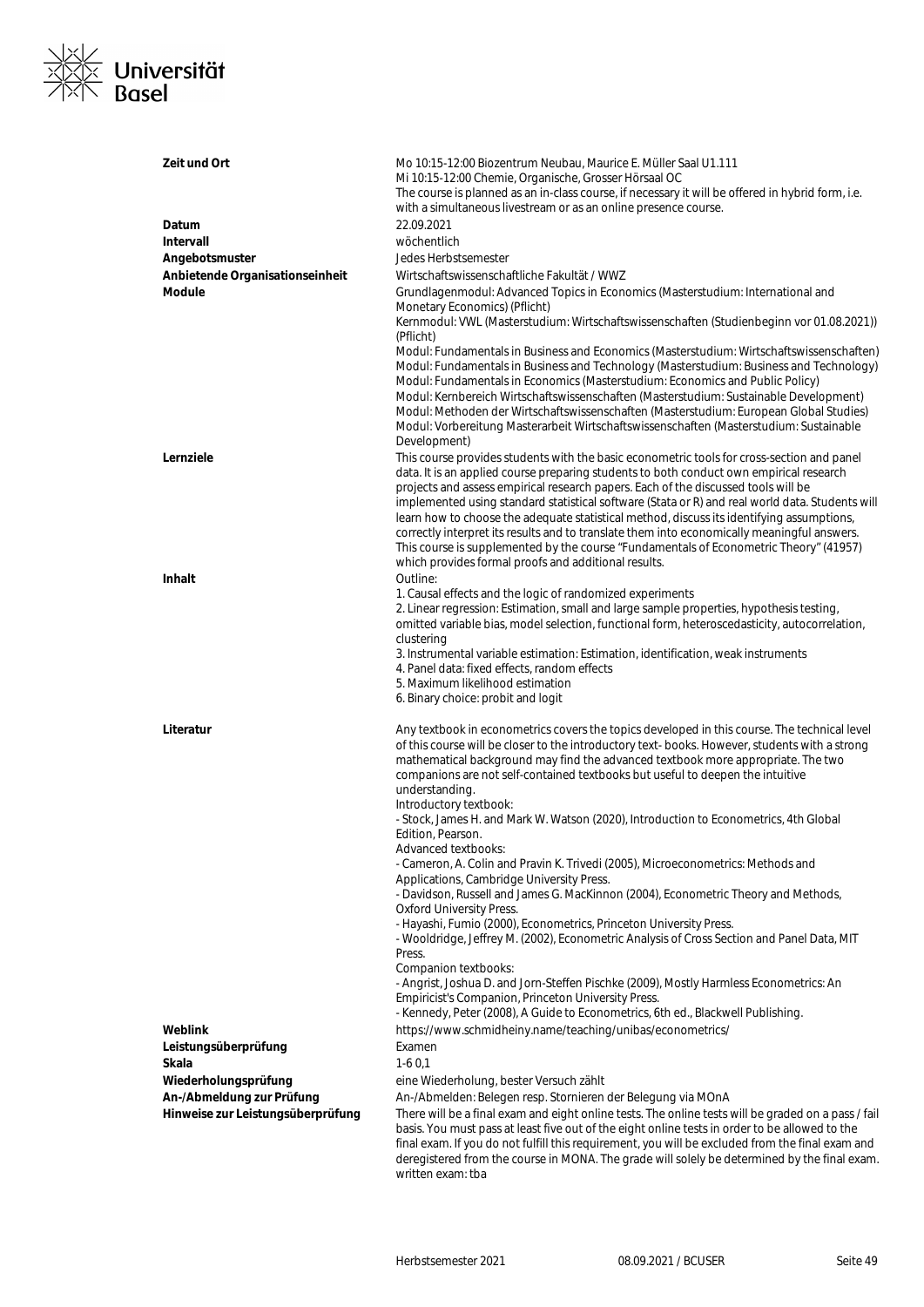

| Zeit und Ort                      | Mo 10:15-12:00 Biozentrum Neubau, Maurice E. Müller Saal U1.111<br>Mi 10:15-12:00 Chemie, Organische, Grosser Hörsaal OC<br>The course is planned as an in-class course, if necessary it will be offered in hybrid form, i.e.<br>with a simultaneous livestream or as an online presence course.                                                                                                                                                                                                                                                                                                                                                                                                                                                                                                                                                                                                                                                                                                                                                                                                                                                                      |
|-----------------------------------|-----------------------------------------------------------------------------------------------------------------------------------------------------------------------------------------------------------------------------------------------------------------------------------------------------------------------------------------------------------------------------------------------------------------------------------------------------------------------------------------------------------------------------------------------------------------------------------------------------------------------------------------------------------------------------------------------------------------------------------------------------------------------------------------------------------------------------------------------------------------------------------------------------------------------------------------------------------------------------------------------------------------------------------------------------------------------------------------------------------------------------------------------------------------------|
| Datum                             | 22.09.2021                                                                                                                                                                                                                                                                                                                                                                                                                                                                                                                                                                                                                                                                                                                                                                                                                                                                                                                                                                                                                                                                                                                                                            |
| <b>Intervall</b>                  | wöchentlich                                                                                                                                                                                                                                                                                                                                                                                                                                                                                                                                                                                                                                                                                                                                                                                                                                                                                                                                                                                                                                                                                                                                                           |
| Angebotsmuster                    | Jedes Herbstsemester                                                                                                                                                                                                                                                                                                                                                                                                                                                                                                                                                                                                                                                                                                                                                                                                                                                                                                                                                                                                                                                                                                                                                  |
| Anbietende Organisationseinheit   | Wirtschaftswissenschaftliche Fakultät / WWZ                                                                                                                                                                                                                                                                                                                                                                                                                                                                                                                                                                                                                                                                                                                                                                                                                                                                                                                                                                                                                                                                                                                           |
| <b>Module</b>                     | Grundlagenmodul: Advanced Topics in Economics (Masterstudium: International and                                                                                                                                                                                                                                                                                                                                                                                                                                                                                                                                                                                                                                                                                                                                                                                                                                                                                                                                                                                                                                                                                       |
|                                   | Monetary Economics) (Pflicht)<br>Kernmodul: VWL (Masterstudium: Wirtschaftswissenschaften (Studienbeginn vor 01.08.2021))<br>(Pflicht)<br>Modul: Fundamentals in Business and Economics (Masterstudium: Wirtschaftswissenschaften)<br>Modul: Fundamentals in Business and Technology (Masterstudium: Business and Technology)<br>Modul: Fundamentals in Economics (Masterstudium: Economics and Public Policy)                                                                                                                                                                                                                                                                                                                                                                                                                                                                                                                                                                                                                                                                                                                                                        |
|                                   | Modul: Kernbereich Wirtschaftswissenschaften (Masterstudium: Sustainable Development)<br>Modul: Methoden der Wirtschaftswissenschaften (Masterstudium: European Global Studies)<br>Modul: Vorbereitung Masterarbeit Wirtschaftswissenschaften (Masterstudium: Sustainable<br>Development)                                                                                                                                                                                                                                                                                                                                                                                                                                                                                                                                                                                                                                                                                                                                                                                                                                                                             |
| Lernziele                         | This course provides students with the basic econometric tools for cross-section and panel<br>data. It is an applied course preparing students to both conduct own empirical research<br>projects and assess empirical research papers. Each of the discussed tools will be<br>implemented using standard statistical software (Stata or R) and real world data. Students will<br>learn how to choose the adequate statistical method, discuss its identifying assumptions,<br>correctly interpret its results and to translate them into economically meaningful answers.<br>This course is supplemented by the course "Fundamentals of Econometric Theory" (41957)<br>which provides formal proofs and additional results.                                                                                                                                                                                                                                                                                                                                                                                                                                          |
| <b>Inhalt</b>                     | Outline:<br>1. Causal effects and the logic of randomized experiments<br>2. Linear regression: Estimation, small and large sample properties, hypothesis testing,<br>omitted variable bias, model selection, functional form, heteroscedasticity, autocorrelation,<br>clustering<br>3. Instrumental variable estimation: Estimation, identification, weak instruments<br>4. Panel data: fixed effects, random effects<br>5. Maximum likelihood estimation<br>6. Binary choice: probit and logit                                                                                                                                                                                                                                                                                                                                                                                                                                                                                                                                                                                                                                                                       |
| Literatur                         | Any textbook in econometrics covers the topics developed in this course. The technical level<br>of this course will be closer to the introductory text-books. However, students with a strong<br>mathematical background may find the advanced textbook more appropriate. The two<br>companions are not self-contained textbooks but useful to deepen the intuitive<br>understanding.<br>Introductory textbook:<br>- Stock, James H. and Mark W. Watson (2020), Introduction to Econometrics, 4th Global<br>Edition, Pearson.<br>Advanced textbooks:<br>- Cameron, A. Colin and Pravin K. Trivedi (2005), Microeconometrics: Methods and<br>Applications, Cambridge University Press.<br>- Davidson, Russell and James G. MacKinnon (2004), Econometric Theory and Methods,<br><b>Oxford University Press.</b><br>- Hayashi, Fumio (2000), Econometrics, Princeton University Press.<br>- Wooldridge, Jeffrey M. (2002), Econometric Analysis of Cross Section and Panel Data, MIT<br>Press.<br>Companion textbooks:<br>- Angrist, Joshua D. and Jorn-Steffen Pischke (2009), Mostly Harmless Econometrics: An<br>Empiricist's Companion, Princeton University Press. |
|                                   | - Kennedy, Peter (2008), A Guide to Econometrics, 6th ed., Blackwell Publishing.                                                                                                                                                                                                                                                                                                                                                                                                                                                                                                                                                                                                                                                                                                                                                                                                                                                                                                                                                                                                                                                                                      |
| Weblink                           | https://www.schmidheiny.name/teaching/unibas/econometrics/                                                                                                                                                                                                                                                                                                                                                                                                                                                                                                                                                                                                                                                                                                                                                                                                                                                                                                                                                                                                                                                                                                            |
| Leistungsüberprüfung              | Examen                                                                                                                                                                                                                                                                                                                                                                                                                                                                                                                                                                                                                                                                                                                                                                                                                                                                                                                                                                                                                                                                                                                                                                |
| Skala                             | $1-60,1$                                                                                                                                                                                                                                                                                                                                                                                                                                                                                                                                                                                                                                                                                                                                                                                                                                                                                                                                                                                                                                                                                                                                                              |
|                                   |                                                                                                                                                                                                                                                                                                                                                                                                                                                                                                                                                                                                                                                                                                                                                                                                                                                                                                                                                                                                                                                                                                                                                                       |
| Wiederholungsprüfung              | eine Wiederholung, bester Versuch zählt                                                                                                                                                                                                                                                                                                                                                                                                                                                                                                                                                                                                                                                                                                                                                                                                                                                                                                                                                                                                                                                                                                                               |
| An-/Abmeldung zur Prüfung         | An-/Abmelden: Belegen resp. Stornieren der Belegung via MOnA                                                                                                                                                                                                                                                                                                                                                                                                                                                                                                                                                                                                                                                                                                                                                                                                                                                                                                                                                                                                                                                                                                          |
| Hinweise zur Leistungsüberprüfung | There will be a final exam and eight online tests. The online tests will be graded on a pass / fail<br>basis. You must pass at least five out of the eight online tests in order to be allowed to the<br>final exam. If you do not fulfill this requirement, you will be excluded from the final exam and<br>deregistered from the course in MONA. The grade will solely be determined by the final exam.<br>written exam: tba                                                                                                                                                                                                                                                                                                                                                                                                                                                                                                                                                                                                                                                                                                                                        |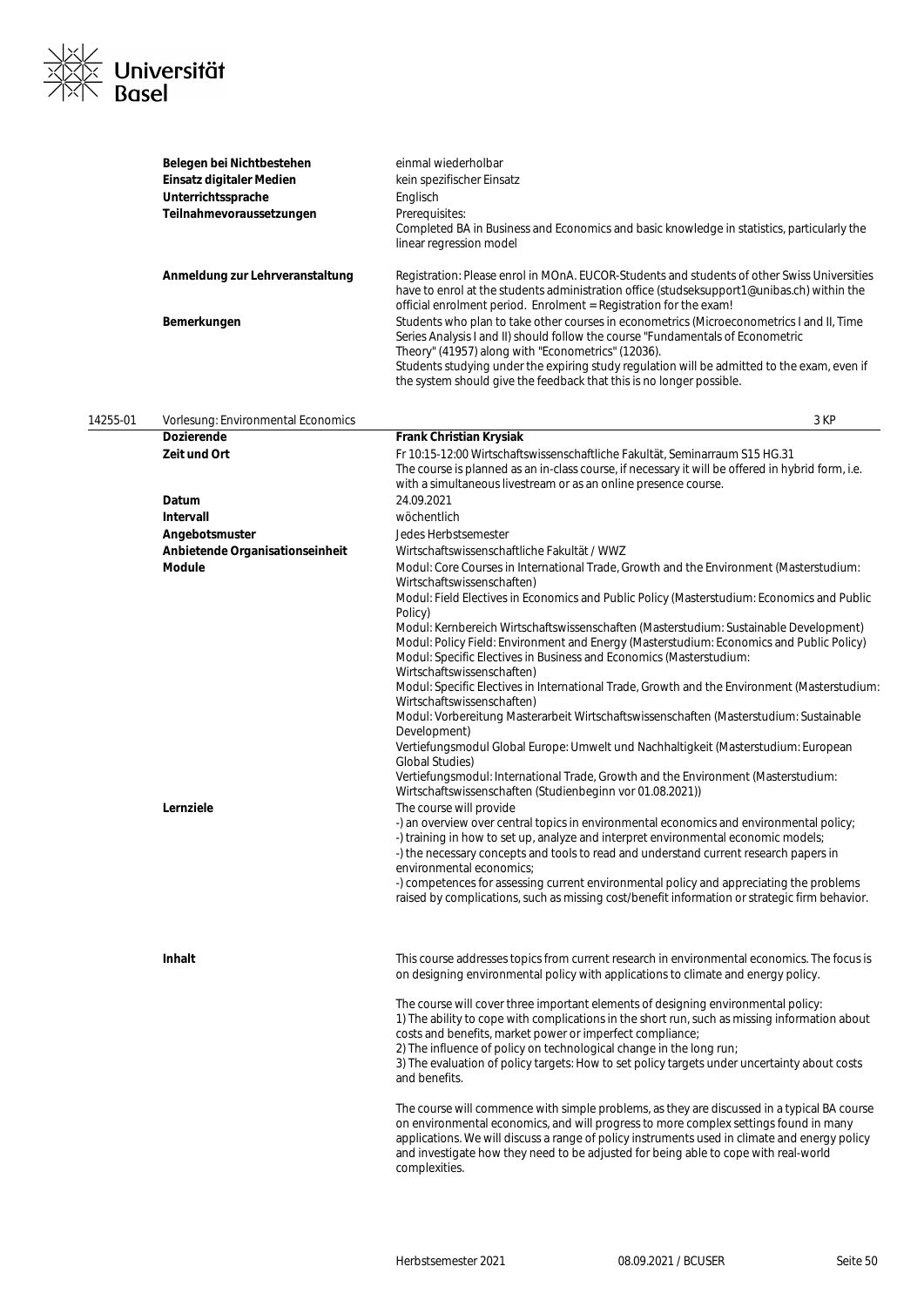

|          | Belegen bei Nichtbestehen<br>Einsatz digitaler Medien<br>Unterrichtssprache<br>Teilnahmevoraussetzungen | einmal wiederholbar<br>kein spezifischer Einsatz<br>Englisch<br>Prerequisites:<br>Completed BA in Business and Economics and basic knowledge in statistics, particularly the<br>linear regression model                                                                                                                                                                                                                                                                                                                                                                                                                                                                                                                                                                                                                                                                                                                                                                                                                                                                                                                                                                                                                                                                                                                                                                                                                                                       |
|----------|---------------------------------------------------------------------------------------------------------|---------------------------------------------------------------------------------------------------------------------------------------------------------------------------------------------------------------------------------------------------------------------------------------------------------------------------------------------------------------------------------------------------------------------------------------------------------------------------------------------------------------------------------------------------------------------------------------------------------------------------------------------------------------------------------------------------------------------------------------------------------------------------------------------------------------------------------------------------------------------------------------------------------------------------------------------------------------------------------------------------------------------------------------------------------------------------------------------------------------------------------------------------------------------------------------------------------------------------------------------------------------------------------------------------------------------------------------------------------------------------------------------------------------------------------------------------------------|
|          | Anmeldung zur Lehrveranstaltung                                                                         | Registration: Please enrol in MOnA. EUCOR-Students and students of other Swiss Universities<br>have to enrol at the students administration office (studseksupport1@unibas.ch) within the<br>official enrolment period. Enrolment = Registration for the exam!                                                                                                                                                                                                                                                                                                                                                                                                                                                                                                                                                                                                                                                                                                                                                                                                                                                                                                                                                                                                                                                                                                                                                                                                |
|          | Bemerkungen                                                                                             | Students who plan to take other courses in econometrics (Microeconometrics I and II, Time<br>Series Analysis I and II) should follow the course "Fundamentals of Econometric<br>Theory" (41957) along with "Econometrics" (12036).<br>Students studying under the expiring study regulation will be admitted to the exam, even if<br>the system should give the feedback that this is no longer possible.                                                                                                                                                                                                                                                                                                                                                                                                                                                                                                                                                                                                                                                                                                                                                                                                                                                                                                                                                                                                                                                     |
| 14255-01 | Vorlesung: Environmental Economics                                                                      | 3 KP                                                                                                                                                                                                                                                                                                                                                                                                                                                                                                                                                                                                                                                                                                                                                                                                                                                                                                                                                                                                                                                                                                                                                                                                                                                                                                                                                                                                                                                          |
|          | <b>Dozierende</b>                                                                                       | Frank Christian Krysiak                                                                                                                                                                                                                                                                                                                                                                                                                                                                                                                                                                                                                                                                                                                                                                                                                                                                                                                                                                                                                                                                                                                                                                                                                                                                                                                                                                                                                                       |
|          | Zeit und Ort                                                                                            | Fr 10:15-12:00 Wirtschaftswissenschaftliche Fakultät, Seminarraum S15 HG.31<br>The course is planned as an in-class course, if necessary it will be offered in hybrid form, i.e.<br>with a simultaneous livestream or as an online presence course.                                                                                                                                                                                                                                                                                                                                                                                                                                                                                                                                                                                                                                                                                                                                                                                                                                                                                                                                                                                                                                                                                                                                                                                                           |
|          | Datum                                                                                                   | 24.09.2021                                                                                                                                                                                                                                                                                                                                                                                                                                                                                                                                                                                                                                                                                                                                                                                                                                                                                                                                                                                                                                                                                                                                                                                                                                                                                                                                                                                                                                                    |
|          | Intervall                                                                                               | wöchentlich                                                                                                                                                                                                                                                                                                                                                                                                                                                                                                                                                                                                                                                                                                                                                                                                                                                                                                                                                                                                                                                                                                                                                                                                                                                                                                                                                                                                                                                   |
|          | Angebotsmuster                                                                                          | Jedes Herbstsemester                                                                                                                                                                                                                                                                                                                                                                                                                                                                                                                                                                                                                                                                                                                                                                                                                                                                                                                                                                                                                                                                                                                                                                                                                                                                                                                                                                                                                                          |
|          | Anbietende Organisationseinheit                                                                         | Wirtschaftswissenschaftliche Fakultät / WWZ                                                                                                                                                                                                                                                                                                                                                                                                                                                                                                                                                                                                                                                                                                                                                                                                                                                                                                                                                                                                                                                                                                                                                                                                                                                                                                                                                                                                                   |
|          | <b>Module</b><br>Lernziele                                                                              | Modul: Core Courses in International Trade, Growth and the Environment (Masterstudium:<br>Wirtschaftswissenschaften)<br>Modul: Field Electives in Economics and Public Policy (Masterstudium: Economics and Public<br>Policy)<br>Modul: Kernbereich Wirtschaftswissenschaften (Masterstudium: Sustainable Development)<br>Modul: Policy Field: Environment and Energy (Masterstudium: Economics and Public Policy)<br>Modul: Specific Electives in Business and Economics (Masterstudium:<br>Wirtschaftswissenschaften)<br>Modul: Specific Electives in International Trade, Growth and the Environment (Masterstudium:<br>Wirtschaftswissenschaften)<br>Modul: Vorbereitung Masterarbeit Wirtschaftswissenschaften (Masterstudium: Sustainable<br>Development)<br>Vertiefungsmodul Global Europe: Umwelt und Nachhaltigkeit (Masterstudium: European<br><b>Global Studies)</b><br>Vertiefungsmodul: International Trade, Growth and the Environment (Masterstudium:<br>Wirtschaftswissenschaften (Studienbeginn vor 01.08.2021))<br>The course will provide<br>-) an overview over central topics in environmental economics and environmental policy;<br>-) training in how to set up, analyze and interpret environmental economic models;<br>-) the necessary concepts and tools to read and understand current research papers in<br>environmental economics;<br>-) competences for assessing current environmental policy and appreciating the problems |
|          | Inhalt                                                                                                  | raised by complications, such as missing cost/benefit information or strategic firm behavior.<br>This course addresses topics from current research in environmental economics. The focus is<br>on designing environmental policy with applications to climate and energy policy.<br>The course will cover three important elements of designing environmental policy:<br>1) The ability to cope with complications in the short run, such as missing information about<br>costs and benefits, market power or imperfect compliance;<br>2) The influence of policy on technological change in the long run;<br>3) The evaluation of policy targets: How to set policy targets under uncertainty about costs<br>and benefits.<br>The course will commence with simple problems, as they are discussed in a typical BA course<br>on environmental economics, and will progress to more complex settings found in many<br>applications. We will discuss a range of policy instruments used in climate and energy policy<br>and investigate how they need to be adjusted for being able to cope with real-world<br>complexities.                                                                                                                                                                                                                                                                                                                                  |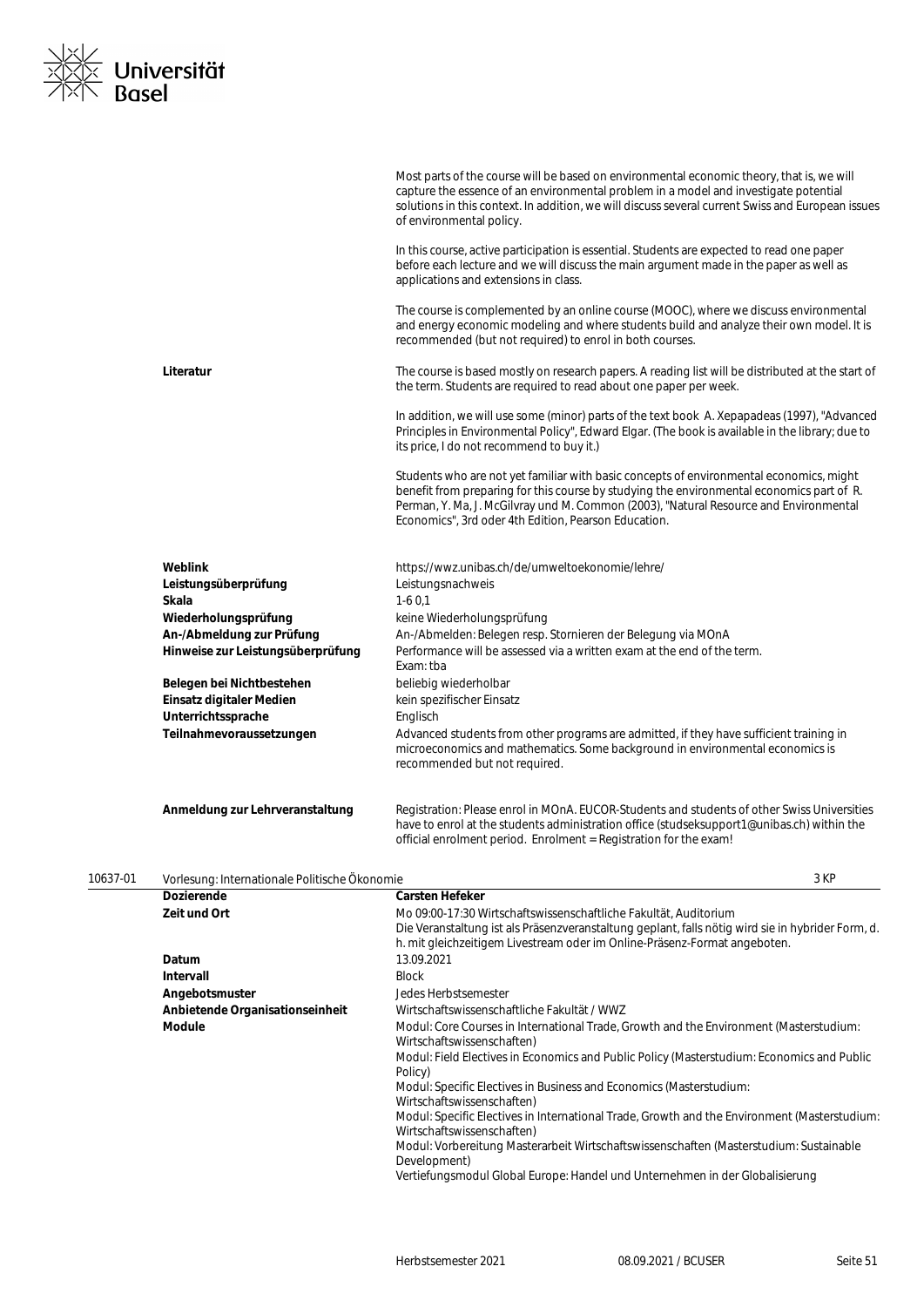

|          |                                                   | Most parts of the course will be based on environmental economic theory, that is, we will<br>capture the essence of an environmental problem in a model and investigate potential<br>solutions in this context. In addition, we will discuss several current Swiss and European issues<br>of environmental policy.                    |
|----------|---------------------------------------------------|---------------------------------------------------------------------------------------------------------------------------------------------------------------------------------------------------------------------------------------------------------------------------------------------------------------------------------------|
|          |                                                   | In this course, active participation is essential. Students are expected to read one paper<br>before each lecture and we will discuss the main argument made in the paper as well as<br>applications and extensions in class.                                                                                                         |
|          |                                                   | The course is complemented by an online course (MOOC), where we discuss environmental<br>and energy economic modeling and where students build and analyze their own model. It is<br>recommended (but not required) to enrol in both courses.                                                                                         |
|          | Literatur                                         | The course is based mostly on research papers. A reading list will be distributed at the start of<br>the term. Students are required to read about one paper per week.                                                                                                                                                                |
|          |                                                   | In addition, we will use some (minor) parts of the text book A. Xepapadeas (1997), "Advanced<br>Principles in Environmental Policy", Edward Elgar. (The book is available in the library; due to<br>its price, I do not recommend to buy it.)                                                                                         |
|          |                                                   | Students who are not yet familiar with basic concepts of environmental economics, might<br>benefit from preparing for this course by studying the environmental economics part of R.<br>Perman, Y. Ma, J. McGilvray und M. Common (2003), "Natural Resource and Environmental<br>Economics", 3rd oder 4th Edition, Pearson Education. |
|          | Weblink                                           | https://wwz.unibas.ch/de/umweltoekonomie/lehre/                                                                                                                                                                                                                                                                                       |
|          | Leistungsüberprüfung                              | Leistungsnachweis                                                                                                                                                                                                                                                                                                                     |
|          | Skala                                             | $1-60,1$                                                                                                                                                                                                                                                                                                                              |
|          | Wiederholungsprüfung<br>An-/Abmeldung zur Prüfung | keine Wiederholungsprüfung<br>An-/Abmelden: Belegen resp. Stornieren der Belegung via MOnA                                                                                                                                                                                                                                            |
|          | Hinweise zur Leistungsüberprüfung                 | Performance will be assessed via a written exam at the end of the term.<br>Exam: tba                                                                                                                                                                                                                                                  |
|          | Belegen bei Nichtbestehen                         | beliebig wiederholbar                                                                                                                                                                                                                                                                                                                 |
|          | Einsatz digitaler Medien                          | kein spezifischer Einsatz                                                                                                                                                                                                                                                                                                             |
|          | Unterrichtssprache                                | Englisch                                                                                                                                                                                                                                                                                                                              |
|          | Teilnahmevoraussetzungen                          | Advanced students from other programs are admitted, if they have sufficient training in<br>microeconomics and mathematics. Some background in environmental economics is<br>recommended but not required.                                                                                                                             |
|          | Anmeldung zur Lehrveranstaltung                   | Registration: Please enrol in MOnA. EUCOR-Students and students of other Swiss Universities<br>have to enrol at the students administration office (studseksupport1@unibas.ch) within the<br>official enrolment period. Enrolment = Registration for the exam!                                                                        |
| 10637-01 | Vorlesung: Internationale Politische Ökonomie     | 3 KP                                                                                                                                                                                                                                                                                                                                  |
|          | Dozierende                                        | <b>Carsten Hefeker</b>                                                                                                                                                                                                                                                                                                                |
|          | Zeit und Ort                                      | Mo 09:00-17:30 Wirtschaftswissenschaftliche Fakultät, Auditorium<br>Die Veranstaltung ist als Präsenzveranstaltung geplant, falls nötig wird sie in hybrider Form, d.<br>h. mit gleichzeitigem Livestream oder im Online-Präsenz-Format angeboten.                                                                                    |
|          | Datum                                             | 13.09.2021                                                                                                                                                                                                                                                                                                                            |
|          | <b>Intervall</b>                                  | <b>Block</b>                                                                                                                                                                                                                                                                                                                          |
|          | Angebotsmuster                                    | Jedes Herbstsemester                                                                                                                                                                                                                                                                                                                  |
|          | Anbietende Organisationseinheit                   | Wirtschaftswissenschaftliche Fakultät / WWZ                                                                                                                                                                                                                                                                                           |
|          | <b>Module</b>                                     | Modul: Core Courses in International Trade, Growth and the Environment (Masterstudium:<br>Wirtschaftswissenschaften)                                                                                                                                                                                                                  |
|          |                                                   | Modul: Field Electives in Economics and Public Policy (Masterstudium: Economics and Public<br>Policy)                                                                                                                                                                                                                                 |
|          |                                                   | Modul: Specific Electives in Business and Economics (Masterstudium:                                                                                                                                                                                                                                                                   |
|          |                                                   | Wirtschaftswissenschaften)<br>Modul: Specific Electives in International Trade, Growth and the Environment (Masterstudium:                                                                                                                                                                                                            |
|          |                                                   | Wirtschaftswissenschaften)<br>Modul: Vorbereitung Masterarbeit Wirtschaftswissenschaften (Masterstudium: Sustainable<br>Development)                                                                                                                                                                                                  |
|          |                                                   | Vertiefungsmodul Global Europe: Handel und Unternehmen in der Globalisierung                                                                                                                                                                                                                                                          |